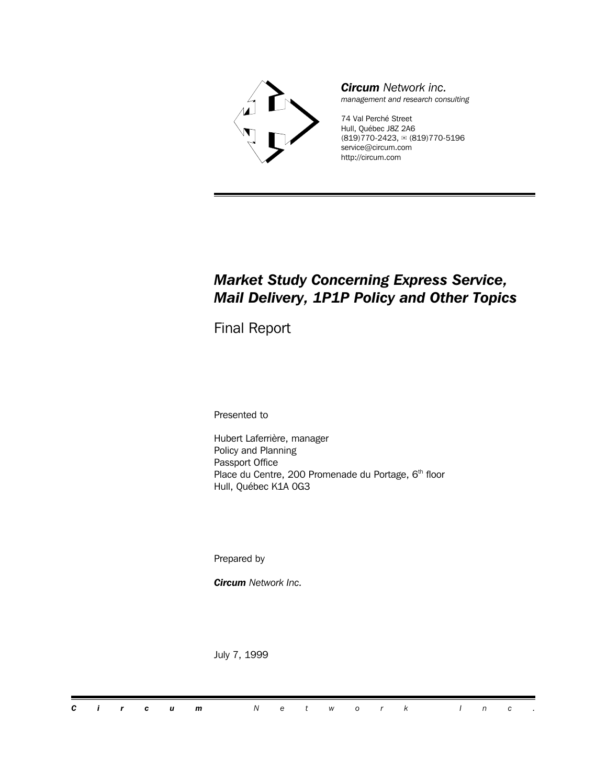

*Circum Network inc. management and research consulting*

74 Val Perché Street Hull, Québec J8Z 2A6 (819)770-2423, <sub>■</sub> (819)770-5196 service@circum.com http://circum.com

## *Market Study Concerning Express Service, Mail Delivery, 1P1P Policy and Other Topics*

Final Report

Presented to

Hubert Laferrière, manager Policy and Planning Passport Office Place du Centre, 200 Promenade du Portage, 6<sup>th</sup> floor Hull, Québec K1A 0G3

Prepared by

*Circum Network Inc.*

July 7, 1999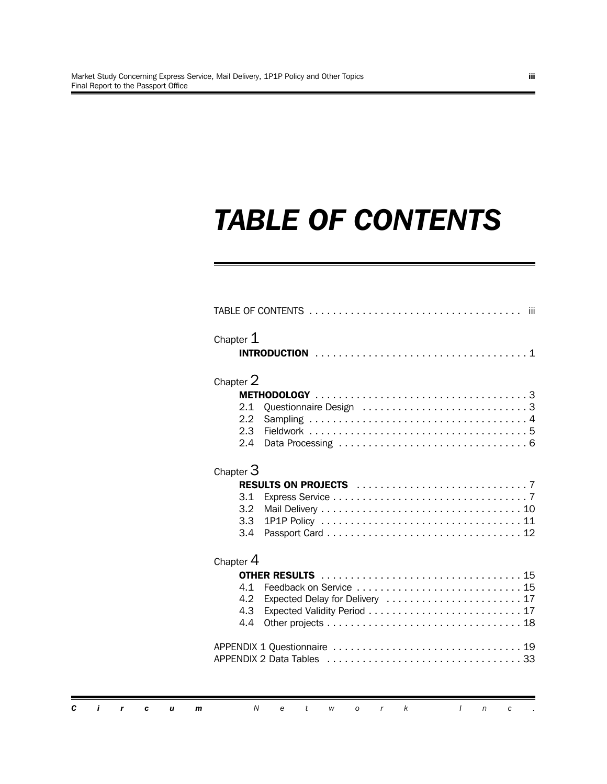# *TABLE OF CONTENTS*

| Chapter 2        |                                 |
|------------------|---------------------------------|
|                  |                                 |
| 2.1              | Questionnaire Design 3          |
| 2.2              |                                 |
| 2.3<br>2.4       |                                 |
|                  |                                 |
| Chapter $3$      |                                 |
|                  |                                 |
| 3.1              |                                 |
| 3.2 <sub>2</sub> |                                 |
| 3.3              |                                 |
| 3.4              |                                 |
| Chapter 4        |                                 |
|                  |                                 |
| 4.1              |                                 |
| $4.2^{\circ}$    | Expected Delay for Delivery  17 |
| 4.3              |                                 |
| 4.4              |                                 |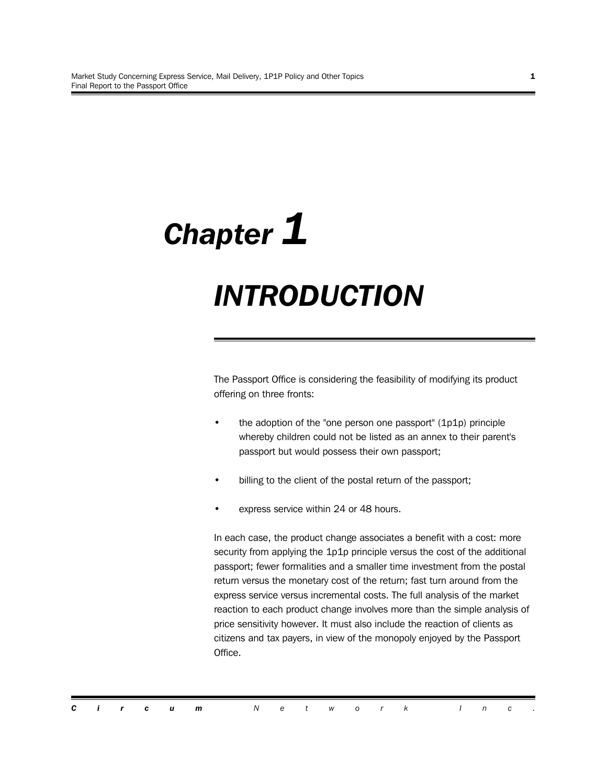# *Chapter 1*

# *INTRODUCTION*

The Passport Office is considering the feasibility of modifying its product offering on three fronts:

- the adoption of the "one person one passport" (1p1p) principle whereby children could not be listed as an annex to their parent's passport but would possess their own passport;
- billing to the client of the postal return of the passport;
- express service within 24 or 48 hours.

In each case, the product change associates a benefit with a cost: more security from applying the 1p1p principle versus the cost of the additional passport; fewer formalities and a smaller time investment from the postal return versus the monetary cost of the return; fast turn around from the express service versus incremental costs. The full analysis of the market reaction to each product change involves more than the simple analysis of price sensitivity however. It must also include the reaction of clients as citizens and tax payers, in view of the monopoly enjoyed by the Passport Office.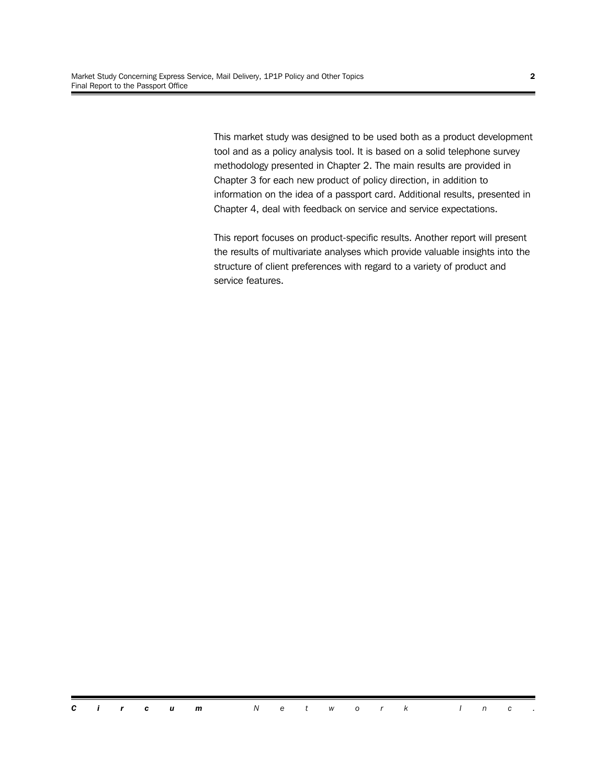This market study was designed to be used both as a product development tool and as a policy analysis tool. It is based on a solid telephone survey methodology presented in Chapter 2. The main results are provided in Chapter 3 for each new product of policy direction, in addition to information on the idea of a passport card. Additional results, presented in Chapter 4, deal with feedback on service and service expectations.

This report focuses on product-specific results. Another report will present the results of multivariate analyses which provide valuable insights into the structure of client preferences with regard to a variety of product and service features.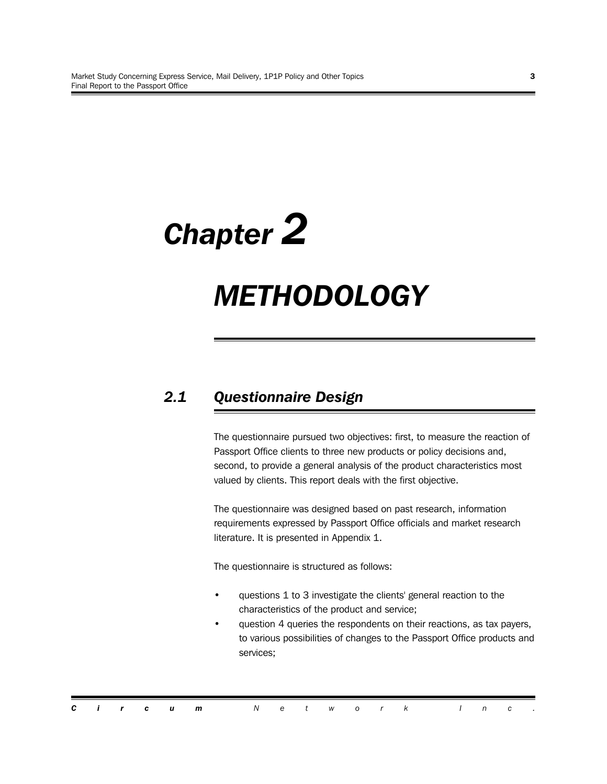# *Chapter 2*

# *METHODOLOGY*

# *2.1 Questionnaire Design*

The questionnaire pursued two objectives: first, to measure the reaction of Passport Office clients to three new products or policy decisions and, second, to provide a general analysis of the product characteristics most valued by clients. This report deals with the first objective.

The questionnaire was designed based on past research, information requirements expressed by Passport Office officials and market research literature. It is presented in Appendix 1.

The questionnaire is structured as follows:

- questions 1 to 3 investigate the clients' general reaction to the characteristics of the product and service;
- question 4 queries the respondents on their reactions, as tax payers, to various possibilities of changes to the Passport Office products and services;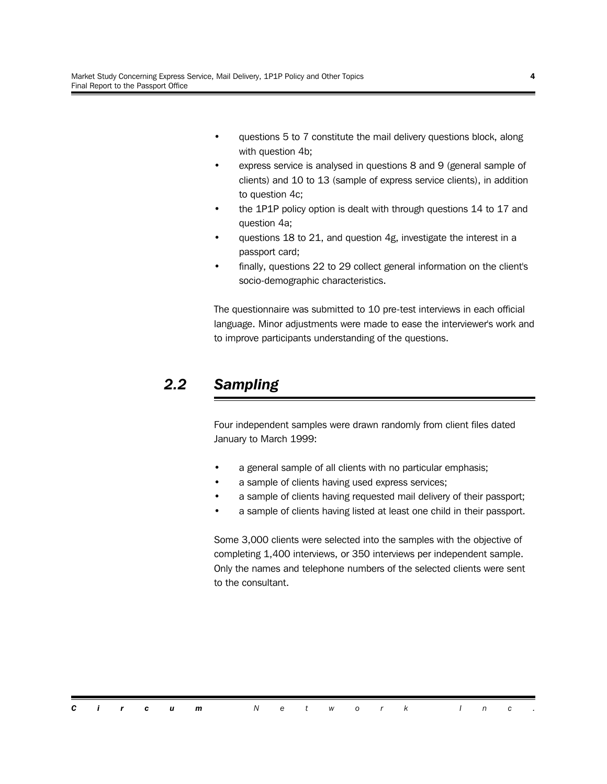- questions 5 to 7 constitute the mail delivery questions block, along with question 4b;
- express service is analysed in questions 8 and 9 (general sample of clients) and 10 to 13 (sample of express service clients), in addition to question 4c;
- the 1P1P policy option is dealt with through questions 14 to 17 and question 4a;
- questions 18 to 21, and question 4g, investigate the interest in a passport card;
- finally, questions 22 to 29 collect general information on the client's socio-demographic characteristics.

The questionnaire was submitted to 10 pre-test interviews in each official language. Minor adjustments were made to ease the interviewer's work and to improve participants understanding of the questions.

## *2.2 Sampling*

Four independent samples were drawn randomly from client files dated January to March 1999:

- a general sample of all clients with no particular emphasis;
- a sample of clients having used express services;
- a sample of clients having requested mail delivery of their passport;
- a sample of clients having listed at least one child in their passport.

Some 3,000 clients were selected into the samples with the objective of completing 1,400 interviews, or 350 interviews per independent sample. Only the names and telephone numbers of the selected clients were sent to the consultant.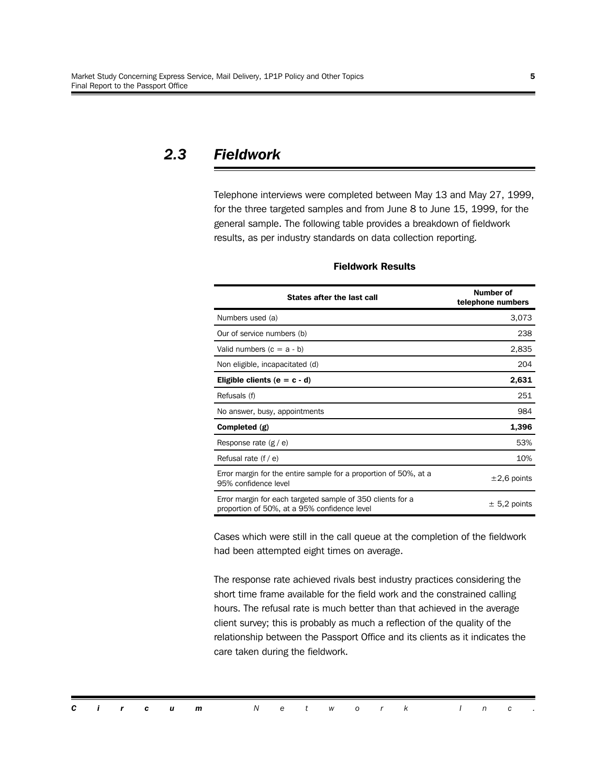## *2.3 Fieldwork*

Telephone interviews were completed between May 13 and May 27, 1999, for the three targeted samples and from June 8 to June 15, 1999, for the general sample. The following table provides a breakdown of fieldwork results, as per industry standards on data collection reporting.

| States after the last call                                                                                 | <b>Number of</b><br>telephone numbers |  |  |  |  |
|------------------------------------------------------------------------------------------------------------|---------------------------------------|--|--|--|--|
| Numbers used (a)                                                                                           | 3,073                                 |  |  |  |  |
| Our of service numbers (b)                                                                                 | 238                                   |  |  |  |  |
| Valid numbers $(c = a - b)$                                                                                | 2,835                                 |  |  |  |  |
| Non eligible, incapacitated (d)                                                                            | 204                                   |  |  |  |  |
| Eligible clients ( $e = c - d$ )                                                                           | 2,631                                 |  |  |  |  |
| Refusals (f)                                                                                               | 251                                   |  |  |  |  |
| No answer, busy, appointments                                                                              | 984                                   |  |  |  |  |
| Completed (g)                                                                                              | 1,396                                 |  |  |  |  |
| Response rate $(g / e)$                                                                                    | 53%                                   |  |  |  |  |
| Refusal rate $(f / e)$                                                                                     | 10%                                   |  |  |  |  |
| Error margin for the entire sample for a proportion of 50%, at a<br>95% confidence level                   | $\pm 2.6$ points                      |  |  |  |  |
| Error margin for each targeted sample of 350 clients for a<br>proportion of 50%, at a 95% confidence level | $\pm$ 5,2 points                      |  |  |  |  |

#### **Fieldwork Results**

Cases which were still in the call queue at the completion of the fieldwork had been attempted eight times on average.

The response rate achieved rivals best industry practices considering the short time frame available for the field work and the constrained calling hours. The refusal rate is much better than that achieved in the average client survey; this is probably as much a reflection of the quality of the relationship between the Passport Office and its clients as it indicates the care taken during the fieldwork.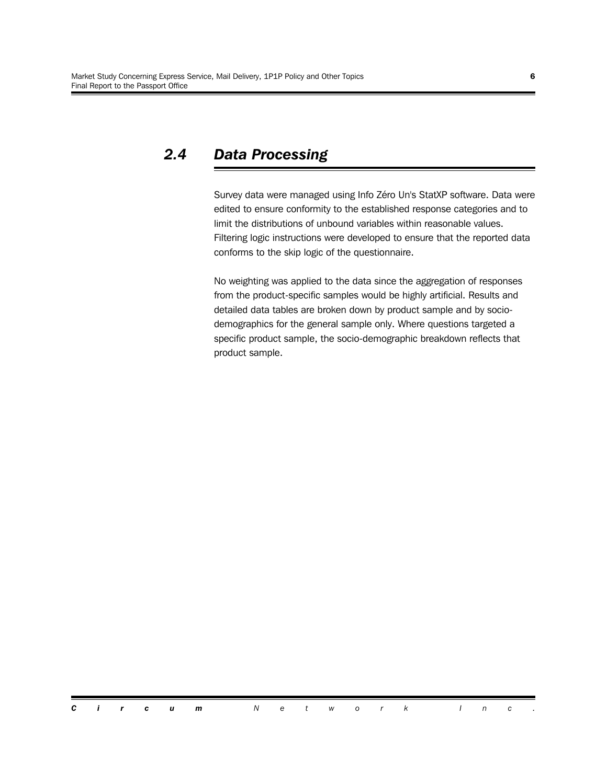# *2.4 Data Processing*

Survey data were managed using Info Zéro Un's StatXP software. Data were edited to ensure conformity to the established response categories and to limit the distributions of unbound variables within reasonable values. Filtering logic instructions were developed to ensure that the reported data conforms to the skip logic of the questionnaire.

No weighting was applied to the data since the aggregation of responses from the product-specific samples would be highly artificial. Results and detailed data tables are broken down by product sample and by sociodemographics for the general sample only. Where questions targeted a specific product sample, the socio-demographic breakdown reflects that product sample.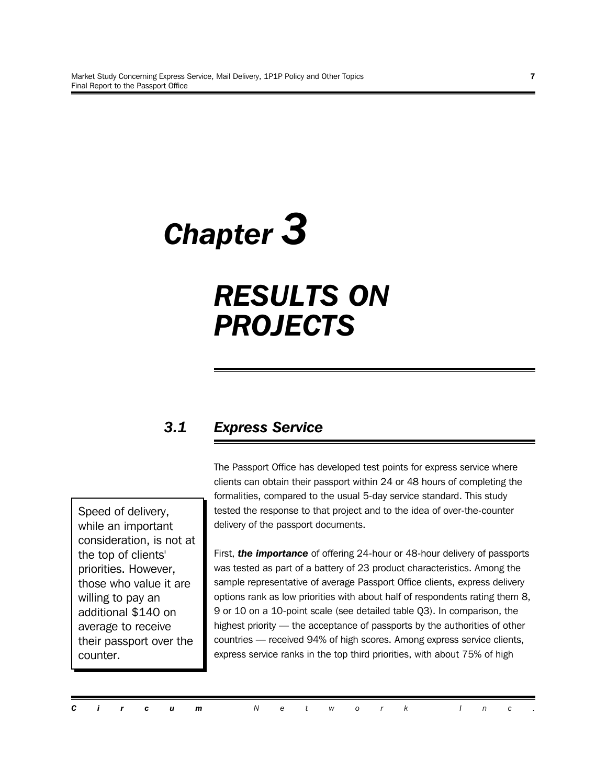# *Chapter 3*

# *RESULTS ON PROJECTS*

# *3.1 Express Service*

Speed of delivery, while an important consideration, is not at the top of clients' priorities. However, those who value it are willing to pay an additional \$140 on average to receive their passport over the counter.

The Passport Office has developed test points for express service where clients can obtain their passport within 24 or 48 hours of completing the formalities, compared to the usual 5-day service standard. This study tested the response to that project and to the idea of over-the-counter delivery of the passport documents.

First, *the importance* of offering 24-hour or 48-hour delivery of passports was tested as part of a battery of 23 product characteristics. Among the sample representative of average Passport Office clients, express delivery options rank as low priorities with about half of respondents rating them 8, 9 or 10 on a 10-point scale (see detailed table Q3). In comparison, the highest priority — the acceptance of passports by the authorities of other countries — received 94% of high scores. Among express service clients, express service ranks in the top third priorities, with about 75% of high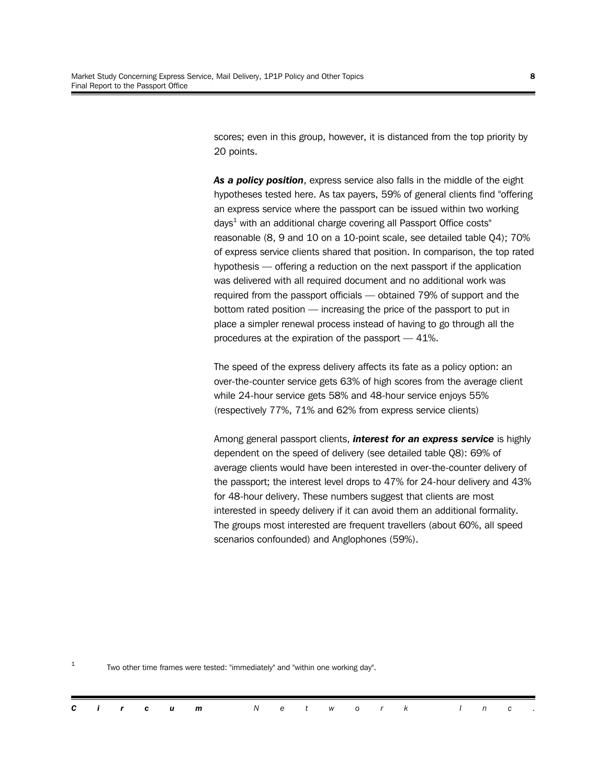scores; even in this group, however, it is distanced from the top priority by 20 points.

*As a policy position*, express service also falls in the middle of the eight hypotheses tested here. As tax payers, 59% of general clients find "offering an express service where the passport can be issued within two working days $^1$  with an additional charge covering all Passport Office costs" reasonable (8, 9 and 10 on a 10-point scale, see detailed table Q4); 70% of express service clients shared that position. In comparison, the top rated hypothesis — offering a reduction on the next passport if the application was delivered with all required document and no additional work was required from the passport officials — obtained 79% of support and the bottom rated position — increasing the price of the passport to put in place a simpler renewal process instead of having to go through all the procedures at the expiration of the passport — 41%.

The speed of the express delivery affects its fate as a policy option: an over-the-counter service gets 63% of high scores from the average client while 24-hour service gets 58% and 48-hour service enjoys 55% (respectively 77%, 71% and 62% from express service clients)

Among general passport clients, *interest for an express service* is highly dependent on the speed of delivery (see detailed table Q8): 69% of average clients would have been interested in over-the-counter delivery of the passport; the interest level drops to 47% for 24-hour delivery and 43% for 48-hour delivery. These numbers suggest that clients are most interested in speedy delivery if it can avoid them an additional formality. The groups most interested are frequent travellers (about 60%, all speed scenarios confounded) and Anglophones (59%).

1 Two other time frames were tested: "immediately" and "within one working day".

|  |  |  |  |  |  |  | <b>Circum</b> Network Inc. |  |  |  |  |  |  |  |  |  |  |  |
|--|--|--|--|--|--|--|----------------------------|--|--|--|--|--|--|--|--|--|--|--|
|--|--|--|--|--|--|--|----------------------------|--|--|--|--|--|--|--|--|--|--|--|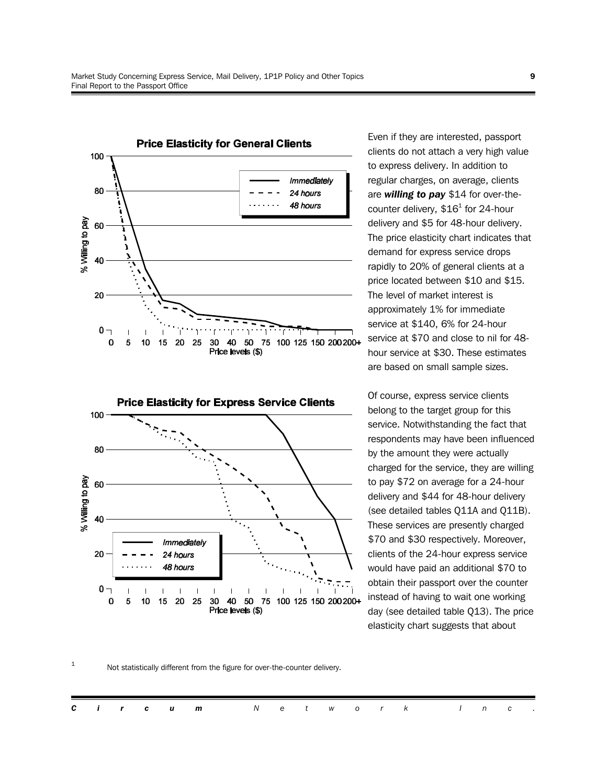

Even if they are interested, passport clients do not attach a very high value to express delivery. In addition to regular charges, on average, clients are *willing to pay* \$14 for over-thecounter delivery,  $$16^1$  for 24-hour delivery and \$5 for 48-hour delivery. The price elasticity chart indicates that demand for express service drops rapidly to 20% of general clients at a price located between \$10 and \$15. The level of market interest is approximately 1% for immediate service at \$140, 6% for 24-hour service at \$70 and close to nil for 48 hour service at \$30. These estimates are based on small sample sizes.

Of course, express service clients belong to the target group for this service. Notwithstanding the fact that respondents may have been influenced by the amount they were actually charged for the service, they are willing to pay \$72 on average for a 24-hour delivery and \$44 for 48-hour delivery (see detailed tables Q11A and Q11B). These services are presently charged \$70 and \$30 respectively. Moreover, clients of the 24-hour express service would have paid an additional \$70 to obtain their passport over the counter instead of having to wait one working day (see detailed table Q13). The price elasticity chart suggests that about

#### 1 Not statistically different from the figure for over-the-counter delivery.

 $\mathbf{I}$ 

20 25 30 40 50

 $\mathbf{I}$ 

J.

Price levels (\$)

 $\mathbf{I}$  $\overline{\phantom{a}}$ 

 $0 -$ 

0

5 10 15

 $\overline{\phantom{a}}$ 

75 100 125 150 200 200+

 $\overline{\phantom{a}}$ 

 $\overline{\gamma}$ 

 $\mathbf{I}$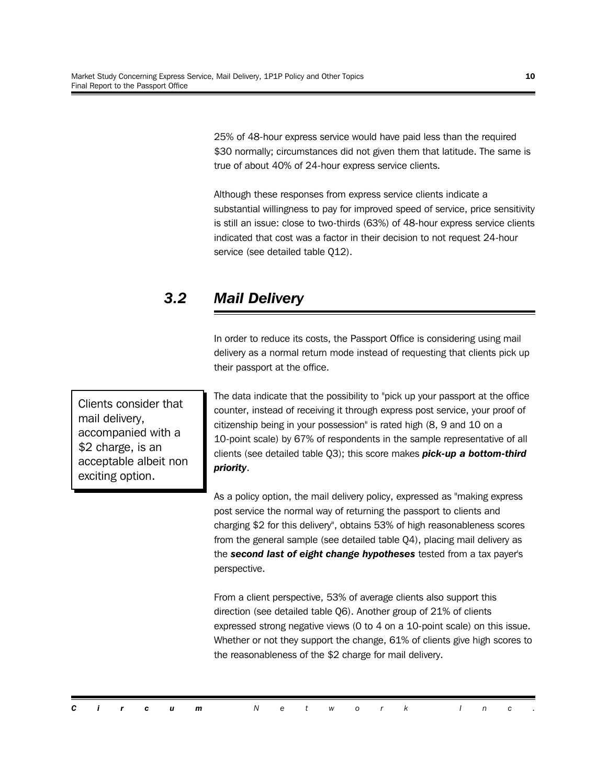25% of 48-hour express service would have paid less than the required \$30 normally; circumstances did not given them that latitude. The same is true of about 40% of 24-hour express service clients.

Although these responses from express service clients indicate a substantial willingness to pay for improved speed of service, price sensitivity is still an issue: close to two-thirds (63%) of 48-hour express service clients indicated that cost was a factor in their decision to not request 24-hour service (see detailed table Q12).

# *3.2 Mail Delivery*

In order to reduce its costs, the Passport Office is considering using mail delivery as a normal return mode instead of requesting that clients pick up their passport at the office.

Clients consider that mail delivery, accompanied with a \$2 charge, is an acceptable albeit non exciting option.

The data indicate that the possibility to "pick up your passport at the office counter, instead of receiving it through express post service, your proof of citizenship being in your possession" is rated high (8, 9 and 10 on a 10-point scale) by 67% of respondents in the sample representative of all clients (see detailed table Q3); this score makes *pick-up a bottom-third priority*.

As a policy option, the mail delivery policy, expressed as "making express post service the normal way of returning the passport to clients and charging \$2 for this delivery", obtains 53% of high reasonableness scores from the general sample (see detailed table Q4), placing mail delivery as the *second last of eight change hypotheses* tested from a tax payer's perspective.

From a client perspective, 53% of average clients also support this direction (see detailed table Q6). Another group of 21% of clients expressed strong negative views (0 to 4 on a 10-point scale) on this issue. Whether or not they support the change, 61% of clients give high scores to the reasonableness of the \$2 charge for mail delivery.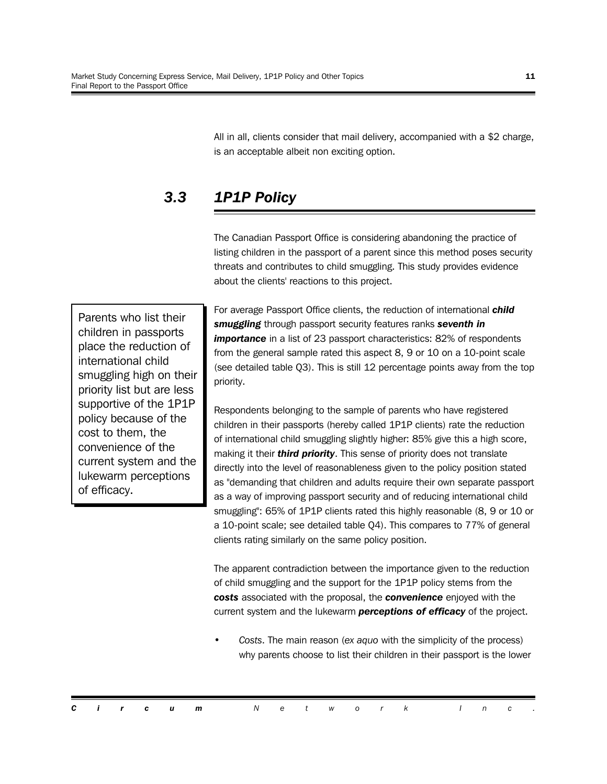All in all, clients consider that mail delivery, accompanied with a \$2 charge, is an acceptable albeit non exciting option.

# *3.3 1P1P Policy*

The Canadian Passport Office is considering abandoning the practice of listing children in the passport of a parent since this method poses security threats and contributes to child smuggling. This study provides evidence about the clients' reactions to this project.

Parents who list their children in passports place the reduction of international child smuggling high on their priority list but are less supportive of the 1P1P policy because of the cost to them, the convenience of the current system and the lukewarm perceptions of efficacy.

For average Passport Office clients, the reduction of international *child smuggling* through passport security features ranks *seventh in* **importance** in a list of 23 passport characteristics: 82% of respondents from the general sample rated this aspect 8, 9 or 10 on a 10-point scale (see detailed table Q3). This is still 12 percentage points away from the top priority.

Respondents belonging to the sample of parents who have registered children in their passports (hereby called 1P1P clients) rate the reduction of international child smuggling slightly higher: 85% give this a high score, making it their *third priority*. This sense of priority does not translate directly into the level of reasonableness given to the policy position stated as "demanding that children and adults require their own separate passport as a way of improving passport security and of reducing international child smuggling": 65% of 1P1P clients rated this highly reasonable (8, 9 or 10 or a 10-point scale; see detailed table Q4). This compares to 77% of general clients rating similarly on the same policy position.

The apparent contradiction between the importance given to the reduction of child smuggling and the support for the 1P1P policy stems from the *costs* associated with the proposal, the *convenience* enjoyed with the current system and the lukewarm *perceptions of efficacy* of the project.

• *Costs*. The main reason (*ex aquo* with the simplicity of the process) why parents choose to list their children in their passport is the lower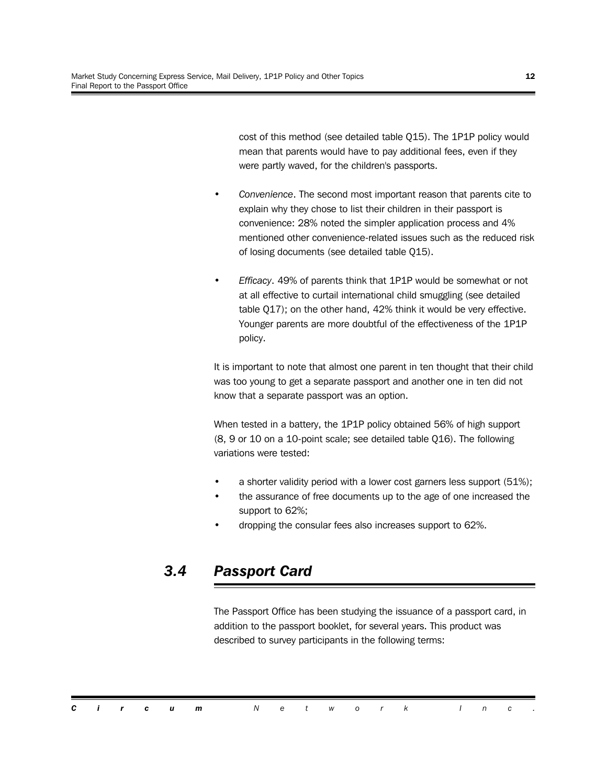cost of this method (see detailed table Q15). The 1P1P policy would mean that parents would have to pay additional fees, even if they were partly waved, for the children's passports.

- *Convenience*. The second most important reason that parents cite to explain why they chose to list their children in their passport is convenience: 28% noted the simpler application process and 4% mentioned other convenience-related issues such as the reduced risk of losing documents (see detailed table Q15).
- *Efficacy*. 49% of parents think that 1P1P would be somewhat or not at all effective to curtail international child smuggling (see detailed table Q17); on the other hand, 42% think it would be very effective. Younger parents are more doubtful of the effectiveness of the 1P1P policy.

It is important to note that almost one parent in ten thought that their child was too young to get a separate passport and another one in ten did not know that a separate passport was an option.

When tested in a battery, the 1P1P policy obtained 56% of high support (8, 9 or 10 on a 10-point scale; see detailed table Q16). The following variations were tested:

- a shorter validity period with a lower cost garners less support (51%);
- the assurance of free documents up to the age of one increased the support to 62%;
- dropping the consular fees also increases support to 62%.

## *3.4 Passport Card*

The Passport Office has been studying the issuance of a passport card, in addition to the passport booklet, for several years. This product was described to survey participants in the following terms:

|  |  | <b>Circum</b> Network Inc. |  |  |  |  |  |  |
|--|--|----------------------------|--|--|--|--|--|--|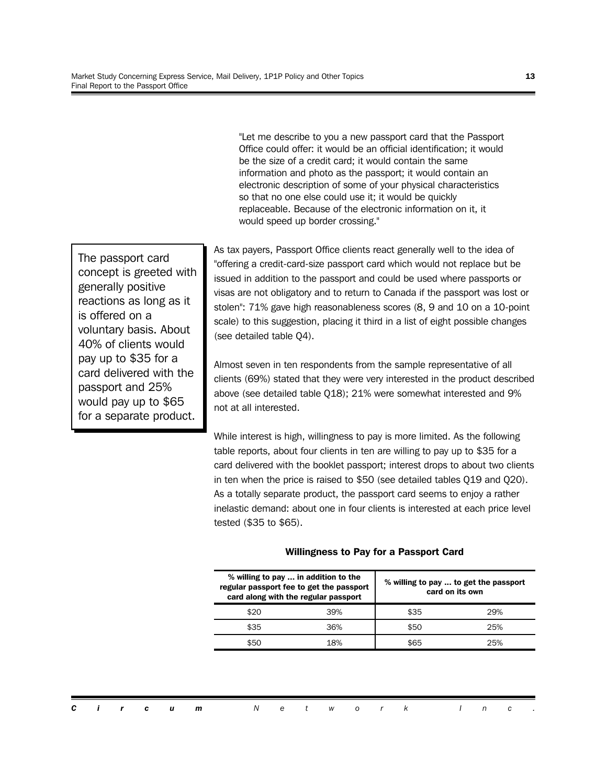"Let me describe to you a new passport card that the Passport Office could offer: it would be an official identification; it would be the size of a credit card; it would contain the same information and photo as the passport; it would contain an electronic description of some of your physical characteristics so that no one else could use it; it would be quickly replaceable. Because of the electronic information on it, it would speed up border crossing."

The passport card concept is greeted with generally positive reactions as long as it is offered on a voluntary basis. About 40% of clients would pay up to \$35 for a card delivered with the passport and 25% would pay up to \$65 for a separate product.

As tax payers, Passport Office clients react generally well to the idea of "offering a credit-card-size passport card which would not replace but be issued in addition to the passport and could be used where passports or visas are not obligatory and to return to Canada if the passport was lost or stolen": 71% gave high reasonableness scores (8, 9 and 10 on a 10-point scale) to this suggestion, placing it third in a list of eight possible changes (see detailed table Q4).

Almost seven in ten respondents from the sample representative of all clients (69%) stated that they were very interested in the product described above (see detailed table Q18); 21% were somewhat interested and 9% not at all interested.

While interest is high, willingness to pay is more limited. As the following table reports, about four clients in ten are willing to pay up to \$35 for a card delivered with the booklet passport; interest drops to about two clients in ten when the price is raised to \$50 (see detailed tables Q19 and Q20). As a totally separate product, the passport card seems to enjoy a rather inelastic demand: about one in four clients is interested at each price level tested (\$35 to \$65).

|      | % willing to pay  in addition to the<br>regular passport fee to get the passport<br>card along with the regular passport | % willing to pay  to get the passport<br>card on its own |     |  |  |  |  |
|------|--------------------------------------------------------------------------------------------------------------------------|----------------------------------------------------------|-----|--|--|--|--|
| \$20 | 39%                                                                                                                      | \$35                                                     | 29% |  |  |  |  |
| \$35 | 36%                                                                                                                      | \$50                                                     | 25% |  |  |  |  |
| \$50 | 18%                                                                                                                      | \$65                                                     | つら% |  |  |  |  |

#### **Willingness to Pay for a Passport Card**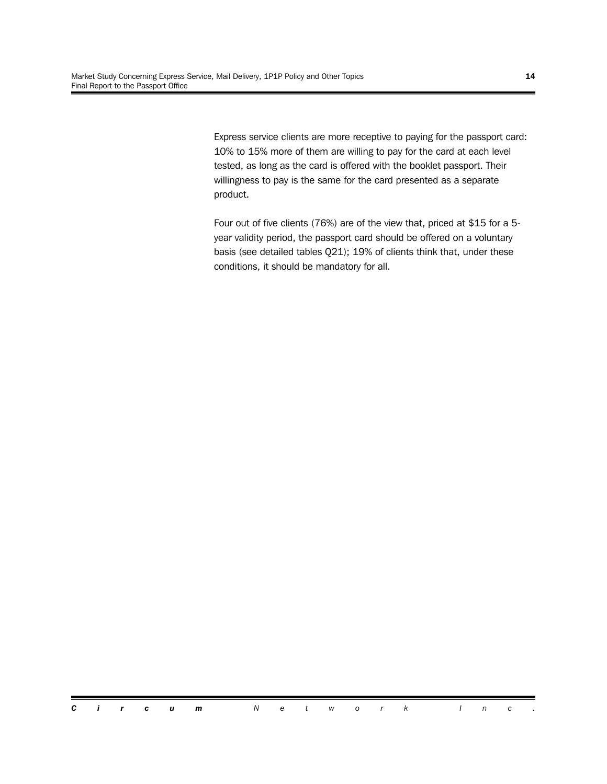Express service clients are more receptive to paying for the passport card: 10% to 15% more of them are willing to pay for the card at each level tested, as long as the card is offered with the booklet passport. Their willingness to pay is the same for the card presented as a separate product.

Four out of five clients (76%) are of the view that, priced at \$15 for a 5 year validity period, the passport card should be offered on a voluntary basis (see detailed tables Q21); 19% of clients think that, under these conditions, it should be mandatory for all.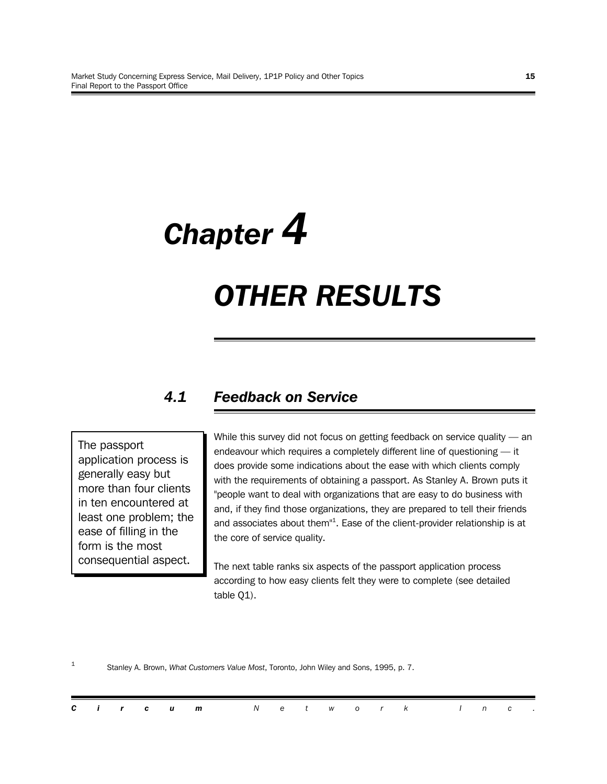# *Chapter 4 OTHER RESULTS*

### *4.1 Feedback on Service*

The passport application process is generally easy but more than four clients in ten encountered at least one problem; the ease of filling in the form is the most consequential aspect.

While this survey did not focus on getting feedback on service quality - an endeavour which requires a completely different line of questioning — it does provide some indications about the ease with which clients comply with the requirements of obtaining a passport. As Stanley A. Brown puts it "people want to deal with organizations that are easy to do business with and, if they find those organizations, they are prepared to tell their friends and associates about them"<sup>1</sup>. Ease of the client-provider relationship is at the core of service quality.

The next table ranks six aspects of the passport application process according to how easy clients felt they were to complete (see detailed table Q1).

1 Stanley A. Brown, *What Customers Value Most*, Toronto, John Wiley and Sons, 1995, p. 7.

|  |  | <b>Circum</b> Network Inc. |  |  |  |  |  |  |
|--|--|----------------------------|--|--|--|--|--|--|
|  |  |                            |  |  |  |  |  |  |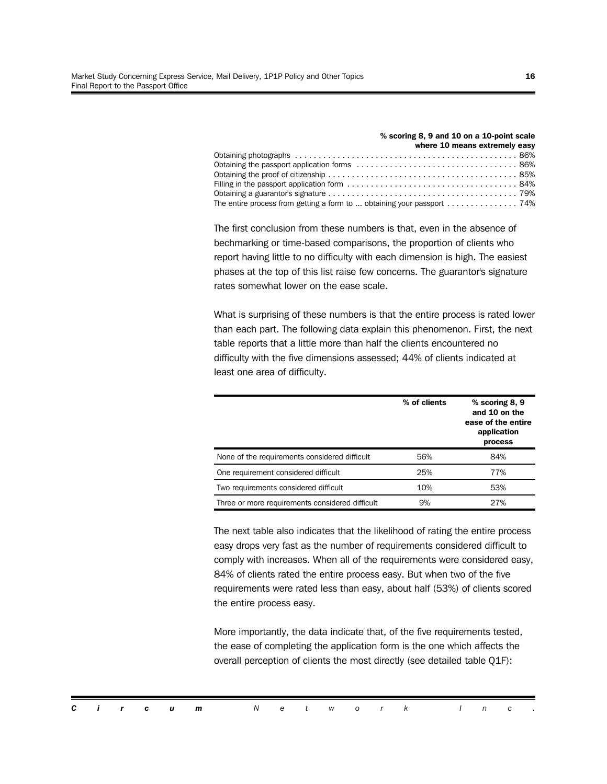|                                                                                                      | $\sim$ 300 $\rm{m}$ $\rm{g}$ or $\rm{g}$ and to on a to-point scale |
|------------------------------------------------------------------------------------------------------|---------------------------------------------------------------------|
|                                                                                                      | where 10 means extremely easy                                       |
|                                                                                                      |                                                                     |
|                                                                                                      |                                                                     |
|                                                                                                      |                                                                     |
|                                                                                                      |                                                                     |
|                                                                                                      |                                                                     |
| The entire process from getting a form to  obtaining your passport $\ldots \ldots \ldots \ldots$ 74% |                                                                     |
|                                                                                                      |                                                                     |

**% scoring 8, 9 and 10 on a 10-point scale**

The first conclusion from these numbers is that, even in the absence of bechmarking or time-based comparisons, the proportion of clients who report having little to no difficulty with each dimension is high. The easiest phases at the top of this list raise few concerns. The guarantor's signature rates somewhat lower on the ease scale.

What is surprising of these numbers is that the entire process is rated lower than each part. The following data explain this phenomenon. First, the next table reports that a little more than half the clients encountered no difficulty with the five dimensions assessed; 44% of clients indicated at least one area of difficulty.

|                                                 | % of clients | $%$ scoring 8, 9<br>and 10 on the<br>ease of the entire<br>application<br>process |
|-------------------------------------------------|--------------|-----------------------------------------------------------------------------------|
| None of the requirements considered difficult   | 56%          | 84%                                                                               |
| One requirement considered difficult            | 25%          | 77%                                                                               |
| Two requirements considered difficult           | 10%          | 53%                                                                               |
| Three or more requirements considered difficult | 9%           | 27%                                                                               |

The next table also indicates that the likelihood of rating the entire process easy drops very fast as the number of requirements considered difficult to comply with increases. When all of the requirements were considered easy, 84% of clients rated the entire process easy. But when two of the five requirements were rated less than easy, about half (53%) of clients scored the entire process easy.

More importantly, the data indicate that, of the five requirements tested, the ease of completing the application form is the one which affects the overall perception of clients the most directly (see detailed table Q1F):

|  |  |  | <b>Circum</b> Network Inc. |  |  |  |  |  |  |
|--|--|--|----------------------------|--|--|--|--|--|--|
|  |  |  |                            |  |  |  |  |  |  |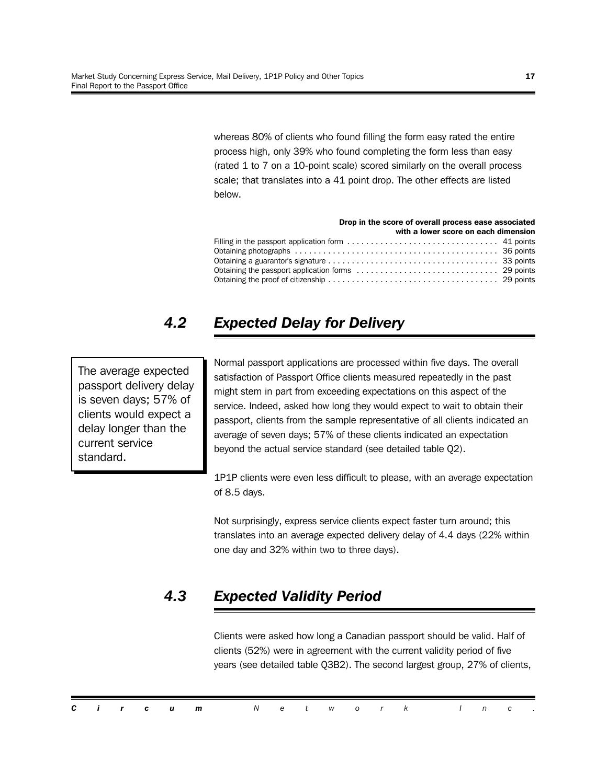whereas 80% of clients who found filling the form easy rated the entire process high, only 39% who found completing the form less than easy (rated 1 to 7 on a 10-point scale) scored similarly on the overall process scale; that translates into a 41 point drop. The other effects are listed below.

#### **Drop in the score of overall process ease associated with a lower score on each dimension** Filling in the passport application form ................................ 41 points Obtaining photographs ........................................... 36 points Obtaining a guarantor's signature .................................... 33 points Obtaining the passport application forms .............................. 29 points Obtaining the proof of citizenship .................................... 29 points

# *4.2 Expected Delay for Delivery*

The average expected passport delivery delay is seven days; 57% of clients would expect a delay longer than the current service standard.

Normal passport applications are processed within five days. The overall satisfaction of Passport Office clients measured repeatedly in the past might stem in part from exceeding expectations on this aspect of the service. Indeed, asked how long they would expect to wait to obtain their passport, clients from the sample representative of all clients indicated an average of seven days; 57% of these clients indicated an expectation beyond the actual service standard (see detailed table Q2).

1P1P clients were even less difficult to please, with an average expectation of 8.5 days.

Not surprisingly, express service clients expect faster turn around; this translates into an average expected delivery delay of 4.4 days (22% within one day and 32% within two to three days).

# *4.3 Expected Validity Period*

Clients were asked how long a Canadian passport should be valid. Half of clients (52%) were in agreement with the current validity period of five years (see detailed table Q3B2). The second largest group, 27% of clients,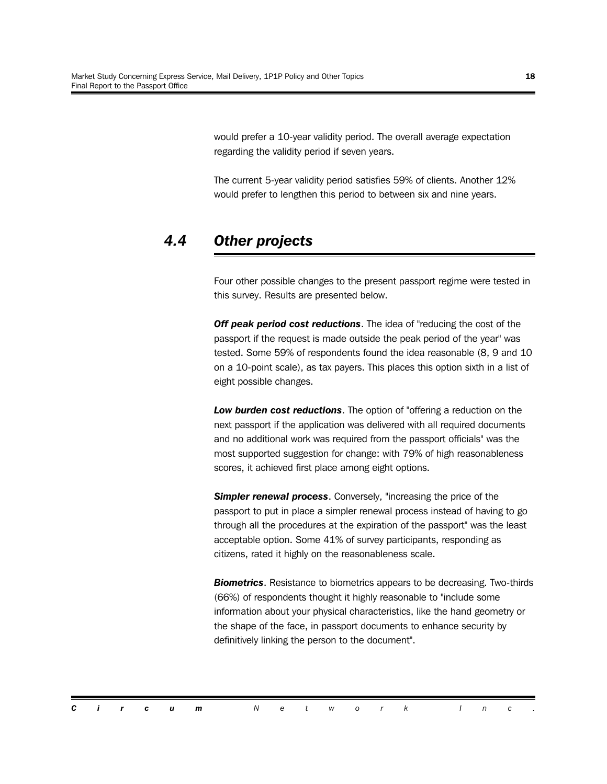would prefer a 10-year validity period. The overall average expectation regarding the validity period if seven years.

The current 5-year validity period satisfies 59% of clients. Another 12% would prefer to lengthen this period to between six and nine years.

### *4.4 Other projects*

Four other possible changes to the present passport regime were tested in this survey. Results are presented below.

*Off peak period cost reductions*. The idea of "reducing the cost of the passport if the request is made outside the peak period of the year" was tested. Some 59% of respondents found the idea reasonable (8, 9 and 10 on a 10-point scale), as tax payers. This places this option sixth in a list of eight possible changes.

*Low burden cost reductions*. The option of "offering a reduction on the next passport if the application was delivered with all required documents and no additional work was required from the passport officials" was the most supported suggestion for change: with 79% of high reasonableness scores, it achieved first place among eight options.

**Simpler renewal process.** Conversely, "increasing the price of the passport to put in place a simpler renewal process instead of having to go through all the procedures at the expiration of the passport" was the least acceptable option. Some 41% of survey participants, responding as citizens, rated it highly on the reasonableness scale.

*Biometrics*. Resistance to biometrics appears to be decreasing. Two-thirds (66%) of respondents thought it highly reasonable to "include some information about your physical characteristics, like the hand geometry or the shape of the face, in passport documents to enhance security by definitively linking the person to the document".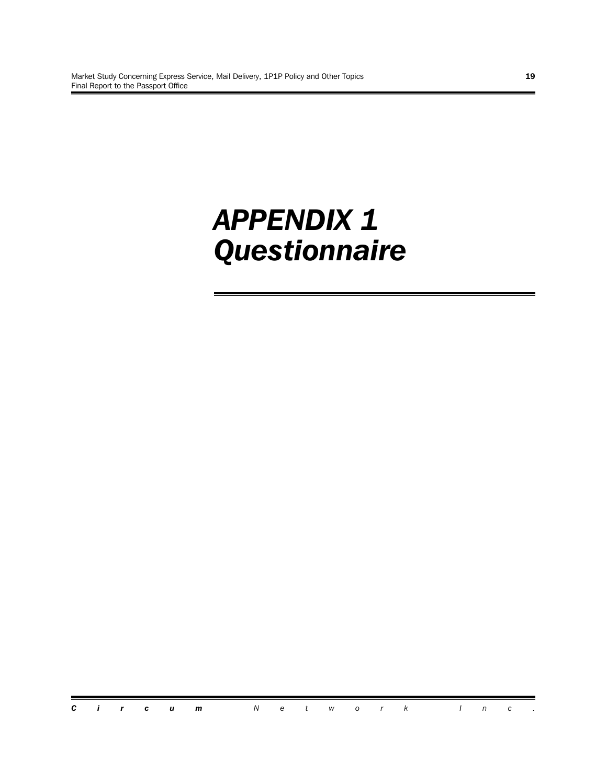# *APPENDIX 1 Questionnaire*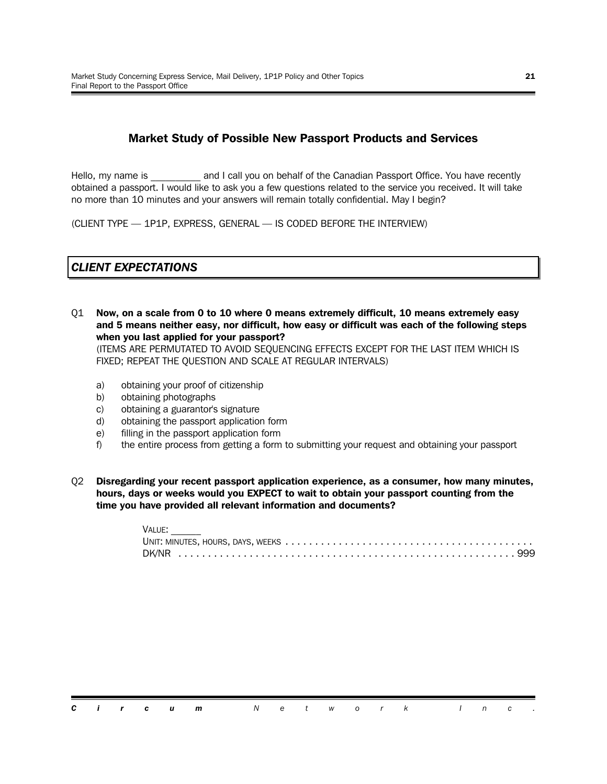#### **Market Study of Possible New Passport Products and Services**

Hello, my name is **Example 2** and I call you on behalf of the Canadian Passport Office. You have recently obtained a passport. I would like to ask you a few questions related to the service you received. It will take no more than 10 minutes and your answers will remain totally confidential. May I begin?

(CLIENT TYPE — 1P1P, EXPRESS, GENERAL — IS CODED BEFORE THE INTERVIEW)

#### *CLIENT EXPECTATIONS*

Q1 **Now, on a scale from 0 to 10 where 0 means extremely difficult, 10 means extremely easy and 5 means neither easy, nor difficult, how easy or difficult was each of the following steps when you last applied for your passport?**

(ITEMS ARE PERMUTATED TO AVOID SEQUENCING EFFECTS EXCEPT FOR THE LAST ITEM WHICH IS FIXED; REPEAT THE QUESTION AND SCALE AT REGULAR INTERVALS)

- a) obtaining your proof of citizenship
- b) obtaining photographs
- c) obtaining a guarantor's signature
- d) obtaining the passport application form
- e) filling in the passport application form
- f) the entire process from getting a form to submitting your request and obtaining your passport
- Q2 **Disregarding your recent passport application experience, as a consumer, how many minutes, hours, days or weeks would you EXPECT to wait to obtain your passport counting from the time you have provided all relevant information and documents?**

| VALUE: |
|--------|
|        |
|        |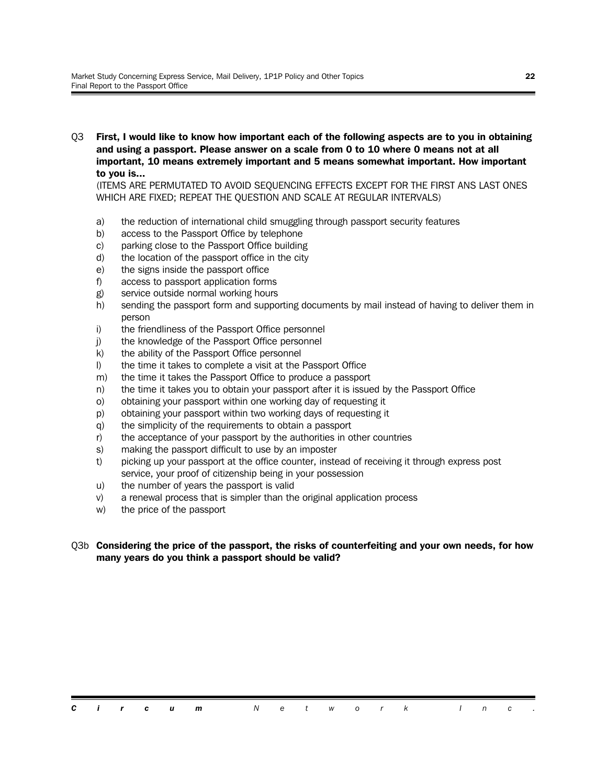Q3 **First, I would like to know how important each of the following aspects are to you in obtaining and using a passport. Please answer on a scale from 0 to 10 where 0 means not at all important, 10 means extremely important and 5 means somewhat important. How important to you is...**

(ITEMS ARE PERMUTATED TO AVOID SEQUENCING EFFECTS EXCEPT FOR THE FIRST ANS LAST ONES WHICH ARE FIXED; REPEAT THE QUESTION AND SCALE AT REGULAR INTERVALS)

- a) the reduction of international child smuggling through passport security features
- b) access to the Passport Office by telephone
- c) parking close to the Passport Office building
- d) the location of the passport office in the city
- e) the signs inside the passport office
- f) access to passport application forms
- g) service outside normal working hours
- h) sending the passport form and supporting documents by mail instead of having to deliver them in person
- i) the friendliness of the Passport Office personnel
- j) the knowledge of the Passport Office personnel
- k) the ability of the Passport Office personnel
- l) the time it takes to complete a visit at the Passport Office
- m) the time it takes the Passport Office to produce a passport
- n) the time it takes you to obtain your passport after it is issued by the Passport Office
- o) obtaining your passport within one working day of requesting it
- p) obtaining your passport within two working days of requesting it
- q) the simplicity of the requirements to obtain a passport
- r) the acceptance of your passport by the authorities in other countries
- s) making the passport difficult to use by an imposter
- t) picking up your passport at the office counter, instead of receiving it through express post service, your proof of citizenship being in your possession
- u) the number of years the passport is valid
- v) a renewal process that is simpler than the original application process
- w) the price of the passport

#### Q3b **Considering the price of the passport, the risks of counterfeiting and your own needs, for how many years do you think a passport should be valid?**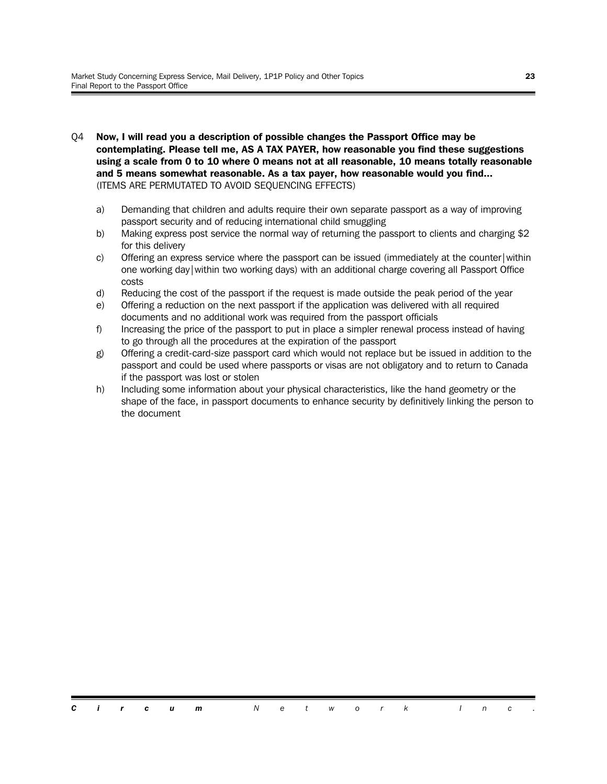- Q4 **Now, I will read you a description of possible changes the Passport Office may be contemplating. Please tell me, AS A TAX PAYER, how reasonable you find these suggestions using a scale from 0 to 10 where 0 means not at all reasonable, 10 means totally reasonable and 5 means somewhat reasonable. As a tax payer, how reasonable would you find...** (ITEMS ARE PERMUTATED TO AVOID SEQUENCING EFFECTS)
	- a) Demanding that children and adults require their own separate passport as a way of improving passport security and of reducing international child smuggling
	- b) Making express post service the normal way of returning the passport to clients and charging \$2 for this delivery
	- c) Offering an express service where the passport can be issued (immediately at the counter|within one working day|within two working days) with an additional charge covering all Passport Office costs
	- d) Reducing the cost of the passport if the request is made outside the peak period of the year
	- e) Offering a reduction on the next passport if the application was delivered with all required documents and no additional work was required from the passport officials
	- f) Increasing the price of the passport to put in place a simpler renewal process instead of having to go through all the procedures at the expiration of the passport
	- g) Offering a credit-card-size passport card which would not replace but be issued in addition to the passport and could be used where passports or visas are not obligatory and to return to Canada if the passport was lost or stolen
	- h) Including some information about your physical characteristics, like the hand geometry or the shape of the face, in passport documents to enhance security by definitively linking the person to the document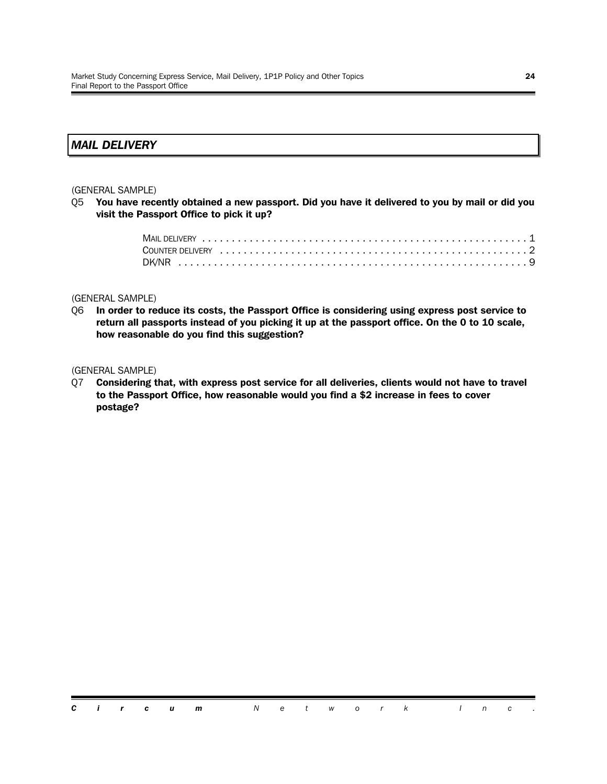#### *MAIL DELIVERY*

#### (GENERAL SAMPLE)

Q5 **You have recently obtained a new passport. Did you have it delivered to you by mail or did you visit the Passport Office to pick it up?**

#### (GENERAL SAMPLE)

Q6 **In order to reduce its costs, the Passport Office is considering using express post service to return all passports instead of you picking it up at the passport office. On the 0 to 10 scale, how reasonable do you find this suggestion?** 

#### (GENERAL SAMPLE)

Q7 **Considering that, with express post service for all deliveries, clients would not have to travel to the Passport Office, how reasonable would you find a \$2 increase in fees to cover postage?**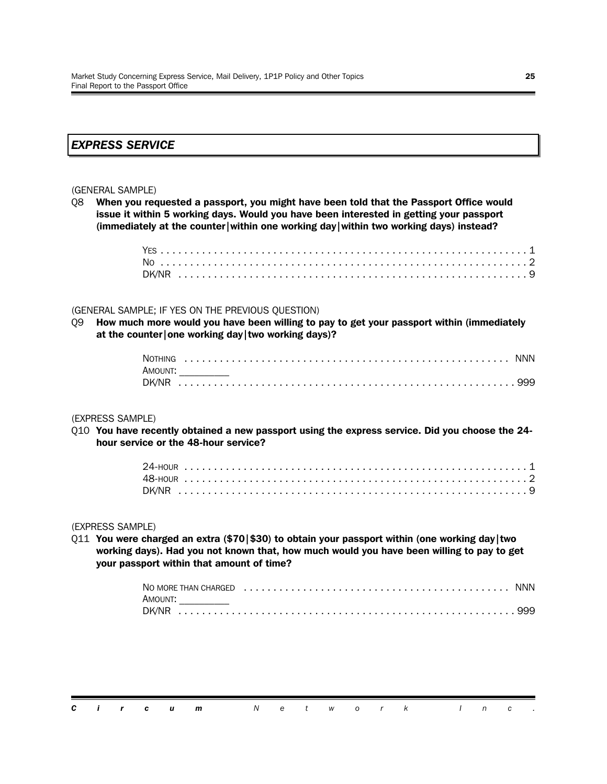#### *EXPRESS SERVICE*

#### (GENERAL SAMPLE)

Q8 **When you requested a passport, you might have been told that the Passport Office would issue it within 5 working days. Would you have been interested in getting your passport (immediately at the counter|within one working day|within two working days) instead?**

#### (GENERAL SAMPLE; IF YES ON THE PREVIOUS QUESTION)

Q9 **How much more would you have been willing to pay to get your passport within (immediately at the counter|one working day|two working days)?**

| Amount: |  |
|---------|--|
|         |  |

#### (EXPRESS SAMPLE)

Q10 **You have recently obtained a new passport using the express service. Did you choose the 24 hour service or the 48-hour service?**

#### (EXPRESS SAMPLE)

Q11 **You were charged an extra (\$70|\$30) to obtain your passport within (one working day|two working days). Had you not known that, how much would you have been willing to pay to get your passport within that amount of time?**

| AMOUNT: |  |
|---------|--|
|         |  |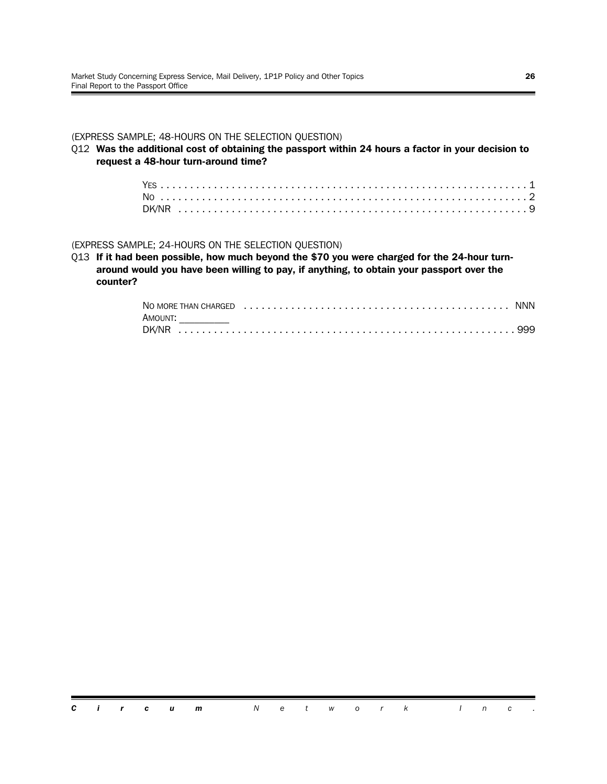#### (EXPRESS SAMPLE; 48-HOURS ON THE SELECTION QUESTION)

Q12 **Was the additional cost of obtaining the passport within 24 hours a factor in your decision to request a 48-hour turn-around time?**

#### (EXPRESS SAMPLE; 24-HOURS ON THE SELECTION QUESTION)

Q13 **If it had been possible, how much beyond the \$70 you were charged for the 24-hour turnaround would you have been willing to pay, if anything, to obtain your passport over the counter?**

| AMOUNT: |  |
|---------|--|
|         |  |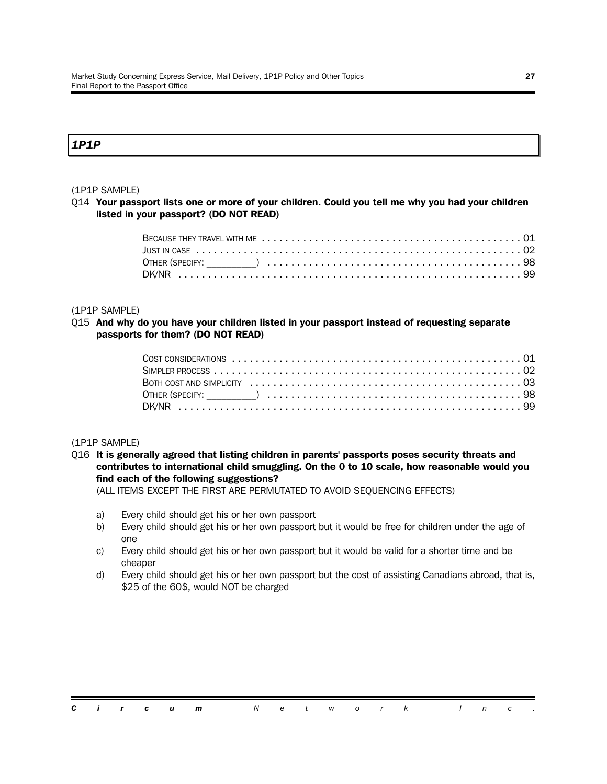#### *1P1P*

#### (1P1P SAMPLE)

Q14 **Your passport lists one or more of your children. Could you tell me why you had your children listed in your passport? (DO NOT READ)**

#### (1P1P SAMPLE)

#### Q15 **And why do you have your children listed in your passport instead of requesting separate passports for them? (DO NOT READ)**

#### (1P1P SAMPLE)

Q16 **It is generally agreed that listing children in parents' passports poses security threats and contributes to international child smuggling. On the 0 to 10 scale, how reasonable would you find each of the following suggestions?**

(ALL ITEMS EXCEPT THE FIRST ARE PERMUTATED TO AVOID SEQUENCING EFFECTS)

- a) Every child should get his or her own passport
- b) Every child should get his or her own passport but it would be free for children under the age of one
- c) Every child should get his or her own passport but it would be valid for a shorter time and be cheaper
- d) Every child should get his or her own passport but the cost of assisting Canadians abroad, that is, \$25 of the 60\$, would NOT be charged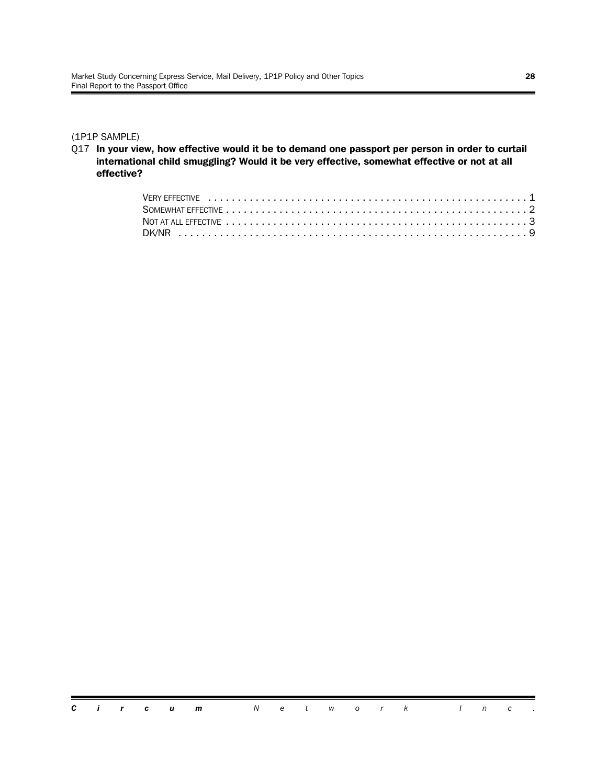#### (1P1P SAMPLE)

Q17 **In your view, how effective would it be to demand one passport per person in order to curtail international child smuggling? Would it be very effective, somewhat effective or not at all effective?**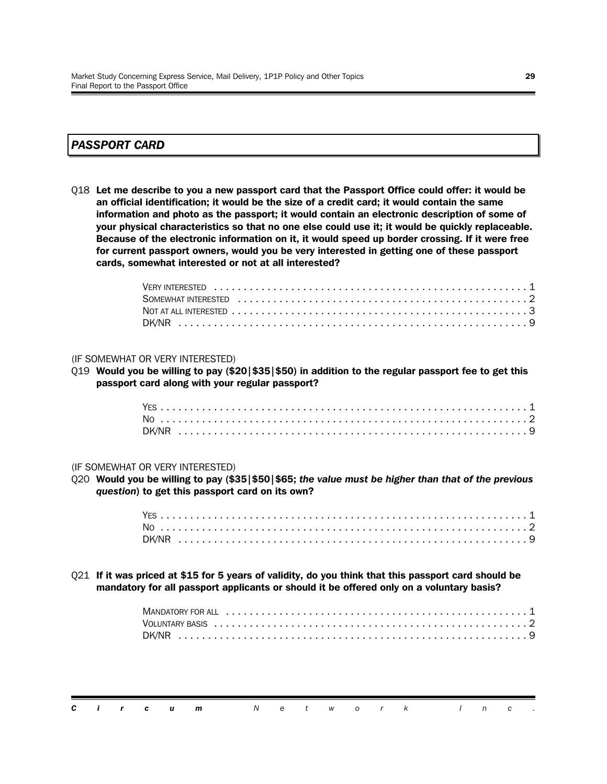#### *PASSPORT CARD*

Q18 **Let me describe to you a new passport card that the Passport Office could offer: it would be an official identification; it would be the size of a credit card; it would contain the same information and photo as the passport; it would contain an electronic description of some of your physical characteristics so that no one else could use it; it would be quickly replaceable. Because of the electronic information on it, it would speed up border crossing. If it were free for current passport owners, would you be very interested in getting one of these passport cards, somewhat interested or not at all interested?**

#### (IF SOMEWHAT OR VERY INTERESTED)

Q19 **Would you be willing to pay (\$20|\$35|\$50) in addition to the regular passport fee to get this passport card along with your regular passport?**

#### (IF SOMEWHAT OR VERY INTERESTED)

Q20 **Would you be willing to pay (\$35|\$50|\$65;** *the value must be higher than that of the previous question***) to get this passport card on its own?**

Q21 **If it was priced at \$15 for 5 years of validity, do you think that this passport card should be mandatory for all passport applicants or should it be offered only on a voluntary basis?**

|  |  | <b>Circum</b> Network Inc. |  |  |  |  |  |  |
|--|--|----------------------------|--|--|--|--|--|--|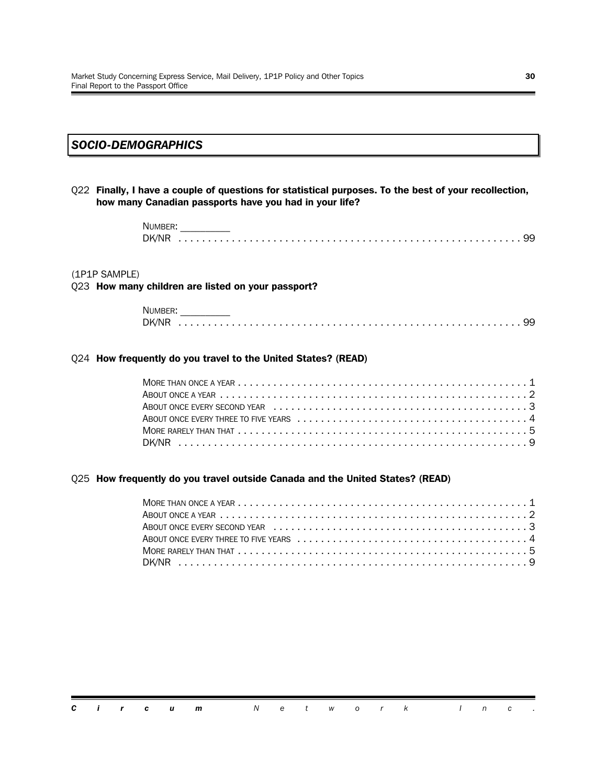#### *SOCIO-DEMOGRAPHICS*

Q22 **Finally, I have a couple of questions for statistical purposes. To the best of your recollection, how many Canadian passports have you had in your life?**

> NUMBER: DK/NR .......................................................... 99

#### (1P1P SAMPLE)

#### Q23 **How many children are listed on your passport?**

| <b>NUMBEI</b> |  |  |  |
|---------------|--|--|--|
| DK/NR         |  |  |  |

#### Q24 **How frequently do you travel to the United States? (READ)**

#### Q25 **How frequently do you travel outside Canada and the United States? (READ)**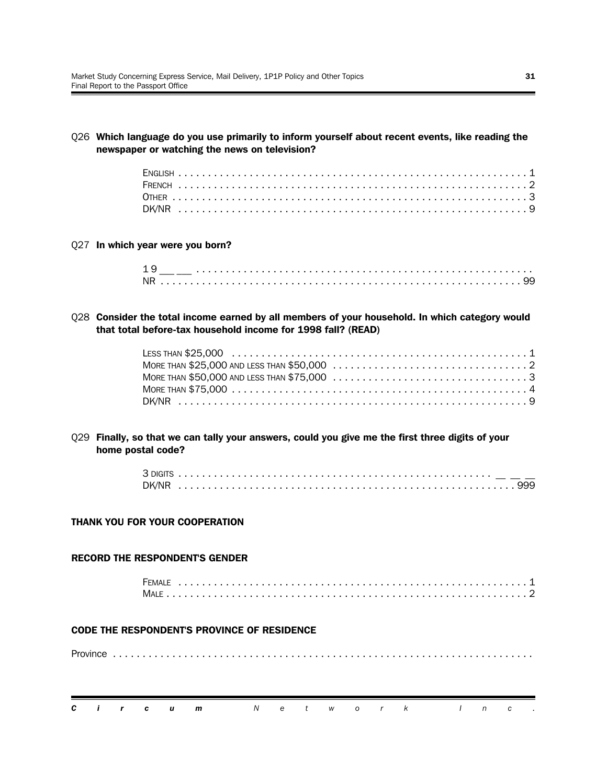Q26 **Which language do you use primarily to inform yourself about recent events, like reading the newspaper or watching the news on television?**

Q27 **In which year were you born?**

| 1 <sup>c</sup> |  |  |  |  |  |  |  |  |  |  |  |  |  |  |  |  |  |  |  |  |  |  |  |  |  |  |  |
|----------------|--|--|--|--|--|--|--|--|--|--|--|--|--|--|--|--|--|--|--|--|--|--|--|--|--|--|--|
| <b>NR</b>      |  |  |  |  |  |  |  |  |  |  |  |  |  |  |  |  |  |  |  |  |  |  |  |  |  |  |  |

Q28 **Consider the total income earned by all members of your household. In which category would that total before-tax household income for 1998 fall? (READ)**

Q29 **Finally, so that we can tally your answers, could you give me the first three digits of your home postal code?**

#### **THANK YOU FOR YOUR COOPERATION**

#### **RECORD THE RESPONDENT'S GENDER**

| <b>FEMALE</b> |  |  |  |  |  |  |  |  |  |  |  |  |  |  |  |  |  |  |  |  |  |
|---------------|--|--|--|--|--|--|--|--|--|--|--|--|--|--|--|--|--|--|--|--|--|
|               |  |  |  |  |  |  |  |  |  |  |  |  |  |  |  |  |  |  |  |  |  |

#### **CODE THE RESPONDENT'S PROVINCE OF RESIDENCE**

Province .......................................................................

|  |  | <b>Circum</b> Network Inc. |  |  |  |  |  |  |
|--|--|----------------------------|--|--|--|--|--|--|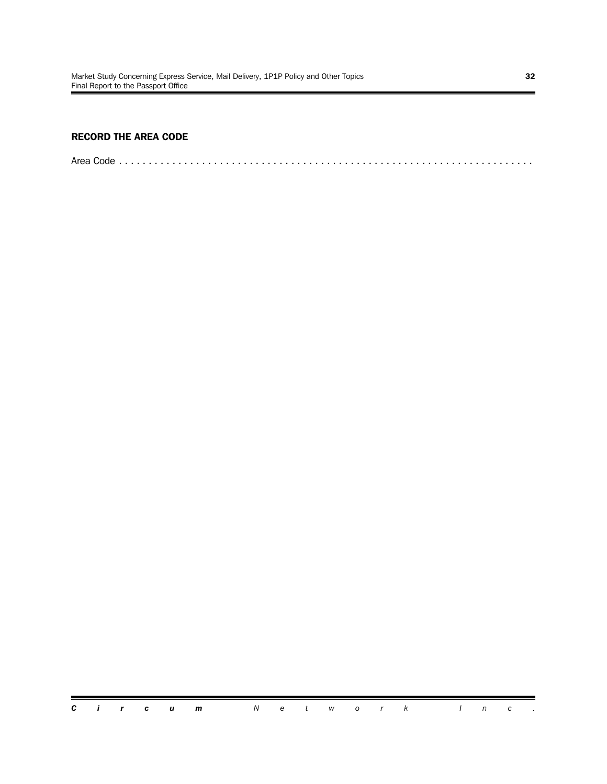#### **RECORD THE AREA CODE**

Area Code ......................................................................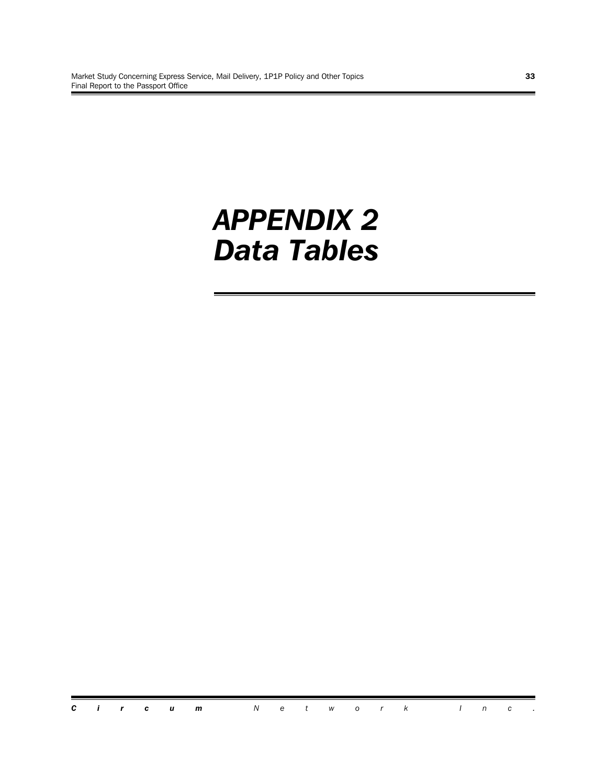# *APPENDIX 2 Data Tables*

*Circum Network Inc .*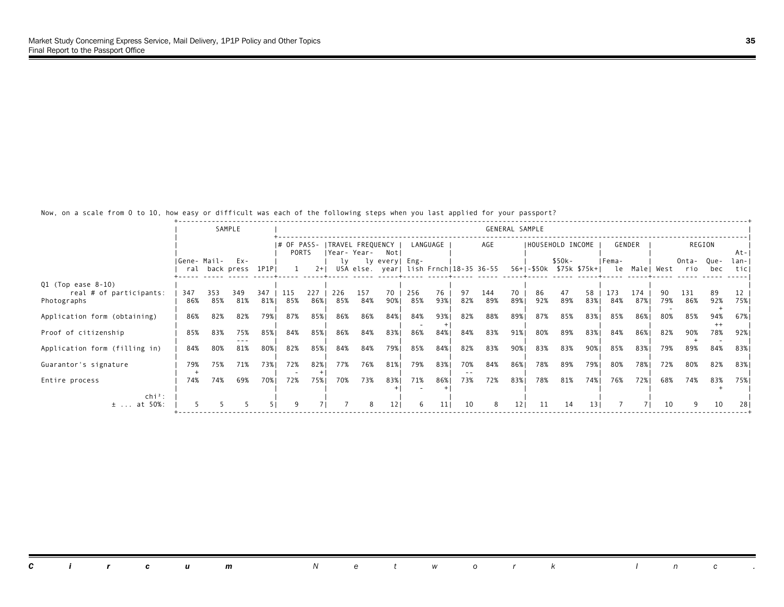Now, on a scale from 0 to 10, how easy or difficult was each of the following steps when you last applied for your passport?

|                                        |             |            | SAMPLE                      |       |                               |            |            |                                   |                |            |            |            |                                        | GENERAL SAMPLE |     |                   |                                        |            |            |            |                  |                |               |
|----------------------------------------|-------------|------------|-----------------------------|-------|-------------------------------|------------|------------|-----------------------------------|----------------|------------|------------|------------|----------------------------------------|----------------|-----|-------------------|----------------------------------------|------------|------------|------------|------------------|----------------|---------------|
|                                        |             |            |                             |       | $ #$ OF PASS-<br><b>PORTS</b> |            |            | ITRAVEL FREQUENCY<br> Year- Year- | Not            |            | LANGUAGE   |            | AGE                                    |                |     | IHOUSEHOLD INCOME |                                        |            | GENDER     |            |                  | REGION         | At-           |
|                                        | Gene- Mail- |            | Ex-<br>ral back press 1P1PI |       |                               | $2+1$      | lv         |                                   | ly every  Eng- |            |            |            | USA else. year  lish Frnch 18-35 36-55 |                |     | \$50k-            | 56+ -\$50k \$75k \$75k+  le Male  West | IFema-     |            |            | Onta-Que-<br>rio | bec            | lan- <br>ticl |
| $Q1$ (Top ease 8-10)                   | 347         | 353        | 349                         | 347   | 115                           | 227        | 226        | 157                               | 70             | 256        | 76         | 97         | 144                                    | 70             | 86  | 47                | 58                                     | 173        | 174        | 90.        | 131              | 89             | 12            |
| real # of participants:<br>Photographs | 86%         | 85%        | 81%                         | 81%   | 85%                           | 86%        | 85%        | 84%                               | 90%            | 85%        | 93%        | 82%        | 89%                                    | 89%1           | 92% | 89%               | 83%1                                   | 84%        | 87%        | 79%        | 86%              | 92%            | 75%           |
| Application form (obtaining)           | 86%         | 82%        | 82%                         | 79%   | 87%                           | 85%        | 86%        | 86%                               | 84%            | 84%        | 93%        | 82%        | 88%                                    | 89%            | 87% | 85%               | 83%                                    | 85%        | 86%        | 80%        | 85%              | 94%<br>$^{++}$ | 67%           |
| Proof of citizenship                   | 85%         | 83%        | 75%                         | 85% I | 84%                           | 85%        | 86%        | 84%                               | 83%            | 86%        | 84%        | 84%        | 83%                                    | 91%            | 80% | 89%               | 83%                                    | 84%        | 86%        | 82%        | 90%              | 78%            | 92%           |
| Application form (filling in)          | 84%         | 80%        | 81%                         | 80%   | 82%                           | 85%        | 84%        | 84%                               | 79%            | 85%        | 84%        | 82%        | 83%                                    | 90%            | 83% | 83%               | 90%                                    | 85%        | 83%        | 79%        | 89%              | 84%            | 83%           |
| Guarantor's signature                  | 79%<br>74%  | 75%<br>74% | 71%                         | 73%1  | 72%<br>72%                    | 82%<br>75% | 77%<br>70% | 76%                               | 81%<br>83%     | 79%<br>71% | 83%<br>86% | 70%<br>73% | 84%<br>72%                             | 86%<br>83%     | 78% | 89%               | 79% <br>74%                            | 80%<br>76% | 78%<br>72% | 72%<br>68% | 80%              | 82%            | 83%           |
| Entire process<br>$\ch{i}^2$ :         |             |            | 69%                         | 70%   |                               |            |            | 73%                               |                |            |            |            |                                        |                | 78% | 81%               |                                        |            |            |            | 74%              | 83%            | 75%           |
| $±$ at 50%:                            |             |            |                             |       |                               |            |            | 8                                 | 121            | 6          | 11         | 10         | 8                                      | 121            | 11  | 14                | 131                                    |            |            | 10         |                  | 10             | 28            |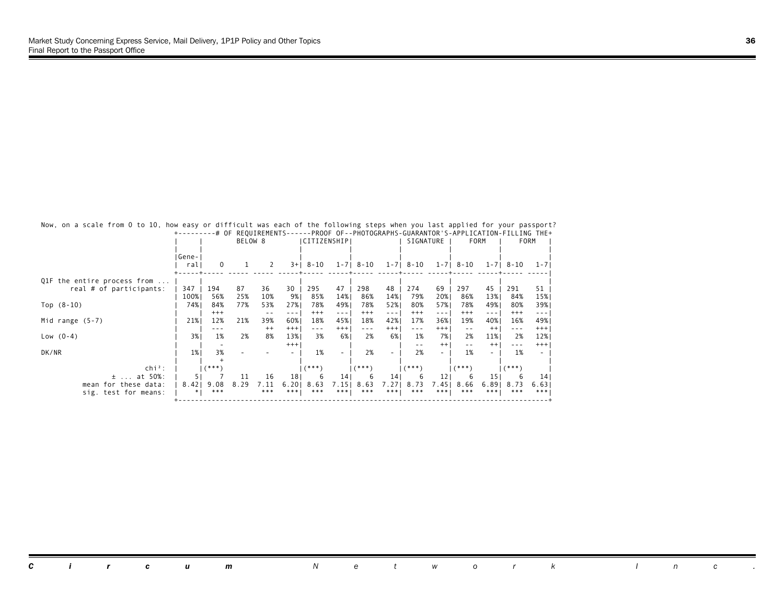|                             |              |          | BELOW 8 |         |                 | I CITIZENSHIP I      |                                                                                                                                                                                                                                                                                                                                                                                              |                                                                                                                                                                                                                                                                                                                                                                                              |                | SIGNATURE |         |          | <b>FORM</b>       |                                                                                                                                                                                                                                                                                                                                                                                              | <b>FORM</b> |
|-----------------------------|--------------|----------|---------|---------|-----------------|----------------------|----------------------------------------------------------------------------------------------------------------------------------------------------------------------------------------------------------------------------------------------------------------------------------------------------------------------------------------------------------------------------------------------|----------------------------------------------------------------------------------------------------------------------------------------------------------------------------------------------------------------------------------------------------------------------------------------------------------------------------------------------------------------------------------------------|----------------|-----------|---------|----------|-------------------|----------------------------------------------------------------------------------------------------------------------------------------------------------------------------------------------------------------------------------------------------------------------------------------------------------------------------------------------------------------------------------------------|-------------|
|                             | Gene-<br>ral | $\Omega$ |         | 2       | $3+1$           | 8-10                 |                                                                                                                                                                                                                                                                                                                                                                                              | $1 - 7$   8 - 10                                                                                                                                                                                                                                                                                                                                                                             | $1 - 7$        | 8-10      | $1 - 7$ | 8-10     | $1 - 7$           | 8-10                                                                                                                                                                                                                                                                                                                                                                                         | $1 - 7$     |
| Q1F the entire process from |              |          |         |         |                 |                      |                                                                                                                                                                                                                                                                                                                                                                                              |                                                                                                                                                                                                                                                                                                                                                                                              |                |           |         |          |                   |                                                                                                                                                                                                                                                                                                                                                                                              |             |
| real # of participants:     | 347          | 194      | 87      | 36      | 30              | 295                  | 47                                                                                                                                                                                                                                                                                                                                                                                           | 298                                                                                                                                                                                                                                                                                                                                                                                          | 48             | 274       | 69      | 297      | 45                | 291                                                                                                                                                                                                                                                                                                                                                                                          | 51          |
|                             | 100%         | 56%      | 25%     | 10%     | 9%              | 85%                  | 14%                                                                                                                                                                                                                                                                                                                                                                                          | 86%                                                                                                                                                                                                                                                                                                                                                                                          | 14%            | 79%       | 20%     | 86%      | 13%               | 84%                                                                                                                                                                                                                                                                                                                                                                                          | 15%         |
| Top $(8-10)$                | 74%          | 84%      | 77%     | 53%     | 27%             | 78%                  | 49%                                                                                                                                                                                                                                                                                                                                                                                          | 78%                                                                                                                                                                                                                                                                                                                                                                                          | 52%            | 80%       | 57%     | 78%      | 49%               | 80%                                                                                                                                                                                                                                                                                                                                                                                          | 39%         |
|                             |              | $^{+++}$ |         | $- -$   | - - -           | $^{+++}$             | $\frac{1}{2} \frac{1}{2} \frac{1}{2} \frac{1}{2} \frac{1}{2} \frac{1}{2} \frac{1}{2} \frac{1}{2} \frac{1}{2} \frac{1}{2} \frac{1}{2} \frac{1}{2} \frac{1}{2} \frac{1}{2} \frac{1}{2} \frac{1}{2} \frac{1}{2} \frac{1}{2} \frac{1}{2} \frac{1}{2} \frac{1}{2} \frac{1}{2} \frac{1}{2} \frac{1}{2} \frac{1}{2} \frac{1}{2} \frac{1}{2} \frac{1}{2} \frac{1}{2} \frac{1}{2} \frac{1}{2} \frac{$ | $^{+++}$                                                                                                                                                                                                                                                                                                                                                                                     | $\sim$ $ \sim$ | $^{+++}$  | ---     | $^{+++}$ | $\qquad \qquad -$ | $^{+++}$                                                                                                                                                                                                                                                                                                                                                                                     | $- - -$     |
| Mid range $(5-7)$           | 21%          | 12%      | 21%     | 39%     | 60%             | 18%                  | 45%                                                                                                                                                                                                                                                                                                                                                                                          | 18%                                                                                                                                                                                                                                                                                                                                                                                          | 42%            | 17%       | 36%     | 19%      | 40%               | 16%                                                                                                                                                                                                                                                                                                                                                                                          | 49%         |
|                             |              |          |         | $^{++}$ | $+++$           | $\sim$ $\sim$ $\sim$ | $^{+++}$                                                                                                                                                                                                                                                                                                                                                                                     | $\frac{1}{2} \frac{1}{2} \frac{1}{2} \frac{1}{2} \frac{1}{2} \frac{1}{2} \frac{1}{2} \frac{1}{2} \frac{1}{2} \frac{1}{2} \frac{1}{2} \frac{1}{2} \frac{1}{2} \frac{1}{2} \frac{1}{2} \frac{1}{2} \frac{1}{2} \frac{1}{2} \frac{1}{2} \frac{1}{2} \frac{1}{2} \frac{1}{2} \frac{1}{2} \frac{1}{2} \frac{1}{2} \frac{1}{2} \frac{1}{2} \frac{1}{2} \frac{1}{2} \frac{1}{2} \frac{1}{2} \frac{$ | $^{+++}$       | ---       | $+++$   | $ -$     | $^{++}$           | $\frac{1}{2} \frac{1}{2} \frac{1}{2} \frac{1}{2} \frac{1}{2} \frac{1}{2} \frac{1}{2} \frac{1}{2} \frac{1}{2} \frac{1}{2} \frac{1}{2} \frac{1}{2} \frac{1}{2} \frac{1}{2} \frac{1}{2} \frac{1}{2} \frac{1}{2} \frac{1}{2} \frac{1}{2} \frac{1}{2} \frac{1}{2} \frac{1}{2} \frac{1}{2} \frac{1}{2} \frac{1}{2} \frac{1}{2} \frac{1}{2} \frac{1}{2} \frac{1}{2} \frac{1}{2} \frac{1}{2} \frac{$ | $+++$       |
| Low $(0-4)$                 | 3%           | 1%       | 2%      | 8%      | 13%             | 3%                   | 6%                                                                                                                                                                                                                                                                                                                                                                                           | 2%                                                                                                                                                                                                                                                                                                                                                                                           | 6%             | 1%        | 7% I    | 2%       | 11%               | 2%                                                                                                                                                                                                                                                                                                                                                                                           | 12%         |
|                             |              |          |         |         | $^{+++}$        |                      |                                                                                                                                                                                                                                                                                                                                                                                              |                                                                                                                                                                                                                                                                                                                                                                                              |                | $ -$      | $++$    | $ -$     | $^{++}$           | $- - -$                                                                                                                                                                                                                                                                                                                                                                                      | $^{+++}$    |
| DK/NR                       | $1\%$        | 3%       |         |         |                 | 1%                   |                                                                                                                                                                                                                                                                                                                                                                                              | 2%                                                                                                                                                                                                                                                                                                                                                                                           |                | 2%        |         | 1%       | ٠                 | 1%                                                                                                                                                                                                                                                                                                                                                                                           |             |
|                             |              |          |         |         |                 |                      |                                                                                                                                                                                                                                                                                                                                                                                              |                                                                                                                                                                                                                                                                                                                                                                                              |                |           |         |          |                   |                                                                                                                                                                                                                                                                                                                                                                                              |             |
| $\ch{i}^2$ :                |              | $($ ***  |         |         |                 | (***)                |                                                                                                                                                                                                                                                                                                                                                                                              | $(***"$                                                                                                                                                                                                                                                                                                                                                                                      |                | (***`     |         | $(***")$ |                   | $(***")$                                                                                                                                                                                                                                                                                                                                                                                     |             |
| at 50%:<br>$\pm$            |              |          | 11      | 16      | 18 <sup>1</sup> |                      | 14 <sup>1</sup>                                                                                                                                                                                                                                                                                                                                                                              |                                                                                                                                                                                                                                                                                                                                                                                              | 14             |           | 12      | ь        | 15 <sub>1</sub>   |                                                                                                                                                                                                                                                                                                                                                                                              | 14 I        |
| mean for these data:        | 8.42         | 9.08     | 8.29    | 7.11    | 6.20            | 8.63                 | 7.15                                                                                                                                                                                                                                                                                                                                                                                         | 8.63                                                                                                                                                                                                                                                                                                                                                                                         | 7.271          | 8.73      | 7.45    | 8.66     | 6.891             | 8.73                                                                                                                                                                                                                                                                                                                                                                                         | 6.63        |
| sig. test for means:        |              | ***      |         | ***     | ***             | ***                  | ***                                                                                                                                                                                                                                                                                                                                                                                          | ***                                                                                                                                                                                                                                                                                                                                                                                          | ***            | ***       | ***     | ***      | ***               | ***                                                                                                                                                                                                                                                                                                                                                                                          | ***         |

 Now, on a scale from 0 to 10, how easy or difficult was each of the following steps when you last applied for your passport? +---------# OF REQUIREMENTS------PROOF OF--PHOTOGRAPHS-GUARANTOR'S-APPLICATION-FILLING THE+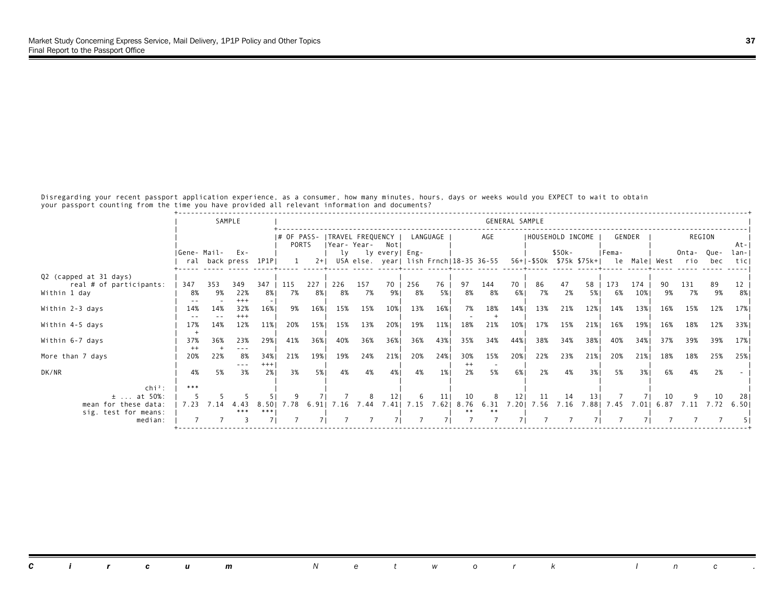Disregarding your recent passport application experience, as a consumer, how many minutes, hours, days or weeks would you EXPECT to wait to obtain your passport counting from the time you have provided all relevant information and documents?

|                                              |             |           | SAMPLE                     |               |                      |           |           |           |                                                          |           |          |                |           | GENERAL SAMPLE |                  |          |                 |                                                  |            |           |                  |          |              |
|----------------------------------------------|-------------|-----------|----------------------------|---------------|----------------------|-----------|-----------|-----------|----------------------------------------------------------|-----------|----------|----------------|-----------|----------------|------------------|----------|-----------------|--------------------------------------------------|------------|-----------|------------------|----------|--------------|
|                                              |             |           |                            |               | I# OF PASS-<br>PORTS |           |           |           | TRAVEL FREQUENCY  <br> Year-Year- Not                    |           | LANGUAGE |                | AGE       |                | HOUSEHOLD INCOME |          |                 |                                                  | GENDER     |           |                  | REGION   | $At - 1$     |
|                                              | Gene- Mail- |           | Ex-<br>ral back press 1P1P |               |                      | $2+1$     | lv        |           | ly every  Eng-<br>USA else. year  lish Frnch 18-35 36-55 |           |          |                |           |                |                  | $$50k-$  |                 | IFema-<br>56+ -\$50k \$75k \$75k+  le Male  West |            |           | Onta-Que-<br>rio | bec      | lan-<br>ticl |
| Q2 (capped at 31 days)                       |             |           |                            |               |                      |           |           |           |                                                          |           |          |                |           |                |                  |          |                 |                                                  |            |           |                  |          |              |
| real # of participants:<br>Within 1 day      | 347<br>8%   | 353<br>9% | 349<br>22%                 | 347<br>8% I   | 115<br>7%            | 227<br>8% | 226<br>8% | 157<br>7% | 70<br>9%।                                                | 256<br>8% | 76<br>5% | 97<br>8%       | 144<br>8% | 70<br>6%       | 86<br>7%         | 47<br>2% | 58<br>5% 1      | 173<br>6%                                        | 174<br>10% | 90.<br>9% | 131<br>7%        | 89<br>9% | 12<br>8%     |
| Within 2-3 days                              | 14%         | 14%       | $+++$<br>32%               | 16%           | 9%                   | 16%       | 15%       | 15%       | 10%                                                      | 13%       | 16%      | 7%             | 18%       | 14%            | 13%              | 21%      | 12%             | 14%                                              | 13%        | 16%       | 15%              | 12%      | 17%          |
| Within 4-5 days                              | 17%         | 14%       | $+++$<br>12%               | 11%           | 20%                  | 15%       | 15%       | 13%       | 20%                                                      | 19%       | 11%      | 18%            | 21%       | 10%            | 17%              | 15%      | 21%             | 16%                                              | 19%        | 16%       | 18%              | 12%      | 33%          |
| Within 6-7 days                              | 37%<br>$++$ | 36%       | 23%<br>---                 | 29%1          | 41%                  | 36%       | 40%       | 36%       | 36%                                                      | 36%       | 43%      | 35%            | 34%       | 44%            | 38%              | 34%      | 38%             | 40%                                              | 34%        | 37%       | 39%              | 39%      | 17%          |
| More than 7 days                             | 20%         | 22%       | 8%<br>$- - -$              | 34%1<br>$+++$ | 21%                  | 19%       | 19%       | 24%       | 21%                                                      | 20%       | 24%      | 30%<br>$^{++}$ | 15%       | 20%            | 22%              | 23%      | 21%             | 20%                                              | 21%        | 18%       | 18%              | 25%      | 25%          |
| DK/NR                                        | 4%          | 5%        | 3%                         | 2%1           | 3%                   | 5%        | 4%        | 4%        | 4%                                                       | 4%        | 1%       | 2%             | 5%        | 6%             | 2%               | 4%       | 3%1             | 5%                                               | 3%1        | 6%        | 4%               | 2%       |              |
| $chi^2$ :<br>$±$ at 50%:                     | ***         |           |                            |               |                      |           |           |           | 12                                                       |           | 11       | 10             | 8         | 121            | -11              | 14       | 13 <sup>1</sup> |                                                  |            | 10        |                  | 10       | 28           |
| mean for these data:<br>sig. test for means: | 7.23        | 7.14      | 4.43<br>***                | 8.501<br>***  | 7.78                 | 6.91      | 7.16      | 7.44      | 7.41                                                     | 7.15      | 7.62     | 8.76           |           |                | 6.31 7.20 7.56   | 7.16     | 7.881           | 7.45                                             | 7.011      | 6.87      | 7.11             | 7.72     | 6.501        |
| median:                                      |             |           |                            |               |                      |           |           |           |                                                          |           |          |                |           |                |                  |          |                 |                                                  |            |           |                  |          |              |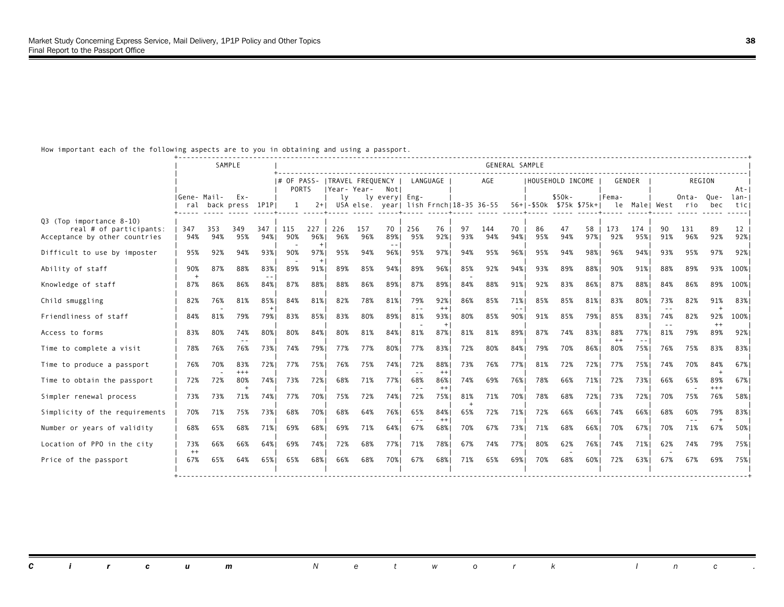## How important each of the following aspects are to you in obtaining and using a passport.

|                                                                                      |              |            | SAMPLE                     |                   |                                                 |            |              |            |                       |            |                |           |            | <b>GENERAL SAMPLE</b> |           |                                                                           |           |                |            |                      |            |                 |              |
|--------------------------------------------------------------------------------------|--------------|------------|----------------------------|-------------------|-------------------------------------------------|------------|--------------|------------|-----------------------|------------|----------------|-----------|------------|-----------------------|-----------|---------------------------------------------------------------------------|-----------|----------------|------------|----------------------|------------|-----------------|--------------|
|                                                                                      |              |            |                            |                   | # OF PASS-   TRAVEL FREQUENCY  <br><b>PORTS</b> |            | IYear- Year- |            | Notl                  | LANGUAGE   |                |           | AGE        |                       |           | HOUSEHOLD INCOME                                                          |           | GENDER         |            |                      | REGION     |                 | $At - 1$     |
|                                                                                      | IGene- Mail- |            | Ex-<br>ral back press 1P1P |                   | -1                                              | $2+1$      | lv.          |            | ly every  Eng-        |            |                |           |            |                       |           | $$50k-$<br>USA else. year  lish Frnch 18-35 36-55 56+ -\$50k \$75k \$75k+ |           | IFema-         |            | le Male  West rio    | Onta-      | Que-<br>bec     | lan-<br>ticl |
| Q3 (Top importance 8-10)<br>real # of participants:<br>Acceptance by other countries | 347<br>94%   | 353<br>94% | 349<br>95%                 | 347<br>94%        | 115<br>90%                                      | 227<br>96% | 226<br>96%   | 157<br>96% | 70<br>89%             | 256<br>95% | 76<br>92%      | 97<br>93% | 144<br>94% | 70<br>94%             | 86<br>95% | 47<br>94%                                                                 | 58<br>97% | 173<br>92%     | 174<br>95% | 90<br>91%            | 131<br>96% | 89<br>92%       | 12<br>92%    |
| Difficult to use by imposter                                                         | 95%          | 92%        | 94%                        | 93%1              | 90%                                             | $+$<br>97% | 95%          | 94%        | $\sim$ $\sim$<br>96%1 | 95%        | 97%            | 94%       | 95%        | 96%                   | 95%       | 94%                                                                       | 98%       | 96%            | 94%        | 93%                  | 95%        | 97%             | 92%          |
| Ability of staff                                                                     | 90%          | 87%        | 88%                        | 83%1              | 89%                                             | 91%        | 89%          | 85%        | 94%1                  | 89%        | 96%            | 85%       | 92%        | 94%                   | 93%       | 89%                                                                       | 88%1      | 90%            | 91%        | 88%                  | 89%        | 93%             | 100%         |
| Knowledge of staff                                                                   | 87%          | 86%        | 86%                        | 84%1              | 87%                                             | 88%        | 88%          | 86%        | 89%1                  | 87%        | 89%            | 84%       | 88%        | 91%                   | 92%       | 83%                                                                       | 86%       | 87%            | 88%        | 84%                  | 86%        | 89%             | 100%         |
| Child smuggling                                                                      | 82%          | 76%        | 81%                        | 85%1<br>$\ddot{}$ | 84%                                             | 81%        | 82%          | 78%        | 81%                   | 79%        | 92%<br>$^{++}$ | 86%       | 85%        | 71%<br>$- -$          | 85%       | 85%                                                                       | 81%       | 83%            | 80%        | 73%                  | 82%        | 91%<br>$+$      | 83%          |
| Friendliness of staff                                                                | 84%          | 81%        | 79%                        | 79%               | 83%                                             | 85%        | 83%          | 80%        | 89%                   | 81%        | 93%            | 80%       | 85%        | 90%                   | 91%       | 85%                                                                       | 79%       | 85%            | 83%1       | 74%<br>$\sim$ $\sim$ | 82%        | 92%<br>$++$     | 100%         |
| Access to forms                                                                      | 83%          | 80%        | 74%                        | 80%               | 80%                                             | 84%        | 80%          | 81%        | 84%1                  | 81%        | 87%            | 81%       | 81%        | 89%                   | 87%       | 74%                                                                       | 83%       | 88%<br>$^{++}$ | 77%1       | 81%                  | 79%        | 89%             | 92%          |
| Time to complete a visit                                                             | 78%          | 76%        | 76%                        | 73%1              | 74%                                             | 79%1       | 77%          | 77%        | 80%1                  | 77%        | 83%            | 72%       | 80%        | 84%                   | 79%       | 70%                                                                       | 86%       | 80%            | 75%        | 76%                  | 75%        | 83%             | 83%          |
| Time to produce a passport                                                           | 76%          | 70%        | 83%<br>$+++$               | 72%1              | 77%                                             | 75%        | 76%          | 75%        | 74%1                  | 72%        | 88%<br>$^{++}$ | 73%       | 76%        | 77%                   | 81%       | 72%                                                                       | 72%       | 77%            | 75%        | 74%                  | 70%        | 84%             | 67%          |
| Time to obtain the passport                                                          | 72%          | 72%        | 80%                        | 74%               | 73%                                             | 72%1       | 68%          | 71%        | 77%                   | 68%        | 86%<br>$^{++}$ | 74%       | 69%        | 76%                   | 78%       | 66%                                                                       | 71%       | 72%            | 73%1       | 66%                  | 65%        | 89%<br>$^{+++}$ | 67%          |
| Simpler renewal process                                                              | 73%          | 73%        | 71%                        | 74%               | 77%                                             | 70%        | 75%          | 72%        | 74%                   | 72%        | 75%            | 81%       | 71%        | 70%                   | 78%       | 68%                                                                       | 72%       | 73%            | 72%        | 70%                  | 75%        | 76%             | 58%          |
| Simplicity of the requirements                                                       | 70%          | 71%        | 75%                        | 73%               | 68%                                             | 70%        | 68%          | 64%        | 76%                   | 65%        | 84%<br>$^{++}$ | 65%       | 72%        | 71%                   | 72%       | 66%                                                                       | 66%       | 74%            | 66%        | 68%                  | 60%        | 79%             | 83%          |
| Number or years of validity                                                          | 68%          | 65%        | 68%                        | 71%               | 69%                                             | 68%        | 69%          | 71%        | 64%1                  | 67%        | 68%            | 70%       | 67%        | 73%                   | 71%       | 68%                                                                       | 66%       | 70%            | 67%        | 70%                  | 71%        | 67%             | 50%          |
| Location of PPO in the city                                                          | 73%<br>$++$  | 66%        | 66%                        | 64%1              | 69%                                             | 74%        | 72%          | 68%        | 77%1                  | 71%        | 78%            | 67%       | 74%        | 77%                   | 80%       | 62%                                                                       | 76%1      | 74%            | 71%        | 62%                  | 74%        | 79%             | 75%          |
| Price of the passport                                                                | 67%          | 65%        | 64%                        | 65%1              | 65%                                             | 68%        | 66%          | 68%        | 70%1                  | 67%        | 68%            | 71%       | 65%        | 69%1                  | 70%       | 68%                                                                       | 60%       | 72%            | 63%1       | 67%                  | 67%        | 69%             | 75%          |

*Circum Network Inc .*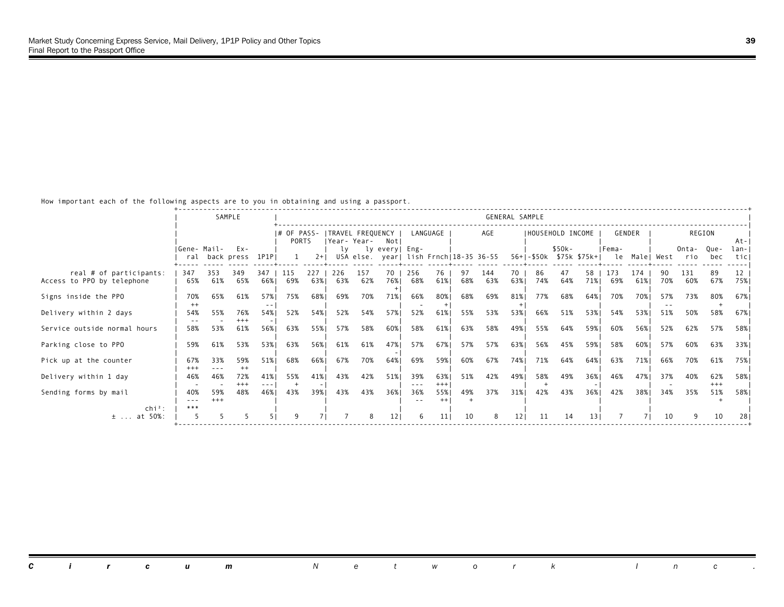How important each of the following aspects are to you in obtaining and using a passport.

|                                                       |                 |              | SAMPLE                     |             |                               |            |             |                  |                 |            |                 |           |                                        | GENERAL SAMPLE  |                   |           |                         |            |               |            |                   |              |              |
|-------------------------------------------------------|-----------------|--------------|----------------------------|-------------|-------------------------------|------------|-------------|------------------|-----------------|------------|-----------------|-----------|----------------------------------------|-----------------|-------------------|-----------|-------------------------|------------|---------------|------------|-------------------|--------------|--------------|
|                                                       |                 |              |                            |             | $ #$ OF PASS-<br><b>PORTS</b> |            | Year- Year- | TRAVEL FREQUENCY | Notl            |            | LANGUAGE        |           | AGE                                    |                 | IHOUSEHOLD INCOME |           |                         |            | GENDER        |            |                   | REGION       | $At - 1$     |
|                                                       | Gene- Mail-     |              | Ex-<br>ral back press 1P1P |             |                               | $2+1$      | lv.         |                  | ly every  Eng-  |            |                 |           | USA else. year  lish Frnch 18-35 36-55 |                 |                   | \$50k-    | 56+ -\$50k \$75k \$75k+ | IFema-     | le Male  West |            | Onta- Que-<br>rio | bec          | lan-<br>ticl |
| real # of participants:<br>Access to PPO by telephone | 347<br>65%      | 353<br>61%   | 349<br>65%                 | 347<br>66%1 | -115<br>69%                   | 227<br>63% | 226<br>63%  | 157<br>62%       | 70<br>76%       | 256<br>68% | 76<br>61%       | 97<br>68% | 144<br>63%                             | 70<br>63%1      | 86<br>74%         | 47<br>64% | 58 I<br>71%             | 173<br>69% | 174<br>61%    | 90.<br>70% | 131<br>60%        | 89<br>67%    | 12<br>75%    |
| Signs inside the PPO                                  | 70%<br>$^{++}$  | 65%          | 61%                        | 57%         | 75%                           | 68%        | 69%         | 70%              | 71%             | 66%        | 80%             | 68%       | 69%                                    | 81%             | 77%               | 68%       | 64%                     | 70%        | 70%           | 57%        | 73%               | 80%          | 67%          |
| Delivery within 2 days                                | 54%             | 55%          | 76%<br>$+++$               | 54%1        | 52%                           | 54%        | 52%         | 54%              | 57%             | 52%        | 61%             | 55%       | 53%                                    | 53%             | 66%               | 51%       | 53%                     | 54%        | 53%           | 51%        | 50%               | 58%          | 67%          |
| Service outside normal hours                          | 58%             | 53%          | 61%                        | 56%         | 63%                           | 55%        | 57%         | 58%              | 60%             | 58%        | 61%             | 63%       | 58%                                    | 49%             | 55%               | 64%       | 59%                     | 60%        | 56%           | 52%        | 62%               | 57%          | 58%          |
| Parking close to PPO                                  | 59%             | 61%          | 53%                        | 53%         | 63%                           | 56%        | 61%         | 61%              | 47%             | 57%        | 67%             | 57%       | 57%                                    | 63%             | 56%               | 45%       | 59%                     | 58%        | 60%           | 57%        | 60%               | 63%          | 33%          |
| Pick up at the counter                                | 67%<br>$^{+++}$ | 33%          | 59%<br>$^{++}$             | 51%         | 68%                           | 66%        | 67%         | 70%              | 64%             | 69%        | 59%             | 60%       | 67%                                    | 74%             | 71%               | 64%       | 64%                     | 63%        | 71%           | 66%        | 70%               | 61%          | 75%          |
| Delivery within 1 day                                 | 46%             | 46%          | 72%<br>$^{+++}$            | 41%         | 55%                           | 41%        | 43%         | 42%              | 51%             | 39%        | 63%<br>$^{+++}$ | 51%       | 42%                                    | 49%             | 58%               | 49%       | 36%                     | 46%        | 47%           | 37%        | 40%               | 62%<br>$+++$ | 58%          |
| Sending forms by mail                                 | 40%<br>$- - -$  | 59%<br>$+++$ | 48%                        | 46%         | 43%                           | 39%        | 43%         | 43%              | 36%             | 36%        | 55%             | 49%       | 37%                                    | 31%             | 42%               | 43%       | 36%                     | 42%        | 38%           | 34%        | 35%               | 51%          | 58%          |
| $chi^2$ :                                             | ***             |              |                            |             |                               |            |             | 8                |                 | 6          |                 |           |                                        |                 |                   |           |                         |            |               |            |                   |              |              |
| $±$ at 50%:                                           |                 |              |                            |             |                               |            |             |                  | 12 <sub>1</sub> |            | 11              | 10        | 8                                      | 12 <sub>1</sub> | 11                | 14        | 13                      |            |               | 10         |                   | 10           | 28           |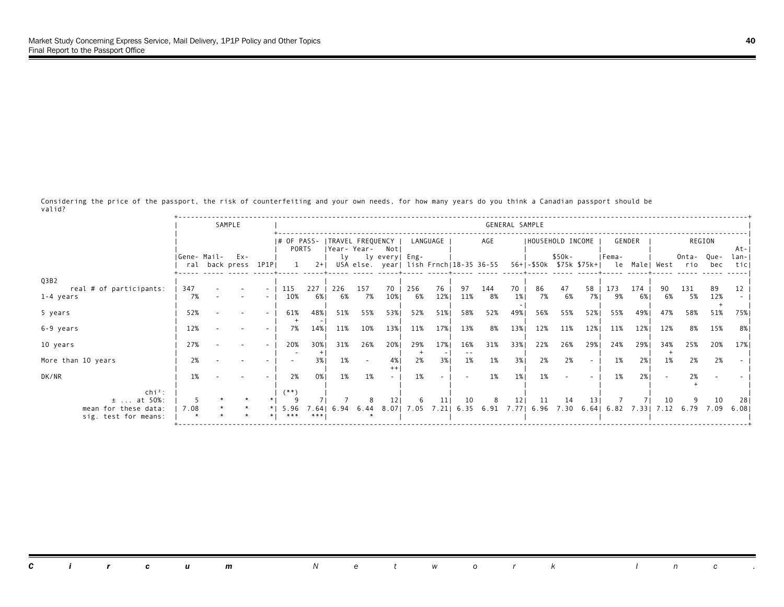Considering the price of the passport, the risk of counterfeiting and your own needs, for how many years do you think a Canadian passport should be valid?

|                                                    |      | SAMPLE                            |                          |                                       |                  |             |        |                |           |            |            |                    | GENERAL SAMPLE |                  |            |            |                                                                                        |        |                 |              |             |              |
|----------------------------------------------------|------|-----------------------------------|--------------------------|---------------------------------------|------------------|-------------|--------|----------------|-----------|------------|------------|--------------------|----------------|------------------|------------|------------|----------------------------------------------------------------------------------------|--------|-----------------|--------------|-------------|--------------|
|                                                    |      |                                   |                          | # OF PASS-  TRAVEL FREQUENCY<br>PORTS |                  | Year- Year- |        | Notl           |           | LANGUAGE   |            | AGE                |                | HOUSEHOLD INCOME |            |            |                                                                                        | GENDER |                 |              | REGION      | At-          |
|                                                    |      | Gene- Mail- Ex-<br>ral back press | 1P1P                     |                                       | $2+1$            | lv          |        | ly every  Eng- |           |            |            |                    |                |                  | \$50k-     |            | Fema-<br>USA else. year  lish Frnch 18-35 36-55 56+ -\$50k \$75k \$75k+  le Male  West |        |                 | Onta-<br>rio | Que-<br>bec | lan-<br>ticl |
| Q3B2<br>real # of participants:                    | 347  |                                   | $\overline{\phantom{a}}$ | 115                                   | 227              | 226         | 157    | 70             | 256       | 76         | 97         | 144                | 70             | 86               | 47         | 58         | 173                                                                                    | 174    | 90              | 131          | 89          | 12           |
| 1-4 years                                          | 7%   |                                   |                          | 10%                                   | 6%               | 6%          | 7%     | 10%            | 6%        | 12%        | 11%        | 8%                 | 1%             | 7%               | 6%         | 7%         | 9%                                                                                     | 6%     | 6%              | 5%           | 12%         |              |
| 5 years                                            | 52%  |                                   |                          | 61%                                   | 48%              | 51%         | 55%    | 53%            | 52%       | 51%        | 58%        | 52%                | 49%            | 56%              | 55%        | 52%        | 55%                                                                                    | 49%    | 47%             | 58%          | 51%         | 75%          |
| 6-9 years                                          | 12%  |                                   |                          | 7%                                    | 14%              | 11%         | 10%    | 13%            | 11%       | 17%        | 13%        | 8%                 | 13%            | 12%              | 11%        | 12%        | 11%                                                                                    | 12%    | 12%             | 8%           | 15%         | 8%           |
| 10 years                                           | 27%  |                                   |                          | 20%                                   | 30%              | 31%         | 26%    | 20%            | 29%       | 17%        | 16%        | 31%                | 33%            | 22%              | 26%        | 29%        | 24%                                                                                    | 29%    | 34%             | 25%          | 20%         | 17%          |
| More than 10 years                                 | 2%   |                                   |                          |                                       | 3%               | 1%          |        | 4%             | 2%        | 3%         | 1%         | 1%                 | 3%             | 2%               | 2%         |            | 1%                                                                                     | 2%1    | 1%              | 2%           | 2%          |              |
| DK/NR                                              | 1%   |                                   |                          | 2%                                    | 0%               | 1%          | 1%     |                | 1%        |            |            | 1%                 | 1%             | 1%               |            |            | 1%                                                                                     | 2%1    |                 | 2%           |             |              |
| $chi^2$ :<br>$\pm$ at 50%:<br>mean for these data: | 7.08 |                                   |                          | (**)<br>5.96                          | .64 <sub>1</sub> | 6.94        | $6.44$ | 8.07           | 6<br>7.05 | 11<br>7.21 | 10<br>6.35 | 8<br>$6.91$ $7.77$ | 12             | 11<br>6.96       | 14<br>7.30 | 13<br>6.64 | 6.82                                                                                   |        | 10<br>7.33 7.12 | 6.79         | 10<br>7.09  | 28<br>6.08   |
| sig. test for means:                               |      |                                   |                          | ***                                   | $***$            |             |        |                |           |            |            |                    |                |                  |            |            |                                                                                        |        |                 |              |             |              |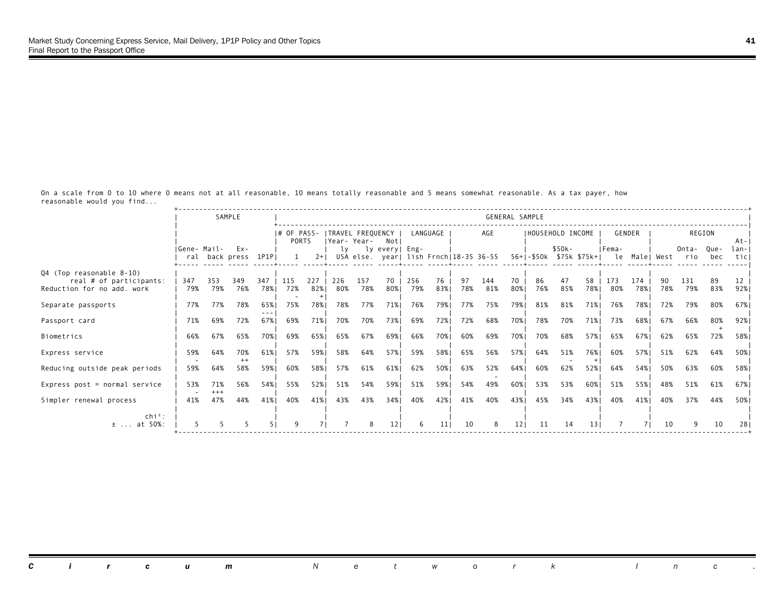On a scale from 0 to 10 where 0 means not at all reasonable, 10 means totally reasonable and 5 means somewhat reasonable. As a tax payer, how reasonable would you find...

|                                                                                   |              |              | SAMPLE                |            |                      |            |            |                                 |                 |            |           |           |                                        |           | GENERAL SAMPLE           |           |           |              |             |            |              |             |             |
|-----------------------------------------------------------------------------------|--------------|--------------|-----------------------|------------|----------------------|------------|------------|---------------------------------|-----------------|------------|-----------|-----------|----------------------------------------|-----------|--------------------------|-----------|-----------|--------------|-------------|------------|--------------|-------------|-------------|
|                                                                                   |              |              |                       |            | I# OF PASS-<br>PORTS |            |            | TRAVEL FREQUENCY<br>Year- Year- | Not             |            | LANGUAGE  |           | AGE                                    |           | IHOUSEHOLD INCOME        |           |           |              | GENDER      |            |              | REGION      | At-         |
|                                                                                   | IGene- Mail- |              | Ex-<br>ral back press | 1P1PI      |                      | $2+1$      | lv         |                                 | ly every  Eng-  |            |           |           | USA else. year  lish Frnch 18-35 36-55 |           | 56+1-\$50k \$75k \$75k+1 | $$50k-$   |           | IFema-<br>le |             | Male  West | Onta-<br>rio | Oue-<br>bec | lan-<br>tic |
| Q4 (Top reasonable 8-10)<br>real # of participants:<br>Reduction for no add. work | 347<br>79%   | 353<br>79%   | 349<br>76%            | 347<br>78% | 115<br>72%           | 227<br>82% | 226<br>80% | 157<br>78%                      | 70<br>80%       | 256<br>79% | 76<br>83% | 97<br>78% | 144<br>81%                             | 70<br>80% | 86<br>76%                | 47<br>85% | 58<br>78% | 173<br>80%   | 174<br>78%1 | 90.<br>78% | 131<br>79%   | 89<br>83%   | 12<br>92%   |
| Separate passports                                                                | 77%          | 77%          | 78%                   | 65%        | 75%                  | 78%        | 78%        | 77%                             | 71%             | 76%        | 79%       | 77%       | 75%                                    | 79%1      | 81%                      | 81%       | 71%       | 76%          | 78%1        | 72%        | 79%          | 80%         | 67%         |
| Passport card                                                                     | 71%          | 69%          | 72%                   | 67%1       | 69%                  | 71%        | 70%        | 70%                             | 73%             | 69%        | 72%       | 72%       | 68%                                    | 70%       | 78%                      | 70%       | 71%       | 73%          | 68%         | 67%        | 66%          | 80%         | 92%         |
| Biometrics                                                                        | 66%          | 67%          | 65%                   | 70%        | 69%                  | 65%        | 65%        | 67%                             | 69%             | 66%        | 70%       | 60%       | 69%                                    | 70%       | 70%                      | 68%       | 57%       | 65%          | 67%         | 62%        | 65%          | 72%         | 58%         |
| Express service                                                                   | 59%          | 64%          | 70%<br>$^{++}$        | 61%        | 57%                  | 59%        | 58%        | 64%                             | 57%             | 59%        | 58%       | 65%       | 56%                                    | 57%       | 64%                      | 51%       | 76%       | 60%          | 57%         | 51%        | 62%          | 64%         | 50%         |
| Reducing outside peak periods                                                     | 59%          | 64%          | 58%                   | 59%        | 60%                  | 58%        | 57%        | 61%                             | 61%             | 62%        | 50%       | 63%       | 52%                                    | 64%       | 60%                      | 62%       | 52%       | 64%          | 54%         | 50%        | 63%          | 60%         | 58%         |
| Express post = normal service                                                     | 53%          | 71%<br>$+++$ | 56%                   | 54%1       | 55%                  | 52%        | 51%        | 54%                             | 59%             | 51%        | 59%       | 54%       | 49%                                    | 60%       | 53%                      | 53%       | 60%       | 51%          | 55%         | 48%        | 51%          | 61%         | 67%         |
| Simpler renewal process                                                           | 41%          | 47%          | 44%                   | 41%        | 40%                  | 41%        | 43%        | 43%                             | 34%             | 40%        | 42%       | 41%       | 40%                                    | 43%       | 45%                      | 34%       | 43%       | 40%          | 41%         | 40%        | 37%          | 44%         | 50%         |
| $\ch{i}^2$ :<br>$±$ at 50%:                                                       |              |              |                       |            | $\mathsf{Q}$         |            |            |                                 | 12 <sub>1</sub> | 6          |           | 10        | 8                                      | 12        | 11                       | 14        | 13        |              |             | 10         |              | 10          |             |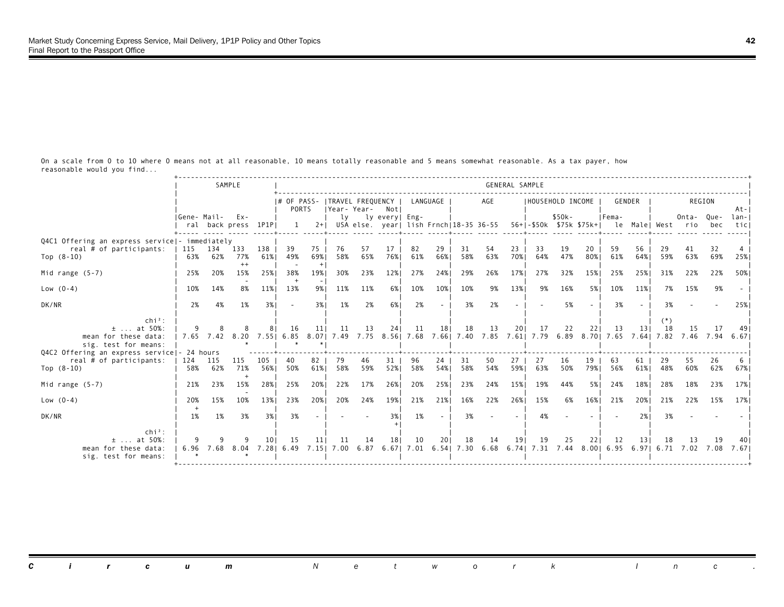On a scale from 0 to 10 where 0 means not at all reasonable, 10 means totally reasonable and 5 means somewhat reasonable. As a tax payer, how reasonable would you find...

|                                                                                        |                 |            | SAMPLE                   |             |                                                |            |                       |            |                |            |            |            |                                                                                                              | GENERAL SAMPLE           |                   |            |            |                                                      |                 |           |            |                       |               |
|----------------------------------------------------------------------------------------|-----------------|------------|--------------------------|-------------|------------------------------------------------|------------|-----------------------|------------|----------------|------------|------------|------------|--------------------------------------------------------------------------------------------------------------|--------------------------|-------------------|------------|------------|------------------------------------------------------|-----------------|-----------|------------|-----------------------|---------------|
|                                                                                        |                 |            |                          |             | # OF PASS-  TRAVEL FREQUENCY  <br><b>PORTS</b> |            | Year-Year- Not        |            |                | LANGUAGE   |            |            | AGE                                                                                                          |                          | IHOUSEHOLD INCOME |            |            | GENDER                                               |                 |           | REGION     |                       | $At - I$      |
|                                                                                        | Gene- Mail- Ex- |            | ral back press 1P1PI     |             | 1                                              |            | lv                    |            | ly every  Eng- |            |            |            | 2+  USA else. year  lish Frnch 18-35 36-55                                                                   |                          |                   | $$50k-$    |            | IFema-<br>56+1-\$50k \$75k \$75k+1 le Malel West rio |                 |           | Onta-Que-  | bec                   | lan-I<br>ticl |
| Q4C1 Offering an express service  - immediately<br>real # of participants:             | 115 134         |            | 133                      | 138         | 39                                             | 75         | 76                    | 57         | 17             | 82         | 29         | 31         | 54                                                                                                           | 23                       | 33                | 19         | 20         | 59                                                   | 56              | 29        | 41         | 32                    |               |
| Top $(8-10)$                                                                           |                 | 63% 62%    | 77%<br>$++$              | 61%         | 49%                                            | 69%<br>$+$ | 58%                   | 65%        | 76%            | 61%        | 66%        | 58%        | 63%                                                                                                          | 70%                      | 64%               | 47%        | 80%        | 61%                                                  | 64%             | 59%       | 63%        | 69%                   | 25%           |
| Mid range $(5-7)$<br>$Low (0-4)$                                                       | 25%<br>10%      | 20%<br>14% | 15%<br>8%                | 25%1<br>11% | 38%<br>13%                                     | 19%<br>9%  | 30%<br>11%            | 23%<br>11% | 12%<br>6%      | 27%<br>10% | 24%<br>10% | 29%<br>10% | 26%<br>9%                                                                                                    | 17%<br>13%               | 27%<br>9%         | 32%<br>16% | 15%<br>5%  | 25%<br>10%                                           | 25%<br>11%      | 31%<br>7% | 22%<br>15% | 22%<br>9%             | 50%           |
| DK/NR                                                                                  | 2%              | 4%         | 1%                       | 3%1         | $\overline{\phantom{a}}$                       | 3%1        | 1%                    | 2%         | 6%             | 2%         | $\sim$     | 3%         | 2%                                                                                                           | $\overline{\phantom{a}}$ |                   | 5%         |            | 3%                                                   |                 | 3%        |            |                       | 25%           |
| $chi^2$ :                                                                              |                 |            |                          |             |                                                |            |                       |            |                |            |            |            |                                                                                                              |                          |                   |            |            |                                                      |                 |           |            |                       |               |
| $±$ at 50%:<br>mean for these data:<br>sig. test for means:                            |                 |            | 7.65 7.42 8.20 7.55 6.85 |             | 16                                             | 111        | 11<br>8.07 7.49       | 13         | 24             | 11         | 18         | 18         | 13<br>7.75 8.56 7.68 7.66 7.40 7.85 7.61 7.79 6.89 8.70 7.65 7.64 7.82                                       | 201                      | 17                | 22         | 221        | 13                                                   | 13 <sub>1</sub> | 18        | 15         | 17<br>7.46 7.94 6.671 | - 49 I        |
| Q4C2 Offering an express service - 24 hours<br>real # of participants:<br>Top $(8-10)$ | 124<br>58%      | 115<br>62% | 115<br>71%               | 105<br>56%1 | 40<br>50%                                      | 82<br>61%  | 79<br>58%             | 46<br>59%  | 31<br>52%      | 96<br>58%  | 24<br>54%  | 31<br>58%  | 50<br>54%                                                                                                    | 27 <sub>1</sub><br>59%1  | 27<br>63%         | 16<br>50%  | 19<br>79%। | 63<br>56%                                            | 61<br>61%       | 29<br>48% | 55<br>60%  | 26<br>62%             | 67%           |
| Mid range $(5-7)$                                                                      | 21%             | 23%        | 15%                      | 28%         | 25%                                            | 20%        | 22%                   | 17%        | 26%            | 20%        | 25%        | 23%        | 24%                                                                                                          | 15%                      | 19%               | 44%        | 5%         | 24%                                                  | 18%             | 28%       | 18%        | 23%                   | 17%           |
| $Low (0-4)$                                                                            | 20%             | 15%        | 10%                      | 13%         | 23%                                            | 20%        | 20%                   | 24%        | 19%            | 21%        | 21%        | 16%        | 22%                                                                                                          | 26%                      | 15%               | 6%         | 16%        | 21%                                                  | 20%             | 21%       | 22%        | 15%                   | 17%           |
| DK/NR                                                                                  | 1%              | 1%         | 3%                       | 3%1         | 3%                                             |            |                       |            | 3%1            | 1%         | $\sim$     | 3%         |                                                                                                              | $\overline{\phantom{a}}$ | 4%                |            |            |                                                      | 2%1             | 3%        |            |                       |               |
| $chi^2$ :<br>$±$ at 50%:<br>mean for these data:<br>sig. test for means:               |                 |            | 6.96 7.68 8.04           | 101         | 15<br>7.281 6.49                               | 11         | 11<br>7.151 7.00 6.87 | 14         | 18             | 10         | 20         | 18         | 14<br>6.67   7.01   6.54   7.30   6.68   6.74   7.31   7.44   8.00   6.95   6.97   6.71   7.02   7.08   7.67 | 191                      | 19                | 25         | 221        | 12                                                   | 131             | -18       | 13         | 19                    |               |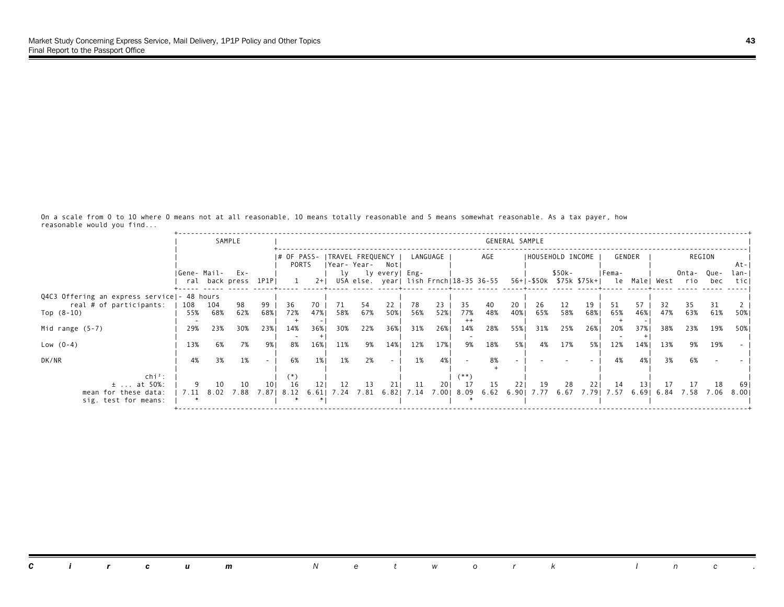On a scale from 0 to 10 where 0 means not at all reasonable, 10 means totally reasonable and 5 means somewhat reasonable. As a tax payer, how reasonable would you find...

|                                                               |                  |            | SAMPLE              |           |                                         |             |             |            |                                                          |            |           |                  |                      | GENERAL SAMPLE |           |                   |           |                                                  |              |           |                   |            |              |
|---------------------------------------------------------------|------------------|------------|---------------------|-----------|-----------------------------------------|-------------|-------------|------------|----------------------------------------------------------|------------|-----------|------------------|----------------------|----------------|-----------|-------------------|-----------|--------------------------------------------------|--------------|-----------|-------------------|------------|--------------|
|                                                               |                  |            |                     |           | # OF PASS-  TRAVEL FREQUENCY  <br>PORTS |             | Year- Year- |            | Notl                                                     |            | LANGUAGE  |                  | AGE                  |                |           | IHOUSEHOLD INCOME |           |                                                  | GENDER       |           |                   | REGION     | At-          |
|                                                               | IGene- Mail- Ex- |            | ral back press 1P1P |           |                                         | $2+1$       | lv          |            | ly every  Eng-<br>USA else. year  lish Frnch 18-35 36-55 |            |           |                  |                      |                |           | \$50k-            |           | IFema-<br>56+ -\$50k \$75k \$75k+  le Male  West |              |           | Onta- Que-<br>rio | bec        | lan-<br>ticl |
| Q4C3 Offering an express service   - 48 hours                 |                  |            |                     |           |                                         |             |             |            |                                                          |            |           |                  |                      |                |           |                   |           |                                                  |              |           |                   |            |              |
| real # of participants:<br>Top $(8-10)$                       | 108<br>55%       | 104<br>68% | 98<br>62%           | 99<br>68% | 36<br>72%                               | 70.<br>47%  | 71<br>58%   | 54<br>67%  | 22<br>50%                                                | 78<br>56%  | 23<br>52% | 35<br>77%        | 40<br>48%            | 20<br>40%      | 26<br>65% | 12<br>58%         | 19<br>68% | 51<br>65%                                        | 57<br>46%    | 32<br>47% | 35<br>63%         | 31<br>61%  | 50%          |
| Mid range $(5-7)$                                             | 29%              | 23%        | 30%                 | 23%       | 14%                                     | 36%         | 30%         | 22%        | 36%                                                      | 31%        | 26%       | $^{++}$<br>14%   | 28%                  | 55%            | 31%       | 25%               | 26%       | 20%                                              | 37%          | 38%       | 23%               | 19%        | 50%          |
| Low $(0-4)$                                                   | 13%              | 6%         | 7%                  | 9%        | 8%                                      | 16%         | 11%         | 9%         | 14%                                                      | 12%        | 17%       | 9%               | 18%                  | 5%             | 4%        | 17%               | 5%        | 12%                                              | 14%          | 13%       | 9%                | 19%        |              |
| DK/NR                                                         | 4%               | 3%         | 1%                  | $\sim$    | 6%                                      | 1%          | 1%          | 2%         |                                                          | 1%         | 4%        |                  | 8%                   |                |           |                   |           | 4%                                               | 4%           | 3%        | 6%                |            |              |
| $\ch{i}^2$ :                                                  |                  | 10         |                     | 101       |                                         |             | 12          |            |                                                          |            |           | **`              |                      | 221            |           |                   |           |                                                  |              |           |                   |            |              |
| $\pm$ at 50%:<br>mean for these data:<br>sig. test for means: | 9<br>7.11        | 8.02       | 10<br>7.88          | 7.871     | -16<br>8.12                             | 121<br>6.61 | 7.24        | 13<br>7.81 | 211<br>6.821                                             | 11<br>7.14 | 201       | 17<br>7.00  8.09 | 15<br>6.62 6.90 7.77 |                | 19        | 28<br>6.67        | 221       | -14<br>7.79 7.57                                 | 131<br>6.691 | 17        | 17<br>6.84 7.58   | 18<br>7.06 | -69<br>8.001 |
|                                                               |                  |            |                     |           |                                         |             |             |            |                                                          |            |           |                  |                      |                |           |                   |           |                                                  |              |           |                   |            |              |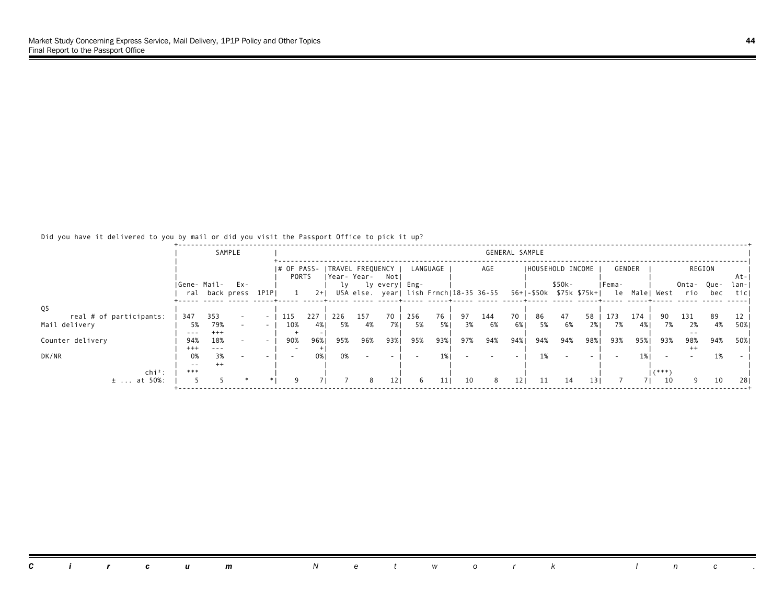## Did you have it delivered to you by mail or did you visit the Passport Office to pick it up?

|                                          |                 |              | SAMPLE         |                                                      |                      |           |           |                                     |                |           |          |          |                                        |          | GENERAL SAMPLE          |          |                 |           |           |           |                   |          |               |
|------------------------------------------|-----------------|--------------|----------------|------------------------------------------------------|----------------------|-----------|-----------|-------------------------------------|----------------|-----------|----------|----------|----------------------------------------|----------|-------------------------|----------|-----------------|-----------|-----------|-----------|-------------------|----------|---------------|
|                                          |                 |              |                |                                                      | I# OF PASS-<br>PORTS |           |           | TRAVEL FREQUENCY<br> Year-Year- Not |                |           | LANGUAGE |          | AGE                                    |          | IHOUSEHOLD INCOME       |          |                 |           | GENDER    |           |                   | REGION   | At-           |
|                                          | Gene- Mail- Ex- |              | ral back press | 1P1PI                                                |                      | $2+$      | LV.       |                                     | ly every  Eng- |           |          |          | USA else. year  lish Frnch 18-35 36-55 |          | 56+ -\$50k \$75k \$75k+ | \$50k-   |                 | Fema-     | le Malel  | West      | Onta- Que-<br>rio | bec      | lan- <br>ticl |
| Q <sub>5</sub>                           |                 |              |                |                                                      |                      |           |           |                                     |                |           |          |          |                                        |          |                         |          |                 |           |           |           |                   |          |               |
| real # of participants:<br>Mail delivery | 347<br>5%       | 353<br>79%   |                | $\overline{\phantom{0}}$<br>$\overline{\phantom{a}}$ | 115<br>10%           | 227<br>4% | 226<br>5% | 157<br>4%                           | 70<br>7%1      | 256<br>5% | 76<br>5% | 97<br>3% | 144<br>6%                              | 70<br>6% | 86<br>5%                | 47<br>6% | 58<br>2%1       | 173<br>7% | 174<br>4% | 7%        | 131<br>2%         | 89<br>4% | 50%           |
| Counter delivery                         | $- - -$<br>94%  | $+++$<br>18% |                |                                                      | 90%                  | 96%       | 95%       | 96%                                 | 93%1           | 95%       | 93%      | 97%      | 94%                                    | 94%।     | 94%                     | 94%      | 98%1            | 93%       | 95%       | 93%       | 98%               | 94%      | 50%           |
| DK/NR                                    | $^{+++}$<br>0%  | 3%           |                |                                                      |                      | 0% I      | 0%        |                                     |                |           |          |          |                                        |          | 1%                      |          |                 |           |           |           | $+ +$             | 1%       |               |
| $chi^2$ :                                | $ -$<br>***     |              |                |                                                      |                      |           |           |                                     |                |           |          |          |                                        |          |                         |          |                 |           |           | $1 * * *$ |                   |          |               |
| $±$ at 50%:                              |                 |              |                |                                                      |                      |           |           | 8                                   | 121            | 6         | 11       | 10       | 8                                      | 121      | 11                      | 14       | 13 <sub>1</sub> |           |           | 10        |                   | 10       | 28.           |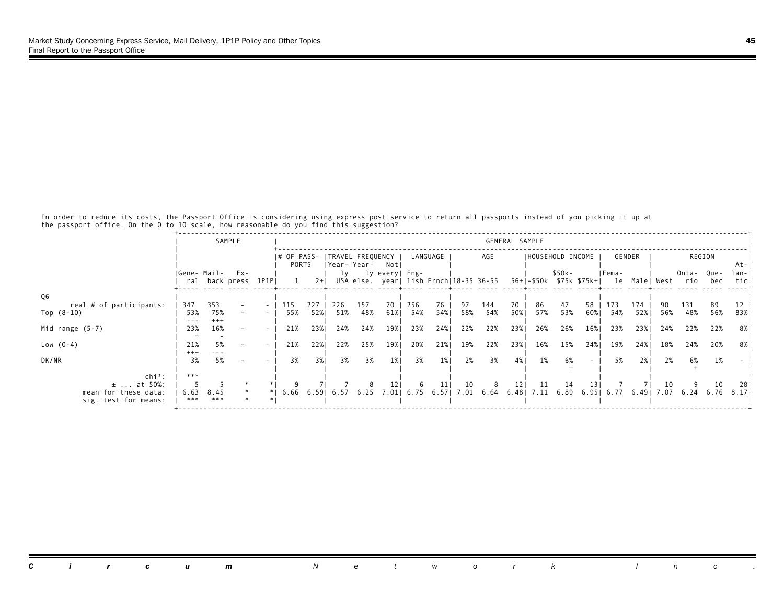In order to reduce its costs, the Passport Office is considering using express post service to return all passports instead of you picking it up at the passport office. On the 0 to 10 scale, how reasonable do you find this suggestion?

|                                              |                       |                        | SAMPLE |                                    |                      |               |            |                                  |                    |            |           |           |            | GENERAL SAMPLE  |                   |           |                                                                |            |               |           |              |             |              |
|----------------------------------------------|-----------------------|------------------------|--------|------------------------------------|----------------------|---------------|------------|----------------------------------|--------------------|------------|-----------|-----------|------------|-----------------|-------------------|-----------|----------------------------------------------------------------|------------|---------------|-----------|--------------|-------------|--------------|
|                                              |                       |                        |        |                                    | I# OF PASS-<br>PORTS |               |            | TRAVEL FREQUENCY<br> Year- Year- | Notl               |            | LANGUAGE  |           | AGE        |                 | IHOUSEHOLD INCOME |           |                                                                |            | GENDER        |           |              | REGION      | At-          |
|                                              | Gene- Mail-           | ral back press 1P1P    | $Ex -$ |                                    |                      | $2+1$         |            |                                  | ly ly every   Eng- |            |           |           |            |                 |                   | \$50k-    | USA else. year  lish Frnch 18-35 36-55 56+ -\$50k \$75k \$75k+ | IFema-     | le Male  West |           | Onta-<br>rio | Que-<br>bec | lan-<br>ticl |
| Q6                                           |                       |                        |        |                                    |                      |               |            |                                  |                    |            |           |           |            |                 |                   |           |                                                                |            |               |           |              |             |              |
| real # of participants:<br>Top $(8-10)$      | 347<br>53%<br>$- - -$ | 353<br>75%<br>$^{+++}$ |        | $\overline{\phantom{a}}$<br>$\sim$ | 115<br>55%           | 227<br>52%    | 226<br>51% | 157<br>48%                       | 70<br>61%          | 256<br>54% | 76<br>54% | 97<br>58% | 144<br>54% | 70<br>50%       | 86<br>57%         | 47<br>53% | 58<br>60%                                                      | 173<br>54% | 174<br>52%    | 90<br>56% | 131<br>48%   | 89<br>56%   | 83%          |
| Mid range $(5-7)$                            | 23%                   | 16%                    |        |                                    | 21%                  | 23%           | 24%        | 24%                              | 19%                | 23%        | 24%       | 22%       | 22%        | 23%             | 26%               | 26%       | 16%                                                            | 23%        | 23%           | 24%       | 22%          | 22%         | 8%           |
| Low $(0-4)$                                  | 21%<br>$^{+++}$       | 5%<br>---              |        | $\sim$                             | 21%                  | 22%           | 22%        | 25%                              | 19%                | 20%        | 21%       | 19%       | 22%        | 23%             | 16%               | 15%       | 24%                                                            | 19%        | 24%           | 18%       | 24%          | 20%         | 8%           |
| DK/NR                                        | 3%                    | 5%                     |        |                                    | 3%                   | 3%            | 3%         | 3%                               | 1%                 | 3%         | $1\%$     | 2%        | 3%         | 4%              | 1%                | 6%        |                                                                | 5%         | 2%1           | 2%        | 6%           | 1%          |              |
| $\ch{i}^2$ :<br>$±$ at 50%:                  | ***                   |                        |        |                                    |                      |               |            |                                  | 12 <sub>1</sub>    | -6         | 11        | 10        | 8          | 12 <sub>1</sub> | -11               | 14        | 13                                                             |            |               | 10        |              | 10          | -281         |
| mean for these data:<br>sig. test for means: | 6.63<br>***           | 8.45<br>***            | $\ast$ |                                    |                      | $6.66$ $6.59$ | 6.57       | 6.25                             | 7.01               | 6.75       | 6.57      | 7.01      | 6.64       | 6.48            | 7.11              | 6.89      | 6.951                                                          | 6.77       | 6.491         | 7.07      | 6.24         | 6.76        | 8.171        |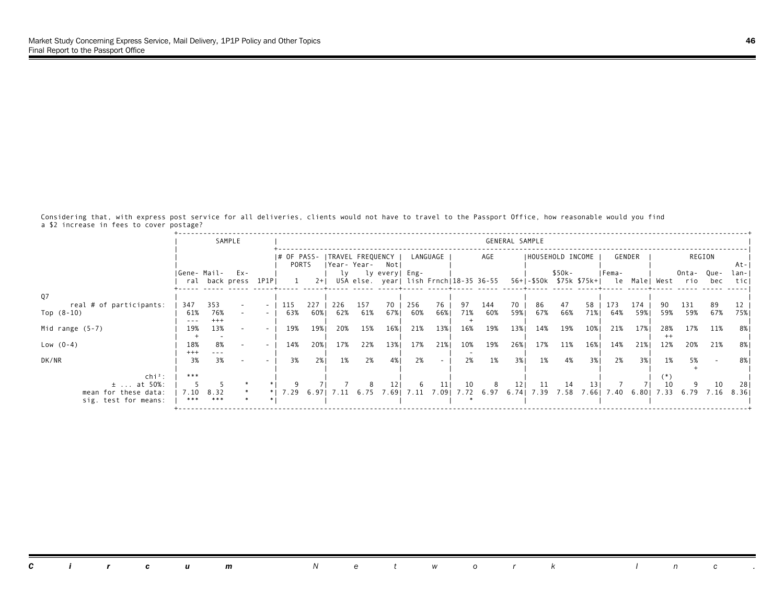Considering that, with express post service for all deliveries, clients would not have to travel to the Passport Office, how reasonable would you find a \$2 increase in fees to cover postage?

|                                              |                       | SAMPLE                                  |                                    |            |             |            |             |                                                          |            |           |           |            | GENERAL SAMPLE |           |                   |                         |            |               |      |              |             |              |
|----------------------------------------------|-----------------------|-----------------------------------------|------------------------------------|------------|-------------|------------|-------------|----------------------------------------------------------|------------|-----------|-----------|------------|----------------|-----------|-------------------|-------------------------|------------|---------------|------|--------------|-------------|--------------|
|                                              |                       |                                         |                                    | PORTS      |             |            | Year- Year- | # OF PASS-  TRAVEL FREQUENCY  <br>Notl                   |            | LANGUAGE  |           | AGE        |                |           | IHOUSEHOLD INCOME |                         |            | GENDER        |      |              | REGION      | At-          |
|                                              |                       | IGene- Mail- Ex-<br>ral back press 1P1P |                                    |            | $2+1$       | lv         |             | ly every  Eng-<br>USA else. year  lish Frnch 18-35 36-55 |            |           |           |            |                |           | \$50k-            | 56+ -\$50k \$75k \$75k+ | IFema-     | le Male  West |      | Onta-<br>rio | Que-<br>bec | lan-<br>ticl |
| Q <sub>7</sub>                               |                       |                                         |                                    |            |             |            |             |                                                          |            |           |           |            |                |           |                   |                         |            |               |      |              |             |              |
| real # of participants:<br>Top $(8-10)$      | 347<br>61%<br>$- - -$ | 353<br>76%<br>$^{+++}$                  | $\overline{\phantom{a}}$<br>$\sim$ | 115<br>63% | 227<br>60%। | 226<br>62% | 157<br>61%  | 70<br>67%                                                | 256<br>60% | 76<br>66% | 97<br>71% | 144<br>60% | 70<br>59%1     | 86<br>67% | 47<br>66%         | 58<br>71%               | 173<br>64% | 174<br>59%    | 59%  | 131<br>59%   | 89<br>67%   | 75%          |
| Mid range $(5-7)$                            | 19%                   | 13%                                     |                                    | 19%        | 19%         | 20%        | 15%         | 16%                                                      | 21%        | 13%       | 16%       | 19%        | 13%            | 14%       | 19%               | 10%                     | 21%        | 17%           | 28%  | 17%          | 11%         | 8% I         |
| Low $(0-4)$                                  | 18%<br>$^{+++}$       | 8%<br>$- - - -$                         | $\sim$                             | 14%        | 20%         | 17%        | 22%         | 13%                                                      | 17%        | 21%       | 10%       | 19%        | 26%            | 17%       | 11%               | 16%                     | 14%        | 21%           | 12%  | 20%          | 21%         | 8%           |
| DK/NR                                        | 3%                    | 3%                                      |                                    | 3%         | 2%1         | 1%         | 2%          | 4%                                                       | 2%         | $\sim$    | 2%        | 1%         | 3%             | 1%        | 4%                | 3%1                     | 2%         | 3%1           | 1%   | 5%           |             | 8%           |
| $chi^2$ :<br>$±$ at 50%:                     | ***                   |                                         |                                    |            |             |            |             |                                                          |            | 11        | 10        | 8          | 121            | 11        | 14                | 13                      |            |               | 10   |              | 10          | 281          |
| mean for these data:<br>sig. test for means: | 7.10<br>***           | 8.32<br>***                             |                                    | $'$ . 29   | 6.971       | 7.11       | 6.75        | 7.691                                                    | 7.11       | 7.091     | 7.72      | 6.97       |                | 6.74 7.39 | 7.58              | 7.661                   | 7.40       | 6.801         | 7.33 | 6.79         | 7.16        | 8.36         |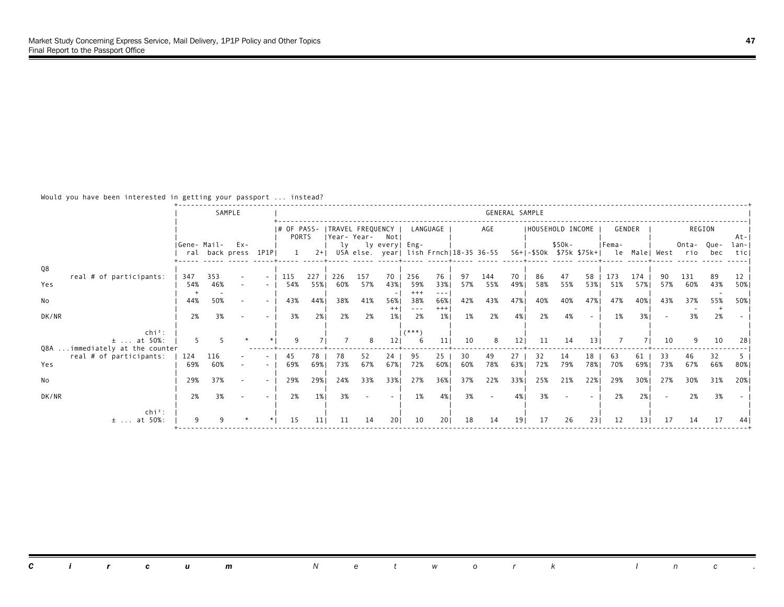Would you have been interested in getting your passport ... instead?

|                                                  |             |            | SAMPLE                |        |                                       |           |           |                    |                |                |                 |           |                                        |           | GENERAL SAMPLE          |           |           |           |                 |           |                                |        |             |
|--------------------------------------------------|-------------|------------|-----------------------|--------|---------------------------------------|-----------|-----------|--------------------|----------------|----------------|-----------------|-----------|----------------------------------------|-----------|-------------------------|-----------|-----------|-----------|-----------------|-----------|--------------------------------|--------|-------------|
|                                                  |             |            |                       |        | # OF PASS- ITRAVEL FREQUENCY<br>PORTS |           |           | Year-Year- Not     |                |                | LANGUAGE        |           | AGE                                    |           | IHOUSEHOLD INCOME       |           |           |           | GENDER          |           |                                | REGION | At-         |
|                                                  | Gene- Mail- |            | Ex-<br>ral back press | 1P1PI  |                                       | $2+1$     |           | ly ly every   Eng- |                |                |                 |           | USA else. year  lish Frnch 18-35 36-55 |           | 56+ -\$50k \$75k \$75k+ | \$50k-    |           | IFema-    |                 |           | Onta- Que-<br>le Male West rio | bec    | lan-<br>tic |
| Q8<br>real # of participants:                    | 347         | 353        |                       | $\sim$ | 115                                   | 227       | 226       | 157                | 70             | 256            | 76              | 97        | 144                                    | 70        | 86                      | 47        | 58        | 173       | 174             | 90        | 131                            | 89     | 12          |
| Yes                                              | 54%         | 46%        |                       |        | 54%                                   | 55%       | 60%       | 57%                | 43%            | 59%<br>$+++$   | 33%             | 57%       | 55%                                    | 49%       | 58%                     | 55%       | 53%       | 51%       | 57%1            | 57%       | 60%                            | 43%    | 50%         |
| No                                               | 44%         | 50%        |                       | $\sim$ | 43%                                   | 44%       | 38%       | 41%                | 56%<br>$^{++}$ | 38%<br>$- - -$ | 66%<br>$^{+++}$ | 42%       | 43%                                    | 47%       | 40%                     | 40%       | 47%       | 47%       | 40%             | 43%       | 37%                            | 55%    | 50%         |
| DK/NR<br>$\mathsf{chi}^2$ :                      | 2%          | 3%         |                       |        | 3%                                    | 2%        | 2%        | 2%                 | 1%             | 2%<br>$(***")$ | $1\%$           | 1%        | 2%                                     | 4%        | 2%                      | 4%        |           | 1%        | 3%1             |           | 3%                             | 2%     |             |
| $\pm$ at 50%:<br>Q8A  immediately at the counter |             |            |                       |        |                                       |           |           |                    |                |                | 11              | 10        | 8                                      | 121       | 11                      | 14        | 13        |           |                 | 10        |                                | 10     |             |
| real # of participants:<br>Yes                   | 124<br>69%  | 116<br>60% |                       |        | 45<br>69%                             | 78<br>69% | 78<br>73% | 52<br>67%          | 24<br>67%      | 95<br>72%      | 25<br>60%       | 30<br>60% | 49<br>78%                              | 27<br>63% | 32<br>72%               | 14<br>79% | 18<br>78% | 63<br>70% | 61<br>69%1      | 33<br>73% | 46<br>67%                      | 66%    | 80%         |
| No                                               | 29%         | 37%        |                       | $\sim$ | 29%                                   | 29%       | 24%       | 33%                | 33%            | 27%            | 36%             | 37%       | 22%                                    | 33%       | 25%                     | 21%       | 22%       | 29%       | 30%             | 27%       | 30%                            | 31%    | 20%         |
| DK/NR                                            | 2%          | 3%         |                       |        | 2%                                    | 1%        | 3%        |                    |                | 1%             | 4%              | 3%        |                                        | 4%        | 3%                      |           |           | 2%        | 2%1             |           | 2%                             | 3%     |             |
| $\ch{i}^2$ :<br>$±$ at 50%:                      |             |            |                       |        | 15                                    | 11        | 11        | 14                 | 201            | 10             | 201             | 18        | 14                                     | 191       | 17                      | 26        | 231       | 12        | 13 <sub>1</sub> | 17        | 14                             | 17     |             |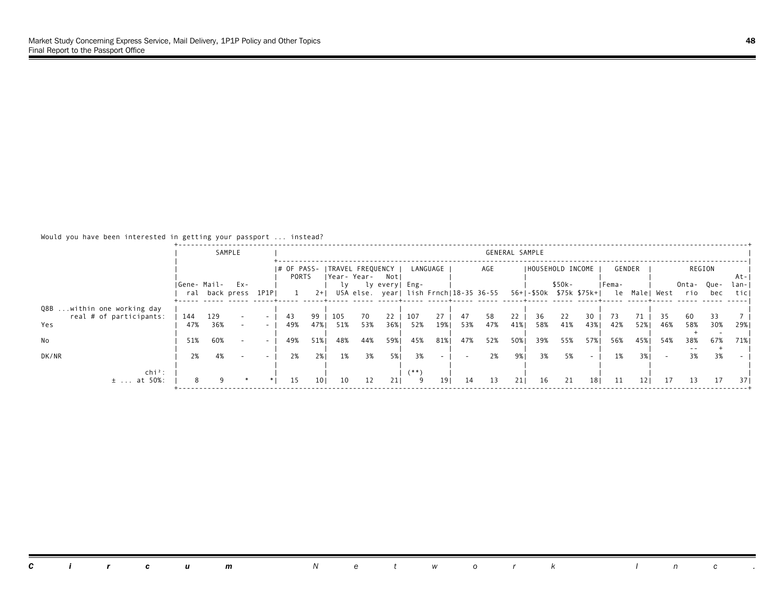# Would you have been interested in getting your passport ... instead?

|                                                              |             |            | SAMPLE                |        |                      |                 |            |             |                                 |            |                 |           |                                        | GENERAL SAMPLE |                          |           |           |        |          |           |                   |           |               |
|--------------------------------------------------------------|-------------|------------|-----------------------|--------|----------------------|-----------------|------------|-------------|---------------------------------|------------|-----------------|-----------|----------------------------------------|----------------|--------------------------|-----------|-----------|--------|----------|-----------|-------------------|-----------|---------------|
|                                                              |             |            |                       |        | I# OF PASS-<br>PORTS |                 |            | Year- Year- | <b>ITRAVEL FREQUENCY</b><br>Not |            | LANGUAGE        |           | AGE                                    |                | IHOUSEHOLD INCOME        |           |           | GENDER |          |           |                   | REGION    | At-           |
|                                                              | Gene- Mail- |            | Ex-<br>ral back press | 1P1PI  |                      | $2+1$           | LV.        |             | ly every  Eng-                  |            |                 |           | USA else. year  lish Frnch 18-35 36-55 |                | 56+1-\$50k \$75k \$75k+1 | $$50k-$   |           | IFema- | le Malel | West      | Onta- Que-<br>rio | bec       | lan- <br>ticl |
| Q8B within one working day<br>real # of participants:<br>Yes | 144<br>47%  | 129<br>36% |                       | $\sim$ | 43<br>49%            | 99<br>47%       | 105<br>51% | 70<br>53%   | 22<br>36%                       | 107<br>52% | 27<br>19%       | 47<br>53% | 58<br>47%                              | 22<br>41%      | 36<br>58%                | 22<br>41% | 30<br>43% | 42%    | 52%      | 35<br>46% | -60<br>58%        | 33<br>30% | 29%           |
| No                                                           | 51%         | 60%        |                       | $\sim$ | 49%                  | 51%             | 48%        | 44%         | 59%1                            | 45%        | 81%             | 47%       | 52%                                    | 50%            | 39%                      | 55%       | 57%       | 56%    | 45%      | 54%       | 38%               | 67%       | 71%           |
| DK/NR                                                        | 2%          | 4%         |                       |        | 2%                   | 2%1             | 1%         | 3%          | 5%                              | 3%         |                 |           | 2%                                     | 9%।            | 3%                       | 5%        |           | 1%     | 3%1      |           | 3%                | 3%        |               |
| $\ch{i}^2$ :<br>$±$ at 50%:                                  |             |            |                       |        | 15                   | 10 <sub>1</sub> | 10         | 12          | 211                             | (**`<br>9  | 19 <sub>1</sub> | 14        | 13                                     | 211            | 16                       | 21        | 181       | -11    | 121      | 17        | 13                | 17        | 37 I          |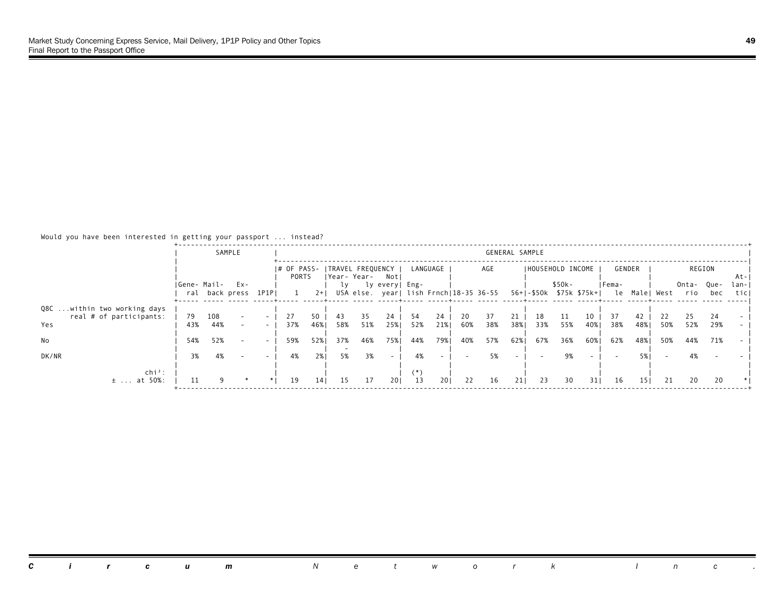# Would you have been interested in getting your passport ... instead?

|                                                               |             |            | SAMPLE                |                          |                      |           |             |           |                                 |           |                                        |           |           | GENERAL SAMPLE |                          |           |           |           |           |           |                   |           |               |
|---------------------------------------------------------------|-------------|------------|-----------------------|--------------------------|----------------------|-----------|-------------|-----------|---------------------------------|-----------|----------------------------------------|-----------|-----------|----------------|--------------------------|-----------|-----------|-----------|-----------|-----------|-------------------|-----------|---------------|
|                                                               |             |            |                       |                          | I# OF PASS-<br>PORTS |           | Year- Year- |           | <b>ITRAVEL FREQUENCY</b><br>Not |           | LANGUAGE                               |           | AGE       |                | IHOUSEHOLD INCOME        |           |           | GENDER    |           |           |                   | REGION    | At-           |
|                                                               | Gene- Mail- |            | Ex-<br>ral back press | 1P1PI                    |                      | $2+1$     | LV.         |           | ly every  Eng-                  |           | USA else. year  lish Frnch 18-35 36-55 |           |           |                | 56+1-\$50k \$75k \$75k+1 | $$50k-$   |           | IFema-    | le Malel  | West      | Onta- Que-<br>rio | bec       | lan-I<br>ticl |
| Q8C within two working days<br>real # of participants:<br>Yes | 79<br>43%   | 108<br>44% |                       | $\sim$                   | 27<br>37%            | 50<br>46% | 43<br>58%   | 35<br>51% | 24<br>25%                       | 54<br>52% | 24<br>21%                              | 20<br>60% | 37<br>38% | 21<br>38%      | 18<br>33%                | 11<br>55% | 10<br>40% | 37<br>38% | 42<br>48% | 22<br>50% | 25<br>52%         | 24<br>29% |               |
| No                                                            | 54%         | 52%        |                       | $\overline{\phantom{0}}$ | 59%                  | 52%       | 37%         | 46%       | 75%                             | 44%       | 79%                                    | 40%       | 57%       | 62%            | 67%                      | 36%       | 60%       | 62%       | 48%       | 50%       | 44%               | 71%       |               |
| DK/NR                                                         | 3%          | 4%         |                       |                          | 4%                   | 2%1       | 5%          | 3%        | $\overline{\phantom{a}}$        | 4%        |                                        |           | 5%        |                |                          | 9%        |           |           |           |           | 4%                |           |               |
| $chi^2$ :<br>$±$ at 50%:                                      |             |            |                       |                          | 19                   | 14        | 15          | 17        | 201                             | (*)<br>13 | 201                                    | 22        | 16        | 211            | 23                       | 30        | 31        | 16        | 151       | 21        | 20                | 20        |               |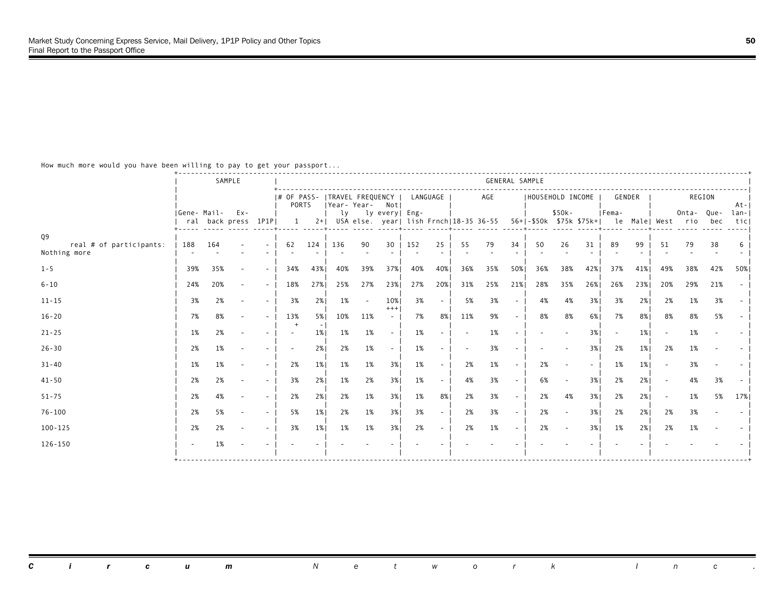|                               |             |     | SAMPLE                     |        |                                                |       |     |        |                   |          |        |     |                                                                    | GENERAL SAMPLE |     |                  |        |        |       |               |                  |     |                |
|-------------------------------|-------------|-----|----------------------------|--------|------------------------------------------------|-------|-----|--------|-------------------|----------|--------|-----|--------------------------------------------------------------------|----------------|-----|------------------|--------|--------|-------|---------------|------------------|-----|----------------|
|                               |             |     |                            |        | # OF PASS-  TRAVEL FREQUENCY  <br><b>PORTS</b> |       |     |        | Year-Year- Not    | LANGUAGE |        |     | AGE                                                                |                |     | HOUSEHOLD INCOME |        | GENDER |       |               | REGION           |     | $At - 1$       |
|                               | Gene- Mail- |     | Ex-<br>ral back press 1P1P |        | 1                                              |       |     |        | ly ly every  Eng- |          |        |     | 2+  USA else. year  lish Frnch 18-35 36-55 56+ -\$50k \$75k \$75k+ |                |     | $$50k-$          |        | IFema- |       | le Male  West | Onta-Oue-<br>rio | bec | $1an -$<br>tic |
| Q9<br>real # of participants: | 188         | 164 |                            |        | 62                                             | 124   | 136 | 90     | 30                | 152      | 25     | 55  | 79                                                                 | 34             | 50  | 26               | 31     | 89     | 99    | 51            | 79               | 38  |                |
| Nothing more                  |             |     |                            |        |                                                |       |     |        |                   |          |        |     |                                                                    |                |     |                  |        |        |       |               |                  |     |                |
| $1 - 5$                       | 39%         | 35% |                            | $\sim$ | 34%                                            | 43%   | 40% | 39%    | 37%1              | 40%      | 40%    | 36% | 35%                                                                | 50%            | 36% | 38%              | 42%    | 37%    | 41%   | 49%           | 38%              | 42% | 50%            |
| $6 - 10$                      | 24%         | 20% |                            | $\sim$ | 18%                                            | 27%   | 25% | 27%    | 23%               | 27%      | 20%    | 31% | 25%                                                                | 21%            | 28% | 35%              | 26%    | 26%    | 23%   | 20%           | 29%              | 21% |                |
| $11 - 15$                     | 3%          | 2%  |                            | $\sim$ | 3%                                             | 2%    | 1%  | $\sim$ | 10%<br>$^{+++}$   | 3%       |        | 5%  | 3%                                                                 | $\sim$         | 4%  | 4%               | 3%     | 3%     | 2%    | 2%            | 1%               | 3%  |                |
| $16 - 20$                     | 7%          | 8%  |                            | $\sim$ | 13%                                            | 5%    | 10% | 11%    | $\sim$            | 7%       | 8%     | 11% | 9%                                                                 | $\sim$         | 8%  | 8%               | 6%     | 7%     | 8%    | 8%            | 8%               | 5%  |                |
| $21 - 25$                     | 1%          | 2%  |                            |        |                                                | 1%    | 1%  | 1%     | $\sim$            | 1%       |        |     | 1%                                                                 |                |     |                  | 3%     |        | 1%    |               | 1%               |     |                |
| $26 - 30$                     | 2%          | 1%  |                            |        |                                                | 2%    | 2%  | 1%     |                   | 1%       | $\sim$ |     | 3%                                                                 |                |     |                  | 3%     | 2%     | $1\%$ | 2%            | 1%               |     |                |
| $31 - 40$                     | 1%          | 1%  |                            | $\sim$ | 2%                                             | $1\%$ | 1%  | 1%     | 3%                | 1%       |        | 2%  | 1%                                                                 | $\sim$         | 2%  |                  | $\sim$ | 1%     | $1\%$ |               | 3%               |     |                |
| $41 - 50$                     | 2%          | 2%  |                            | $\sim$ | 3%                                             | 2%1   | 1%  | 2%     | 3%                | 1%       |        | 4%  | 3%                                                                 | $\sim$         | 6%  |                  | 3%     | 2%     | 2%1   |               | 4%               | 3%  |                |
| $51 - 75$                     | 2%          | 4%  |                            | $\sim$ | 2%                                             | 2%1   | 2%  | 1%     | 3%                | 1%       | 8%     | 2%  | 3%                                                                 | $\sim$         | 2%  | 4%               | 3%     | 2%     | 2%1   |               | 1%               | 5%  | 17%            |
| $76 - 100$                    | 2%          | 5%  |                            | $\sim$ | 5%                                             | $1\%$ | 2%  | 1%     | 3%1               | 3%       | $\sim$ | 2%  | 3%                                                                 | $\sim$         | 2%  |                  | 3%     | 2%     | 2%1   | 2%            | 3%               |     |                |
| $100 - 125$                   | 2%          | 2%  |                            | $\sim$ | 3%                                             | $1\%$ | 1%  | 1%     | 3%1               | 2%       | $\sim$ | 2%  | 1%                                                                 | $\sim$         | 2%  |                  | 3%     | 1%     | 2%1   | 2%            | 1%               |     |                |
| $126 - 150$                   |             | 1%  |                            |        |                                                |       |     |        |                   |          |        |     |                                                                    |                |     |                  |        |        |       |               |                  |     |                |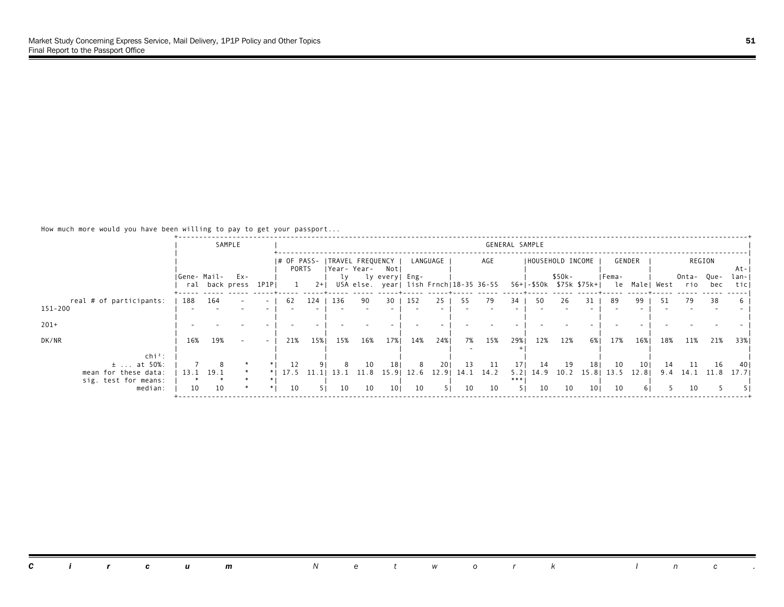| REGION             |
|--------------------|
|                    |
|                    |
| -At-I              |
| Onta- Que-<br>lan- |
| ticl<br>bec        |
| 38                 |
|                    |
|                    |
|                    |
| 21%<br>33%         |
|                    |
|                    |
| 16<br>-40          |
| 11.8<br>17.71      |
|                    |
|                    |
|                    |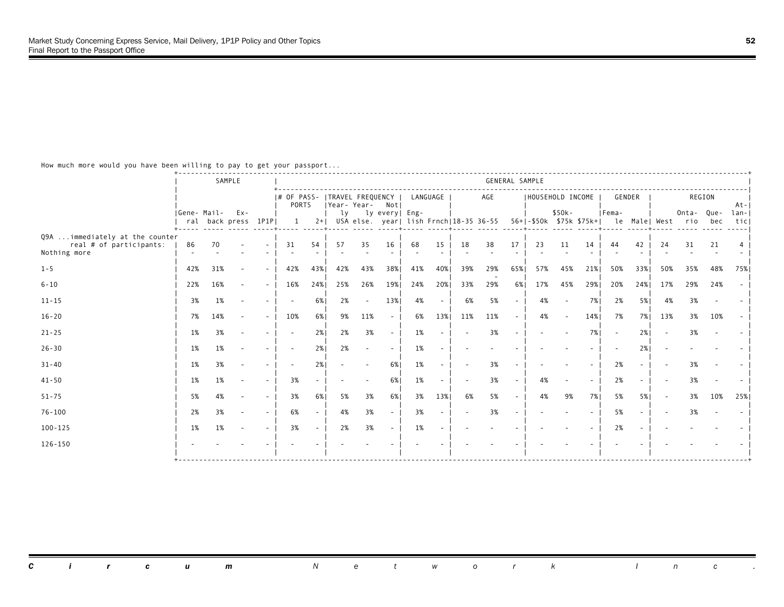|                                                                            |             |     | SAMPLE                         |                          |                                          |     |     |                          |                          |          |        |     |                                            | GENERAL SAMPLE           |     |                                      |     |        |      |               |                   |     |             |
|----------------------------------------------------------------------------|-------------|-----|--------------------------------|--------------------------|------------------------------------------|-----|-----|--------------------------|--------------------------|----------|--------|-----|--------------------------------------------|--------------------------|-----|--------------------------------------|-----|--------|------|---------------|-------------------|-----|-------------|
|                                                                            |             |     |                                |                          | # OF PASS-   TRAVEL FREQUENCY  <br>PORTS |     |     |                          | Year-Year- Not           | LANGUAGE |        |     | AGE                                        |                          |     | IHOUSEHOLD INCOME                    |     | GENDER |      |               | REGION            |     | $At - 1$    |
|                                                                            | Gene- Mail- |     | $Ex -$<br>ral back press 1P1PI |                          | 1                                        |     | lv  |                          | ly every  Eng-           |          |        |     | 2+  USA else. year  lish Frnch 18-35 36-55 |                          |     | $$50k -$<br>56+1-\$50k \$75k \$75k+1 |     | IFema- |      | le Male  West | Onta- Que-<br>rio | bec | lan-<br>tic |
| Q9A  immediately at the counter<br>real # of participants:<br>Nothing more | 86          | 70  |                                |                          | 31                                       | 54  | 57  | 35                       | 16                       | 68       | 15     | 18  | 38                                         | 17                       | 23  | 11                                   | 14  | 44     | 42   | 24            | 31                | 21  |             |
| $1 - 5$                                                                    | 42%         | 31% |                                | $\overline{\phantom{a}}$ | 42%                                      | 43% | 42% | 43%                      | 38%                      | 41%      | 40%    | 39% | 29%                                        | 65%                      | 57% | 45%                                  | 21% | 50%    | 33%  | 50%           | 35%               | 48% | 75%         |
| $6 - 10$                                                                   | 22%         | 16% |                                | $\sim$                   | 16%                                      | 24% | 25% | 26%                      | 19%                      | 24%      | 20%    | 33% | 29%                                        | 6%                       | 17% | 45%                                  | 29% | 20%    | 24%  | 17%           | 29%               | 24% |             |
| $11 - 15$                                                                  | 3%          | 1%  |                                |                          | $\overline{\phantom{a}}$                 | 6%  | 2%  | $\sim$                   | 13%                      | 4%       | $\sim$ | 6%  | 5%                                         | $\sim$                   | 4%  |                                      | 7%1 | 2%     | 5%   | 4%            | 3%                |     |             |
| $16 - 20$                                                                  | 7%          | 14% |                                | $\sim$                   | 10%                                      | 6%  | 9%  | 11%                      | $\sim$                   | 6%       | 13%    | 11% | 11%                                        | $\sim$                   | 4%  |                                      | 14% | 7%     | 7% I | 13%           | 3%                | 10% |             |
| $21 - 25$                                                                  | 1%          | 3%  |                                |                          | $\sim$                                   | 2%  | 2%  | 3%                       | $\sim$                   | 1%       |        |     | 3%                                         | $\overline{a}$           |     |                                      | 7%1 | $\sim$ | 2%1  |               | 3%                |     |             |
| $26 - 30$                                                                  | 1%          | 1%  |                                |                          | $\overline{\phantom{a}}$                 | 2%1 | 2%  | $\sim$                   |                          | 1%       |        |     |                                            |                          |     |                                      |     |        | 2%1  |               |                   |     |             |
| $31 - 40$                                                                  | 1%          | 3%  |                                |                          |                                          | 2%  |     | $\overline{\phantom{a}}$ | 6%                       | 1%       |        |     | 3%                                         |                          |     |                                      |     | 2%     |      |               | 3%                |     |             |
| $41 - 50$                                                                  | 1%          | 1%  |                                | $\overline{\phantom{a}}$ | 3%                                       |     |     |                          | 6%                       | 1%       |        |     | 3%                                         | $\overline{\phantom{a}}$ | 4%  |                                      |     | 2%     |      |               | 3%                |     |             |
| $51 - 75$                                                                  | 5%          | 4%  |                                | $\sim$                   | 3%                                       | 6%  | 5%  | 3%                       | 6%                       | 3%       | 13%    | 6%  | 5%                                         | $\sim$                   | 4%  | 9%                                   | 7%  | 5%     | 5%   |               | 3%                | 10% | 25%         |
| $76 - 100$                                                                 | 2%          | 3%  |                                | $\sim$                   | 6%                                       |     | 4%  | 3%                       | $\overline{\phantom{a}}$ | 3%       | $\sim$ |     | 3%                                         |                          |     |                                      |     | 5%     |      |               | 3%                |     |             |
| $100 - 125$                                                                | 1%          | 1%  |                                | $\sim$                   | 3%                                       |     | 2%  | 3%                       | $\sim$                   | 1%       |        |     |                                            |                          |     |                                      |     | 2%     |      |               |                   |     |             |
| $126 - 150$                                                                |             |     |                                |                          |                                          |     |     |                          |                          |          |        |     |                                            |                          |     |                                      |     |        |      |               |                   |     |             |
|                                                                            |             |     |                                |                          |                                          |     |     |                          |                          |          |        |     |                                            |                          |     |                                      |     |        |      |               |                   |     |             |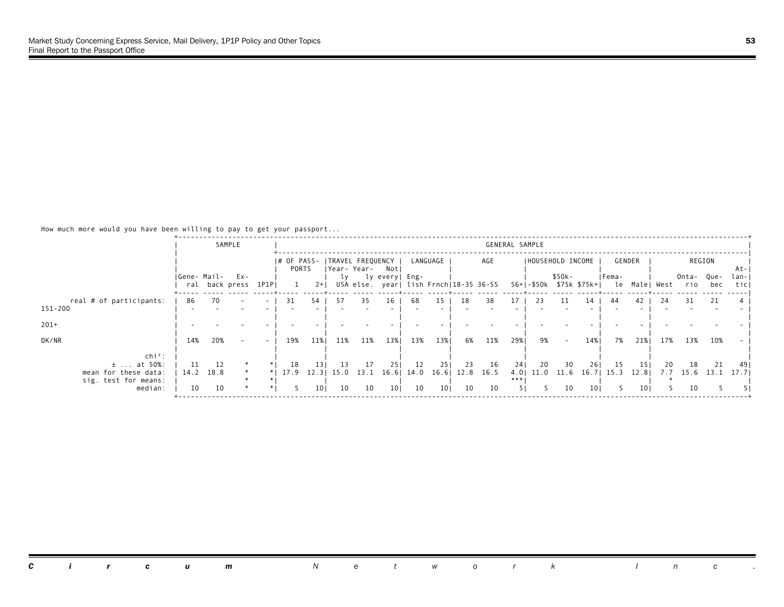|                                                                             |             |                 | SAMPLE                     |                          |            |                          |            |                                                     |                |            |                 |            |                                        | GENERAL SAMPLE |                |                   |                 |                                                 |             |           |                   |            |               |
|-----------------------------------------------------------------------------|-------------|-----------------|----------------------------|--------------------------|------------|--------------------------|------------|-----------------------------------------------------|----------------|------------|-----------------|------------|----------------------------------------|----------------|----------------|-------------------|-----------------|-------------------------------------------------|-------------|-----------|-------------------|------------|---------------|
|                                                                             |             |                 |                            |                          | PORTS      |                          |            | # OF PASS-   TRAVEL FREQUENCY  <br> Year-Year- Notl |                |            | LANGUAGE        |            | AGE                                    |                |                | IHOUSEHOLD INCOME |                 |                                                 | GENDER      |           |                   | REGION     | -At-I         |
|                                                                             | Gene- Mail- |                 | Ex-<br>ral back press 1P1P |                          |            | $2+1$                    | ly         |                                                     | ly every  Eng- |            |                 |            | USA else. year  lish Frnch 18-35 36-55 |                |                | \$50k-            |                 | Fema-<br>56+ -\$50k \$75k \$75k+  le Male  West |             |           | Onta- Que-<br>rio | bec        | lan- <br>ticl |
| real # of participants:<br>151-200                                          | 86          | 70              | $\overline{\phantom{a}}$   | $\sim$                   | 31         | 54                       | 57         | 35                                                  | 16             | -68        | 15              | 18         | 38                                     | 17             | 23             | 11                | 14              | 44                                              | 42          | 24        | 31                | 21         |               |
| $201+$                                                                      |             |                 |                            |                          |            |                          |            |                                                     |                |            |                 |            |                                        |                |                |                   |                 |                                                 |             |           |                   |            |               |
| DK/NR                                                                       | 14%         | 20%             | $\sim$                     | $\overline{\phantom{0}}$ | 19%        | 11%                      | 11%        | 11%                                                 | 13%1           | 13%        | 13%             | 6%         | 11%                                    | 29%            | 9%             | $\sim$            | 14% l           | 7%                                              | 21%         | 17%       | 13%               | 10%        |               |
| $\ch{i}^2$ :<br>$±$ at 50%:<br>mean for these data:<br>sig. test for means: | 11          | 12<br>14.2 18.8 |                            |                          | 18<br>17.9 | 13 <sup>1</sup><br>12.31 | 13<br>15.0 | 13.1                                                | 25<br>16.61    | 12<br>14.0 | 25'<br>16.61    | 23<br>12.8 | 16<br>16.5                             | 241<br>***     | 20<br>4.0 11.0 | 30<br>11.6        | 26 <br>16.71    | -15<br>15.3                                     | 15<br>12.81 | 20<br>7.7 | 18<br>15.6        | 21<br>13.1 | 49  <br>17.71 |
| median:                                                                     | 10          | 10              |                            |                          |            | 101                      | 10         | 10                                                  | 101            | 10         | 10 <sub>1</sub> | 10         | 10                                     |                |                | 10                | 10 <sub>1</sub> |                                                 | 101         |           | 10                |            |               |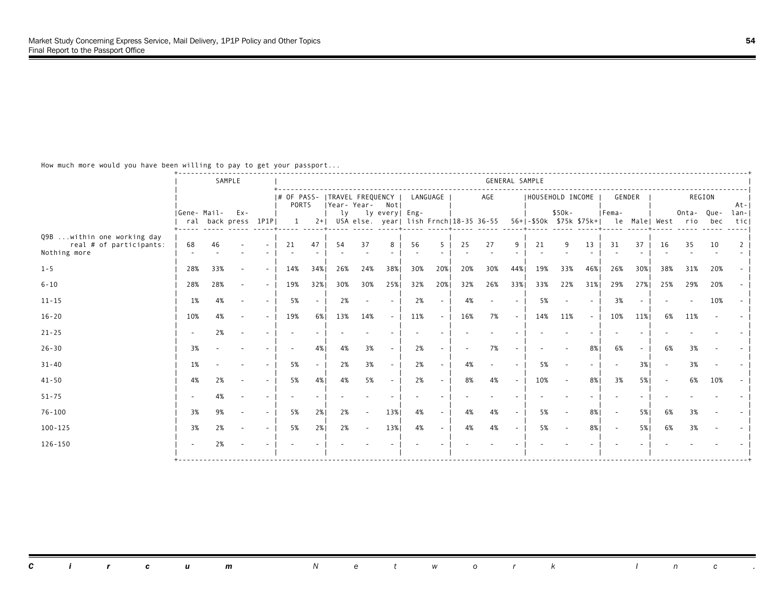|                                                                        |             |     | SAMPLE                        |        |                                                 |       |     |                |                          |          |        |        | GENERAL SAMPLE                         |                          |     |                                     |            |                          |        |                          |                   |     |             |
|------------------------------------------------------------------------|-------------|-----|-------------------------------|--------|-------------------------------------------------|-------|-----|----------------|--------------------------|----------|--------|--------|----------------------------------------|--------------------------|-----|-------------------------------------|------------|--------------------------|--------|--------------------------|-------------------|-----|-------------|
|                                                                        |             |     |                               |        | # OF PASS-   TRAVEL FREQUENCY  <br><b>PORTS</b> |       |     | Year-Year- Not |                          | LANGUAGE |        |        | AGE                                    |                          |     | HOUSEHOLD INCOME                    |            | GENDER                   |        |                          | REGION            |     | $At - 1$    |
|                                                                        | Gene- Mail- |     | $Ex -$<br>ral back press 1P1P |        | 1                                               | $2+1$ | lv  |                | ly every  Eng-           |          |        |        | USA else. year  lish Frnch 18-35 36-55 |                          |     | $$50k -$<br>56+ -\$50k \$75k \$75k+ |            | IFema-                   |        | le Male  West            | Onta- Que-<br>rio | bec | lan-<br>tic |
| Q9B  within one working day<br>real # of participants:<br>Nothing more | 68          | 46  |                               |        | 21                                              | 47    | 54  | 37             | 8                        | 56       | -5     | 25     | 27                                     | 9                        | 21  | $\mathsf{Q}$                        | 13         | 31                       | 37     | 16                       | 35                | 10  |             |
| $1 - 5$                                                                | 28%         | 33% | $\overline{\phantom{a}}$      | $\sim$ | 14%                                             | 34%   | 26% | 24%            | 38%                      | 30%      | 20%    | 20%    | 30%                                    | 44%                      | 19% | 33%                                 | 46%        | 26%                      | 30%    | 38%                      | 31%               | 20% |             |
| $6 - 10$                                                               | 28%         | 28% |                               | $\sim$ | 19%                                             | 32%   | 30% | 30%            | 25%                      | 32%      | 20%    | 32%    | 26%                                    | 33%                      | 33% | 22%                                 | 31%        | 29%                      | 27%    | 25%                      | 29%               | 20% |             |
| $11 - 15$                                                              | 1%          | 4%  |                               | $\sim$ | 5%                                              |       | 2%  | $\sim$         |                          | 2%       | $\sim$ | 4%     |                                        | $\overline{\phantom{a}}$ | 5%  |                                     |            | 3%                       |        |                          |                   | 10% |             |
| $16 - 20$                                                              | 10%         | 4%  |                               | $\sim$ | 19%                                             | 6%    | 13% | 14%            | $\sim$                   | 11%      | $\sim$ | 16%    | 7%                                     | $\sim$                   | 14% | 11%                                 | $\sim$ $-$ | 10%                      | 11%    | 6%                       | 11%               |     |             |
| $21 - 25$                                                              |             | 2%  |                               |        |                                                 |       |     |                |                          |          |        |        |                                        |                          |     |                                     |            |                          |        |                          |                   |     |             |
| $26 - 30$                                                              | 3%          |     |                               |        |                                                 | 4%    | 4%  | 3%             |                          | 2%       |        | $\sim$ | 7%                                     |                          |     |                                     | 8%         | 6%                       | $\sim$ | 6%                       | 3%                |     |             |
| $31 - 40$                                                              | 1%          |     |                               |        | 5%                                              |       | 2%  | 3%             | $\overline{\phantom{a}}$ | 2%       |        | 4%     |                                        | $\overline{\phantom{a}}$ | 5%  |                                     | ٠          |                          | 3%     |                          | 3%                |     |             |
| $41 - 50$                                                              | 4%          | 2%  |                               | $\sim$ | 5%                                              | 4%    | 4%  | 5%             | $\sim$                   | 2%       |        | 8%     | 4%                                     | $\sim$                   | 10% |                                     | 8%         | 3%                       | 5%     | $\overline{\phantom{a}}$ | 6%                | 10% |             |
| $51 - 75$                                                              |             | 4%  |                               | $\sim$ |                                                 |       |     |                |                          |          |        |        |                                        |                          |     |                                     |            |                          |        |                          |                   |     |             |
| $76 - 100$                                                             | 3%          | 9%  |                               | $\sim$ | 5%                                              | 2%1   | 2%  | $\sim$         | 13%                      | 4%       | $\sim$ | 4%     | 4%                                     | $\sim$                   | 5%  |                                     | 8%         | $\overline{\phantom{a}}$ | 5%1    | 6%                       | 3%                |     |             |
| $100 - 125$                                                            | 3%          | 2%  |                               | $\sim$ | 5%                                              | 2%    | 2%  | $\sim$         | 13%                      | 4%       | $\sim$ | 4%     | 4%                                     | $\sim$                   | 5%  |                                     | $8\%$      | $\overline{\phantom{a}}$ | 5%     | 6%                       | 3%                |     |             |
| $126 - 150$                                                            |             | 2%  |                               |        |                                                 |       |     |                |                          |          |        |        |                                        |                          |     |                                     |            |                          |        |                          |                   |     |             |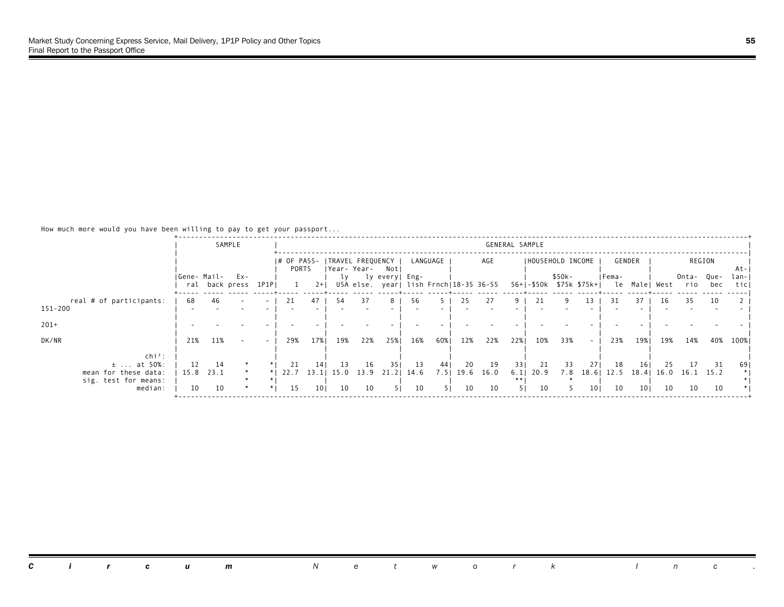|                         |      |             | SAMPLE                   |                          |       |       |      |      |                               |      |          |      |                                        | GENERAL SAMPLE |              |                   |                 |                                        |        |      |            |        |      |
|-------------------------|------|-------------|--------------------------|--------------------------|-------|-------|------|------|-------------------------------|------|----------|------|----------------------------------------|----------------|--------------|-------------------|-----------------|----------------------------------------|--------|------|------------|--------|------|
|                         |      |             |                          |                          |       |       |      |      | # OF PASS-   TRAVEL FREQUENCY |      | LANGUAGE |      | AGE                                    |                |              | IHOUSEHOLD INCOME |                 |                                        | GENDER |      |            | REGION |      |
|                         |      |             |                          |                          | PORTS |       |      |      | Year-Year- Notl               |      |          |      |                                        |                |              |                   |                 |                                        |        |      |            |        | At-  |
|                         |      | Gene- Mail- | Ex-                      |                          |       |       | ly   |      | ly every  Eng-                |      |          |      |                                        |                |              | \$50k-            |                 | Fema-                                  |        |      | Onta- Que- |        | lan- |
|                         |      |             | ral back press 1P1P      |                          |       | $2+1$ |      |      |                               |      |          |      | USA else. year  lish Frnch 18-35 36-55 |                |              |                   |                 | 56+ -\$50k \$75k \$75k+  le Male  West |        |      | rio        | bec    | ticl |
| real # of participants: | -68  | 46          | $\overline{\phantom{a}}$ | $\sim$                   | 21    | 47    | 54   | 37   | 8                             | -56  |          | 25   | 27                                     | 9              | 21           |                   | 13              | 31                                     | 37     | -16  | 35         | 10     |      |
| 151-200                 |      |             |                          |                          |       |       |      |      |                               |      |          |      |                                        |                |              |                   |                 |                                        |        |      |            |        |      |
| $201+$                  |      |             |                          |                          |       |       |      |      |                               |      |          |      |                                        |                |              |                   |                 |                                        |        |      |            |        |      |
|                         |      |             |                          |                          |       |       |      |      |                               |      |          |      |                                        |                |              |                   |                 |                                        |        |      |            |        |      |
| DK/NR                   | 21%  | 11%         | $\sim$                   | $\overline{\phantom{0}}$ | 29%   | 17%   | 19%  | 22%  | 25%                           | 16%  | 60%      | 12%  | 22%                                    | 22%            | 10%          | 33%               | $\sim$          | 23%                                    | 19%    | 19%  | 14%        | 40%    | 100% |
| $\ch{i}^2$ :            |      |             |                          |                          |       |       |      |      |                               |      |          |      |                                        |                |              |                   |                 |                                        |        |      |            |        |      |
| $±$ at 50%:             | 12   | 14          |                          |                          | 21    | 14    | 13   | 16   | 351                           | 13   | 44       | 20   | 19                                     | 331            | 21           | 33                | 271             | 18                                     | 161    | 25   | 17         | 31     | 69   |
| mean for these data:    | 15.8 | 23.1        |                          |                          | 22.7  | 13.1  | 15.0 | 13.9 | 21.21                         | 14.6 | 7.51     | 19.6 | 16.0                                   |                | $6.1$   20.9 | 7.8               | 18.61           | 12.5                                   | 18.4   | 16.0 | 16.1 15.2  |        |      |
| sig. test for means:    |      |             |                          |                          |       |       |      |      |                               |      |          |      |                                        | $**$           |              |                   |                 |                                        |        |      |            |        |      |
| median:                 | 10   | 10          |                          |                          | 15    | 101   | 10   | 10   | 51.                           | 10   | -51      | 10   | 10                                     | 51.            | 10           |                   | 10 <sub>1</sub> | 10                                     | 101    | 10   | 10         | 10     |      |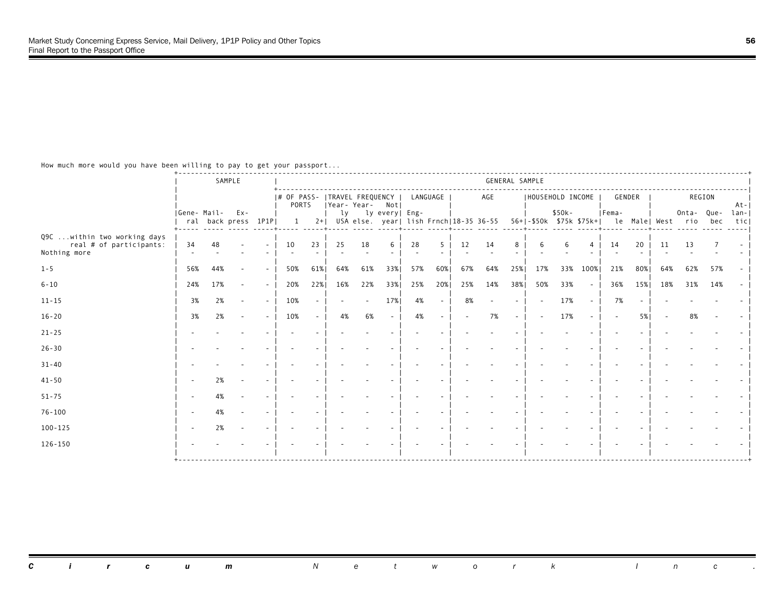|                                                                         |             |     | SAMPLE                        |        |                                         |        |     |     |                |          |        |        |                                        | GENERAL SAMPLE           |                         |         |        |        |     |               |                  |     |             |
|-------------------------------------------------------------------------|-------------|-----|-------------------------------|--------|-----------------------------------------|--------|-----|-----|----------------|----------|--------|--------|----------------------------------------|--------------------------|-------------------------|---------|--------|--------|-----|---------------|------------------|-----|-------------|
|                                                                         |             |     |                               |        | # OF PASS-  TRAVEL FREQUENCY  <br>PORTS |        |     |     | Year-Year- Not | LANGUAGE |        |        | AGE                                    |                          | HOUSEHOLD INCOME        |         |        | GENDER |     |               | REGION           |     | $At - 1$    |
|                                                                         | Gene- Mail- |     | $Ex -$<br>ral back press 1P1P |        | 1                                       | $2+1$  | lv  |     | ly every  Eng- |          |        |        | USA else. year  lish Frnch 18-35 36-55 |                          | 56+ -\$50k \$75k \$75k+ | $$50k-$ |        | Fema-  |     | le Male  West | Onta-Que-<br>rio | bec | lan-<br>tic |
| Q9C  within two working days<br>real # of participants:<br>Nothing more | 34          | 48  |                               |        | 10                                      | 23     | 25  | 18  | 6              | 28       | -5     | 12     | 14                                     | 8                        |                         | 6       | 4      | 14     | 20  | 11            | 13               |     |             |
| $1 - 5$                                                                 | 56%         | 44% |                               | $\sim$ | 50%                                     | 61%    | 64% | 61% | 33%            | 57%      | 60%    | 67%    | 64%                                    | 25%                      | 17%                     | 33%     | 100%   | 21%    | 80% | 64%           | 62%              | 57% |             |
| $6 - 10$                                                                | 24%         | 17% |                               | $\sim$ | 20%                                     | 22%    | 16% | 22% | 33%            | 25%      | 20%    | 25%    | 14%                                    | 38%                      | 50%                     | 33%     | $\sim$ | 36%    | 15% | 18%           | 31%              | 14% |             |
| $11 - 15$                                                               | 3%          | 2%  |                               | $\sim$ | 10%                                     |        |     | ٠   | 17%            | 4%       | $\sim$ | 8%     |                                        | $\overline{\phantom{a}}$ |                         | 17%     |        | 7%     |     |               |                  |     |             |
| $16 - 20$                                                               | 3%          | 2%  |                               | $\sim$ | 10%                                     | $\sim$ | 4%  | 6%  | $\sim$         | 4%       | $\sim$ | $\sim$ | 7%                                     | $\sim$                   |                         | 17%     |        |        | 5%1 |               | 8%               |     |             |
| $21 - 25$                                                               |             |     |                               |        |                                         |        |     |     |                |          |        |        |                                        |                          |                         |         |        |        |     |               |                  |     |             |
| $26 - 30$                                                               |             |     |                               |        |                                         |        |     |     |                |          |        |        |                                        |                          |                         |         |        |        |     |               |                  |     |             |
| $31 - 40$                                                               |             |     |                               |        |                                         |        |     |     |                |          |        |        |                                        |                          |                         |         |        |        |     |               |                  |     |             |
| $41 - 50$                                                               |             | 2%  |                               |        |                                         |        |     |     |                |          |        |        |                                        |                          |                         |         |        |        |     |               |                  |     |             |
| $51 - 75$                                                               |             | 4%  |                               |        |                                         |        |     |     |                |          |        |        |                                        |                          |                         |         |        |        |     |               |                  |     |             |
| $76 - 100$                                                              |             | 4%  |                               |        |                                         |        |     |     |                |          |        |        |                                        |                          |                         |         |        |        |     |               |                  |     |             |
| $100 - 125$                                                             |             | 2%  |                               |        |                                         |        |     |     |                |          |        |        |                                        |                          |                         |         |        |        |     |               |                  |     |             |
| $126 - 150$                                                             |             |     |                               |        |                                         |        |     |     |                |          |        |        |                                        |                          |                         |         |        |        |     |               |                  |     |             |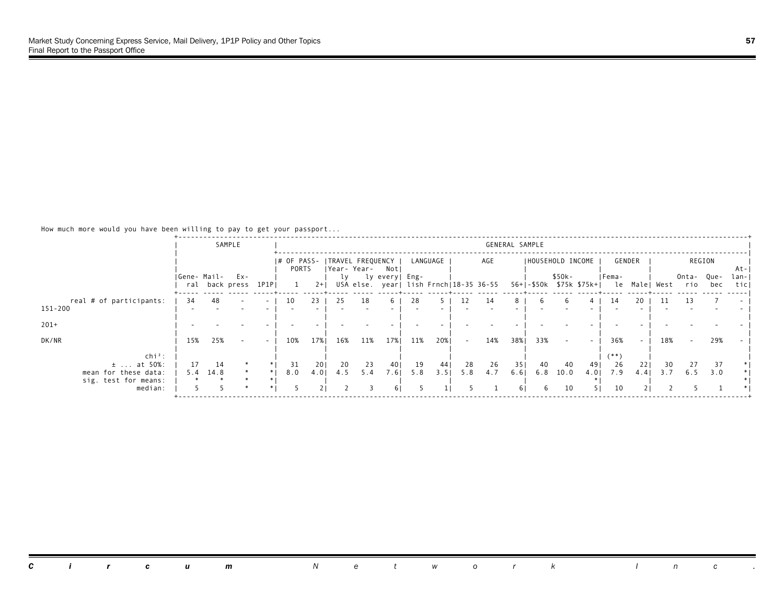|                                              |             |      | SAMPLE                   |                          |       |       |     |                                                    |                |     |          |        |     | GENERAL SAMPLE |     |                          |      |                                                 |        |     |              |             |               |
|----------------------------------------------|-------------|------|--------------------------|--------------------------|-------|-------|-----|----------------------------------------------------|----------------|-----|----------|--------|-----|----------------|-----|--------------------------|------|-------------------------------------------------|--------|-----|--------------|-------------|---------------|
|                                              |             |      |                          |                          | PORTS |       |     | # OF PASS-   TRAVEL FREQUENCY  <br> Year-Year- Not |                |     | LANGUAGE |        | AGE |                |     | <b>IHOUSEHOLD INCOME</b> |      |                                                 | GENDER |     |              | REGION      | At-           |
|                                              | Gene- Mail- |      | Ex-<br>ral back press    | 1P1P                     |       | $2+1$ | ly  | USA else. year  lish Frnch 18-35 36-55             | ly every  Eng- |     |          |        |     |                |     | \$50k-                   |      | Fema-<br>56+1-\$50k \$75k \$75k+1 le Malel West |        |     | Onta-<br>rio | Que-<br>bec | lan- <br>ticl |
| real # of participants:                      | -34         | 48   | $\overline{\phantom{a}}$ | $\sim$                   | 10    | 23    | 25  | 18                                                 | 6              | 28  |          | 12.    | 14  | 8.             |     |                          |      | 14                                              | 20     |     | 13           |             |               |
| 151-200                                      |             |      |                          |                          |       |       |     |                                                    |                |     |          |        |     |                |     |                          |      |                                                 |        |     |              |             |               |
| $201+$                                       |             |      |                          |                          |       |       |     |                                                    |                |     |          |        |     |                |     |                          |      |                                                 |        |     |              |             |               |
| DK/NR                                        | 15%         | 25%  | $\sim$                   | $\overline{\phantom{0}}$ | 10%   | 17%   | 16% | 11%                                                | 17%            | 11% | 20%      | $\sim$ | 14% | 38%            | 33% |                          |      | 36%                                             | $\sim$ | 18% | $\sim$       | 29%         |               |
| $\ch{i}^2$ :<br>$±$ at 50%:                  | 17          | 14   |                          |                          | 31    | 201   | 20  | 23                                                 | 401            | 19  | 44       | 28     | 26  | 351            | 40  | 40                       | 491  | $($ * *<br>26                                   | 22     | 30  |              | 37          |               |
| mean for these data:<br>sig. test for means: | 5.4         | 14.8 | $\ast$                   | $*1$                     | 8.0   | 4.01  | 4.5 | 5.4                                                | 7.61           | 5.8 | 3.51     | 5.8    | 4.7 | 6.61           | 6.8 | 10.0                     | 4.01 | 7.9                                             | 4.4    | 3.7 | 6.5          | 3.0         |               |
| median:                                      |             |      |                          |                          |       |       |     |                                                    | 6 I            |     |          |        |     | 6 I            | 6   | 10                       | 51   | 10                                              |        |     |              |             |               |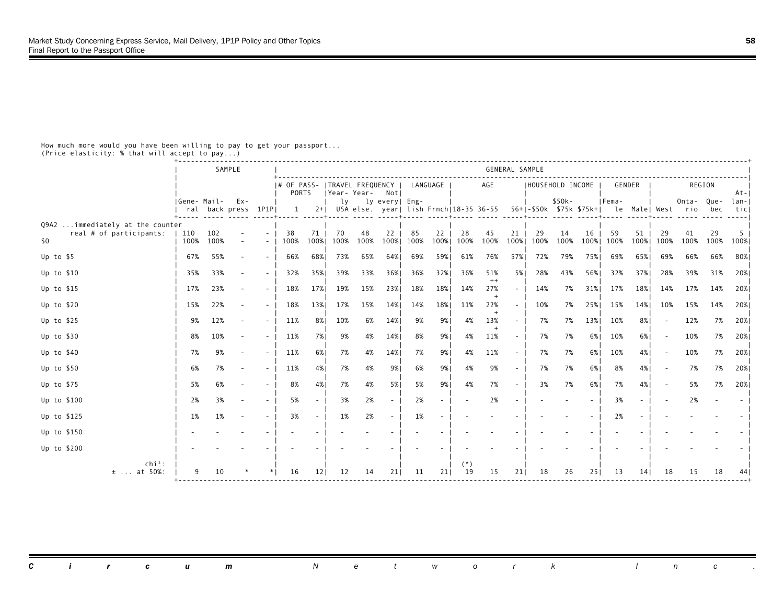|                                                             |             |                     | SAMPLE |                          |                                        |                 |             |                 |                          |      |          |                |                | GENERAL SAMPLE |                                                                                       |         |      |       |        |      |            |      |             |
|-------------------------------------------------------------|-------------|---------------------|--------|--------------------------|----------------------------------------|-----------------|-------------|-----------------|--------------------------|------|----------|----------------|----------------|----------------|---------------------------------------------------------------------------------------|---------|------|-------|--------|------|------------|------|-------------|
|                                                             |             |                     |        |                          | I# OF PASS- ITRAVEL FREQUENCY<br>PORTS |                 | Year- Year- |                 | Notl                     |      | LANGUAGE |                | AGE            |                | IHOUSEHOLD INCOME                                                                     |         |      |       | GENDER |      | REGION     |      | At-         |
|                                                             | Gene- Mail- | ral back press 1P1P | $Ex -$ |                          | $\overline{1}$                         |                 |             | ly lyevery Eng- |                          |      |          |                |                |                | 2+  USA else. year  lish Frnch 18-35 36-55 56+ -\$50k \$75k \$75k+  le Male  West rio | $$50k-$ |      | Fema- |        |      | Onta- Que- | bec  | lan-<br>tic |
| Q9A2  immediately at the counter<br>real # of participants: | 110         | 102                 |        | $\sim$                   | 38                                     | 71              | 70          | 48              | 22                       | 85   | 22       | 28             | 45             | 21             | 29                                                                                    | 14      | 16   | 59    | 51     | 29   | 41         | 29   | -5          |
| \$0                                                         | 100%        | 100%                |        | $\sim$                   | 100%                                   | 100%            | 100%        | 100%            | 100%                     | 100% | 100%     | 100%           | 100%           | 100%           | 100%                                                                                  | 100%    | 100% | 100%  | 100%   | 100% | 100%       | 100% | 100%        |
| Up to \$5                                                   | 67%         | 55%                 |        | $\sim$                   | 66%                                    | 68%             | 73%         | 65%             | 64%                      | 69%  | 59%      | 61%            | 76%            | 57%            | 72%                                                                                   | 79%     | 75%  | 69%   | 65%    | 69%  | 66%        | 66%  | 80%         |
| Up to $$10$                                                 | 35%         | 33%                 |        | $\sim$                   | 32%                                    | 35%             | 39%         | 33%             | 36%                      | 36%  | 32%      | 36%            | 51%<br>$^{++}$ | 5%             | 28%                                                                                   | 43%     | 56%  | 32%   | 37%    | 28%  | 39%        | 31%  | 20%         |
| Up to $$15$                                                 | 17%         | 23%                 |        | $\overline{\phantom{a}}$ | 18%                                    | 17%             | 19%         | 15%             | 23%                      | 18%  | 18%      | 14%            | 27%<br>$^{+}$  | $\sim$ $-$     | 14%                                                                                   | 7%      | 31%  | 17%   | 18%    | 14%  | 17%        | 14%  | 20%         |
| Up to $$20$                                                 | 15%         | 22%                 |        | $\overline{\phantom{a}}$ | 18%                                    | 13%             | 17%         | 15%             | 14%                      | 14%  | 18%      | 11%            | 22%            | $\sim$         | 10%                                                                                   | 7%      | 25%  | 15%   | 14%    | 10%  | 15%        | 14%  | 20%         |
| Up to $$25$                                                 | 9%          | 12%                 |        | $\overline{\phantom{a}}$ | 11%                                    | 8%              | 10%         | 6%              | 14%                      | 9%   | 9%       | 4%             | 13%            | $\sim$         | 7%                                                                                    | 7%      | 13%  | 10%   | 8%     |      | 12%        | 7%   | 20%         |
| Up to $$30$                                                 | 8%          | 10%                 |        | $\overline{\phantom{a}}$ | 11%                                    | 7%              | 9%          | 4%              | 14%                      | 8%   | 9%       | 4%             | 11%            | $\sim$ $-$     | 7%                                                                                    | 7%      | 6%   | 10%   | 6%     |      | 10%        | 7%   | 20%         |
| Up to \$40                                                  | 7%          | 9%                  |        | $\sim$                   | 11%                                    | 6%              | 7%          | 4%              | 14%                      | 7%   | 9%       | 4%             | 11%            | $\sim$         | 7%                                                                                    | 7%      | 6%   | 10%   | 4%     |      | 10%        | 7%   | 20%         |
| Up to \$50                                                  | 6%          | 7%                  |        | $\sim$                   | 11%                                    | 4%              | 7%          | 4%              | 9%                       | 6%   | 9%       | 4%             | 9%             | $\sim$         | 7%                                                                                    | 7%      | 6%   | 8%    | 4%     |      | 7%         | 7%   | 20%         |
| Up to \$75                                                  | 5%          | 6%                  |        | $\overline{\phantom{a}}$ | 8%                                     | 4%              | 7%          | 4%              | 5%                       | 5%   | 9%       | 4%             | 7%             |                | 3%                                                                                    | 7%      | 6%   | 7%    | 4%     |      | 5%         | 7%   | 20%         |
| Up to \$100                                                 | 2%          | 3%                  |        | $\overline{\phantom{a}}$ | 5%                                     |                 | 3%          | 2%              | $\overline{\phantom{a}}$ | 2%   |          |                | 2%             |                |                                                                                       |         |      | 3%    |        |      | 2%         |      |             |
| Up to \$125                                                 | 1%          | 1%                  |        | $\overline{\phantom{a}}$ | 3%                                     |                 | 1%          | 2%              |                          | 1%   |          |                |                |                |                                                                                       |         |      | 2%    |        |      |            |      |             |
| Up to \$150                                                 |             |                     |        |                          |                                        |                 |             |                 |                          |      |          |                |                |                |                                                                                       |         |      |       |        |      |            |      |             |
| Up to \$200                                                 |             |                     |        |                          |                                        |                 |             |                 |                          |      |          |                |                |                |                                                                                       |         |      |       |        |      |            |      |             |
| $chi^2$ :<br>$±$ at 50%:                                    |             | 10                  |        |                          | 16                                     | 12 <sup>1</sup> | 12          | 14              | 21                       | 11   | 211      | $^{(*)}$<br>19 | 15             | 211            | 18                                                                                    | 26      | 251  | 13    | 141    | 18   | 15         | 18   |             |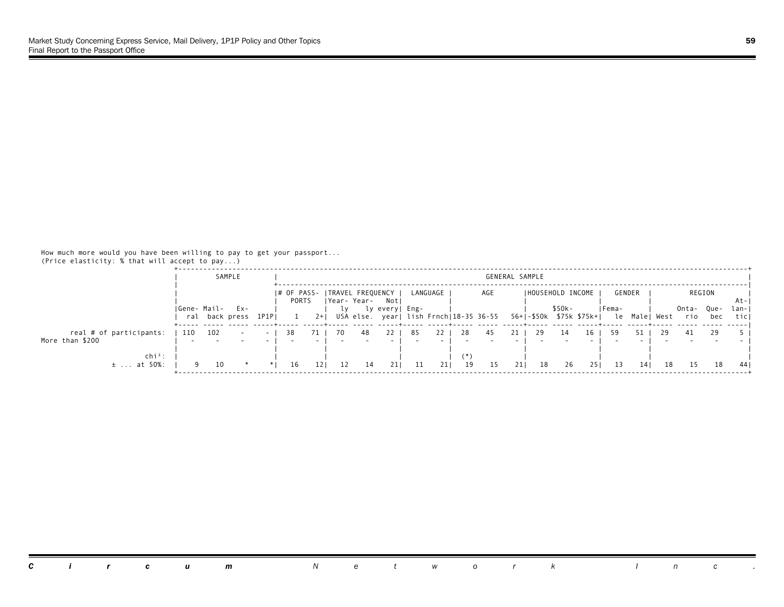|                               |     | SAMPLE                            |               |                      |           |                                                           |                |     |          |    | GENERAL SAMPLE |     |                         |         |     |        |          |      |              |              |                     |
|-------------------------------|-----|-----------------------------------|---------------|----------------------|-----------|-----------------------------------------------------------|----------------|-----|----------|----|----------------|-----|-------------------------|---------|-----|--------|----------|------|--------------|--------------|---------------------|
|                               |     |                                   |               | I# OF PASS-<br>PORTS |           | TRAVEL FREQUENCY                                          |                |     | LANGUAGE |    | AGE            |     | IHOUSEHOLD INCOME       |         |     | GENDER |          |      | REGION       |              |                     |
|                               |     | Gene- Mail- Ex-<br>ral back press | $1$ $P1$ $P1$ |                      | $2+1$     | Year-Year- Not <br>USA else. year  lish Frnch 18-35 36-55 | ly every  Eng- |     |          |    |                |     | 56+ -\$50k \$75k \$75k+ | $$50k-$ |     | IFema- | le Malel | West | Onta-<br>rio | - Que<br>bec | At-<br>lan-<br>ticl |
| real # of participants:       | 110 | 102                               | $\sim$        | 38                   | 70        | 48                                                        | 22             | -85 |          | 28 | 45             | 21  | 29                      |         | 16  | 59     |          |      | 41           | 29           |                     |
| More than \$200               |     |                                   |               |                      |           |                                                           |                |     |          |    |                |     |                         |         |     |        |          |      |              |              |                     |
| $chi^2$ :<br>at 50%:<br>$\pm$ |     | 10                                |               | 16                   | 121<br>12 | 14                                                        |                | 11  | 211      | 19 | 15             | 211 | 18                      | 26      | 251 | 13     |          | 18   |              | 18           | 44 I                |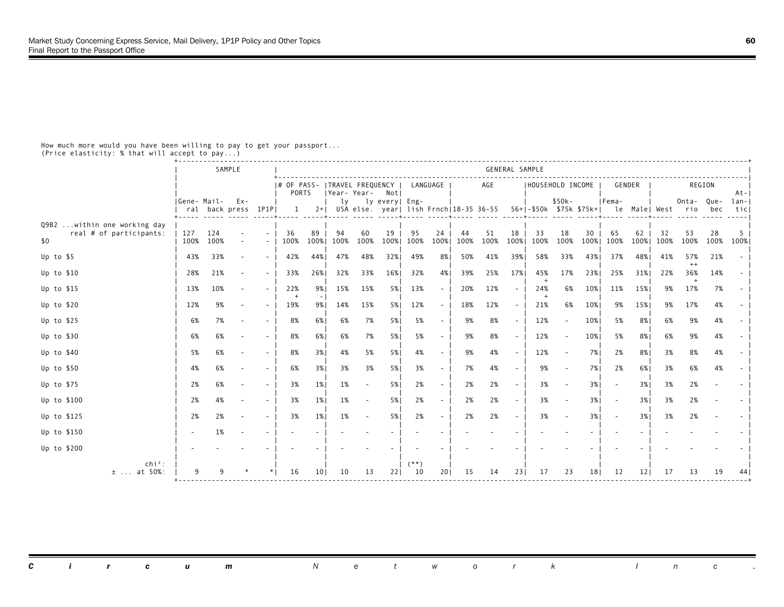|                                                                  |                 |             | SAMPLE              |                          |                                                 |            |            |                    |            |              |            |            |            | GENERAL SAMPLE           |                                                                    |            |            |                          |            |                   |                |            |             |
|------------------------------------------------------------------|-----------------|-------------|---------------------|--------------------------|-------------------------------------------------|------------|------------|--------------------|------------|--------------|------------|------------|------------|--------------------------|--------------------------------------------------------------------|------------|------------|--------------------------|------------|-------------------|----------------|------------|-------------|
|                                                                  |                 |             |                     |                          | # OF PASS-   TRAVEL FREQUENCY  <br><b>PORTS</b> |            |            | Year-Year- Notl    |            | LANGUAGE     |            |            | AGE        |                          | I HOUSEHOLD INCOME                                                 |            |            |                          | GENDER     |                   | REGION         |            | At-         |
|                                                                  | Gene- Mail- Ex- |             | ral back press 1P1P |                          | 1                                               |            |            | ly ly every   Eng- |            |              |            |            |            |                          | 2+  USA else. year  lish Frnch 18-35 36-55 56+ -\$50k \$75k \$75k+ | $$50k-$    |            | Fema-                    |            | le Male  West rio | Onta- Que-     | bec        | lan-<br>tic |
| Q9B2<br>within one working day<br>real # of participants:<br>\$0 | 127<br>100%     | 124<br>100% |                     | $\overline{\phantom{a}}$ | 36<br>100%                                      | 89<br>100% | 94<br>100% | 60<br>100%         | 19<br>100% | 95<br>100%   | 24<br>100% | 44<br>100% | 51<br>100% | 18<br>100%               | 33<br>100%                                                         | 18<br>100% | 30<br>100% | 65<br>100%               | 62<br>100% | 32<br>100%        | 53<br>100%     | 28<br>100% | -5<br>100%  |
| Up to $$5$                                                       | 43%             | 33%         |                     | $\sim$                   | 42%                                             | 44%        | 47%        | 48%                | 32%        | 49%          | 8%         | 50%        | 41%        | 39%1                     | 58%                                                                | 33%        | 43%        | 37%                      | 48%        | 41%               | 57%<br>$^{++}$ | 21%        |             |
| Up to $$10$                                                      | 28%             | 21%         |                     | $\sim$                   | 33%                                             | 26%        | 32%        | 33%                | 16%        | 32%          | 4%         | 39%        | 25%        | 17%                      | 45%                                                                | 17%        | 23%        | 25%                      | 31%        | 22%               | 36%            | 14%        |             |
| Up to $$15$                                                      | 13%             | 10%         |                     |                          | 22%<br>$+$                                      | 9%         | 15%        | 15%                | 5%         | 13%          | $\sim$     | 20%        | 12%        | $\sim$                   | 24%                                                                | 6%         | 10%        | 11%                      | 15%        | 9%                | 17%            | 7%         |             |
| Up to $$20$                                                      | 12%             | 9%          |                     |                          | 19%                                             | 9%         | 14%        | 15%                | 5%         | 12%          | $\sim$     | 18%        | 12%        | $\sim$                   | 21%                                                                | 6%         | 10%        | 9%                       | 15%        | 9%                | 17%            | 4%         |             |
| Up to $$25$                                                      | 6%              | 7%          |                     |                          | 8%                                              | 6%1        | 6%         | 7%                 | 5%         | 5%           | $\sim$     | 9%         | 8%         | $\sim$                   | 12%                                                                |            | 10%        | 5%                       | 8%         | 6%                | 9%             | 4%         |             |
| Up to \$30                                                       | 6%              | 6%          |                     | $\sim$                   | 8%                                              | 6%         | 6%         | 7%                 | 5%         | 5%           | $\sim$     | 9%         | 8%         | $\sim$                   | 12%                                                                |            | 10%        | 5%                       | 8%         | 6%                | 9%             | 4%         |             |
| Up to \$40                                                       | 5%              | 6%          |                     | $\sim$                   | 8%                                              | 3%         | 4%         | 5%                 | 5%         | 4%           | $\sim$     | 9%         | 4%         | $\sim$                   | 12%                                                                |            | 7%         | 2%                       | 8%         | 3%                | 8%             | 4%         |             |
| Up to \$50                                                       | 4%              | 6%          |                     | $\sim$                   | 6%                                              | 3%         | 3%         | 3%                 | 5%         | 3%           | $\sim$     | 7%         | 4%         | $\overline{\phantom{a}}$ | 9%                                                                 |            | 7%         | 2%                       | 6%         | 3%                | 6%             | 4%         |             |
| Up to \$75                                                       | 2%              | 6%          |                     |                          | 3%                                              | $1\%$      | 1%         | $\sim$             | 5%         | 2%           |            | 2%         | 2%         | $\sim$                   | 3%                                                                 |            | 3%         |                          | 3%         | 3%                | 2%             |            |             |
| Up to \$100                                                      | 2%              | 4%          |                     |                          | 3%                                              | 1%         | 1%         |                    | 5%         | 2%           | $\sim$     | 2%         | 2%         | $\sim$                   | 3%                                                                 |            | 3%         |                          | 3%         | 3%                | 2%             |            |             |
| Up to \$125                                                      | 2%              | 2%          |                     |                          | 3%                                              | 1%         | 1%         |                    | 5%         | 2%           | $\sim$     | 2%         | 2%         | $\overline{\phantom{a}}$ | 3%                                                                 |            | 3%         | $\overline{\phantom{a}}$ | 3%         | 3%                | 2%             |            |             |
| Up to \$150                                                      |                 | 1%          |                     |                          |                                                 |            |            |                    |            |              |            |            |            |                          |                                                                    |            |            |                          |            |                   |                |            |             |
| Up to \$200                                                      |                 |             |                     |                          |                                                 |            |            |                    |            |              |            |            |            |                          |                                                                    |            |            |                          |            |                   |                |            |             |
| $chi^2$ :<br>$±$ at 50%:                                         |                 |             |                     |                          | 16                                              | 101        | 10         | 13                 | 221        | $(**)$<br>10 | 201        | 15         | 14         | 231                      | 17                                                                 | 23         | 181        | 12                       | 121        | 17                | 13             | 19         |             |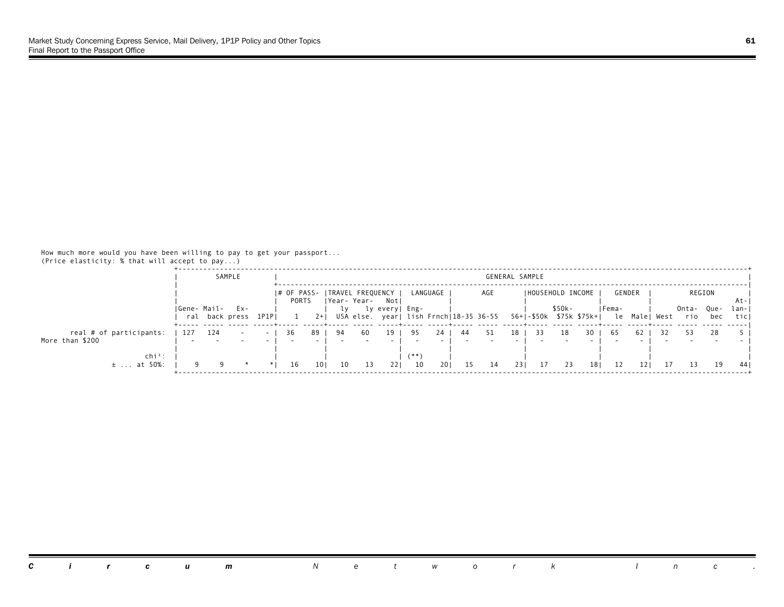|                                            |     | SAMPLE          |       |             |       |    |             |                        |                |          |    | GENERAL SAMPLE                         |     |                         |         |     |        |          |      |           |     |              |
|--------------------------------------------|-----|-----------------|-------|-------------|-------|----|-------------|------------------------|----------------|----------|----|----------------------------------------|-----|-------------------------|---------|-----|--------|----------|------|-----------|-----|--------------|
|                                            |     |                 |       | I# OF PASS- |       |    |             | ITRAVEL FREQUENCY I    |                | LANGUAGE |    | AGE                                    |     | IHOUSEHOLD INCOME       |         |     | GENDER |          |      | REGION    |     |              |
|                                            |     | Gene- Mail- Ex- |       | PORTS       |       |    | Year- Year- | Notl<br>ly every  Eng- |                |          |    |                                        |     |                         | $$50k-$ |     | IFema- |          |      | Onta-Que- |     | At-<br>lan-I |
|                                            |     | ral back press  | 1P1PI |             | $2+1$ |    |             |                        |                |          |    | USA else. year  lish Frnch 18-35 36-55 |     | 56+ -\$50k \$75k \$75k+ |         |     |        | le Malel | West | rio       | bec | ticl         |
| real # of participants:<br>More than \$200 | 127 | 124             |       | -36         | 89.   | 94 | 60          | 19                     | 95             | 24       | 44 |                                        | 18  |                         |         | 30  | -65    | 62       |      |           | 28  |              |
| $chi^2$ :<br>$±$ at 50%:                   |     |                 |       | 16          | 101   | 10 | 13          | 221                    | $^{***}$<br>10 | 201      | 15 | 14                                     | 231 | -17                     | 23      | 181 | 12     |          |      |           | 19  | 44 I         |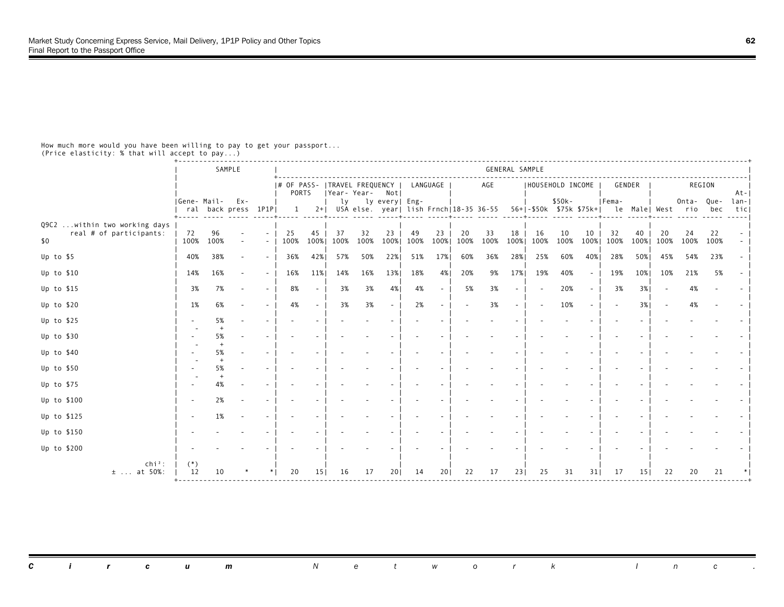|                                                                 |                 |            | SAMPLE              |                                    |                                          |                 |                |            |                          |                                                                |            |            |            | GENERAL SAMPLE |                    |            |            |            |            |                   |            |            |             |
|-----------------------------------------------------------------|-----------------|------------|---------------------|------------------------------------|------------------------------------------|-----------------|----------------|------------|--------------------------|----------------------------------------------------------------|------------|------------|------------|----------------|--------------------|------------|------------|------------|------------|-------------------|------------|------------|-------------|
|                                                                 |                 |            |                     |                                    | # OF PASS-   TRAVEL FREQUENCY  <br>PORTS |                 | Year-Year- Not |            |                          |                                                                | LANGUAGE   |            | AGE        |                | I HOUSEHOLD INCOME |            |            | GENDER     |            |                   | REGION     |            | At-         |
|                                                                 | Gene- Mail- Ex- |            | ral back press 1P1P |                                    | 1                                        | $2+ $           | lv             |            | ly every  Eng-           | USA else. year  lish Frnch 18-35 36-55 56+ -\$50k \$75k \$75k+ |            |            |            |                |                    | $$50k-$    |            | Fema-      |            | le Male  West rio | Onta-Que-  | bec        | lan-<br>tic |
| Q9C2  within two working days<br>real # of participants:<br>\$0 | 72<br>100%      | 96<br>100% |                     | $\sim$<br>$\overline{\phantom{a}}$ | 25<br>100%                               | 45<br>100%      | 37<br>100%     | 32<br>100% | 23<br>100%               | 49<br>100%                                                     | 23<br>100% | 20<br>100% | 33<br>100% | 18<br>100%     | 16<br>100%         | 10<br>100% | 10<br>100% | 32<br>100% | 40<br>100% | 20<br>100%        | 24<br>100% | 22<br>100% |             |
| Up to \$5                                                       | 40%             | 38%        |                     | $\overline{\phantom{a}}$           | 36%                                      | 42%             | 57%            | 50%        | 22%                      | 51%                                                            | 17%        | 60%        | 36%        | 28%            | 25%                | 60%        | 40%        | 28%        | 50%        | 45%               | 54%        | 23%        |             |
| Up to \$10                                                      | 14%             | 16%        |                     | $\sim$                             | 16%                                      | 11%             | 14%            | 16%        | 13%                      | 18%                                                            | 4%         | 20%        | 9%         | 17%            | 19%                | 40%        | $\sim$     | 19%        | 10%        | 10%               | 21%        | 5%         |             |
| Up to $$15$                                                     | 3%              | 7%         |                     | $\overline{\phantom{a}}$           | 8%                                       |                 | 3%             | 3%         | 4%                       | 4%                                                             | $\sim$     | 5%         | 3%         | $\sim$         |                    | 20%        | $\sim$     | 3%         | 3%         |                   | 4%         |            |             |
| Up to $$20$                                                     | 1%              | 6%         |                     | $\overline{\phantom{a}}$           | 4%                                       |                 | 3%             | 3%         | $\overline{\phantom{a}}$ | 2%                                                             | $\sim$     |            | 3%         | $\sim$         |                    | 10%        | $\sim$     |            | 3%         |                   | 4%         |            |             |
| Up to $$25$                                                     |                 | 5%         |                     |                                    |                                          |                 |                |            |                          |                                                                |            |            |            |                |                    |            |            |            |            |                   |            |            |             |
| Up to \$30                                                      |                 | 5%         |                     |                                    |                                          |                 |                |            |                          |                                                                |            |            |            |                |                    |            |            |            |            |                   |            |            |             |
| Up to \$40                                                      |                 | 5%         |                     | $\sim$                             |                                          |                 |                |            |                          |                                                                |            |            |            |                |                    |            |            |            |            |                   |            |            |             |
| Up to \$50                                                      |                 | 5%         |                     | $\sim$                             |                                          |                 |                |            |                          |                                                                |            |            |            |                |                    |            |            |            |            |                   |            |            |             |
| Up to \$75                                                      |                 | 4%         |                     |                                    |                                          |                 |                |            |                          |                                                                |            |            |            |                |                    |            |            |            |            |                   |            |            |             |
| Up to \$100                                                     |                 | 2%         |                     |                                    |                                          |                 |                |            |                          |                                                                |            |            |            |                |                    |            |            |            |            |                   |            |            |             |
| Up to \$125                                                     |                 | 1%         |                     |                                    |                                          |                 |                |            |                          |                                                                |            |            |            |                |                    |            |            |            |            |                   |            |            |             |
| Up to \$150                                                     |                 |            |                     |                                    |                                          |                 |                |            |                          |                                                                |            |            |            |                |                    |            |            |            |            |                   |            |            |             |
| Up to \$200                                                     |                 |            |                     |                                    |                                          |                 |                |            |                          |                                                                |            |            |            |                |                    |            |            |            |            |                   |            |            |             |
| $chi^2$ :<br>$±$ at 50%:                                        | $(*)$<br>12     | 10         |                     |                                    | 20                                       | 15 <sub>1</sub> | 16             | 17         | 20                       | 14                                                             | 201        | 22         | 17         | 231            | 25                 | 31         | 311        | -17        | 151        | 22                | 20         | 21         |             |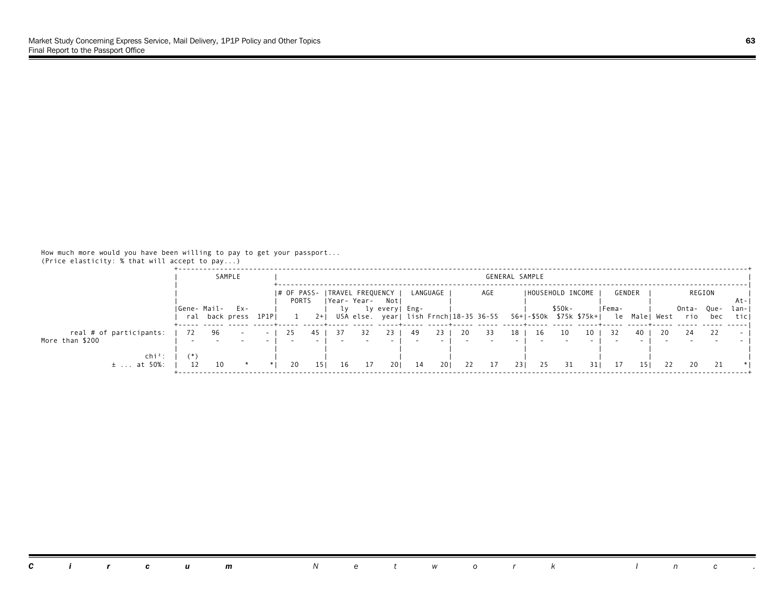|                               | SAMPLE                            |          |       |       |    |    |                                                                             |      |            |     | GENERAL SAMPLE |     |                         |         |      |        |          |      |              |              |                     |
|-------------------------------|-----------------------------------|----------|-------|-------|----|----|-----------------------------------------------------------------------------|------|------------|-----|----------------|-----|-------------------------|---------|------|--------|----------|------|--------------|--------------|---------------------|
|                               |                                   |          | PORTS |       |    |    | # OF PASS-   TRAVEL FREQUENCY                                               |      | LANGUAGE   |     | AGE            |     | IHOUSEHOLD INCOME       |         |      | GENDER |          |      | REGION       |              |                     |
|                               | Gene- Mail- Ex-<br>ral back press | 1P1PI    |       | $2+1$ |    |    | Year-Year- Notl<br>ly every  Eng-<br>USA else. year  lish Frnch 18-35 36-55 |      |            |     |                |     | 56+ -\$50k \$75k \$75k+ | $$50k-$ |      | IFema- | le Malel | West | Onta-<br>rio | - Que<br>bec | At-<br>lan-<br>ticl |
| real # of participants:       | 96                                | $\sim$ 1 | -25   |       |    |    |                                                                             | - 49 | 23         | -20 |                | 18  | 16                      |         |      | -32    | 40       |      | 24           |              |                     |
| More than \$200               |                                   |          |       |       |    |    |                                                                             |      |            |     |                |     |                         |         |      |        |          |      |              |              |                     |
| $\ch{i}^2$ :<br>$\pm$ at 50%: | 10                                |          | 20    | 151   | 16 | 17 | 201                                                                         | 14   | <b>201</b> | 22  | 17             | 231 | 25                      | 31      | 31 I |        |          | 22   |              |              |                     |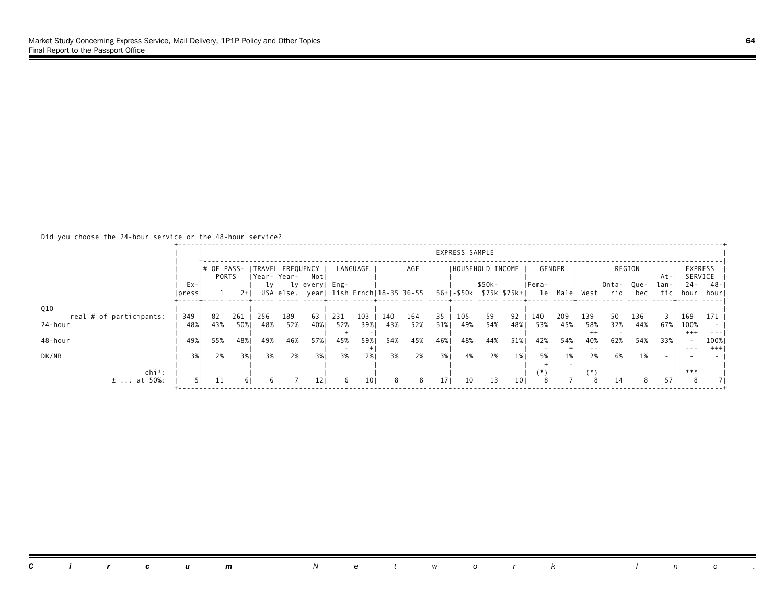# Did you choose the 24-hour service or the 48-hour service?

|                                  |                  |       |       |                                               |     |                                                          |     |                 |     |     |                 | EXPRESS SAMPLE |                                    |                 |              |            |                |              |             |              |                    |                  |
|----------------------------------|------------------|-------|-------|-----------------------------------------------|-----|----------------------------------------------------------|-----|-----------------|-----|-----|-----------------|----------------|------------------------------------|-----------------|--------------|------------|----------------|--------------|-------------|--------------|--------------------|------------------|
|                                  |                  | PORTS |       | I# OF PASS- ITRAVEL FREQUENCY<br> Year- Year- |     | Not                                                      |     | LANGUAGE        |     | AGE |                 |                | IHOUSEHOLD INCOME                  |                 |              | GENDER     |                |              | REGION      | At-          | EXPRESS<br>SERVICE |                  |
|                                  | $Ex -$<br> press |       | $2+1$ | l v                                           |     | ly every  Eng-<br>USA else. year  lish Frnch 18-35 36-55 |     |                 |     |     |                 |                | \$50k-<br>56+1-\$50k \$75k \$75k+1 |                 | IFema-<br>le | Male  West |                | Onta-<br>rio | Que-<br>bec | lan-<br>ticl | $24 -$<br>hour     | -48<br>hour      |
| Q10<br>real # of participants:   | 349              | 82    | 261   | 256                                           | 189 | 63                                                       | 231 | 103             | 140 | 164 | 35              | 105            | 59                                 | 92              | 140          | 209        | 139            | 50           | 136         |              | 169                | 171              |
| 24-hour                          | 48%              | 43%   | 50%1  | 48%                                           | 52% | 40%                                                      | 52% | 39%             | 43% | 52% | 51%             | 49%            | 54%                                | 48%             | 53%          | 45%        | 58%<br>$^{++}$ | 32%          | 44%         | 67%          | 100%<br>$+++$      | $- - -$          |
| 48-hour                          | 49%              | 55%   | 48%   | 49%                                           | 46% | 57%                                                      | 45% | 59%             | 54% | 45% | 46%             | 48%            | 44%                                | 51%             | 42%          | 54% 1      | 40%<br>$- -$   | 62%          | 54%         | 33%          | $\cdots$           | 100%<br>$^{+++}$ |
| DK/NR                            | 3%               | 2%    | 3%    | 3%                                            | 2%  | 3% I                                                     | 3%  | 2%              | 3%  | 2%  | 3%              | 4%             | 2%                                 | 1%              | 5%           | 1%         | 2%             | 6%           | 1%          |              |                    |                  |
| $\ch{i}^2$ :<br>at 50%:<br>$\pm$ |                  | 11    | 6 I   |                                               |     | 121                                                      | 6.  | 10 <sub>1</sub> | 8   | 8   | 17 <sub>1</sub> | 10             | 13                                 | 10 <sub>1</sub> | 8            |            | (*)<br>8       | 14           | 8           | 57           | ***<br>8           |                  |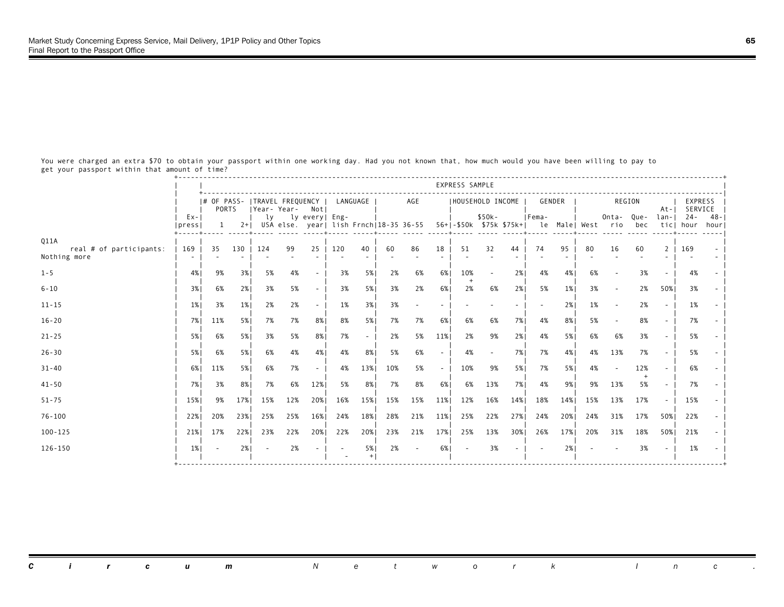+-----------------------------------------------------------------------------------------------------------------------------------+ express sample and the set of the set of the set of the set of the set of the set of the set of the set of the set of the set of the set of the set of the set of the set of the set of the set of the set of the set of the s | +-----------------------------------------------------------------------------------------------------------------------------| | |# OF PASS- |TRAVEL FREQUENCY | LANGUAGE | AGE |HOUSEHOLD INCOME | GENDER | REGION | EXPRESS | | | PORTS |Year- Year- Not| | | | | At-| SERVICE | | Ex-| | ly ly every| Eng- | | \$50k- |Fema- | Onta- Que- lan-| 24- 48-| |press| 1 2+| USA else. year| lish Frnch|18-35 36-55 56+|-\$50k \$75k \$75k+| le Male| West rio bec tic| hour hour| +-----+----- -----+----- ----- -----+----- -----+----- ----- -----+----- ----- -----+----- -----+----- ----- ----- -----+----- -----| Q11A | | | | | | | | | | | | | | | | | | real # of participants: | 169 | 35 130 | 124 99 25 | 120 40 | 60 86 18 | 51 32 44 | 74 95 | 80 16 60 2 | 169 - | Nothing more | - | - - | - - - | - - | - - - | - - - | - - | - - - - | - - | | | | | | | | | | | 1-5 | 4%| 9% 3%| 5% 4% - | 3% 5%| 2% 6% 6%| 10% - 2%| 4% 4%| 6% - 3% - | 4% - | | | | | | | + | | | | 6-10 | 3%| 6% 2%| 3% 5% - | 3% 5%| 3% 2% 6%| 2% 6% 2%| 5% 1%| 3% - 2% 50%| 3% - | | | | | | | | | | | 11-15 | 1%| 3% 1%| 2% 2% - | 1% 3%| 3% - - | - - - | - 2%| 1% - 2% - | 1% - | | | | | | | | | | | 16-20 | 7%| 11% 5%| 7% 7% 8%| 8% 5%| 7% 7% 6%| 6% 6% 7%| 4% 8%| 5% - 8% - | 7% - | | | | | | | | | | | 21-25 | 5%| 6% 5%| 3% 5% 8%| 7% - | 2% 5% 11%| 2% 9% 2%| 4% 5%| 6% 6% 3% - | 5% - | | | | | | | | | | | 26-30 | 5%| 6% 5%| 6% 4% 4%| 4% 8%| 5% 6% - | 4% - 7%| 7% 4%| 4% 13% 7% - | 5% - | | | | | | | | | | | 31-40 | 6%| 11% 5%| 6% 7% - | 4% 13%| 10% 5% - | 10% 9% 5%| 7% 5%| 4% - 12% - | 6% - | | | | | | | | | + | | 41-50 | 7%| 3% 8%| 7% 6% 12%| 5% 8%| 7% 8% 6%| 6% 13% 7%| 4% 9%| 9% 13% 5% - | 7% - | | | | | | | | | | | 51-75 | 15%| 9% 17%| 15% 12% 20%| 16% 15%| 15% 15% 11%| 12% 16% 14%| 18% 14%| 15% 13% 17% - | 15% - | | | | | | | | | | | 76-100 | 22%| 20% 23%| 25% 25% 16%| 24% 18%| 28% 21% 11%| 25% 22% 27%| 24% 20%| 24% 31% 17% 50%| 22% - | | | | | | | | | | | 100-125 | 21%| 17% 22%| 23% 22% 20%| 22% 20%| 23% 21% 17%| 25% 13% 30%| 26% 17%| 20% 31% 18% 50%| 21% - | | | | | | | | | | | 126-150 | 1%| - 2%| - 2% - | - 5%| 2% - 6%| - 3% - | - 2%| - - 3% - | 1% - | | | | | - +| | | | | | +-----------------------------------------------------------------------------------------------------------------------------------+

 You were charged an extra \$70 to obtain your passport within one working day. Had you not known that, how much would you have been willing to pay to get your passport within that amount of time?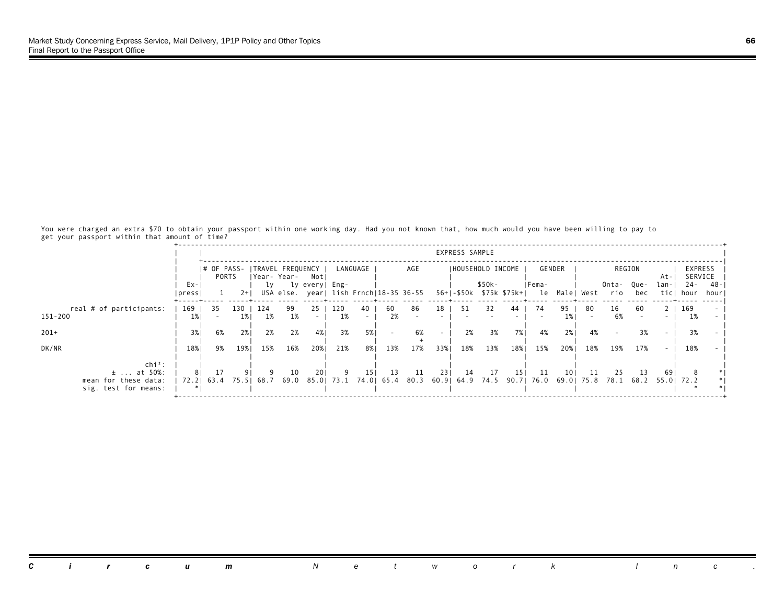You were charged an extra \$70 to obtain your passport within one working day. Had you not known that, how much would you have been willing to pay to get your passport within that amount of time?

|                                                                               |                  |                         |       |                 |             |                                         |           |                                        |           |     |     | EXPRESS SAMPLE |                                                                                  |      |              |            |     |              |                        |              |                    |             |
|-------------------------------------------------------------------------------|------------------|-------------------------|-------|-----------------|-------------|-----------------------------------------|-----------|----------------------------------------|-----------|-----|-----|----------------|----------------------------------------------------------------------------------|------|--------------|------------|-----|--------------|------------------------|--------------|--------------------|-------------|
|                                                                               |                  | PORTS                   |       |                 | Year- Year- | # OF PASS-   TRAVEL FREQUENCY  <br>Notl |           | LANGUAGE                               |           | AGE |     |                | IHOUSEHOLD INCOME                                                                |      |              | GENDER     |     |              | REGION                 | At-          | EXPRESS<br>SERVICE |             |
|                                                                               | $Ex -$<br> press |                         | $2+1$ | lv              |             | ly every  Eng-                          |           | USA else. year  lish Frnch 18-35 36-55 |           |     |     |                | \$50k-<br>56+1-\$50k \$75k \$75k+1                                               |      | IFema-<br>le | Male  West |     | Onta-<br>rio | Que-<br>bec            | lan-<br>ticl | 24 -<br>hour       | -48<br>hour |
| real # of participants:<br>151-200                                            | 169<br>1%        | 35                      | 1%    | 130   124<br>1% | 99<br>1%    | 25 <sub>1</sub>                         | 120<br>1% | 40                                     | -60<br>2% | 86  | 18  | 51             | 32                                                                               | 44   | 74           | 95<br>1% I | -80 | 16<br>6%     | 60                     |              | 169<br>1%          |             |
| $201+$                                                                        | 3%               | 6%                      | 2%1   | 2%              | 2%          | 4%                                      | 3%        | 5%                                     |           | 6%  |     | 2%             | 3%                                                                               | 7% l | 4%           | 2%1        | 4%  |              | 3%                     |              | 3%                 |             |
| DK/NR                                                                         | 18%              | 9%                      | 19%   | 15%             | 16%         | 20%                                     | 21%       | 8% I                                   | 13%       | 17% | 33% | 18%            | 13%                                                                              | 18%  | 15%          | 20%        | 18% | 19%          | 17%                    |              | 18%                |             |
| $\ch{i}^2$ :<br>$\pm$ at 50%:<br>mean for these data:<br>sig. test for means: |                  | -17<br>72.2   63.4 75.5 |       |                 | 10          | 201                                     |           | 15                                     | -13       | 11  | 231 | -14            | 17<br>68.7 69.0 85.0  73.1 74.0  65.4 80.3 60.9  64.9 74.5 90.7  76.0 69.0  75.8 | 151  | 11           | 10 I       | -11 | 25           | -13<br>78.1 68.2 55.01 | 69           | 72.2               |             |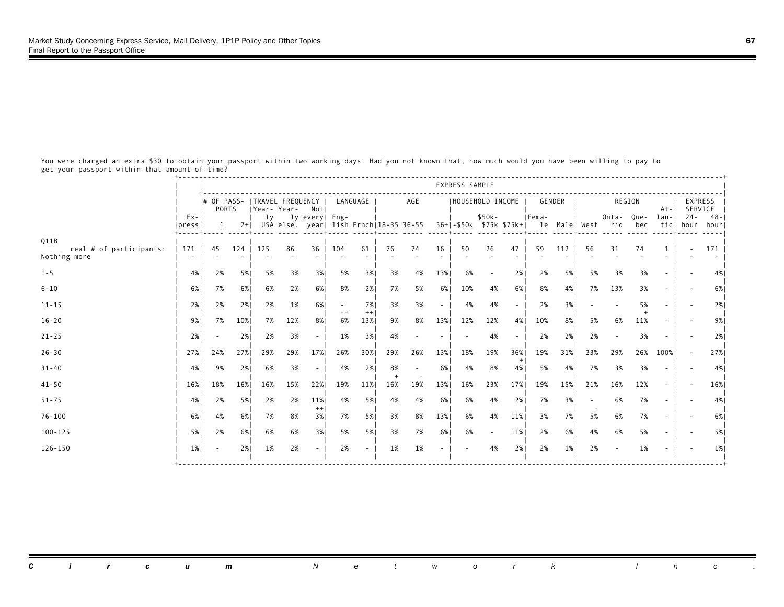+-----------------------------------------------------------------------------------------------------------------------------------+ express sample and the set of the set of the set of the set of the set of the set of the set of the set of the set of the set of the set of the set of the set of the set of the set of the set of the set of the set of the s | +-----------------------------------------------------------------------------------------------------------------------------| | |# OF PASS- |TRAVEL FREQUENCY | LANGUAGE | AGE |HOUSEHOLD INCOME | GENDER | REGION | EXPRESS | | | PORTS |Year- Year- Not| | | | | At-| SERVICE | | Ex-| | ly ly every| Eng- | | \$50k- |Fema- | Onta- Que- lan-| 24- 48-| |press| 1 2+| USA else. year| lish Frnch|18-35 36-55 56+|-\$50k \$75k \$75k+| le Male| West rio bec tic| hour hour| +-----+----- -----+----- ----- -----+----- -----+----- ----- -----+----- ----- -----+----- -----+----- ----- ----- -----+----- -----| Q11B | | | | | | | | | | | | | | | | | | real # of participants: | 171 | 45 124 | 125 86 36 | 104 61 | 76 74 16 | 50 26 47 | 59 112 | 56 31 74 1 | - 171<br>Nothing more | - | - - | - - | - - | - - | - - | - - | - - | - - | - - | - - | - - | - - | - - | - - | - - | - Nothing more | - | - - | - - - | - - | - - - | - - - | - - | - - - - | - - | | | | | | | | | | | 1-5 | 4%| 2% 5%| 5% 3% 3%| 5% 3%| 3% 4% 13%| 6% - 2%| 2% 5%| 5% 3% 3% - | - 4%| | | | | | | | | | | 6-10 | 6%| 7% 6%| 6% 2% 6%| 8% 2%| 7% 5% 6%| 10% 4% 6%| 8% 4%| 7% 13% 3% - | - 6%| | | | | | | | | | | 11-15 | 2%| 2% 2%| 2% 1% 6%| - 7%| 3% 3% - | 4% 4% - | 2% 3%| - - 5% - | - 2%| | | | | -- ++| | | | + | | 16-20 | 9%| 7% 10%| 7% 12% 8%| 6% 13%| 9% 8% 13%| 12% 12% 4%| 10% 8%| 5% 6% 11% - | - 9%| | | | | | | | | | | 21-25 | 2%| - 2%| 2% 3% - | 1% 3%| 4% - - | - 4% - | 2% 2%| 2% - 3% - | - 2%| | | | | | | | | | | 26-30 | 27%| 24% 27%| 29% 29% 17%| 26% 30%| 29% 26% 13%| 18% 19% 36%| 19% 31%| 23% 29% 26% 100%| - 27%| | | | | | | +| | | | 31-40 | 4%| 9% 2%| 6% 3% - | 4% 2%| 8% - 6%| 4% 8% 4%| 5% 4%| 7% 3% 3% - | - 4%| | | | | | + - | | | | | 41-50 | 16%| 18% 16%| 16% 15% 22%| 19% 11%| 16% 19% 13%| 16% 23% 17%| 19% 15%| 21% 16% 12% - | - 16%| | | | | | | | | | | 51-75 | 4%| 2% 5%| 2% 2% 11%| 4% 5%| 4% 4% 6%| 6% 4% 2%| 7% 3%| - 6% 7% - | - 4%| | | | ++| | | | | - | | 76-100 | 6%| 4% 6%| 7% 8% 3%| 7% 5%| 3% 8% 13%| 6% 4% 11%| 3% 7%| 5% 6% 7% - | - 6%| | | | | | | | | | | 100-125 | 5%| 2% 6%| 6% 6% 3%| 5% 5%| 3% 7% 6%| 6% - 11%| 2% 6%| 4% 6% 5% - | - 5%| | | | | | | | | | | 126-150 | 1%| - 2%| 1% 2% - | 2% - | 1% 1% - | - 4% 2%| 2% 1%| 2% - 1% - | - 1%| | | | | | | | | | |

 You were charged an extra \$30 to obtain your passport within two working days. Had you not known that, how much would you have been willing to pay to get your passport within that amount of time?

*Circum Network Inc .*

+-----------------------------------------------------------------------------------------------------------------------------------+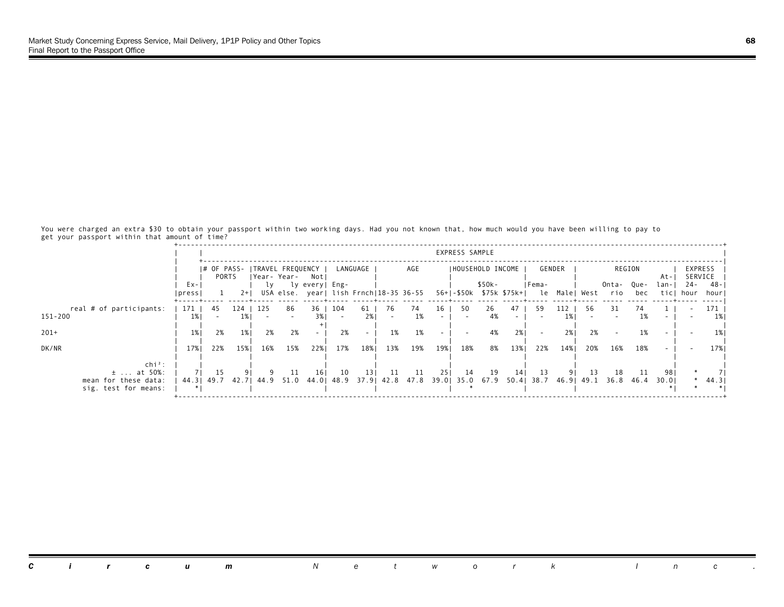You were charged an extra \$30 to obtain your passport within two working days. Had you not known that, how much would you have been willing to pay to get your passport within that amount of time?

|                                                                               |                  |                   |       |           |             |                                         |          |                                        |      |          |     | EXPRESS SAMPLE |                                                                                  |     |              |            |     |              |             |              |                    |             |
|-------------------------------------------------------------------------------|------------------|-------------------|-------|-----------|-------------|-----------------------------------------|----------|----------------------------------------|------|----------|-----|----------------|----------------------------------------------------------------------------------|-----|--------------|------------|-----|--------------|-------------|--------------|--------------------|-------------|
|                                                                               |                  | PORTS             |       |           | Year- Year- | # OF PASS-   TRAVEL FREQUENCY  <br>Notl |          | LANGUAGE                               |      | AGE      |     |                | IHOUSEHOLD INCOME                                                                |     |              | GENDER     |     |              | REGION      | At-          | EXPRESS<br>SERVICE |             |
|                                                                               | $Ex -$<br> press |                   | $2+1$ | lv        |             | ly every  Eng-                          |          | USA else. year  lish Frnch 18-35 36-55 |      |          |     |                | \$50k-<br>56+1-\$50k \$75k \$75k+1                                               |     | IFema-<br>le | Male  West |     | Onta-<br>rio | Que-<br>bec | lan-<br>ticl | $24 -$<br>hour     | -48<br>hour |
| real # of participants:<br>151-200                                            | 171  <br>1%1     | -45               | 1% I  | 124   125 | 86          | 3% I                                    | 36   104 | 61  <br>2% l                           | - 76 | 74<br>1% | 16  | 50             | 26<br>4%                                                                         | 47  | -59          | 112<br>1%  | -56 | 31           | 74<br>1%    |              |                    | 171<br>1%   |
| $201+$                                                                        | $1\%$            | 2%                | $1\%$ | 2%        | 2%          |                                         | 2%       |                                        | 1%   | 1%       |     |                | 4%                                                                               | 2%  |              | 2%1        | 2%  |              | 1%          |              |                    | $1\%$       |
| DK/NR                                                                         | 17%              | 22%               | 15%   | 16%       | 15%         | 22%                                     | 17%      | 18%                                    | 13%  | 19%      | 19% | 18%            | 8%                                                                               | 13% | 22%          | 14%        | 20% | 16%          | 18%         |              |                    | 17% I       |
| $\ch{i}^2$ :<br>$\pm$ at 50%:<br>mean for these data:<br>sig. test for means: |                  | 15<br>44.3   49.7 | 42.71 |           | -11         | 161                                     | 10       | 131                                    | -11  | 11       | 251 | 14             | 19<br>44.9 51.0 44.0 48.9 37.9 42.8 47.8 39.0 35.0 67.9 50.4 38.7 46.9 49.1 36.8 | 14  | 13           |            | 13  | 18           | -11<br>46.4 | 98<br>30.01  |                    | * $44.3$    |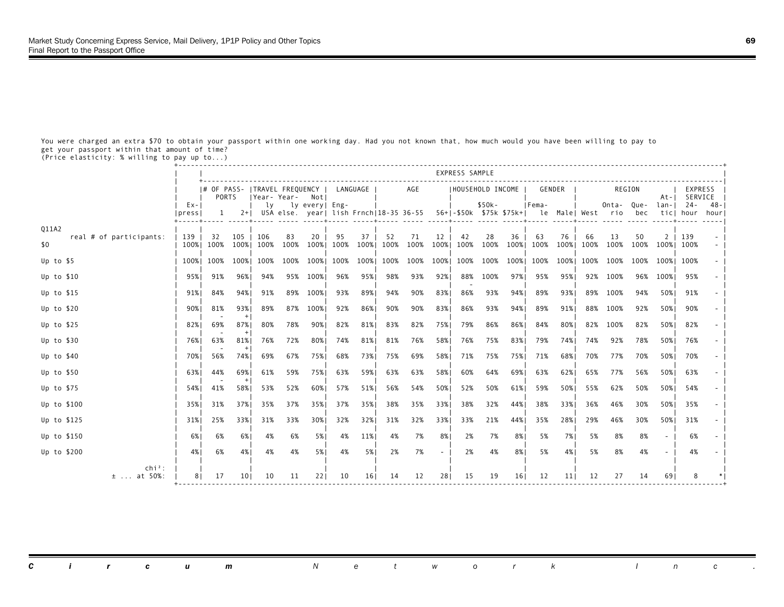You were charged an extra \$70 to obtain your passport within one working day. Had you not known that, how much would you have been willing to pay to get your passport within that amount of time?

(Price elasticity: % willing to pay up to...)

|                                  |                    |           |                 |      |                                                                                                               |          |      |          |      |           |        | EXPRESS SAMPLE |                   |      |                |                 |      |            |      |                |                     |             |
|----------------------------------|--------------------|-----------|-----------------|------|---------------------------------------------------------------------------------------------------------------|----------|------|----------|------|-----------|--------|----------------|-------------------|------|----------------|-----------------|------|------------|------|----------------|---------------------|-------------|
|                                  |                    | PORTS     |                 |      | # OF PASS-  TRAVEL FREQUENCY<br> Year-Year- Notl                                                              |          |      | LANGUAGE |      | AGE       |        |                | IHOUSEHOLD INCOME |      |                | GENDER          |      | REGION     |      | At-I           | EXPRESS<br>SERVICE  |             |
|                                  | $Ex - 1$<br> press |           |                 |      | ly ly every   Eng-<br>1 2+  USA else. year  lish Frnch 18-35 36-55 56+ -\$50k \$75k \$75k+  le Male  West rio |          |      |          |      |           |        |                | \$50k-            |      | IFema-         |                 |      | Onta- Que- | bec  | lan-I          | $24 -$<br>ticl hour | -48<br>hour |
| Q11A2<br>real # of participants: | 139                | 32        | 105             | 106  | 83                                                                                                            | 20       | 95   | 37       | 52   | 71        | 12     | 42             | 28                | 36   | 63             | 76              | 66   | 13         | 50   | 2 <sub>1</sub> | 139                 |             |
| \$0                              |                    | 100% 100% | 100%            | 100% | 100%                                                                                                          | 100%     | 100% | 100%     | 100% | 100%      | 100%   | 100%           | 100%              | 100% | 100%           | 100%            | 100% | 100%       | 100% | 100% 100%      |                     |             |
| Up to $$5$                       |                    | 100% 100% | 100%            | 100% | 100%                                                                                                          | 100%     | 100% | 100%     | 100% | 100% 100% |        | 100%           |                   |      | 100% 100% 100% | 100%            | 100% | 100%       |      | 100% 100% 100% |                     |             |
| Up to $$10$                      |                    | 95% 91%   | 96%1            | 94%  |                                                                                                               | 95% 100% | 96%  | 95%      | 98%  | 93%       | 92%    | 88%            | 100%              | 97%। | 95%            | 95%             |      | 92% 100%   |      | 96% 100%       | 95%                 |             |
| Up to $$15$                      | 91%                | 84%       | 94%             | 91%  |                                                                                                               | 89% 100% | 93%  | 89%      | 94%  | 90%       | 83%    | 86%            | 93%               | 94%  | 89%            | 93%             | 89%  | 100%       | 94%  | 50%            | 91%                 |             |
| Up to $$20$                      | 90%।               | 81%       | 93%             | 89%  | 87%                                                                                                           | 100%     | 92%  | 86%      | 90%  | 90%       | 83%    | 86%            | 93%               | 94%  | 89%            | 91%             | 88%  | 100%       | 92%  | 50%            | 90%                 |             |
| Up to $$25$                      | 82%                | 69%       | 87%             | 80%  | 78%                                                                                                           | 90%      | 82%  | 81%      | 83%  | 82%       | 75%    | 79%            | 86%               | 86%1 | 84%            | 80%             | 82%  | 100%       | 82%  | 50%            | 82%                 |             |
| Up to \$30                       | 76% I              | 63%       | 81%             | 76%  | 72%                                                                                                           | 80%      | 74%  | 81%      | 81%  | 76%       | 58%    | 76%            | 75%               | 83%  | 79%            | 74%             | 74%  | 92%        | 78%  | 50%            | 76%                 |             |
| Up to $$40$                      | 70%                | 56%       | 74%             | 69%  | 67%                                                                                                           | 75%      | 68%  | 73%      | 75%  | 69%       | 58%    | 71%            | 75%               | 75%  | 71%            | 68%             | 70%  | 77%        | 70%  | 50%            | 70%                 |             |
| Up to \$50                       | 63%1               | 44%       | 69%             | 61%  | 59%                                                                                                           | 75%      | 63%  | 59%      | 63%  | 63%       | 58%    | 60%            | 64%               | 69%। | 63%            | 62%             | 65%  | 77%        | 56%  | 50%1           | 63%                 |             |
| Up to \$75                       | 54%1               | 41%       | 58%             | 53%  | 52%                                                                                                           | 60%      | 57%  | 51%      | 56%  | 54%       | 50%    | 52%            | 50%               | 61%  | 59%            | 50%             | 55%  | 62%        | 50%  | 50%            | 54%                 |             |
| Up to \$100                      | 35%1               | 31%       | 37%             | 35%  | 37%                                                                                                           | 35%      | 37%  | 35%      | 38%  | 35%       | 33%    | 38%            | 32%               | 44%  | 38%            | 33%             | 36%  | 46%        | 30%  | 50%            | 35%                 |             |
| Up to \$125                      | 31%                | 25%       | 33%1            | 31%  | 33%                                                                                                           | 30%      | 32%  | 32%      | 31%  | 32%       | 33%    | 33%            | 21%               | 44%  | 35%            | 28%             | 29%  | 46%        | 30%  | 50%            | 31%                 |             |
| Up to \$150                      | 6% l               | 6%        | 6%              | 4%   | 6%                                                                                                            | 5%       | 4%   | 11%      | 4%   | 7%        | 8%     | 2%             | 7%                | 8%   | 5%             | 7%              | 5%   | 8%         | 8%   |                | 6%                  |             |
| Up to \$200                      | 4%                 | 6%        | 4%              | 4%   | 4%                                                                                                            | 5%       | 4%   | 5%       | 2%   | 7%        | $\sim$ | 2%             | 4%                | 8%   | 5%             | 4%              | 5%   | 8%         | 4%   | $\sim$         | 4%                  |             |
| $\ch{i}^2$ :<br>$\pm$ at 50%:    | 81                 | 17        | 10 <sup>1</sup> | 10   | 11                                                                                                            | 22       | 10   | 161      | 14   | 12        | 281    | 15             | 19                | 161  | 12             | 11 <sub>1</sub> | 12   | 27         | 14   | 691            |                     |             |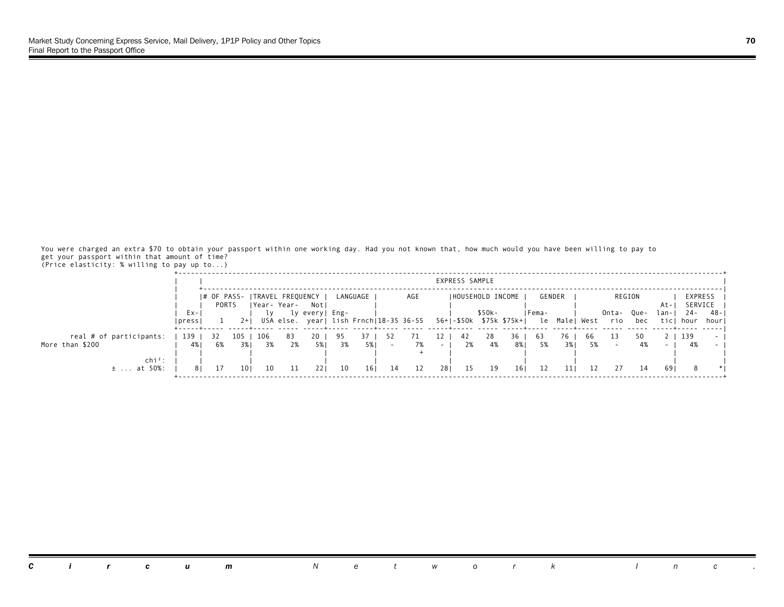You were charged an extra \$70 to obtain your passport within one working day. Had you not known that, how much would you have been willing to pay to get your passport within that amount of time? (Price elasticity: % willing to pay up to...)

|                                    |                      |       |       |             |                                                                |                |    |          |     |     |                   | EXPRESS SAMPLE |                   |     |              |            |      |              |             |              |                    |             |
|------------------------------------|----------------------|-------|-------|-------------|----------------------------------------------------------------|----------------|----|----------|-----|-----|-------------------|----------------|-------------------|-----|--------------|------------|------|--------------|-------------|--------------|--------------------|-------------|
|                                    |                      | PORTS |       | Year- Year- | I# OF PASS- ITRAVEL FREQUENCY I                                | Notl           |    | LANGUAGE |     | AGE |                   |                | IHOUSEHOLD INCOME |     | GENDER       |            |      | REGION       |             | At-          | EXPRESS<br>SERVICE |             |
|                                    | Ex-<br><u>Ipress</u> |       | $2+1$ |             | USA else. year  lish Frnch 18-35 36-55 56+ -\$50k \$75k \$75k+ | ly every  Eng- |    |          |     |     |                   |                | $$50k-$           |     | IFema-<br>le | Male  West |      | Onta-<br>rio | Que-<br>bec | lan-<br>ticl | 24 -<br>hour       | -48<br>hour |
| real # of participants:            | -139                 |       | 105   | - 106       | 83                                                             | 20.            |    |          | 52  |     |                   | 42             | 28                | 36  | -63          | 76         | -66  |              | 50          | 2            | 139                |             |
| More than \$200                    | 4%                   | 6%    | 3% I  | 3%          | 2%                                                             | 5% 1           | 3% | 5% I     |     | 7%  | $\sim$ 100 $\sim$ | 2%             | 4%                | 8%  | 5%           | 3%1        | - 5% |              | 4%          |              | 4%                 |             |
| $\ch{i}^2$ :<br>$± \ldots$ at 50%: |                      |       | 10 I  | 10          |                                                                | 221            | 10 | 161      | -14 | 12  | 281               | 15             | 19                | 161 | 12           | 11         |      |              | 14          | -69          |                    |             |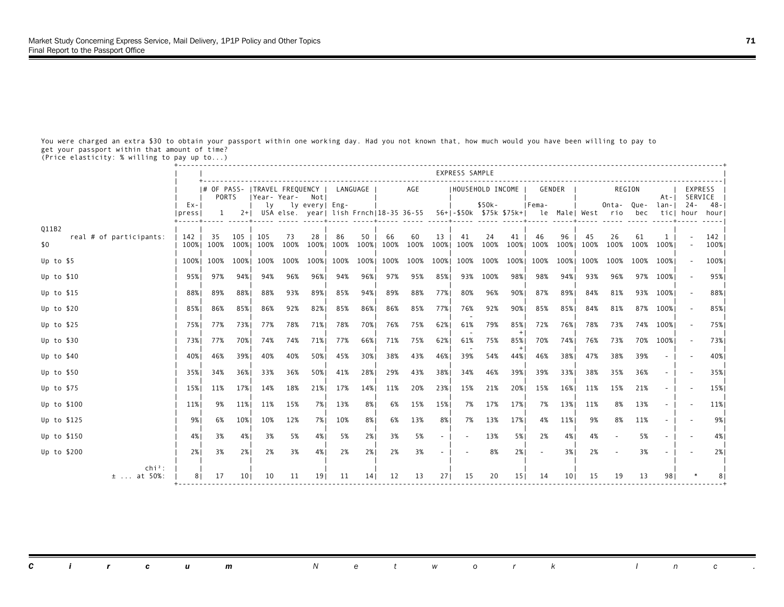You were charged an extra \$30 to obtain your passport within one working day. Had you not known that, how much would you have been willing to pay to get your passport within that amount of time?

(Price elasticity: % willing to pay up to...)

|                                            |                    |                  |                 |                                                   |                    |            |            |            |            |                                                                                         |            | EXPRESS SAMPLE    |                     |            |            |            |            |            |            |           |                     |             |
|--------------------------------------------|--------------------|------------------|-----------------|---------------------------------------------------|--------------------|------------|------------|------------|------------|-----------------------------------------------------------------------------------------|------------|-------------------|---------------------|------------|------------|------------|------------|------------|------------|-----------|---------------------|-------------|
|                                            |                    | PORTS            |                 | # OF PASS-   TRAVEL FREQUENCY<br> Year-Year- Notl |                    |            |            | LANGUAGE   |            | AGE                                                                                     |            | IHOUSEHOLD INCOME |                     |            |            | GENDER     |            | REGION     |            | At-I      | EXPRESS<br>SERVICE  |             |
|                                            | $Ex - 1$<br> press |                  |                 |                                                   | ly ly every   Eng- |            |            |            |            | 1 2+  USA else. year  lish Frnch 18-35 36-55 56+ -\$50k \$75k \$75k+  le Male  West rio |            |                   | \$50k-              |            | Fema-      |            |            | Onta- Que- | bec        | lan-I     | $24 -$<br>ticl hour | -48<br>hour |
| Q11B2                                      |                    |                  |                 |                                                   |                    |            |            |            |            |                                                                                         |            |                   |                     |            |            |            |            |            |            |           |                     |             |
| real # of participants:<br>\$0             | 142 I              | -35<br>100% 100% | 105<br>100%     | 105<br>100%                                       | 73<br>100%         | 28<br>100% | 86<br>100% | 50<br>100% | 66<br>100% | 60<br>100%                                                                              | 13<br>100% | 41<br>100%        | 24<br>100%          | 41<br>100% | 46<br>100% | 96<br>100% | 45<br>100% | 26<br>100% | 61<br>100% | 1<br>100% |                     | 142<br>100% |
| Up to $$5$                                 |                    | 100% 100%        | 100%            | 100%                                              | 100%               | 100%       | 100%       | 100%       | 100%       | 100% 100%                                                                               |            |                   | 100% 100% 100% 100% |            |            | 100%       | 100%       | 100%       | 100%       | 100%      |                     | 100%        |
| Up to $$10$                                | 95%।               | 97%              | 94%             | 94%                                               | 96%                | 96%        | 94%        | 96%।       | 97%        | 95%                                                                                     | 85%        | 93%               | 100%                | 98%।       | 98%        | 94%        | 93%        | 96%        |            | 97% 100%  |                     | 95%         |
| Up to $$15$                                | 88%1               | 89%              | 88%             | 88%                                               | 93%                | 89%        | 85%        | 94%        | 89%        | 88%                                                                                     | 77%        | 80%               | 96%                 | 90%        | 87%        | 89%        | 84%        | 81%        |            | 93% 100%  |                     | 88%         |
| Up to $$20$                                | 85%                | 86%              | 85%             | 86%                                               | 92%                | 82%        | 85%        | 86%        | 86%        | 85%                                                                                     | 77%        | 76%               | 92%                 | 90%        | 85%        | 85%        | 84%        | 81%        |            | 87% 100%  |                     | 85%         |
| Up to $$25$                                |                    | 75%1 77%         | 73%1            | 77%                                               | 78%                | 71%        | 78%        | 70%        | 76%        | 75%                                                                                     | 62%        | 61%               | 79%                 | 85%        | 72%        | 76%        | 78%        | 73%        |            | 74% 100%  |                     | 75%         |
| Up to \$30                                 | 73%1               | 77%              | 70%             | 74%                                               | 74%                | 71%        | 77%        | 66%        | 71%        | 75%                                                                                     | 62%        | 61%               | 75%                 | 85%        | 70%        | 74%        | 76%        | 73%        |            | 70% 100%  |                     | 73%         |
| Up to $$40$                                | 40%                | 46%              | 39%1            | 40%                                               | 40%                | 50%        | 45%        | 30%        | 38%        | 43%                                                                                     | 46%        | 39%               | 54%                 | 44%        | 46%        | 38%        | 47%        | 38%        | 39%        |           |                     | 40%         |
| Up to \$50                                 | 35%1               | 34%              | 36%1            | 33%                                               | 36%                | 50%        | 41%        | 28%        | 29%        | 43%                                                                                     | 38%        | 34%               | 46%                 | 39%        | 39%        | 33%        | 38%        | 35%        | 36%        |           |                     | 35%         |
| Up to \$75                                 | 15%                | 11%              | 17%             | 14%                                               | 18%                | 21%        | 17%        | 14%        | 11%        | 20%                                                                                     | 23%        | 15%               | 21%                 | 20%        | 15%        | 16%        | 11%        | 15%        | 21%        |           |                     | 15%         |
| Up to \$100                                | 11%                | 9%               | 11%             | 11%                                               | 15%                | 7%         | 13%        | 8%         | 6%         | 15%                                                                                     | 15%        | 7%                | 17%                 | 17%        | 7%         | 13%        | 11%        | 8%         | 13%        |           |                     | 11%         |
| Up to \$125                                | 9%                 | 6%               | 10%             | 10%                                               | 12%                | 7%         | 10%        | 8%         | 6%         | 13%                                                                                     | 8%         | 7%                | 13%                 | 17%        | 4%         | 11%        | 9%         | 8%         | 11%        |           |                     | 9%          |
| Up to \$150                                | 4%1                | 3%               | 4%              | 3%                                                | 5%                 | 4%         | 5%         | 2%         | 3%         | 5%                                                                                      | $\sim$     |                   | 13%                 | 5%         | 2%         | 4%         | 4%         |            | 5%         |           |                     | 4%          |
| Up to \$200                                | 2%1                | 3%               | 2%              | 2%                                                | 3%                 | 4%         | 2%         | 2%1        | 2%         | 3%                                                                                      | $\sim$     |                   | 8%                  | 2%         |            | 3%         | 2%         |            | 3%         |           |                     | 2%          |
| $\chi$ chi <sup>2</sup> :<br>$\pm$ at 50%: | 81                 | 17               | 10 <sub>1</sub> | 10                                                | 11                 | 191        | 11         | 141        | 12         | 13                                                                                      | 271        | 15                | 20                  | 151        | 14         | 101        | 15         | 19         | 13         | 981       |                     |             |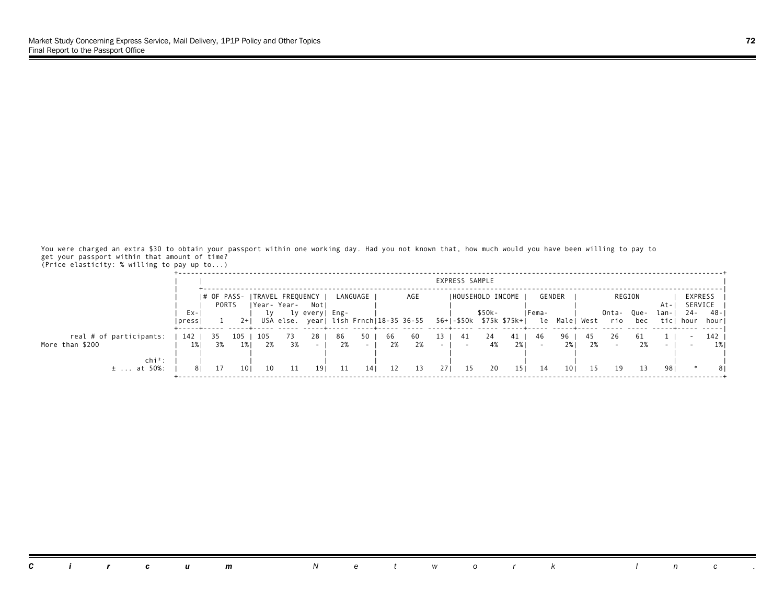You were charged an extra \$30 to obtain your passport within one working day. Had you not known that, how much would you have been willing to pay to get your passport within that amount of time? (Price elasticity: % willing to pay up to...)

|                                        |               |       |      |      |                                                 |                |     |                |    |     |                  | EXPRESS SAMPLE |                                                                           |      |        |               |    |              |             |               |                    |                 |
|----------------------------------------|---------------|-------|------|------|-------------------------------------------------|----------------|-----|----------------|----|-----|------------------|----------------|---------------------------------------------------------------------------|------|--------|---------------|----|--------------|-------------|---------------|--------------------|-----------------|
|                                        |               | PORTS |      |      | # OF PASS-   TRAVEL FREQUENCY  <br> Year- Year- | Notl           |     | LANGUAGE I     |    | AGE |                  |                | <b>IHOUSEHOLD INCOME</b>                                                  |      | GENDER |               |    |              | REGION      | At-           | EXPRESS<br>SERVICE |                 |
|                                        | Ex-<br> press |       |      | 1 v  |                                                 | ly every  Eng- |     |                |    |     |                  |                | $$50k-$<br>USA else. year  lish Frnch 18-35 36-55 56+ -\$50k \$75k \$75k+ |      | IFema- | le Male  West |    | Onta-<br>rio | Que-<br>bec | lan-I<br>ticl | - 24<br>hour       | - 48 -<br>hourl |
| real # of participants:                | 142           | 35    | 105  | -105 |                                                 | 28.            | -86 | 50             | 66 | 60  | 13               | -41            | 24                                                                        | 41 I | -46    | 96            | 45 | 26           |             |               |                    | 142             |
| More than \$200                        | 1%            | 3%    | 1% I | 2%   | 3%                                              |                | 2%  | <b>Service</b> | 2% | 2%  | $\sim$ 100 $\mu$ |                | 4%                                                                        | 2%1  |        | 2%1           | 2% |              | 2%          |               |                    |                 |
| $\mathsf{chi}^2$ :<br>at 50%:<br>$\pm$ |               |       | 10 I | 10   |                                                 | 191            |     | 14 I           | 12 | 13  | 271              | - 15           | 20                                                                        | 151  | -14    | 10 I          |    | 19           |             | 981           |                    |                 |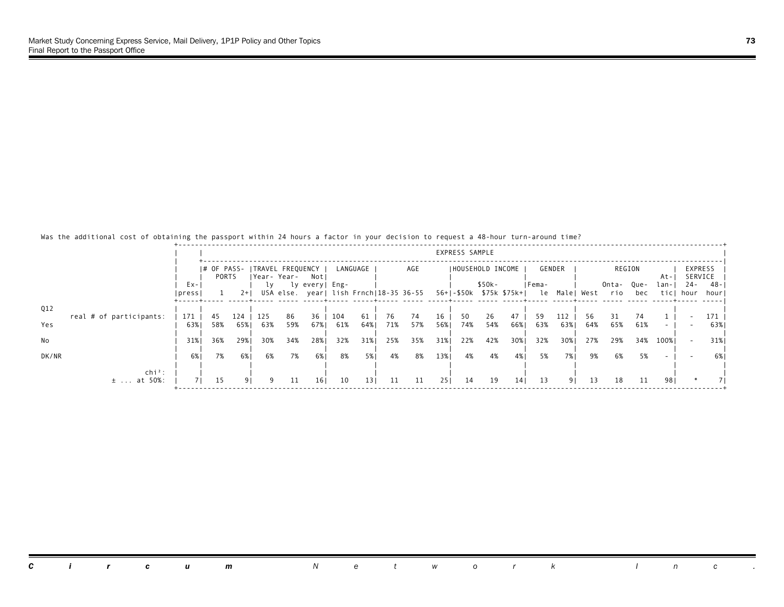### Was the additional cost of obtaining the passport within 24 hours a factor in your decision to request a 48-hour turn-around time?

|       |                            |               |                      |              |             |           |                             |            |                 |           |                                        |            | EXPRESS SAMPLE |                                    |                 |            |               |           |              |             |              |              |                           |
|-------|----------------------------|---------------|----------------------|--------------|-------------|-----------|-----------------------------|------------|-----------------|-----------|----------------------------------------|------------|----------------|------------------------------------|-----------------|------------|---------------|-----------|--------------|-------------|--------------|--------------|---------------------------|
|       |                            |               | I# OF PASS-<br>PORTS |              | Year- Year- |           | ITRAVEL FREQUENCY I<br>Notl |            | LANGUAGE        |           | AGE                                    |            |                | IHOUSEHOLD INCOME                  |                 |            | GENDER        |           | REGION       |             | At-          |              | <b>EXPRESS</b><br>SERVICE |
|       |                            | Ex-<br> press |                      | $2+1$        | lγ          |           | ly every  Eng-              |            |                 |           | USA else. year  lish Frnch 18-35 36-55 |            |                | \$50k-<br>56+1-\$50k \$75k \$75k+1 |                 | IFema-     | le Male  West |           | Onta-<br>rio | Que-<br>bec | lan-<br>ticl | 24 -<br>hour | -48<br>hour               |
| Q12   |                            |               |                      |              |             |           |                             |            |                 |           |                                        |            |                |                                    |                 |            |               |           |              |             |              |              |                           |
| Yes   | real # of participants:    | 171<br>63%    | 45<br>58%            | 124<br>65% I | 125<br>63%  | 86<br>59% | 36<br>67%                   | 104<br>61% | 61<br>64%       | 76<br>71% | 74<br>57%                              | 16<br>56%1 | 50<br>74%      | 26<br>54%                          | 47<br>66%       | -59<br>63% | 112<br>63%    | 56<br>64% | 31<br>65%    | 74<br>61%   | $\sim$       |              | 171<br>63%                |
| No    |                            | 31%           | 36%                  | 29%          | 30%         | 34%       | 28%                         | 32%        | 31%             | 25%       | 35%                                    | 31%        | 22%            | 42%                                | 30%             | 32%        | 30%           | 27%       | 29%          | 34%         | 100%         |              | 31%                       |
| DK/NR |                            | 6% l          | 7%                   | 6%           | 6%          | 7%        | 6%                          | 8%         | 5%              | 4%        | 8%                                     | 13%        | 4%             | 4%                                 | 4%              | 5%         | 7%            | 9%        | 6%           | 5%          |              |              | <b>6%</b>                 |
|       | $chi^2$ :<br>$\pm$ at 50%: | $\sqrt{1}$    | 15                   |              | - 9         | 11        | 16 <sub>1</sub>             | 10         | 13 <sub>1</sub> | 11        | 11                                     | 251        | 14             | 19                                 | 14 <sub>1</sub> | 13         | 91            | 13        | 18           | -11         | 981          | $\ast$       |                           |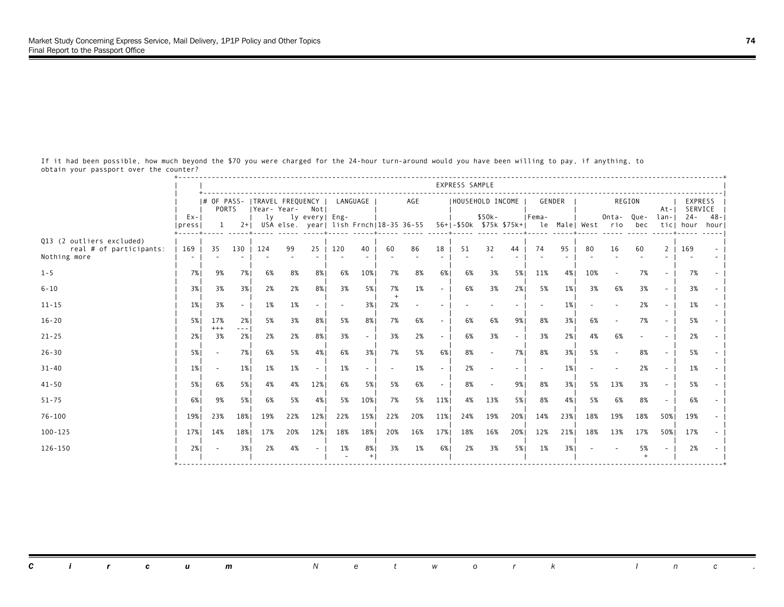+-----------------------------------------------------------------------------------------------------------------------------------+ express sample and the set of the set of the set of the set of the set of the set of the set of the set of the set of the set of the set of the set of the set of the set of the set of the set of the set of the set of the s | +-----------------------------------------------------------------------------------------------------------------------------| | |# OF PASS- |TRAVEL FREQUENCY | LANGUAGE | AGE |HOUSEHOLD INCOME | GENDER | REGION | EXPRESS | | | PORTS |Year- Year- Not| | | | | At-| SERVICE | | Ex-| | ly ly every| Eng- | | \$50k- |Fema- | Onta- Que- lan-| 24- 48-| |press| 1 2+| USA else. year| lish Frnch|18-35 36-55 56+|-\$50k \$75k \$75k+| le Male| West rio bec tic| hour hour| +-----+----- -----+----- ----- -----+----- -----+----- ----- -----+----- ----- -----+----- -----+----- ----- ----- -----+----- -----| Q13 (2 outliers excluded) | | | | | | | | | | real # of participants: | 169 | 35 130 | 124 99 25 | 120 40 | 60 86 18 | 51 32 44 | 74 95 | 80 16 60 2 | 169 - | Nothing more | - | - - | - - - | - - | - - - | - - - | - - | - - - - | - - | | | | | | | | | | | 1-5 | 7%| 9% 7%| 6% 8% 8%| 6% 10%| 7% 8% 6%| 6% 3% 5%| 11% 4%| 10% - 7% - | 7% - | | | | | | | | | | | 6-10 | 3%| 3% 3%| 2% 2% 8%| 3% 5%| 7% 1% - | 6% 3% 2%| 5% 1%| 3% 6% 3% - | 3% - | | | | | | + | | | | | 11-15 | 1%| 3% - | 1% 1% - | - 3%| 2% - - | - - - | - 1%| - - 2% - | 1% - | | | | | | | | | | | 16-20 | 5%| 17% 2%| 5% 3% 8%| 5% 8%| 7% 6% - | 6% 6% 9%| 8% 3%| 6% - 7% - | 5% - | | | +++ ---| | | | | | | | 21-25 | 2%| 3% 2%| 2% 2% 8%| 3% - | 3% 2% - | 6% 3% - | 3% 2%| 4% 6% - - | 2% - | | | | | | | | | | | 26-30 | 5%| - 7%| 6% 5% 4%| 6% 3%| 7% 5% 6%| 8% - 7%| 8% 3%| 5% - 8% - | 5% - | | | | | | | | | | | 31-40 | 1%| - 1%| 1% 1% - | 1% - | - 1% - | 2% - - | - 1%| - - 2% - | 1% - | | | | | | | | | | | 41-50 | 5%| 6% 5%| 4% 4% 12%| 6% 5%| 5% 6% - | 8% - 9%| 8% 3%| 5% 13% 3% - | 5% - | | | | | | | | | | | 51-75 | 6%| 9% 5%| 6% 5% 4%| 5% 10%| 7% 5% 11%| 4% 13% 5%| 8% 4%| 5% 6% 8% - | 6% - | | | | | | | | | | | 76-100 | 19%| 23% 18%| 19% 22% 12%| 22% 15%| 22% 20% 11%| 24% 19% 20%| 14% 23%| 18% 19% 18% 50%| 19% - | | | | | | | | | | | 100-125 | 17%| 14% 18%| 17% 20% 12%| 18% 18%| 20% 16% 17%| 18% 16% 20%| 12% 21%| 18% 13% 17% 50%| 17% - | | | | | | | | | | | 126-150 | 2%| - 3%| 2% 4% - | 1% 8%| 3% 1% 6%| 2% 3% 5%| 1% 3%| - - 5% - | 2% - | | | | | - +| | | | + | | +-----------------------------------------------------------------------------------------------------------------------------------+

 If it had been possible, how much beyond the \$70 you were charged for the 24-hour turn-around would you have been willing to pay, if anything, to obtain your passport over the counter?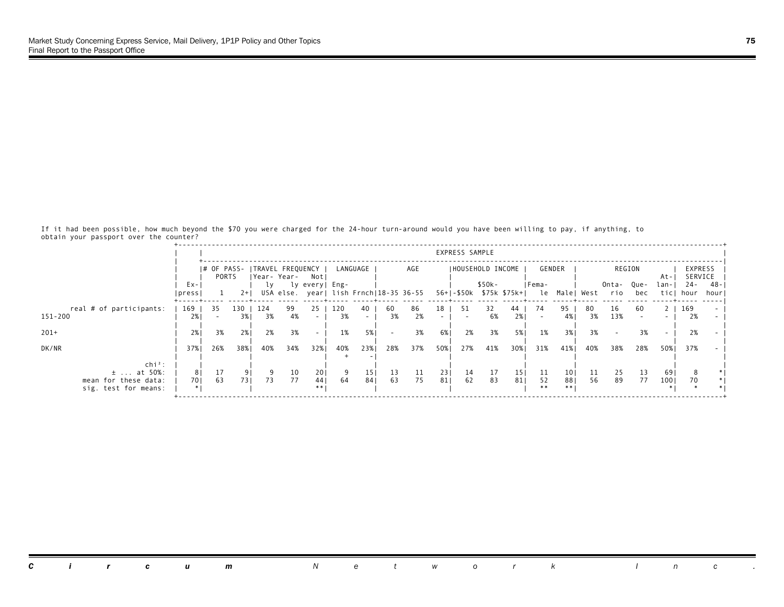If it had been possible, how much beyond the \$70 you were charged for the 24-hour turn-around would you have been willing to pay, if anything, to obtain your passport over the counter?

|                                                                               |              |                        |             |           |                                   |                 |           |                        |          |                                        |            | EXPRESS SAMPLE |                                    |           |                |                              |          |              |             |              |                    |              |
|-------------------------------------------------------------------------------|--------------|------------------------|-------------|-----------|-----------------------------------|-----------------|-----------|------------------------|----------|----------------------------------------|------------|----------------|------------------------------------|-----------|----------------|------------------------------|----------|--------------|-------------|--------------|--------------------|--------------|
|                                                                               |              | $ #$ OF PASS-<br>PORTS |             |           | ITRAVEL FREQUENCY<br> Year- Year- | Not             |           | LANGUAGE               |          | AGE                                    |            |                | IHOUSEHOLD INCOME                  |           |                | GENDER                       |          |              | REGION      | At-          | EXPRESS<br>SERVICE |              |
|                                                                               | Ex-<br>press |                        | $2+1$       | lγ        |                                   | ly every  Eng-  |           |                        |          | USA else. year  lish Frnch 18-35 36-55 |            |                | \$50k-<br>56+1-\$50k \$75k \$75k+1 |           | Fema-<br>le    | Male  West                   |          | Onta-<br>rio | Que-<br>bec | lan-<br>ticl | $24 -$<br>hour     | -48<br>hourl |
| real # of participants:<br>151-200                                            | 169<br>2%    | 35                     | 130<br>3% I | 124<br>3% | 99<br>4%                          | 25              | 120<br>3% | 40<br>$\sim$ 100 $\mu$ | 60<br>3% | 86<br>2%                               | 18         | 51             | 32<br>6%                           | 44<br>2%1 | 74             | 95<br>4%                     | 80<br>3% | 16<br>13%    | 60          | 2            | 169<br>2%          |              |
| $201+$                                                                        | 2%           | 3%                     | 2%          | 2%        | 3%                                |                 | 1%        | 5% 1                   |          | 3%                                     | 6%         | 2%             | 3%                                 | 5%        | 1%             | 3%1                          | 3%       |              | 3%          |              | 2%                 |              |
| DK/NR                                                                         | 37%          | 26%                    | 38%         | 40%       | 34%                               | 32%             | 40%       | 23%                    | 28%      | 37%                                    | 50%        | 27%            | 41%                                | 30%       | 31%            | 41%                          | 40%      | 38%          | 28%         | 50%          | 37%                |              |
| $\ch{i}^2$ :<br>$\pm$ at 50%:<br>mean for these data:<br>sig. test for means: | 81<br>701    | 17<br>63               | 9<br>731    | 73        | 10<br>77                          | 201<br>44<br>** | 64        | 15 <sub>1</sub><br>841 | 13<br>63 | 11<br>75                               | 231<br>811 | 14<br>62       | 17<br>83                           | 15<br>81  | 11<br>52<br>** | 10 <sub>1</sub><br>881<br>** | 11<br>56 | 25<br>89     | 13<br>77    | 69<br>100    |                    |              |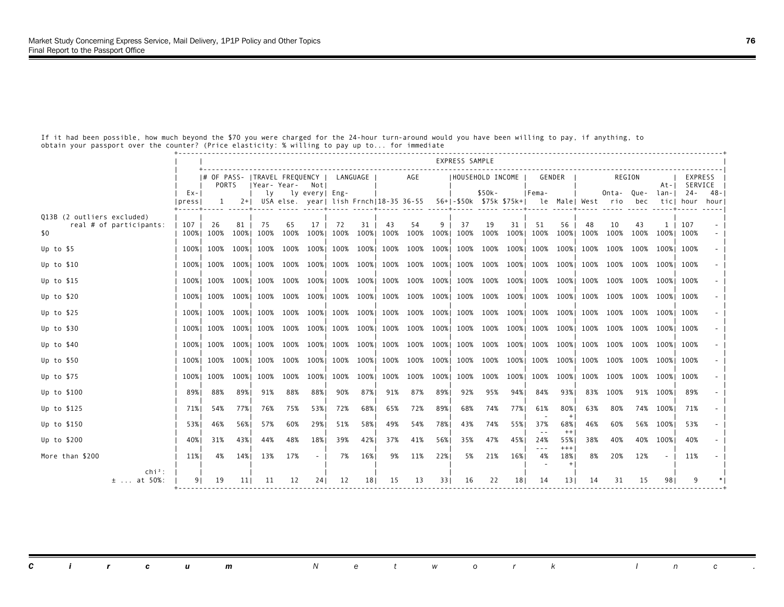|                                                              |                    |                     |                 |             |                                                                    |                |            |            |            |                |           | EXPRESS SAMPLE |                                    |            |                |                   |            |            |                |                      |                     |             |
|--------------------------------------------------------------|--------------------|---------------------|-----------------|-------------|--------------------------------------------------------------------|----------------|------------|------------|------------|----------------|-----------|----------------|------------------------------------|------------|----------------|-------------------|------------|------------|----------------|----------------------|---------------------|-------------|
|                                                              |                    | PORTS               |                 |             | # OF PASS-   TRAVEL FREQUENCY<br> Year- Year-                      | Notl           |            | LANGUAGE   |            | AGE            |           |                | IHOUSEHOLD INCOME                  |            |                | GENDER            |            | REGION     |                | At-I                 | EXPRESS<br>SERVICE  |             |
|                                                              | $Ex - 1$<br> press | $1 -$               |                 | lv          | 2+  USA else. year  lish Frnch 18-35 36-55 56+ -\$50k \$75k \$75k+ | ly every  Eng- |            |            |            |                |           |                | $$50k -$                           |            | IFema-         | le Male  West rio |            | Onta-Oue-  | bec            | lan-I                | $24 -$<br>ticl hour | -48<br>hour |
| Q13B (2 outliers excluded)<br>real # of participants:<br>\$0 | 107                | 26<br>100% 100%     | 81<br>100%      | -75<br>100% | 65<br>100%                                                         | 17<br>100%     | 72<br>100% | 31<br>100% | 43<br>100% | 54<br>100%     | 9<br>100% | 37<br>100%     | 19<br>100%                         | 31<br>100% | -51<br>100%    | 56<br>100%        | 48<br>100% | 10<br>100% | 43<br>100%     | $1-1$<br>100%   100% | 107                 |             |
| Up to $$5$                                                   |                    | 100% 100%           | 100% I          | 100%        | 100%                                                               | 100%           | 100%       | 100%       |            | 100% 100%      | 100%      | 100%           |                                    |            | 100% 100% 100% | 100%              | 100%       | 100%       | 100%           | 100%l 100%           |                     |             |
| Up to $$10$                                                  |                    | 100% 100% 100% 100% |                 |             | 100% 100% I                                                        |                |            | 100% 100%  |            |                |           |                | 100% 100% 100% 100% 100% 100% 100% |            |                | 100%              | 100%       | 100%       | 100% 100% 100% |                      |                     |             |
| Up to $$15$                                                  |                    | 100%   100%   100%  |                 |             | 100% 100%                                                          | 100%           |            | 100% 100%  |            | 100% 100% 100% |           |                | 100% 100% 100% 100%                |            |                | 100%              | 100%       | 100%       |                | 100% 100% 100%       |                     |             |
| Up to $$20$                                                  |                    | 100% 100%           | 100%            | 100%        | 100% 100%                                                          |                | 100%       | 100%       |            | 100% 100% 100% |           |                | 100% 100% 100% 100%                |            |                | 100%              | 100%       | 100%       |                | 100% 100% 100%       |                     |             |
| Up to $$25$                                                  |                    | 100% 100%           | 100% I          | 100%        | 100%                                                               | 100%           |            | 100% 100%  |            | 100% 100% 100% |           | 100%           |                                    |            | 100% 100% 100% | 100%              | 100%       | 100%       |                | 100% 100% 100%       |                     |             |
| Up to \$30                                                   |                    | 100% 100%           | 100%            | 100%        | 100% 100%                                                          |                |            | 100% 100%  |            | 100% 100% 100% |           | 100%           |                                    |            | 100% 100% 100% | 100%              | 100%       | 100%       |                | 100% 100% 100%       |                     |             |
| Up to $$40$                                                  |                    | 100% 100%           | 100%            | 100%        | 100%                                                               | 100%           | 100% 100%  |            |            | 100% 100% 100% |           |                | 100% 100% 100% 100%                |            |                | 100%              | 100%       | 100%       |                | 100% 100% 100%       |                     |             |
| Up to \$50                                                   | 100% I             | 100%                | 100%            | 100%        | 100% 100%                                                          |                |            | 100% 100%  |            | 100% 100% 100% |           |                | 100% 100% 100% 100%                |            |                | 100%              | 100%       | 100%       |                | 100% 100% 100%       |                     |             |
| Up to \$75                                                   |                    | 100% 100%           | 100%            | 100%        | 100%                                                               | 100%           | 100%       | 100%       | 100%       | 100%           | 100%      | 100%           | 100%                               | 100%       | 100%           | 100%              | 100%       | 100%       | 100%           | 100% 100%            |                     |             |
| Up to \$100                                                  | 89% I              | 88%                 | 89%             | 91%         | 88%                                                                | 88%            | 90%        | 87%        | 91%        | 87%            | 89%       | 92%            | 95%                                | 94% 1      | 84%            | 93%               | 83%        | 100%       |                | 91% 100%             | -89%                |             |
| Up to \$125                                                  | 71%                | 54%                 | 77% I           | 76%         | 75%                                                                | 53%            | 72%        | 68%        | 65%        | 72%            | 89%       | 68%            | 74%                                | 77%        | 61%            | 80%               | 63%        | 80%        |                | 74% 100%             | 71%                 |             |
| Up to \$150                                                  | 53%                | 46%                 | 56%             | 57%         | 60%                                                                | 29%            | 51%        | 58%        | 49%        | 54%            | 78%       | 43%            | 74%                                | 55%        | 37%            | 68%<br>$^{++}$    | 46%        | 60%        |                | 56% 100%             | 53%                 |             |
| Up to \$200                                                  | 40% l              | 31%                 | 43%             | 44%         | 48%                                                                | 18%            | 39%        | 42%        | 37%        | 41%            | 56%       | 35%            | 47%                                | 45%        | 24%<br>$- - -$ | 55%<br>$^{+++}$   | 38%        | 40%        | 40%            | 100%                 | 40%                 |             |
| More than \$200                                              | 11%                | 4%                  | 14%             | 13%         | 17%                                                                |                | 7%         | 16%        | 9%         | 11%            | 22%       | 5%             | 21%                                | 16%        | 4%             | 18%               | 8%         | 20%        | 12%            |                      | 11%                 |             |
| $\chi$ chi <sup>2</sup> :<br>$\pm$ at 50%:                   | 91                 | 19                  | 11 <sub>1</sub> | 11          | 12                                                                 | 241            | 12         | 18         | 15         | 13             | 331       | 16             | 22                                 | 181        | 14             | 131               | 14         | 31         | 15             | 981                  |                     |             |

 If it had been possible, how much beyond the \$70 you were charged for the 24-hour turn-around would you have been willing to pay, if anything, to obtain your passport over the counter? (Price elasticity: % willing to pay up to... for immediate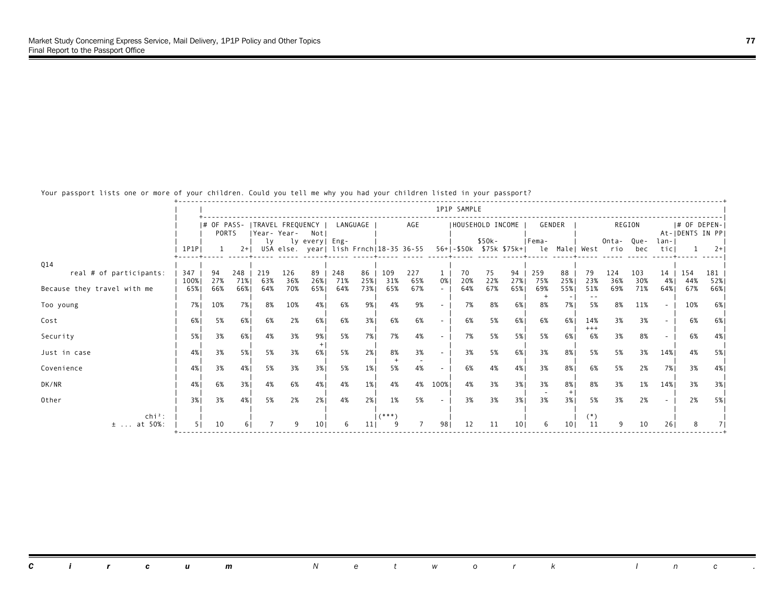Your passport lists one or more of your children. Could you tell me why you had your children listed in your passport?

|                             |               |           |            |                                              |            |                |            |                 |            |                                        |      | 1P1P SAMPLE             |           |                 |              |                 |              |                   |            |              |                                    |            |
|-----------------------------|---------------|-----------|------------|----------------------------------------------|------------|----------------|------------|-----------------|------------|----------------------------------------|------|-------------------------|-----------|-----------------|--------------|-----------------|--------------|-------------------|------------|--------------|------------------------------------|------------|
|                             |               | PORTS     |            | # OF PASS-  TRAVEL FREQUENCY<br>IYear- Year- |            | Notl           |            | LANGUAGE        |            | AGE                                    |      | HOUSEHOLD INCOME        |           |                 |              | GENDER          |              |                   | REGION     |              | $ #$ OF DEPEN-<br>At-IDENTS IN PPI |            |
|                             | $1$ $P1$ $P1$ |           | $2+1$      | lv                                           |            | ly every  Eng- |            |                 |            | USA else. year  lish Frnch 18-35 36-55 |      | 56+ -\$50k \$75k \$75k+ | $$50k-$   |                 | IFema-<br>le |                 | Male  West   | Onta- Oue-<br>rio | bec        | lan-<br>ticl |                                    | $2+1$      |
| Q14                         |               |           |            |                                              |            |                |            |                 |            |                                        |      |                         |           |                 |              |                 |              |                   |            |              |                                    |            |
| real # of participants:     | 347<br>100%   | 94<br>27% | 248<br>71% | 219<br>63%                                   | 126<br>36% | 89<br>26%      | 248<br>71% | 86<br>25%       | 109<br>31% | 227<br>65%                             | 0%   | 70<br>20%               | 75<br>22% | 94<br>27%       | 259<br>75%   | 88<br>25%       | 79<br>23%    | 124<br>36%        | 103<br>30% | 14<br>4%     | 154<br>44%                         | 181<br>52% |
| Because they travel with me | 65%           | 66%       | 66%        | 64%                                          | 70%        | 65%            | 64%        | 73%             | 65%        | 67%                                    |      | 64%                     | 67%       | 65%             | 69%          | 55%             | 51%          | 69%               | 71%        | 64%          | 67%                                | 66%        |
| Too young                   | 7%            | 10%       | 7% l       | 8%                                           | 10%        | 4%             | 6%         | 9%              | 4%         | 9%                                     |      | 7%                      | 8%        | 6%              | 8%           | 7%              | $ -$<br>5%   | 8%                | 11%        | $\sim$       | 10%                                | 6%         |
| Cost                        | 6%            | 5%        | 6%         | 6%                                           | 2%         | 6%             | 6%         | 3%              | 6%         | 6%                                     |      | 6%                      | 5%        | 6%              | 6%           | 6%              | 14%<br>$+++$ | 3%                | 3%         |              | 6%                                 | 6%         |
| Security                    | 5%            | 3%        | 6%         | 4%                                           | 3%         | 9%             | 5%         | 7%1             | 7%         | 4%                                     |      | 7%                      | 5%        | 5%1             | 5%           | 6%              | 6%           | 3%                | 8%         |              | 6%                                 | 4%         |
| Just in case                | 4%            | 3%        | 5%         | 5%                                           | 3%         | 6%             | 5%         | 2%              | 8%         | 3%                                     |      | 3%                      | 5%        | 6%1             | 3%           | 8%              | 5%           | 5%                | 3%         | 14%          | 4%                                 | 5%         |
| Covenience                  | 4%            | 3%        | 4%         | 5%                                           | 3%         | 3%             | 5%         | $1\%$           | 5%         | 4%                                     |      | 6%                      | 4%        | 4%              | 3%           | 8%              | 6%           | 5%                | 2%         | 7%           | 3%                                 | 4%         |
| DK/NR                       | 4%            | 6%        | 3%1        | 4%                                           | 6%         | 4%             | 4%         | $1\%$           | 4%         | 4%                                     | 100% | 4%                      | 3%        | 3%1             | 3%           | 8%<br>$+$       | 8%           | 3%                | 1%         | 14%          | 3%                                 | 3%         |
| Other                       | 3%            | 3%        | 4%         | 5%                                           | 2%         | 2%1            | 4%         | 2%1             | 1%         | 5%                                     |      | 3%                      | 3%        | 3%              | 3%           | 3%              | 5%           | 3%                | 2%         |              | 2%                                 | 5%         |
| $\ch{i}^2$ :<br>$±$ at 50%: |               | 10        | 61         |                                              |            | 101            |            | 11 <sub>1</sub> | $1$ (***)  |                                        | 98   | 12                      | 11        | 10 <sub>1</sub> | 6            | 10 <sub>1</sub> | $(*)$<br>11  | ٩                 | 10         | 261          |                                    |            |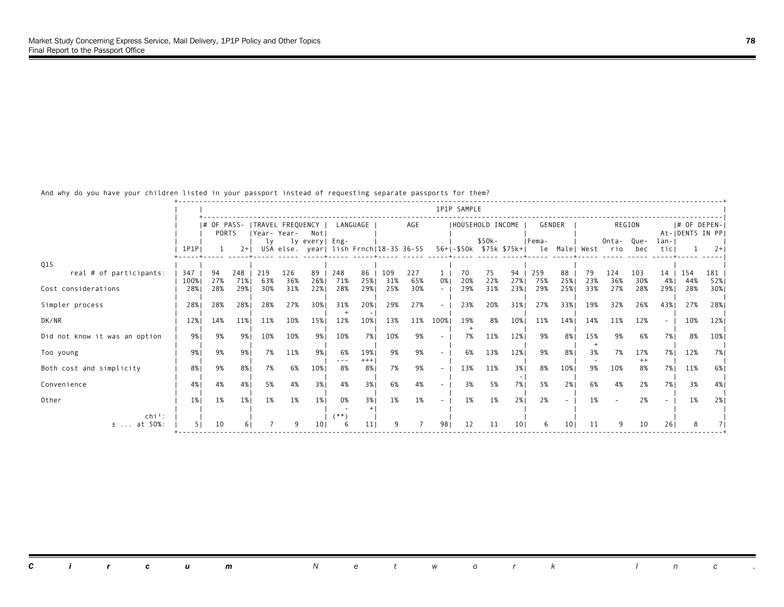And why do you have your children listed in your passport instead of requesting separate passports for them?

|                               |             |                        |            |                   |             |                |               |                 |            |                                        |        | 1P1P SAMPLE |                                     |                 |              |           |            |                   |                |              |                                    |            |
|-------------------------------|-------------|------------------------|------------|-------------------|-------------|----------------|---------------|-----------------|------------|----------------------------------------|--------|-------------|-------------------------------------|-----------------|--------------|-----------|------------|-------------------|----------------|--------------|------------------------------------|------------|
|                               |             | $ #$ OF PASS-<br>PORTS |            | ITRAVEL FREQUENCY | Year- Year- | Notl           |               | LANGUAGE        |            | AGE                                    |        |             | IHOUSEHOLD INCOME                   |                 |              | GENDER    |            |                   | REGION         |              | $ #$ OF DEPEN-<br>At-IDENTS IN PPI |            |
|                               | 1P1PI       |                        | $2+1$      | lv                |             | ly every  Eng- |               |                 |            | USA else. year  lish Frnch 18-35 36-55 |        |             | $$50k -$<br>56+ -\$50k \$75k \$75k+ |                 | IFema-<br>le |           | Male  West | Onta- Oue-<br>rio | bec            | lan-<br>ticl |                                    | $2+$       |
| Q15                           |             |                        |            |                   |             |                |               |                 |            |                                        |        |             |                                     |                 |              |           |            |                   |                |              |                                    |            |
| real # of participants:       | 347<br>100% | 94<br>27%              | 248<br>71% | 219<br>63%        | 126<br>36%  | 89<br>26%      | 248<br>71%    | 86<br>25%       | 109<br>31% | 227<br>65%                             | 0%     | 70<br>20%   | 75<br>22%                           | 94<br>27%       | 259<br>75%   | 88<br>25% | 79<br>23%  | 124<br>36%        | 103<br>30%     | 14<br>4%     | 154<br>44%                         | 181<br>52% |
| Cost considerations           | 28%         | 28%                    | 29%        | 30%               | 31%         | 22%            | 28%           | 29%1            | 25%        | 30%                                    |        | 29%         | 31%                                 | 23%             | 29%          | 25%       | 33%        | 27%               | 28%            | 29%          | 28%                                | 30%        |
| Simpler process               | 28%         | 28%                    | 28%        | 28%               | 27%         | 30%            | 31%           | 20%             | 29%        | 27%                                    | $\sim$ | 23%         | 20%                                 | 31%             | 27%          | 33%1      | 19%        | 32%               | 26%            | 43%          | 27%                                | 28%        |
| DK/NR                         | 12%         | 14%                    | 11%        | 11%               | 10%         | 15%            | 12%           | 10%             | 13%        | 11%                                    | 100%   | 19%         | 8%                                  | 10%             | 11%          | 14%       | 14%        | 11%               | 12%            | $\sim$       | 10%                                | 12%        |
| Did not know it was an option | 9%          | 9%                     | 9%         | 10%               | 10%         | 9%1            | 10%           | 7% I            | 10%        | 9%                                     |        | 7%          | 11%                                 | 12%             | 9%           | 8%        | 15%        | 9%                | 6%             | 7% l         | 8%                                 | 10%        |
| Too young                     | 9%          | 9%                     | 9%         | 7%                | 11%         | 9%             | 6%            | 19%<br>$+++$    | 9%         | 9%                                     |        | 6%          | 13%                                 | 12%             | 9%           | 8%        | 3%         | 7%                | 17%<br>$^{++}$ | 7% 1         | 12%                                | 7%         |
| Both cost and simplicity      | 8%          | 9%                     | 8%         | 7%                | 6%          | 10%            | $- - -$<br>8% | 8%              | 7%         | 9%                                     |        | 13%         | 11%                                 | 3%              | 8%           | 10%       | 9%         | 10%               | 8%             | 7% l         | 11%                                | 6%         |
| Convenience                   | 4%          | 4%                     | 4%         | 5%                | 4%          | 3%             | 4%            | 3%              | 6%         | 4%                                     |        | 3%          | 5%                                  | 7%              | 5%           | 2%1       | 6%         | 4%                | 2%             | 7%           | 3%                                 | 4%         |
| Other                         | $1\%$       | 1%                     | 1%         | 1%                | 1%          | $1\%$          | 0%            | 3%              | 1%         | 1%                                     |        | 1%          | 1%                                  | 2%              | 2%           |           | 1%         |                   | 2%             |              | 1%                                 | 2%         |
| $\ch{i}^2$ :<br>$±$ at 50%:   |             | 10                     | 6          |                   | ٩           | 101            | (**)          | 11 <sub>1</sub> | ٩          |                                        | 981    | 12          | 11                                  | 10 <sub>1</sub> | 6            | 101       | 11         |                   | 10             | 26           | 8                                  |            |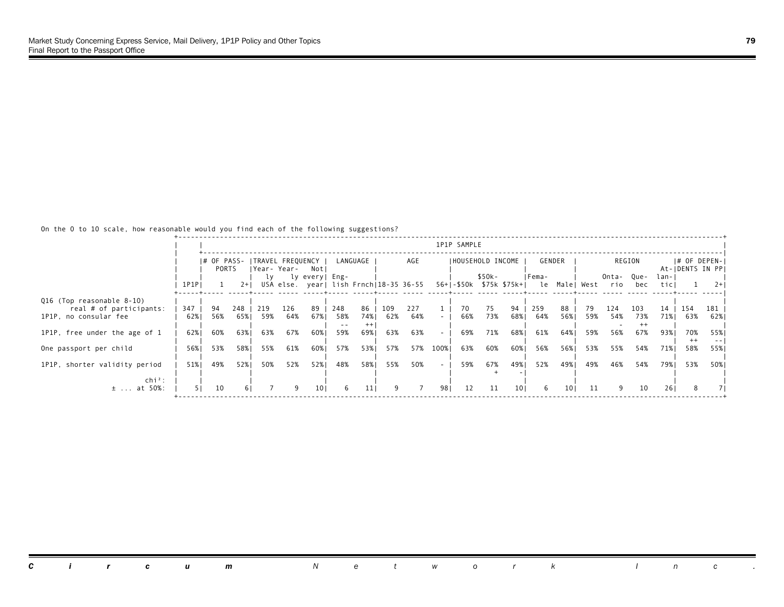# On the 0 to 10 scale, how reasonable would you find each of the following suggestions?

|                                                  |            |                                          |              |             |             |                |            |                 |            |                                        |                  | 1P1P SAMPLE |                                    |                 |            |                 |           |              |             |              |                                  |              |
|--------------------------------------------------|------------|------------------------------------------|--------------|-------------|-------------|----------------|------------|-----------------|------------|----------------------------------------|------------------|-------------|------------------------------------|-----------------|------------|-----------------|-----------|--------------|-------------|--------------|----------------------------------|--------------|
|                                                  |            | I# OF PASS- ITRAVEL FREQUENCY I<br>PORTS |              |             | Year- Year- | Notl           |            | LANGUAGE        |            | AGE                                    |                  |             | IHOUSEHOLD INCOME                  |                 |            | GENDER          |           |              | REGION      |              | # OF DEPEN- <br>At-IDENTS IN PPI |              |
|                                                  | 1P1P       |                                          | $2+1$        | lv          |             | ly every  Eng- |            |                 |            | USA else. year  lish Frnch 18-35 36-55 |                  |             | \$50k-<br>56+1-\$50k \$75k \$75k+1 |                 | IFema-     | le Male  West   |           | Onta-<br>rio | Que-<br>bec | lan-<br>ticl |                                  | $2+$         |
| Q16 (Top reasonable 8-10)                        |            |                                          |              |             |             |                |            |                 |            |                                        |                  |             |                                    |                 |            |                 |           |              |             |              |                                  |              |
| real # of participants:<br>1P1P, no consular fee | 347<br>62% | 94<br>56%                                | 248<br>65% I | -219<br>59% | 126<br>64%  | 89<br>67% 1    | 248<br>58% | 86<br>74% l     | 109<br>62% | 227<br>64%                             | $\sim$ 10 $\pm$  | 70<br>66%   | 75<br>73%                          | 94<br>68%       | 259<br>64% | 88<br>56%       | 79<br>59% | 124<br>54%   | 103<br>73%  | 14<br>71%    | 154<br>63%                       | 181<br>62% 1 |
| 1P1P, free under the age of 1                    | 62%        | 60%                                      | 63%1         | 63%         | 67%         | 60%            | 59%        | $^{++}$<br>69%1 | 63%        | 63%                                    | $\sim$           | 69%         | 71%                                | 68%             | 61%        | 64%             | 59%       | 56%          | 67%         | 93%          | 70%                              | 55%          |
| One passport per child                           | 56%        | 53%                                      | 58%          | 55%         | 61%         | 60%            | 57%        | 53%             | 57%        | 57%                                    | 100%             | 63%         | 60%                                | 60%             | 56%        | 56%             | 53%       | 55%          | 54%         | 71%          | $^{++}$<br>58%                   | 55%          |
| 1P1P, shorter validity period                    | 51%        | 49%                                      | 52%          | 50%         | 52%         | 52%            | 48%        | 58%             | 55%        | 50%                                    | $\sim$ 100 $\mu$ | 59%         | 67%                                | 49%             | 52%        | 49%             | 49%       | 46%          | 54%         | 79%          | 53%                              | 50%          |
| $\text{chi}^2$ :<br>$\pm$ at 50%:                |            | 10                                       | 6 I          |             | 9           | 101            |            | 111             |            |                                        | 981              | 12          | 11                                 | 10 <sub>1</sub> | 6          | 10 <sub>1</sub> | 11        | 9            | 10          | 26           | 8                                |              |
|                                                  |            |                                          |              |             |             |                |            |                 |            |                                        |                  |             |                                    |                 |            |                 |           |              |             |              |                                  |              |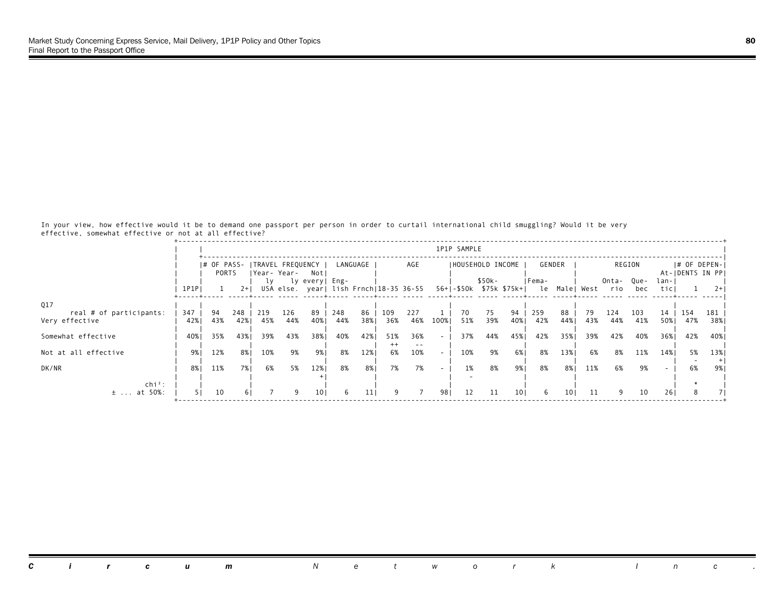In your view, how effective would it be to demand one passport per person in order to curtail international child smuggling? Would it be very effective, somewhat effective or not at all effective?

|                                |       |                      |       |     |                                   |                |     |          |                |                                        |        | 1P1P SAMPLE |                                     |      |       |               |     |              |             |                 |                                    |      |
|--------------------------------|-------|----------------------|-------|-----|-----------------------------------|----------------|-----|----------|----------------|----------------------------------------|--------|-------------|-------------------------------------|------|-------|---------------|-----|--------------|-------------|-----------------|------------------------------------|------|
|                                |       | I# OF PASS-<br>PORTS |       |     | ITRAVEL FREQUENCY<br> Year- Year- | Not            |     | LANGUAGE |                | AGE                                    |        |             | IHOUSEHOLD INCOME                   |      |       | GENDER        |     |              | REGION      |                 | $ #$ OF DEPEN-<br>At-IDENTS IN PPI |      |
|                                | 1P1P1 |                      | $2+1$ | lv  |                                   | ly every  Eng- |     |          |                | USA else. year  lish Frnch 18-35 36-55 |        |             | $$50k-$<br>56+1-\$50k \$75k \$75k+1 |      | Fema- | le Male  West |     | Onta-<br>rio | Que-<br>bec | $lan -$<br>ticl |                                    | $2+$ |
| Q17<br>real # of participants: | 347   | 94                   | 248   | 219 | 126                               | 89             | 248 | 86       | 109            | 227                                    |        | 70          | 75                                  | 94   | 259   | 88            | 79  | 124          | 103         | 14              | 154                                | 181  |
| Very effective                 | 42%   | 43%                  | 42%   | 45% | 44%                               | 40%            | 44% | 38%      | 36%            | 46%                                    | 100%   | 51%         | 39%                                 | 40%  | 42%   | 44%           | 43% | 44%          | 41%         | 50%             | 47%                                | 38%  |
| Somewhat effective             | 40%   | 35%                  | 43%   | 39% | 43%                               | 38%            | 40% | 42%      | 51%<br>$^{++}$ | 36%                                    | $\sim$ | 37%         | 44%                                 | 45%  | 42%   | 35%           | 39% | 42%          | 40%         | 36%1            | 42%                                | 40%  |
| Not at all effective           | 9% 1  | 12%                  | 8%    | 10% | 9%                                | 9%             | 8%  | 12%      | 6%             | 10%                                    | $\sim$ | 10%         | 9%                                  | 6% l | 8%    | 13%           | 6%  | 8%           | 11%         | 14%             | 5%                                 | 13%  |
| DK/NR                          | 8%    | 11%                  | 7% l  | 6%  | 5%                                | 12%            | 8%  | 8%       | 7%             | 7%                                     | $\sim$ | 1%          | 8%                                  | 9%   | 8%    | 8% I          | 11% | 6%           | 9%          |                 | 6%                                 | 9%   |
| $chi^2$ :<br>$±$ at 50%:       |       | 10                   |       |     | 9                                 | 101            | 6.  | 11       | 9              |                                        | 981    | 12          | 11                                  | 101  | 6     | 101           | 11  | ٩            | 10          | 261             |                                    |      |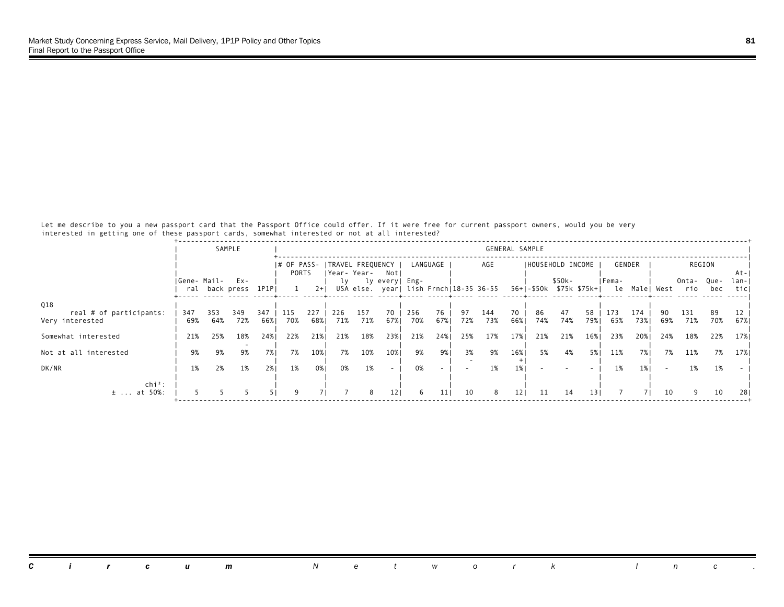Let me describe to you a new passport card that the Passport Office could offer. If it were free for current passport owners, would you be very interested in getting one of these passport cards, somewhat interested or not at all interested?

|                                                   |             |            | SAMPLE                     |            |                                       |            |            |             |                                                          |            |                 |           |            |           | GENERAL SAMPLE |                                   |                 |            |               |            |              |             |              |
|---------------------------------------------------|-------------|------------|----------------------------|------------|---------------------------------------|------------|------------|-------------|----------------------------------------------------------|------------|-----------------|-----------|------------|-----------|----------------|-----------------------------------|-----------------|------------|---------------|------------|--------------|-------------|--------------|
|                                                   |             |            |                            |            | # OF PASS-  TRAVEL FREQUENCY<br>PORTS |            |            | Year- Year- | Not                                                      |            | LANGUAGE        |           | AGE        |           |                | IHOUSEHOLD INCOME                 |                 |            | GENDER        |            |              | REGION      | At-          |
|                                                   | Gene- Mail- |            | Ex-<br>ral back press 1P1P |            |                                       | $2+1$      | lv         |             | ly every  Eng-<br>USA else. year  lish Frnch 18-35 36-55 |            |                 |           |            |           |                | \$50k-<br>56+ -\$50k \$75k \$75k+ |                 | Fema-      | le Male  West |            | Onta-<br>rio | Que-<br>bec | lan-<br>ticl |
|                                                   |             |            |                            |            |                                       |            |            |             |                                                          |            |                 |           |            |           |                |                                   |                 |            |               |            |              |             |              |
| Q18<br>real # of participants:<br>Very interested | 347<br>69%  | 353<br>64% | 349<br>72%                 | 347<br>66% | 115<br>70%                            | 227<br>68% | 226<br>71% | 157<br>71%  | 70<br>67%                                                | 256<br>70% | 76<br>67%       | 97<br>72% | 144<br>73% | 70<br>66% | 86<br>74%      | 47<br>74%                         | 58<br>79%       | 173<br>65% | 174<br>73%1   | 90.<br>69% | 131<br>71%   | 89<br>70%   | 12<br>67%    |
| Somewhat interested                               | 21%         | 25%        | 18%                        | 24%1       | 22%                                   | 21%        | 21%        | 18%         | 23%                                                      | 21%        | 24%             | 25%       | 17%        | 17%       | 21%            | 21%                               | 16%             | 23%        | 20%           | 24%        | 18%          | 22%         | 17%          |
| Not at all interested                             | 9%          | 9%         | 9%                         | 7%1        | 7%                                    | 10%        | 7%         | 10%         | 10%                                                      | 9%         | 9%              | 3%        | 9%         | 16%       | 5%             | 4%                                | 5%              | 11%        | 7%1           | 7%         | 11%          | 7%          | 17% I        |
| DK/NR                                             | 1%          | 2%         | 1%                         | 2%         | 1%                                    | 0%         | 0%         | 1%          | $\sim$                                                   | 0%         |                 |           | 1%         |           |                |                                   |                 | 1%         |               |            | 1%           | 1%          |              |
| $\ch{i}^2$ :<br>at 50%:<br>$\pm$                  |             |            |                            |            |                                       |            |            | 8           | 121                                                      | 6          | 11 <sub>1</sub> | 10        | 8          | 121       | 11             | 14                                | 13 <sup>1</sup> |            |               | 10         | ٩            | 10          | 281          |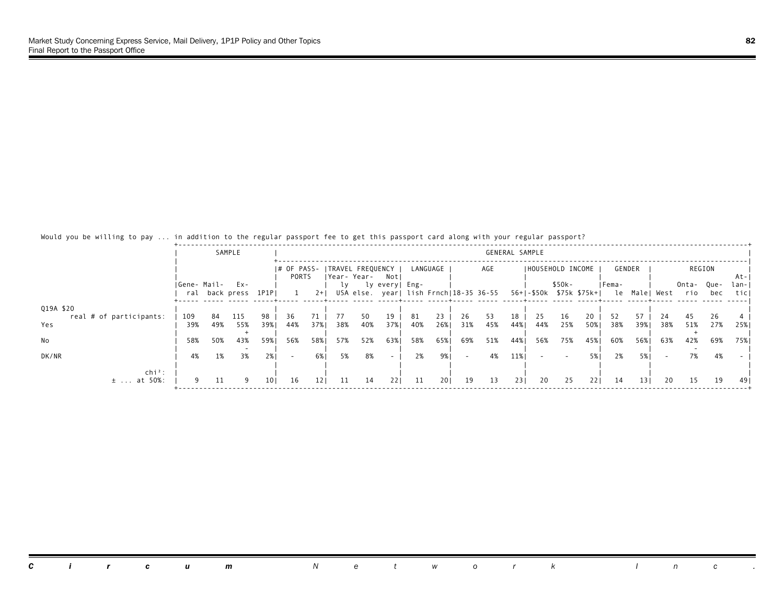| would you be willing to pay  In audition to the regular passport ree to get this passport card along with your regular passport: |             |     |                       |                 |                                          |                 |     |     |                 |     |          |     |                                                                |                |                   |        |      |        |        |               |              |             |              |
|----------------------------------------------------------------------------------------------------------------------------------|-------------|-----|-----------------------|-----------------|------------------------------------------|-----------------|-----|-----|-----------------|-----|----------|-----|----------------------------------------------------------------|----------------|-------------------|--------|------|--------|--------|---------------|--------------|-------------|--------------|
|                                                                                                                                  |             |     | SAMPLE                |                 |                                          |                 |     |     |                 |     |          |     |                                                                | GENERAL SAMPLE |                   |        |      |        |        |               |              |             |              |
|                                                                                                                                  |             |     |                       |                 | # OF PASS-   TRAVEL FREQUENCY  <br>PORTS |                 |     |     | Year-Year- Not  |     | LANGUAGE |     | AGE                                                            |                | IHOUSEHOLD INCOME |        |      |        | GENDER |               | REGION       |             | At-          |
|                                                                                                                                  | Gene- Mail- |     | Ex-<br>ral back press | 1P1PI           |                                          | $2+1$           |     |     | ly lyevery Eng- |     |          |     | USA else. year  lish Frnch 18-35 36-55 56+ -\$50k \$75k \$75k+ |                |                   | \$50k- |      | IFema- |        | le Male  West | Onta-<br>rio | Que-<br>bec | lan-<br>ticl |
| Q19A \$20<br>real # of participants:                                                                                             | 109         | 84  | 115                   | 98              | 36                                       |                 | 77  | 50  | 19              | 81  | 23.      | 26  | 53                                                             | 18             | 25                | 16     | 20   | 52     | 57     | 24            | 45           | 26          |              |
| Yes                                                                                                                              | 39%         | 49% | 55%                   | 39% 1           | 44%                                      | 37%             | 38% | 40% | 37%             | 40% | 26%      | 31% | 45%                                                            | 44%            | 44%               | 25%    | 50%  | 38%    | 39%1   | 38%           | 51%          | 27%         | 25% I        |
| No                                                                                                                               | 58%         | 50% | 43%                   | 59%1            | 56%                                      | 58%             | 57% | 52% | 63%             | 58% | 65%      | 69% | 51%                                                            | 44%            | 56%               | 75%    | 45%  | 60%    | 56%1   | 63%           | 42%          | 69%         | 75% 1        |
| DK/NR                                                                                                                            | 4%          | 1%  | 3%                    | 2%1             |                                          | 6% I            | 5%  | 8%  | $\sim$          | 2%  | 9%       | ۰   | 4%                                                             | 11%            |                   |        | 5% l | 2%     | 5% I   |               | 7%           | 4%          |              |
| $\ch{i}^2$ :<br>at 50%:<br>$\pm$                                                                                                 | 9           | -11 | 9                     | 10 <sub>1</sub> | 16                                       | 12 <sub>1</sub> | 11  | 14  | 221             | 11  | 201      | 19  | 13                                                             | 231            | 20                | 25     | 221  | 14     | 131    | 20            | 15           | 19          | -491         |

## Would you be willing to pay ... in addition to the regular passport fee to get this passport card along with your regular passport?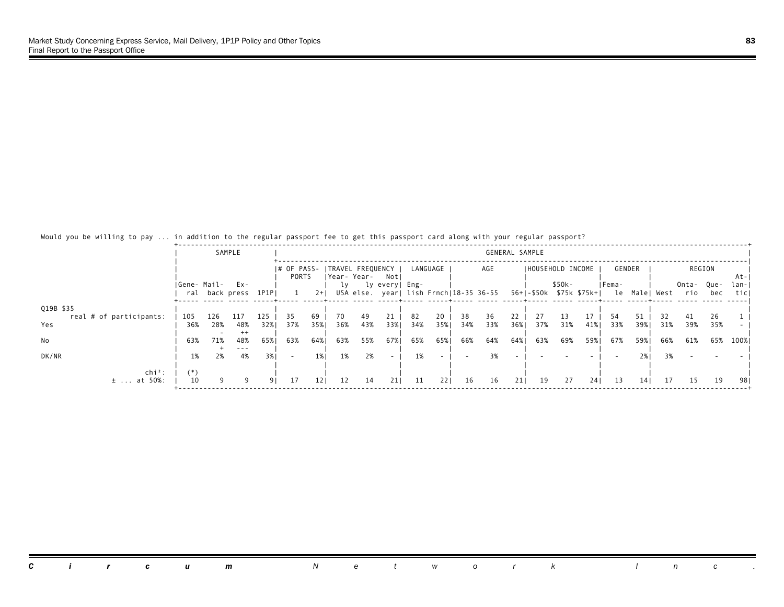| would you be willing to pay  In addition to the regular passport ree to get this passport card along with your regular passport? |             |     |                       |       |                          |                 |     |     |                                        |     |          |     |                                        |                |                   |        |                                        |       |        |     |              |             |               |
|----------------------------------------------------------------------------------------------------------------------------------|-------------|-----|-----------------------|-------|--------------------------|-----------------|-----|-----|----------------------------------------|-----|----------|-----|----------------------------------------|----------------|-------------------|--------|----------------------------------------|-------|--------|-----|--------------|-------------|---------------|
|                                                                                                                                  |             |     | SAMPLE                |       |                          |                 |     |     |                                        |     |          |     |                                        | GENERAL SAMPLE |                   |        |                                        |       |        |     |              |             |               |
|                                                                                                                                  |             |     |                       |       | I# OF PASS-<br>PORTS     |                 |     |     | ITRAVEL FREQUENCY I<br> Year-Year- Not |     | LANGUAGE |     | AGE                                    |                | IHOUSEHOLD INCOME |        |                                        |       | GENDER |     |              | REGION      | At-           |
|                                                                                                                                  | Gene- Mail- |     | Ex-<br>ral back press | 1P1P  |                          | $2+$            |     |     | ly lyevery Eng-                        |     |          |     | USA else. year  lish Frnch 18-35 36-55 |                |                   | \$50k- | 56+ -\$50k \$75k \$75k+  le Male  West | Fema- |        |     | Onta-<br>rio | Que-<br>bec | lan- <br>ticl |
| Q19B \$35<br>real # of participants:                                                                                             | 105         | 126 | 117                   | 125   | 35                       | 69              | 70  | 49  | 21                                     | 82  | 20       | 38  | 36                                     |                |                   | 13     | 17                                     | 54    | 51     |     | 41           | 26          |               |
| Yes                                                                                                                              | 36%         | 28% | 48%<br>$^{++}$        | 32%1  | 37%                      | 35%             | 36% | 43% | 33%                                    | 34% | 35%1     | 34% | 33%                                    | 36%            | 37%               | 31%    | 41%                                    | 33%   | 39%1   | 31% | 39%          | 35%         |               |
| No                                                                                                                               | 63%         | 71% | 48%<br>---            | 65% 1 | 63%                      | 64%             | 63% | 55% | 67%                                    | 65% | 65%      | 66% | 64%                                    | 64%            | 63%               | 69%    | 59%1                                   | 67%   | 59%    | 66% | 61%          | 65%         | 100%          |
| DK/NR                                                                                                                            | 1%          | 2%  | 4%                    | 3%1   | $\overline{\phantom{a}}$ | 1% I            | 1%  | 2%  | $\overline{\phantom{0}}$               | 1%  |          |     | 3%                                     |                |                   |        |                                        |       | 2%     | 3%  |              |             |               |
| chi <sup>2</sup> :<br>$± \ldots at 50%$ :                                                                                        | 10          |     |                       | 91    | 17                       | 12 <sub>1</sub> | 12  | 14  | 211                                    | 11  | 221      | 16  | 16                                     | 211            | 19                | 27     | 241                                    | 13    | 141    | 17  | -15          | 19          | 981           |

## Would you be willing to pay ... in addition to the regular passport fee to get this passport card along with your regular passport?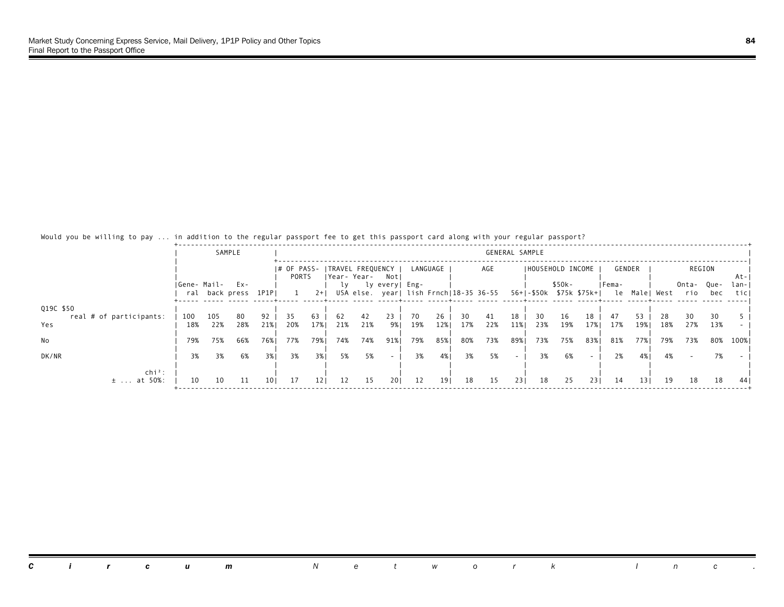| WOULD YOU DE WILLING TO DAY  IN AUDILION TO THE FEGULAL DASSPOLT HE TO GET THIS DASSPOLT CALU ATONG WITH YOUL FEGULAL DASSPOLT? |             |     |                          |                 |                                       |                 |     |     |                          |     |          |     |                                                                |                |                   |        |     |        |                 |               |              |             |              |
|---------------------------------------------------------------------------------------------------------------------------------|-------------|-----|--------------------------|-----------------|---------------------------------------|-----------------|-----|-----|--------------------------|-----|----------|-----|----------------------------------------------------------------|----------------|-------------------|--------|-----|--------|-----------------|---------------|--------------|-------------|--------------|
|                                                                                                                                 |             |     | SAMPLE                   |                 |                                       |                 |     |     |                          |     |          |     |                                                                | GENERAL SAMPLE |                   |        |     |        |                 |               |              |             |              |
|                                                                                                                                 |             |     |                          |                 | # OF PASS-  TRAVEL FREQUENCY<br>PORTS |                 |     |     | Year-Year- Not           |     | LANGUAGE |     | AGE                                                            |                | IHOUSEHOLD INCOME |        |     |        | GENDER          |               | REGION       |             | At-          |
|                                                                                                                                 | Gene- Mail- |     | $Ex -$<br>ral back press | 1P1P            |                                       | $2+1$           |     |     | ly lyevery Eng-          |     |          |     | USA else. year  lish Frnch 18-35 36-55 56+ -\$50k \$75k \$75k+ |                |                   | \$50k- |     | lFema- |                 | le Male  West | Onta-<br>rio | Que-<br>bec | lan-<br>ticl |
| Q19C \$50<br>real # of participants:                                                                                            | 100         | 105 | 80                       | 92              | 35                                    | 63              | 62  | 42  | 23                       | 70  | 26       | 30  | 41                                                             | 18             | 30                | 16     | 18  | 47     | 53              | 28.           | 30           | 30          |              |
| Yes                                                                                                                             | 18%         | 22% | 28%                      | 21%             | 20%                                   | 17%             | 21% | 21% | 9% I                     | 19% | 12%      | 17% | 22%                                                            | 11%            | 23%               | 19%    | 17% | 17%    | 19%             | 18%           | 27%          | 13%         |              |
| No                                                                                                                              | 79%         | 75% | 66%                      | 76%             | 77%                                   | 79%             | 74% | 74% | 91%                      | 79% | 85%      | 80% | 73%                                                            | 89%            | 73%               | 75%    | 83% | 81%    | 77%             | 79%           | 73%          | 80%         | 100% I       |
| DK/NR                                                                                                                           | 3%          | 3%  | 6%                       | 3%1             | 3%                                    | 3%              | 5%  | 5%  | $\overline{\phantom{a}}$ | 3%  | 4%       | 3%  | 5%                                                             | $\sim$         | 3%                | 6%     |     | 2%     | 4% 1            | 4%            |              | 7%          |              |
| $\ch{i}^2$ :<br>at 50%:<br>$\pm$                                                                                                | 10          | 10  | 11                       | 10 <sub>1</sub> | 17                                    | 12 <sub>1</sub> | 12  | 15  | 201                      | 12  | 19       | 18  | 15                                                             | 231            | 18                | 25     | 231 | -14    | 13 <sub>1</sub> | 19            | 18           | 18          | -441         |

## Would you be willing to pay ... in addition to the regular passport fee to get this passport card along with your regular passport?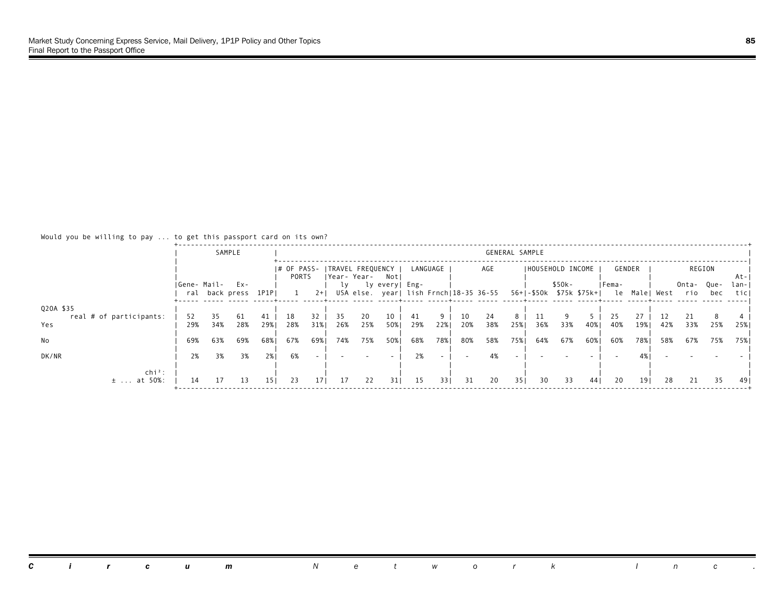#### Would you be willing to pay ... to get this passport card on its own?

|                                                   |                  | SAMPLE           |                  |                  |                      |                  |                  |                                      |                  |                  |            |                  |                                        | GENERAL SAMPLE  |                         |            |            |                  |                  |            |                  |            |               |
|---------------------------------------------------|------------------|------------------|------------------|------------------|----------------------|------------------|------------------|--------------------------------------|------------------|------------------|------------|------------------|----------------------------------------|-----------------|-------------------------|------------|------------|------------------|------------------|------------|------------------|------------|---------------|
|                                                   |                  |                  |                  |                  | I# OF PASS-<br>PORTS |                  |                  | ITRAVEL FREQUENCY<br> Year-Year- Not |                  |                  | LANGUAGE   |                  | AGE                                    |                 | IHOUSEHOLD INCOME       |            |            | GENDER           |                  |            |                  | REGION     | At-           |
|                                                   | Gene- Mail- Ex-  | ral back press   |                  | 1P1PI            |                      | $2+1$            | LV.              |                                      | ly every  Eng-   |                  |            |                  | USA else. year  lish Frnch 18-35 36-55 |                 | 56+ -\$50k \$75k \$75k+ | $$50k-$    |            | Fema-            | le Malel         | West       | Onta-Que-<br>rio | bec        | lan- <br>ticl |
| Q20A \$35<br>real # of participants:<br>Yes<br>No | 52<br>29%<br>69% | 35<br>34%<br>63% | 61<br>28%<br>69% | 41<br>29%<br>68% | 18<br>28%<br>67%     | 32<br>31%<br>69% | 35<br>26%<br>74% | 20<br>25%<br>75%                     | 10<br>50%<br>50% | 41<br>29%<br>68% | 22%<br>78% | 10<br>20%<br>80% | 24<br>38%<br>58%                       | 8<br>25%<br>75% | 36%<br>64%              | 33%<br>67% | 40%<br>60% | 25<br>40%<br>60% | 27<br>19%<br>78% | 42%<br>58% | 21<br>33%<br>67% | 25%<br>75% | 25%<br>75%    |
| DK/NR                                             | 2%               | 3%               | 3%               | 2%1              | 6%                   |                  |                  |                                      |                  | 2%               |            |                  |                                        |                 |                         |            |            |                  |                  |            |                  |            |               |
| $chi^2$ :<br>$±$ at 50%:                          | 14               | -17              | 13               | 151              | 23                   | 17 <sup>1</sup>  | 17               | 22                                   | 311              | 15               | 331        | 31               | 20                                     | 351             | 30                      | 33         | 441        | 20               | 191              | 28         | 21               | 35         | -491          |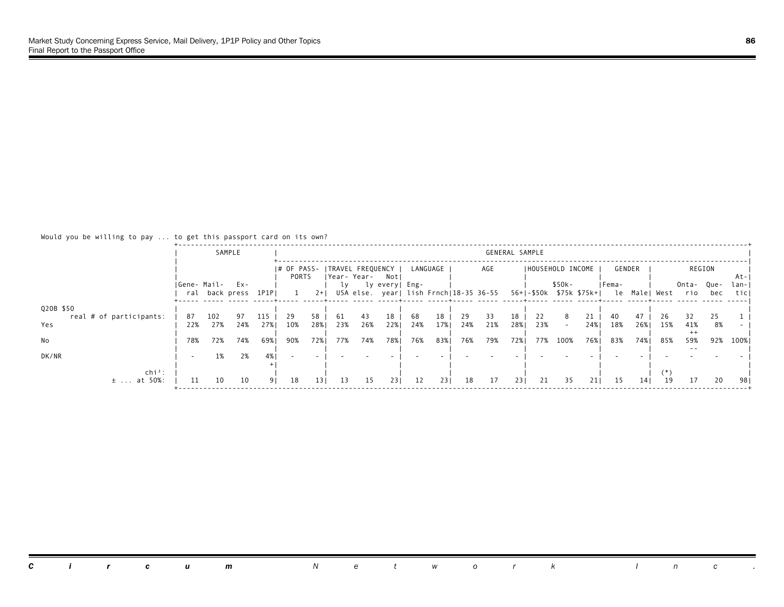### Would you be willing to pay ... to get this passport card on its own?

|                                |                 |                | SAMPLE    |             |                      |                 |             |           |                          |           |           |           |                                        | GENERAL SAMPLE |                         |         |           |             |                 |            |                   |          |               |
|--------------------------------|-----------------|----------------|-----------|-------------|----------------------|-----------------|-------------|-----------|--------------------------|-----------|-----------|-----------|----------------------------------------|----------------|-------------------------|---------|-----------|-------------|-----------------|------------|-------------------|----------|---------------|
|                                |                 |                |           |             | I# OF PASS-<br>PORTS |                 | Year- Year- |           | ITRAVEL FREQUENCY<br>Not |           | LANGUAGE  |           | AGE                                    |                | IHOUSEHOLD INCOME       |         |           | GENDER      |                 |            |                   | REGION   | At-           |
|                                | Gene- Mail- Ex- | ral back press |           | 1P1PI       |                      | $2+1$           | l٧          |           | ly every  Eng-           |           |           |           | USA else. year  lish Frnch 18-35 36-55 |                | 56+ -\$50k \$75k \$75k+ | $$50k-$ |           | Fema-<br>le | Malel           | West       | Onta- Que-<br>rio | bec      | lan- <br>ticl |
| Q20B \$50                      |                 |                |           |             |                      |                 |             |           |                          |           |           |           |                                        |                |                         |         |           |             |                 |            |                   |          |               |
| real # of participants:<br>Yes | 87<br>22%       | 102<br>27%     | 97<br>24% | 115<br>27%1 | 29<br>10%            | 58<br>28%       | 61<br>23%   | 43<br>26% | 18<br>22%                | 68<br>24% | 18<br>17% | 29<br>24% | 33<br>21%                              | 18<br>28%      | 22<br>23%               |         | 21<br>24% | 40<br>18%   | 26%             | 26.<br>15% | 32<br>41%         | 25<br>8% |               |
| No                             | 78%             | 72%            | 74%       | 69%।        | 90%                  | 72%             | 77%         | 74%       | 78%                      | 76%       | 83%       | 76%       | 79%                                    | 72%            | 77%                     | 100%    | 76%       | 83%         | 74%             | 85%        | $^{++}$<br>59%    | 92%      | 100%          |
| DK/NR                          |                 | 1%             | 2%        |             |                      |                 |             |           |                          |           |           |           |                                        |                |                         |         |           |             |                 |            |                   |          |               |
| $chi^2$ :                      |                 |                |           |             |                      |                 |             |           |                          |           |           |           | 17                                     |                |                         |         |           |             |                 |            |                   |          |               |
| at 50%:<br>$\pm$               | 11              | 10             | 10        | 91          | 18                   | 13 <sub>1</sub> | 13          | 15        | 231                      | 12        | 231       | 18        |                                        | 231            | 21                      | 35      | 211       | 15          | 14 <sub>1</sub> | 19         | 17                | 20       | 981           |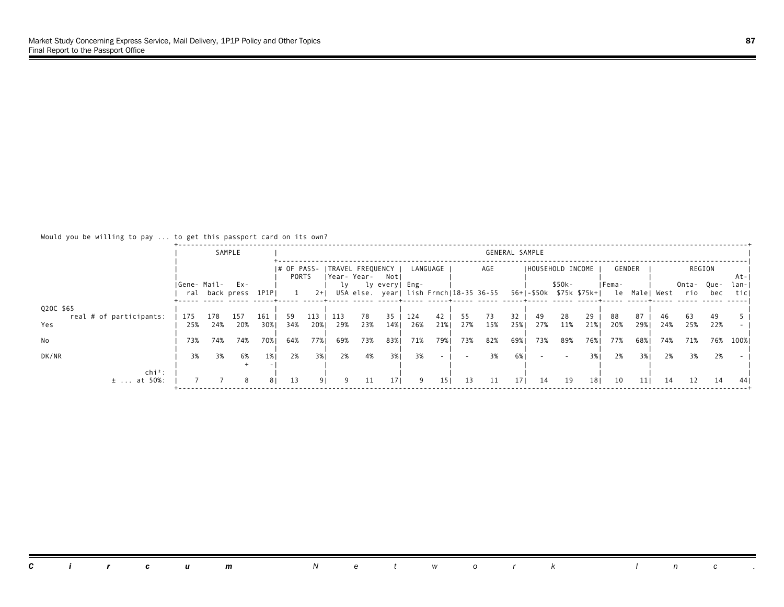#### Would you be willing to pay ... to get this passport card on its own?

|                                             |                 |            | SAMPLE         |            |                      |             |            |                                   |                 |            |                 |           |                                        | GENERAL SAMPLE  |                         |           |                 |           |            |               |              |             |              |
|---------------------------------------------|-----------------|------------|----------------|------------|----------------------|-------------|------------|-----------------------------------|-----------------|------------|-----------------|-----------|----------------------------------------|-----------------|-------------------------|-----------|-----------------|-----------|------------|---------------|--------------|-------------|--------------|
|                                             |                 |            |                |            | I# OF PASS-<br>PORTS |             |            | ITRAVEL FREQUENCY<br> Year- Year- | Not             |            | LANGUAGE        |           | AGE                                    |                 | I HOUSEHOLD INCOME      |           |                 |           | GENDER     |               |              | REGION      | At-          |
|                                             | Gene- Mail- Ex- |            | ral back press | 1P1PI      |                      | $2+$        | lγ         |                                   | ly every  Eng-  |            |                 |           | USA else. year  lish Frnch 18-35 36-55 |                 | 56+ -\$50k \$75k \$75k+ | $$50k-$   |                 | IFema-    |            | le Male  West | Onta-<br>rio | Que-<br>bec | lan-<br>ticl |
| Q20C \$65<br>real # of participants:<br>Yes | 175<br>25%      | 178<br>24% | 157<br>20%     | 161<br>30% | 59<br>34%            | 113.<br>20% | 113<br>29% | 78<br>23%                         | 35<br>14%       | 124<br>26% | 42<br>21%       | 55<br>27% | 73<br>15%                              | 32<br>25%       | 49<br>27%               | 28<br>11% | 29<br>21%       | 88<br>20% | 87<br>29%1 | 46<br>24%     | 63<br>25%    | 49<br>22%   |              |
| No                                          | 73%             | 74%        | 74%            | 70%        | 64%                  | 77%         | 69%        | 73%                               | 83%             | 71%        | 79%             | 73%       | 82%                                    | 69%             | 73%                     | 89%       | 76%             | 77%       | 68%        | 74%           | 71%          | 76%         | 100%         |
| DK/NR                                       | 3%              | 3%         | 6%             | $1\%$      | 2%                   | 3%l         | 2%         | 4%                                | 3%              | 3%         |                 |           | 3%                                     | 6%              |                         |           | 3%              | 2%        | 3%1        | 2%            | 3%           | 2%          |              |
| $chi^2$ :<br>$±$ at 50%:                    |                 |            | 8              | 81         | 13                   | 91          |            | 11                                | 17 <sup>1</sup> | 9          | 15 <sub>1</sub> | 13        | 11                                     | 17 <sub>1</sub> | 14                      | 19        | 18 <sub>1</sub> | 10        | 111        | 14            | 12           | 14          | 44           |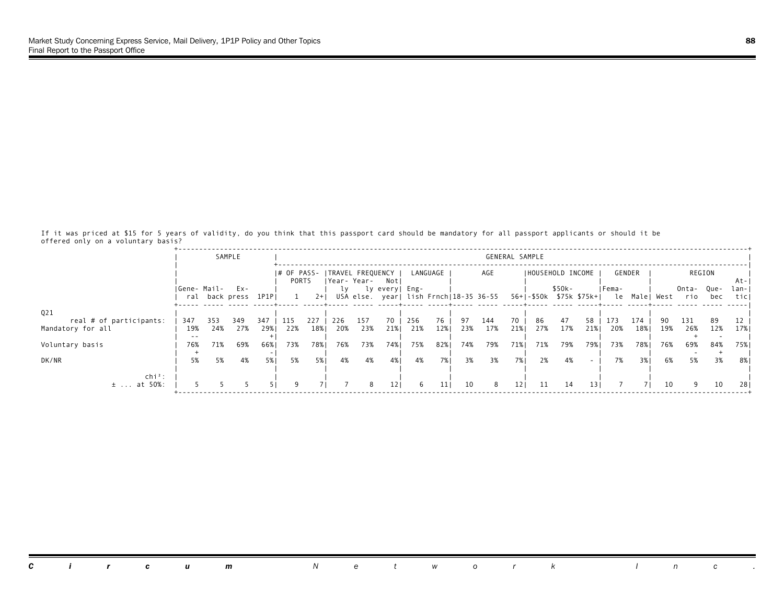If it was priced at \$15 for 5 years of validity, do you think that this passport card should be mandatory for all passport applicants or should it be offered only on a voluntary basis?

|                                      |                 |            | SAMPLE               |              |                      |            |            |                                  |                 |            |                 |            |                                        |                 | GENERAL SAMPLE    |            |                          |            |            |               |                  |            |              |
|--------------------------------------|-----------------|------------|----------------------|--------------|----------------------|------------|------------|----------------------------------|-----------------|------------|-----------------|------------|----------------------------------------|-----------------|-------------------|------------|--------------------------|------------|------------|---------------|------------------|------------|--------------|
|                                      |                 |            |                      |              | I# OF PASS-<br>PORTS |            |            | TRAVEL FREQUENCY<br>IYear- Year- | Notl            |            | LANGUAGE        |            | AGE                                    |                 | IHOUSEHOLD INCOME |            |                          |            | GENDER     |               |                  | REGION     | At-          |
|                                      | Gene- Mail- Ex- |            | ral back press 1P1PI |              |                      | $2+1$      | 1 V        |                                  | ly every  Eng-  |            |                 |            | USA else. year  lish Frnch 18-35 36-55 |                 |                   | $$50k-$    | 56+1-\$50k \$75k \$75k+1 | IFema-     |            | le Male  West | Onta-Que-<br>rio | bec        | lan-<br>ticl |
| Q21<br>real # of participants:       | 347             | 353        | 349                  | 347          | -115                 | 227        | 226        | 157                              | 70              | 256        | 76              | 97         | 144                                    | 70              | 86                | 47         | 58                       | 173        | 174        | 90            | 131              | 89         | 12           |
| Mandatory for all<br>Voluntary basis | 19%<br>76%      | 24%<br>71% | 27%<br>69%           | 29%1<br>66%। | 22%<br>73%           | 18%<br>78% | 20%<br>76% | 23%<br>73%                       | 21%<br>74%      | 21%<br>75% | 12%<br>82%      | 23%<br>74% | 17%<br>79%                             | 21%<br>71%      | 27%<br>71%        | 17%<br>79% | 21%<br>79%               | 20%<br>73% | 18%<br>78% | 19%<br>76%    | 26%<br>69%       | 12%<br>84% | 17% <br>75%  |
| DK/NR                                | 5%              | 5%         | 4%                   | 5%           | 5%                   | 5%         | 4%         | 4%                               | 4%              | 4%         | 7%1             | 3%         | 3%                                     | 7%              | 2%                | 4%         |                          | 7%         | 3% I       | 6%            | 5%               | 3%         | 8%           |
| $chi^2$ :<br>$±$ at 50%:             |                 |            |                      |              | 9                    |            |            | 8                                | 12 <sub>1</sub> | 6          | 11 <sub>1</sub> | 10         | 8                                      | 12 <sub>1</sub> | -11               | 14         | 13 <sub>1</sub>          |            |            | 10            | 9                | 10         | 281          |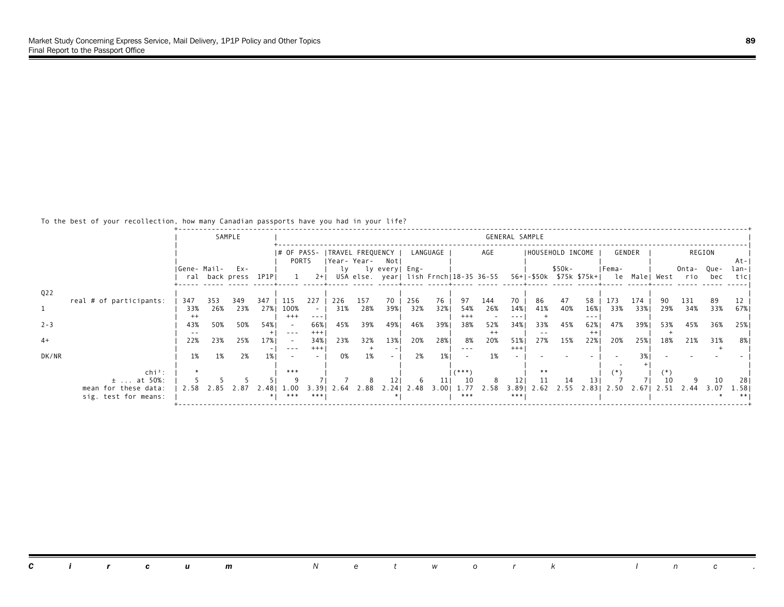### To the best of your recollection, how many Canadian passports have you had in your life?

|                  |                         |             |     | SAMPLE               |          |                          |          |                  |      |                   |      |          |          |                                        | GENERAL SAMPLE |                   |        |                                                                                                                                                                                                                                                                                                                                                                                              |                                        |            |      |       |        |       |
|------------------|-------------------------|-------------|-----|----------------------|----------|--------------------------|----------|------------------|------|-------------------|------|----------|----------|----------------------------------------|----------------|-------------------|--------|----------------------------------------------------------------------------------------------------------------------------------------------------------------------------------------------------------------------------------------------------------------------------------------------------------------------------------------------------------------------------------------------|----------------------------------------|------------|------|-------|--------|-------|
|                  |                         |             |     |                      |          | I# OF PASS-              |          | TRAVEL FREQUENCY |      |                   |      | LANGUAGE |          | AGE                                    |                | IHOUSEHOLD INCOME |        |                                                                                                                                                                                                                                                                                                                                                                                              |                                        | GENDER     |      |       | REGION |       |
|                  |                         |             |     |                      |          | PORTS                    |          | Year- Year-      |      | Not               |      |          |          |                                        |                |                   |        |                                                                                                                                                                                                                                                                                                                                                                                              |                                        |            |      |       |        | -At-I |
|                  |                         | Gene- Mail- |     | Ex-                  |          |                          |          | lv               |      | ly every  Eng-    |      |          |          |                                        |                |                   | \$50k- |                                                                                                                                                                                                                                                                                                                                                                                              | IFema-                                 |            |      | Onta- | Que-   | lan-I |
|                  |                         |             |     | ral back press 1P1PI |          |                          | $2+1$    |                  |      |                   |      |          |          | USA else. year  lish Frnch 18-35 36-55 |                |                   |        |                                                                                                                                                                                                                                                                                                                                                                                              | 56+ -\$50k \$75k \$75k+  le Male  West |            |      | rio   | bec    | ticl  |
|                  |                         |             |     |                      |          |                          |          |                  |      |                   |      |          |          |                                        |                |                   |        |                                                                                                                                                                                                                                                                                                                                                                                              |                                        |            |      |       |        |       |
| Q <sub>2</sub> 2 | real # of participants: | 347         | 353 | 349                  | 347      | -115                     | 227      | 226              | 157  | 70                | 256  | 76       | 97       | 144                                    | 70             | 86                | 47     | 58                                                                                                                                                                                                                                                                                                                                                                                           | 173                                    |            |      | 131   | 89     |       |
|                  |                         | 33%         | 26% | 23%                  | 27%      | 100%                     | $\sim$   | 31%              | 28%  | 39%1              | 32%  | 32%      | 54%      | 26%                                    | 14%            | 41%               | 40%    | 16%                                                                                                                                                                                                                                                                                                                                                                                          | 33%                                    | 174<br>33% | 29%  | 34%   | 33%    | 67%   |
|                  |                         | $^{++}$     |     |                      |          | $^{+++}$                 | $- - -$  |                  |      |                   |      |          | $^{+++}$ |                                        |                |                   |        | $\frac{1}{2} \frac{1}{2} \frac{1}{2} \frac{1}{2} \frac{1}{2} \frac{1}{2} \frac{1}{2} \frac{1}{2} \frac{1}{2} \frac{1}{2} \frac{1}{2} \frac{1}{2} \frac{1}{2} \frac{1}{2} \frac{1}{2} \frac{1}{2} \frac{1}{2} \frac{1}{2} \frac{1}{2} \frac{1}{2} \frac{1}{2} \frac{1}{2} \frac{1}{2} \frac{1}{2} \frac{1}{2} \frac{1}{2} \frac{1}{2} \frac{1}{2} \frac{1}{2} \frac{1}{2} \frac{1}{2} \frac{$ |                                        |            |      |       |        |       |
| $2 - 3$          |                         | 43%         | 50% | 50%                  | 54%1     | $\overline{\phantom{a}}$ | 66%      | 45%              | 39%  | 49%               | 46%  | 39%      | 38%      | 52%                                    | 34%            | 33%               | 45%    | 62%                                                                                                                                                                                                                                                                                                                                                                                          | 47%                                    | 39%        | 53%  | 45%   | 36%    | 25%   |
|                  |                         |             |     |                      |          | $\frac{1}{2}$            | $^{+++}$ |                  |      |                   |      |          |          | $^{++}$                                |                |                   |        | $^{++}$                                                                                                                                                                                                                                                                                                                                                                                      |                                        |            |      |       |        |       |
| $4+$             |                         | 22%         | 23% | 25%                  | 17%      | $\sim$                   | 34%      | 23%              | 32%  | 13%               | 20%  | 28%      | 8%       | 20%                                    | 51%            | 27%               | 15%    | 22%                                                                                                                                                                                                                                                                                                                                                                                          | 20%                                    | 25%        | 18%  | 21%   | 31%    | 8%    |
|                  |                         |             |     |                      |          | $- - -$                  | $^{+++}$ |                  |      |                   |      |          | $- - -$  |                                        | $+++$          |                   |        |                                                                                                                                                                                                                                                                                                                                                                                              |                                        |            |      |       |        |       |
| DK/NR            |                         | 1%          | 1%  | 2%                   | 1%       |                          |          | 0%               | 1%   |                   | 2%   | 1%       |          | 1%                                     |                |                   |        |                                                                                                                                                                                                                                                                                                                                                                                              |                                        |            |      |       |        |       |
|                  | $\ch{i}^2$ :            |             |     |                      |          | ***                      |          |                  |      |                   |      |          | $(***")$ |                                        |                | **                |        |                                                                                                                                                                                                                                                                                                                                                                                              |                                        |            |      |       |        |       |
|                  | $\pm$ at 50%:           |             |     |                      |          |                          |          |                  |      |                   |      | 11       | 10       |                                        | 121            | 11                | 14     | 13.                                                                                                                                                                                                                                                                                                                                                                                          |                                        |            |      |       | 10     | 281   |
|                  | mean for these data:    | 2.58        |     | $\sqrt{2.8}$         | 2.481    | 1.00                     | 3.39     | 2.64             | 2.88 | 2.24 <sub>1</sub> | 2.48 | 3.001    | 1.77     | 2.58                                   | $3.89$         | 2.62              | 2.55   | 2.831                                                                                                                                                                                                                                                                                                                                                                                        | 2.50                                   | 2.67       | 2.51 | 2.44  | 3.07   | 1.58  |
|                  | sig. test for means:    |             |     |                      | $\ast$ I | ***                      | ***      |                  |      |                   |      |          | ***      |                                        | ***            |                   |        |                                                                                                                                                                                                                                                                                                                                                                                              |                                        |            |      |       |        |       |
|                  |                         |             |     |                      |          |                          |          |                  |      |                   |      |          |          |                                        |                |                   |        |                                                                                                                                                                                                                                                                                                                                                                                              |                                        |            |      |       |        |       |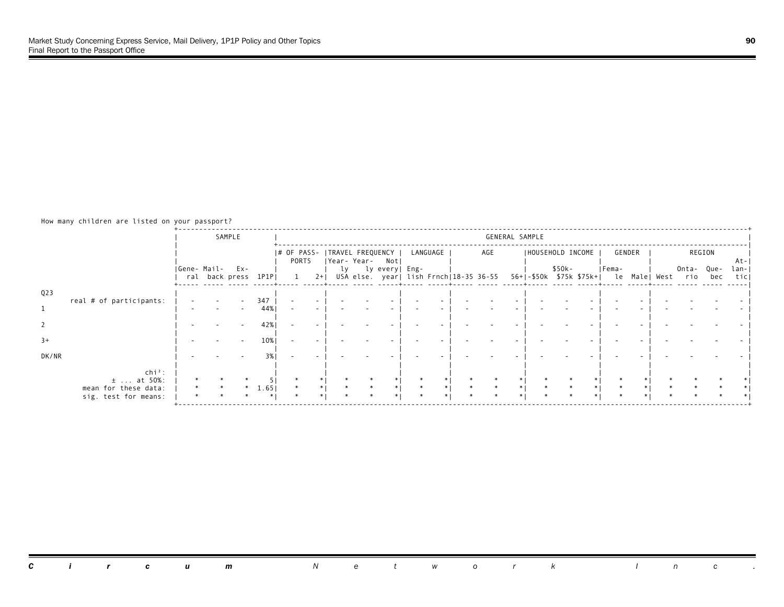How many children are listed on your passport?

|                 |                                              | SAMPLE                            |      |                                          |       |             |                  |        |          |                                        | GENERAL SAMPLE    |        |                                                     |        |        |             |              |
|-----------------|----------------------------------------------|-----------------------------------|------|------------------------------------------|-------|-------------|------------------|--------|----------|----------------------------------------|-------------------|--------|-----------------------------------------------------|--------|--------|-------------|--------------|
|                 |                                              |                                   |      | # OF PASS-   TRAVEL FREQUENCY  <br>PORTS |       | Year- Year- | Not              |        | LANGUAGE | AGE                                    | IHOUSEHOLD INCOME |        |                                                     | GENDER | REGION |             | At-          |
|                 |                                              | Gene- Mail- Ex-<br>ral back press | 1P1P |                                          | $2+1$ |             | ly lyevery  Eng- |        |          | USA else. year  lish Frnch 18-35 36-55 |                   | \$50k- | Fema-<br>56+ -\$50k \$75k \$75k+  le Male  West rio |        | Onta-  | Que-<br>bec | lan-<br>ticl |
| Q <sub>23</sub> | real # of participants:                      |                                   | 347  |                                          |       |             |                  |        |          |                                        |                   |        |                                                     |        |        |             |              |
|                 |                                              |                                   | 44%  |                                          |       |             |                  |        |          |                                        |                   |        |                                                     |        |        |             |              |
|                 |                                              |                                   | 42%  |                                          |       |             |                  |        |          |                                        |                   |        |                                                     |        |        |             |              |
| $3+$            |                                              |                                   | 10%  |                                          |       |             |                  |        |          |                                        |                   |        |                                                     |        |        |             |              |
| DK/NR           |                                              |                                   | 3%   |                                          |       |             |                  |        |          |                                        |                   |        |                                                     |        |        |             |              |
|                 | $chi^2$ :<br>$±$ at 50%:                     |                                   |      |                                          |       |             |                  |        |          |                                        |                   |        |                                                     |        |        |             |              |
|                 | mean for these data:<br>sig. test for means: |                                   | 1.65 |                                          |       |             |                  | $\ast$ |          |                                        |                   |        |                                                     |        |        |             |              |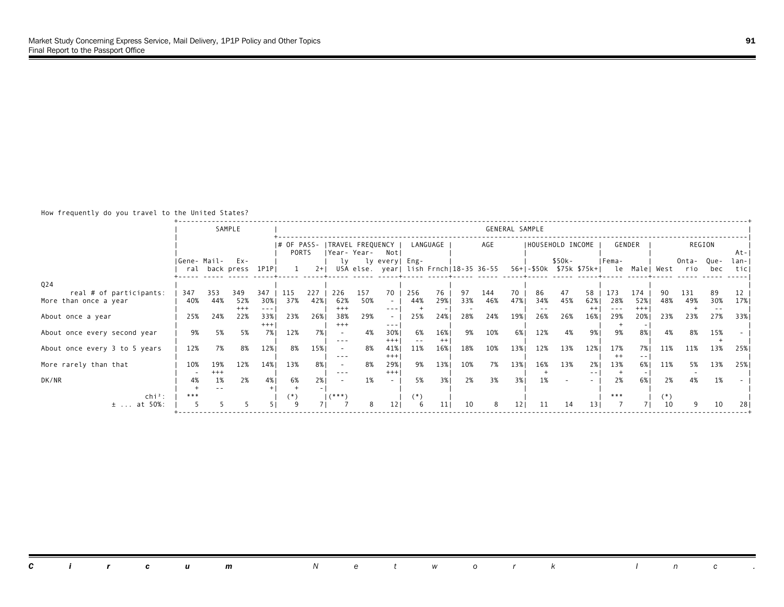#### How frequently do you travel to the United States?

|                                                  |             |              | SAMPLE                |                       |                      |       |                         |                                   |                                     |                     |                |           |                                        | GENERAL SAMPLE |                    |                   |                                  |                       |                     |                |              |                            |               |
|--------------------------------------------------|-------------|--------------|-----------------------|-----------------------|----------------------|-------|-------------------------|-----------------------------------|-------------------------------------|---------------------|----------------|-----------|----------------------------------------|----------------|--------------------|-------------------|----------------------------------|-----------------------|---------------------|----------------|--------------|----------------------------|---------------|
|                                                  |             |              |                       |                       | I# OF PASS-<br>PORTS |       |                         | ITRAVEL FREQUENCY<br> Year- Year- | Notl                                |                     | LANGUAGE       |           | AGE                                    |                |                    | IHOUSEHOLD INCOME |                                  |                       | GENDER              |                |              | REGION                     | At-           |
|                                                  | Gene- Mail- |              | Ex-<br>ral back press | 1P1PI                 |                      | $2+1$ | lv                      |                                   | ly every  Eng-                      |                     |                |           | USA else. year  lish Frnch 18-35 36-55 |                |                    | \$50k-            | 56+ -\$50k \$75k \$75k+  le Male | IFema-                |                     | West           | Onta-<br>rio | Que-<br>bec                | lan- <br>ticl |
| Q24                                              |             |              |                       |                       |                      | 227   |                         | 157                               |                                     |                     |                |           |                                        |                |                    |                   |                                  |                       |                     |                |              |                            |               |
| real # of participants:<br>More than once a year | 347<br>40%  | 353<br>44%   | 349<br>52%<br>$+++$   | 347<br>30%<br>$- - -$ | 115<br>37%           | 42%   | 226<br>62%<br>$+++$     | 50%                               | 70<br>$\sim$<br>$- - -$             | 256<br>44%          | 76<br>29%      | 97<br>33% | 144<br>46%                             | 70<br>47%      | 86<br>34%<br>$- -$ | 47<br>45%         | 58<br>62%<br>$++$                | 173<br>28%<br>$- - -$ | 174<br>52%<br>$+++$ | 48%            | 131<br>49%   | 89<br>30%<br>$\sim$ $\sim$ | 12<br>17%     |
| About once a year                                | 25%         | 24%          | 22%                   | 33%1<br>$+++$         | 23%                  | 26%   | 38%<br>$+++$            | 29%                               | $\overline{\phantom{a}}$<br>$- - -$ | 25%                 | 24%            | 28%       | 24%                                    | 19%            | 26%                | 26%               | 16%                              | 29%                   | 20%                 | 23%            | 23%          | 27%                        | 33%           |
| About once every second year                     | 9%          | 5%           | 5%                    | 7%1                   | 12%                  | 7% l  | $\sim$<br>$\frac{1}{2}$ | 4%                                | 30%<br>$^{+++}$                     | 6%<br>$\sim$ $\sim$ | 16%<br>$^{++}$ | 9%        | 10%                                    | 6% l           | 12%                | 4%                | 9%1                              | 9%                    | 8%                  | 4%             | 8%           | 15%                        |               |
| About once every 3 to 5 years                    | 12%         | 7%           | 8%                    | 12%                   | 8%                   | 15%   | $\sim$<br>$- - -$       | 8%                                | 41%<br>$^{+++}$                     | 11%                 | 16%            | 18%       | 10%                                    | 13%            | 12%                | 13%               | 12%                              | 17%<br>$^{++}$        | 7%<br>$- -$         | 11%            | 11%          | 13%                        | 25%           |
| More rarely than that                            | 10%         | 19%<br>$+++$ | 12%                   | 14%                   | 13%                  | 8%    | $\sim$<br>$\frac{1}{2}$ | 8%                                | 29%<br>$^{+++}$                     | 9%                  | 13%            | 10%       | 7%                                     | 13%            | 16%                | 13%               | 2%1<br>$- -$                     | 13%                   | 6%1                 | 11%            | 5%           | 13%                        | 25%           |
| DK/NR<br>$chi^2$ :                               | 4%<br>***   | 1%           | 2%                    | 4%                    | 6%                   | 2%    | $(***")$                | 1%                                | $\overline{\phantom{a}}$            | 5%<br>(*)           | 3%             | 2%        | 3%                                     | 3%             | 1%                 |                   |                                  | 2%<br>***             | 6%                  | 2%<br>$^{(*)}$ | 4%           | 1%                         |               |
| $±$ at 50%:                                      |             |              |                       |                       |                      |       |                         | 8                                 | 121                                 | 6                   | 11             | 10        | 8                                      | 121            | 11                 | 14                | 131                              |                       |                     | 10             |              | 10                         | 28            |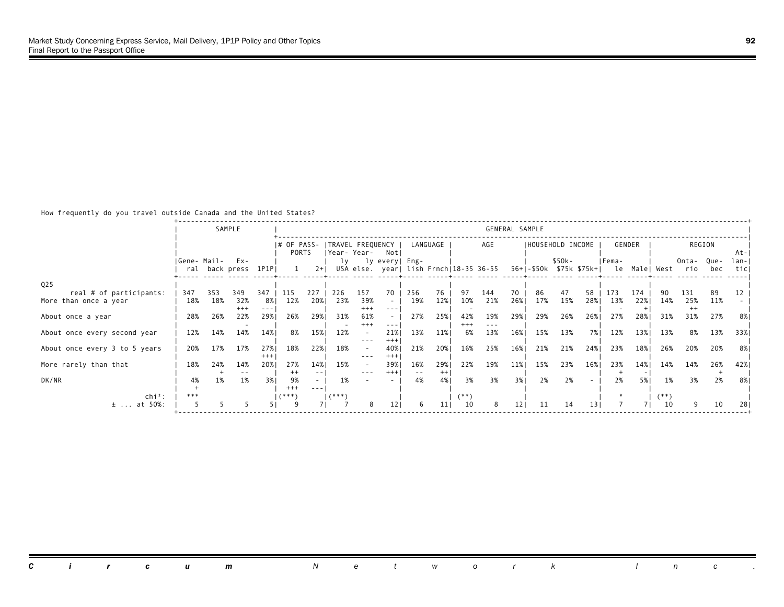### How frequently do you travel outside Canada and the United States?

|                                                  |             |            | SAMPLE                     |                        |                               |             |                |                                  |                         |                   |                |                   |                                        | GENERAL SAMPLE |                  |           |           |                                                 |        |              |                       |           |               |
|--------------------------------------------------|-------------|------------|----------------------------|------------------------|-------------------------------|-------------|----------------|----------------------------------|-------------------------|-------------------|----------------|-------------------|----------------------------------------|----------------|------------------|-----------|-----------|-------------------------------------------------|--------|--------------|-----------------------|-----------|---------------|
|                                                  |             |            |                            |                        | $ #$ OF PASS-<br><b>PORTS</b> |             |                | TRAVEL FREQUENCY<br> Year- Year- | Not                     |                   | LANGUAGE       |                   | AGE                                    |                | HOUSEHOLD INCOME |           |           |                                                 | GENDER |              |                       | REGION    | At-           |
|                                                  | Gene- Mail- |            | Ex-<br>ral back press 1P1P |                        |                               | $2+1$       | lγ             |                                  | ly every  Eng-          |                   |                |                   | USA else. year  lish Frnch 18-35 36-55 |                |                  | \$50k-    |           | Fema-<br>56+ -\$50k \$75k \$75k+  le Male  West |        |              | Onta-Que-<br>rio      | bec       | lan- <br>ticl |
| Q <sub>25</sub>                                  |             |            |                            |                        |                               |             |                |                                  |                         |                   |                |                   |                                        |                |                  |           |           |                                                 | 174    |              |                       |           |               |
| real # of participants:<br>More than once a year | 347<br>18%  | 353<br>18% | 349<br>32%<br>$+++$        | 347<br>8% I<br>$- - -$ | 115<br>12%                    | 227<br>20%  | 226<br>23%     | 157<br>39%<br>$+++$              | 70<br>$\sim$<br>$- - -$ | 256<br>19%        | 76<br>12%      | 97<br>10%         | 144<br>21%                             | 70<br>26%      | 86<br>17%        | 47<br>15% | 58<br>28% | 173<br>13%                                      | 22%    | 14%          | 131<br>25%<br>$^{++}$ | 89<br>11% | 12            |
| About once a year                                | 28%         | 26%        | 22%                        | 29%1                   | 26%                           | 29%         | 31%            | 61%<br>$+++$                     | $\cdots$                | 27%               | 25%            | 42%<br>$^{+ + +}$ | 19%<br>$- - -$                         | 29%            | 29%              | 26%       | 26%       | 27%                                             | 28%    | 31%          | 31%                   | 27%       | 8%            |
| About once every second year                     | 12%         | 14%        | 14%                        | 14%                    | 8%                            | 15%         | 12%            | $- - -$                          | 21%<br>$^{+++}$         | 13%               | 11%            | 6%                | 13%                                    | 16%            | 15%              | 13%       | 7% I      | 12%                                             | 13%    | 13%          | 8%                    | 13%       | 33%           |
| About once every 3 to 5 years                    | 20%         | 17%        | 17%                        | 27%<br>$+++$           | 18%                           | 22%         | 18%            | $\sim$<br>$- - -$                | 40%<br>$^{+++}$         | 21%               | 20%            | 16%               | 25%                                    | 16%            | 21%              | 21%       | 24%       | 23%                                             | 18%    | 26%          | 20%                   | 20%       | 8%            |
| More rarely than that                            | 18%         | 24%        | 14%<br>$- -$               | 20%1                   | 27%<br>$^{++}$                | 14%<br>$ -$ | 15%            | $\sim$<br>$- - -$                | 39%1<br>$^{+++}$        | 16%<br>$\sim$ $-$ | 29%<br>$^{++}$ | 22%               | 19%                                    | 11%            | 15%              | 23%       | 16%       | 23%                                             | 14%    | 14%          | 14%                   | 26%       | 42%           |
| DK/NR<br>$\ch{i}^2$ :                            | 4%<br>***   | 1%         | 1%                         | 3%                     | 9%<br>$^{+++}$<br>$($ ***     | $- - -$     | 1%<br>$(***")$ |                                  |                         | 4%                | 4%             | 3%<br>$(**)$      | 3%                                     | 3%             | 2%               | 2%        |           | 2%                                              | 5% l   | 1%<br>$(**)$ | 3%                    | 2%        | 8%            |
| $±$ at 50%:                                      |             |            |                            |                        |                               |             |                | 8                                | 121                     | 6                 | 11             | 10                | 8                                      | 121            | 11               | 14        | 131       |                                                 |        | 10           |                       | 10        | 28            |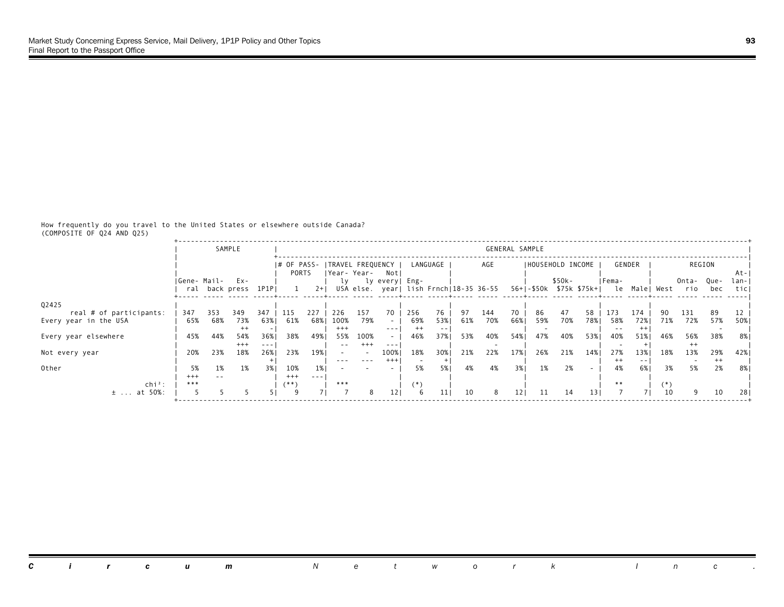How frequently do you travel to the United States or elsewhere outside Canada? (COMPOSITE OF Q24 AND Q25)

|                                                  |                 |            | SAMPLE          |             |                  |            |             |             |                                         |                          |            |           |            | GENERAL SAMPLE |                         |           |           |            |               |           |                |           |           |
|--------------------------------------------------|-----------------|------------|-----------------|-------------|------------------|------------|-------------|-------------|-----------------------------------------|--------------------------|------------|-----------|------------|----------------|-------------------------|-----------|-----------|------------|---------------|-----------|----------------|-----------|-----------|
|                                                  |                 |            |                 |             | PORTS            |            |             | Year- Year- | I# OF PASS- ITRAVEL FREQUENCY I<br>Notl |                          | LANGUAGE   |           | AGE        |                | IHOUSEHOLD INCOME       |           |           |            | GENDER        |           |                | REGION    | At-       |
|                                                  | IGene- Mail-    |            | Ex-             |             |                  | $2+1$      | lγ          |             | ly every  Eng-                          |                          |            |           |            |                | 56+ -\$50k \$75k \$75k+ | $$50k-$   |           | Fema-      | le Malel      |           | Onta-          | Que-      | lan-      |
|                                                  |                 |            | ral back press  | 1P1P        |                  |            |             |             | USA else. year  lish Frnch 18-35 36-55  |                          |            |           |            |                |                         |           |           |            |               | West      | rio            | bec       | tic       |
| 02425                                            |                 |            |                 |             |                  |            |             |             |                                         |                          |            |           |            |                |                         |           |           |            |               |           |                |           |           |
| real # of participants:<br>Every year in the USA | 347<br>65%      | 353<br>68% | 349<br>73%      | 347<br>63%1 | 115<br>61%       | 227<br>68% | 226<br>100% | 157<br>79%  | 70<br>$\sim$                            | 256<br>69%               | 76<br>53%1 | 97<br>61% | 144<br>70% | 70<br>66%1     | 86<br>59%               | 47<br>70% | 58<br>78% | 173<br>58% | 174<br>72%    | 90<br>71% | 131<br>72%     | 89<br>57% | 12<br>50% |
|                                                  |                 |            | $^{++}$         |             |                  |            | $^{+++}$    |             | $\frac{1}{2}$                           | $^{++}$                  | $- -$      |           |            |                |                         |           |           |            | $^{++}$       |           |                |           |           |
| Every year elsewhere                             | 45%             | 44%        | 54%             | 36%         | 38%              | 49%        | 55%         | 100%        | $\sim$                                  | 46%                      | 37%        | 53%       | 40%        | 54%            | 47%                     | 40%       | 53%       | 40%        | 51%           | 46%       | 56%            | 38%       | 8%        |
| Not every year                                   | 20%             | 23%        | $^{+++}$<br>18% | ---<br>26%  | 23%              | 19%        |             | $^{+++}$    | $- - -$<br>100%                         | 18%                      | 30%        | 21%       | 22%        | 17%            | 26%                     | 21%       | 14%       | 27%        | 13%           | 18%       | $^{++}$<br>13% | 29%       | 42%       |
|                                                  |                 |            |                 |             |                  |            | $- - -$     | $- - -$     | $^{+++}$                                | $\overline{\phantom{a}}$ |            |           |            |                |                         |           |           | $^{++}$    | $\frac{1}{2}$ |           |                | $^{++}$   |           |
| Other                                            | 5%              | 1%         | 1%              | 3% I        | 10%              | 1% I       |             |             | $\overline{a}$                          | 5%                       | 5%         | 4%        | 4%         | 3%1            | 1%                      | 2%        | ۰         | 4%         | 6%            | 3%        | 5%             | 2%        | 8%        |
| $chi^2$ :                                        | $^{+++}$<br>*** | $ -$       |                 |             | $^{+++}$<br>(**` | $- - -$    | ***         |             |                                         | ັ* )                     |            |           |            |                |                         |           |           | $**$       |               | (*`       |                |           |           |
| at 50%:<br>$\pm$                                 |                 |            |                 |             |                  |            |             | 8           | 12.                                     | 6                        |            | 10        | 8          | 121            | 11                      | 14        | 131       |            |               | 10        | ٩              | 10        | 28        |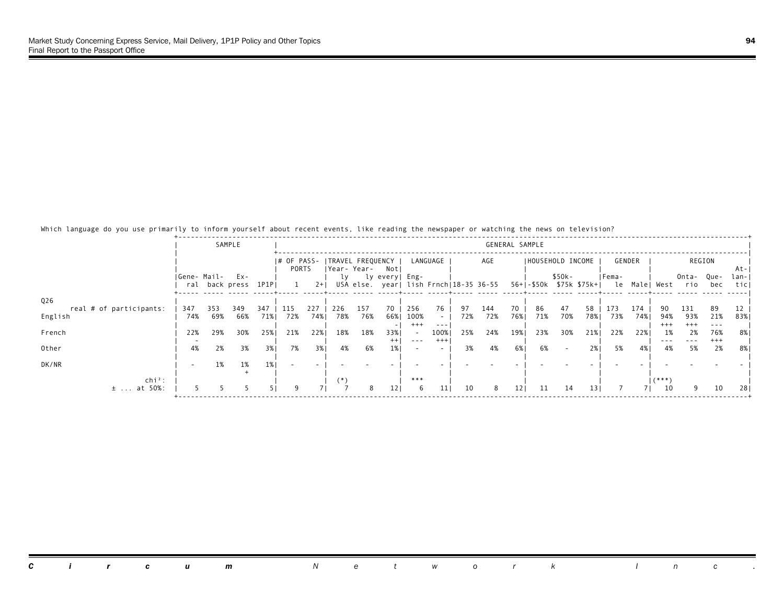Which language do you use primarily to inform yourself about recent events, like reading the newspaper or watching the news on television?

|                         |              |     | SAMPLE     |       |       |      |       |                               |                       |                  |                           |     |                                        | GENERAL SAMPLE |                    |        |                         |        |               |                 |                 |                  |             |
|-------------------------|--------------|-----|------------|-------|-------|------|-------|-------------------------------|-----------------------|------------------|---------------------------|-----|----------------------------------------|----------------|--------------------|--------|-------------------------|--------|---------------|-----------------|-----------------|------------------|-------------|
|                         |              |     |            |       |       |      |       | # OF PASS-   TRAVEL FREQUENCY |                       |                  | LANGUAGE                  |     | AGE                                    |                | I HOUSEHOLD INCOME |        |                         |        | GENDER        |                 |                 | REGION           |             |
|                         | IGene- Mail- |     | Ex-        |       | PORTS |      | ly    | Year- Year-                   | Not<br>ly every  Eng- |                  |                           |     |                                        |                |                    | \$50k- |                         | IFema- |               |                 | Onta-           | Que-             | At-<br>lan- |
|                         | ral          |     | back press | 1P1PI |       | $2+$ |       |                               |                       |                  |                           |     | USA else. year  lish Frnch 18-35 36-55 |                |                    |        | 56+ -\$50k \$75k \$75k+ |        | le Male  West |                 | rio             | bec              | ticl        |
| Q26                     |              |     |            |       |       |      |       |                               |                       |                  |                           |     |                                        |                |                    |        |                         |        |               |                 |                 |                  |             |
| real # of participants: | 347          | 353 | 349        | 347   | 115   | 227  | 226   | 157                           | 70                    | 256              | 76                        | 97  | 144                                    | 70             | 86                 | 47     | 58                      | 173    | 174           | 90              | 131             | 89               | 12          |
| English                 | 74%          | 69% | 66%        | 71%   | 72%   | 74%  | 78%   | 76%                           | 66%                   | 100%<br>$^{+++}$ | $\sim$ 10 $\,$<br>$- - -$ | 72% | 72%                                    | 76%            | 71%                | 70%    | 78%                     | 73%    | 74%           | 94%<br>$^{+++}$ | 93%<br>$^{+++}$ | 21%              | 83%         |
| French                  | 22%          | 29% | 30%        | 25%   | 21%   | 22%  | 18%   | 18%                           | 33%                   | $\sim$           | 100%                      | 25% | 24%                                    | 19%            | 23%                | 30%    | 21%                     | 22%    | 22%           | 1%              | 2%              | 76%              | 8%          |
| Other                   | 4%           | 2%  | 3%         | 3%1   | 7%    | 3%   | 4%    | 6%                            | $^{++}$               | $- - -$          | $^{+++}$<br>$\sim$        | 3%  | 4%                                     | 6% I           | 6%                 |        | 2%                      | 5%     | 4% 1          | $- - -$<br>4%   | $- - -$<br>5%   | $^{+ + +}$<br>2% | 8%          |
|                         |              |     |            |       |       |      |       |                               |                       |                  |                           |     |                                        |                |                    |        |                         |        |               |                 |                 |                  |             |
| DK/NR                   |              | 1%  | 1%         | 1%    |       |      |       |                               |                       |                  |                           |     |                                        |                |                    |        |                         |        |               |                 |                 |                  |             |
| $\ch{i}^2$ :            |              |     |            |       |       |      | $(*)$ |                               |                       | ***              |                           |     |                                        |                |                    |        |                         |        |               |                 |                 |                  |             |
| $±$ at 50%:             |              |     |            |       |       |      |       | 8                             | 12                    | -6               | 11                        | 10  | 8                                      | 121            | 11                 | 14     | 13 <sup>1</sup>         |        | 7 I           | 10              | 9               | 10               | 28          |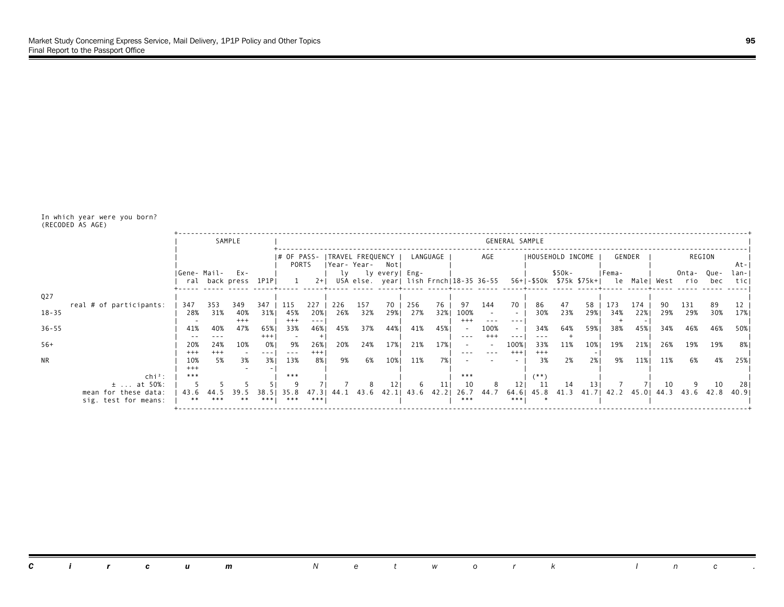In which year were you born? (RECODED AS AGE)

|                  |                                              |                 |                 | SAMPLE               |                 |                        |                   |                                  |            |                                                          |            |           |                                     |                                 | GENERAL SAMPLE        |                         |           |           |            |               |           |                  |           |              |
|------------------|----------------------------------------------|-----------------|-----------------|----------------------|-----------------|------------------------|-------------------|----------------------------------|------------|----------------------------------------------------------|------------|-----------|-------------------------------------|---------------------------------|-----------------------|-------------------------|-----------|-----------|------------|---------------|-----------|------------------|-----------|--------------|
|                  |                                              |                 |                 |                      |                 | I# OF PASS-<br>PORTS   |                   | ITRAVEL FREQUENCY<br>Year- Year- |            | Notl                                                     |            | LANGUAGE  |                                     | AGE                             |                       | IHOUSEHOLD INCOME       |           |           |            | GENDER        |           |                  | REGION    | At-          |
|                  |                                              | Gene- Mail- Ex- |                 | ral back_press 1P1PI |                 | $\overline{1}$         | $2+1$             | lγ                               |            | ly every  Eng-<br>USA else. year  lish Frnch 18-35 36-55 |            |           |                                     |                                 |                       | 56+ -\$50k \$75k \$75k+ | $$50k-$   |           | Fema-      | le Male  West |           | Onta-Que-<br>rio | bec       | lan-<br>ticl |
| Q <sub>2</sub> 7 |                                              |                 |                 |                      |                 |                        |                   |                                  |            |                                                          |            |           |                                     |                                 |                       |                         |           |           |            |               |           |                  |           |              |
| $18 - 35$        | real # of participants:                      | 347<br>28%      | 353<br>31%      | 349<br>40%<br>$+++$  | 347<br>31%      | 115<br>45%<br>$^{+++}$ | 227<br>20%<br>--- | 226<br>26%                       | 157<br>32% | 70<br>29%                                                | 256<br>27% | 76<br>32% | 97<br>100%<br>$+++$                 | 144<br>$\overline{\phantom{a}}$ | 70<br>$\sim$<br>- - - | 86<br>30%               | 47<br>23% | 58<br>29% | 173<br>34% | 174<br>22%    | 90<br>29% | 131<br>29%       | 89<br>30% | 12<br>17%    |
| $36 - 55$        |                                              | 41%             | 40%             | 47%                  | 65%<br>$^{+++}$ | 33%<br>$\sim$          | 46%               | 45%                              | 37%        | 44%                                                      | 41%        | 45%       | $\overline{\phantom{a}}$<br>$- - -$ | 100%<br>$^{++}$                 | $\sim$<br>---         | 34%                     | 64%       | 59%       | 38%        | 45%           | 34%       | 46%              | 46%       | 50%          |
| $56+$            |                                              | 20%<br>$^{+++}$ | 24%<br>$^{+++}$ | 10%                  | 0% I            | 9%<br>$- - -$          | 26%<br>$^{+++}$   | 20%                              | 24%        | 17%                                                      | 21%        | 17%       | $\sim$                              |                                 | 100%<br>$+++$         | 33%<br>$^{+++}$         | 11%       | 10%       | 19%        | 21%           | 26%       | 19%              | 19%       | 8%           |
| <b>NR</b>        |                                              | 10%<br>$+++$    | 5%              | 3%                   | 3%1             | 13%                    | 8%                | 9%                               | 6%         | 10%                                                      | 11%        | 7% I      |                                     |                                 |                       | 3%                      | 2%        | 2%        | 9%         | 11%           | 11%       | 6%               | 4%        | 25%          |
|                  | $chi^2$ :<br>$\pm$ at 50%:                   | ***             |                 |                      |                 | ***                    |                   |                                  |            |                                                          |            |           | ***<br>10                           |                                 |                       | $^{***}$                | 14        |           |            |               | 10        |                  | 10        | 281          |
|                  | mean for these data:<br>sig. test for means: | 43.6<br>* *     | ***             | $**$                 | 38.<br>***!     | -8<br>35.<br>***       | . 3<br>***        | 44.1                             | 43.6       | 42.11                                                    | 43.6       | 42.21     | 26.7<br>***                         | 44.7                            | 64.61<br>***1         | 45.8                    | 41.3      | 41.71     | 42.2       | 45.01         | 44.3      | 43.6             | 42.8      | 40.91        |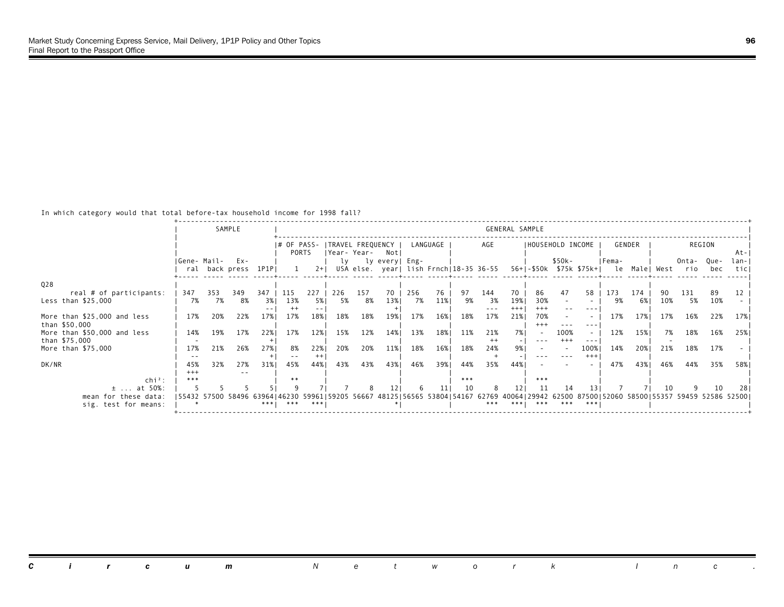In which category would that total before-tax household income for 1998 fall?

|                                               |                 |           | SAMPLE                                                                                                                                     |              |                                          |                |             |           |                                                          |           |           |           |                | GENERAL SAMPLE |                          |                                    |                    |           |               |           |              |             |                 |
|-----------------------------------------------|-----------------|-----------|--------------------------------------------------------------------------------------------------------------------------------------------|--------------|------------------------------------------|----------------|-------------|-----------|----------------------------------------------------------|-----------|-----------|-----------|----------------|----------------|--------------------------|------------------------------------|--------------------|-----------|---------------|-----------|--------------|-------------|-----------------|
|                                               |                 |           |                                                                                                                                            |              | I# OF PASS- ITRAVEL FREQUENCY  <br>PORTS |                | Year- Year- |           | Not                                                      |           | LANGUAGE  |           | AGE            |                |                          | IHOUSEHOLD INCOME                  |                    |           | GENDER        |           |              | REGION      | At-             |
|                                               | Gene- Mail- Ex- |           | ral back press 1P1P                                                                                                                        |              |                                          | $2+1$          | lv          |           | ly every  Eng-<br>USA else. year  lish Frnch 18-35 36-55 |           |           |           |                |                |                          | \$50k-<br>56+1-\$50k \$75k \$75k+1 |                    | Fema-     | le Male  West |           | Onta-<br>rio | Que-<br>bec | $lan -$<br>ticl |
| Q28                                           |                 |           |                                                                                                                                            |              |                                          |                |             |           |                                                          |           |           |           |                |                |                          |                                    |                    |           |               |           |              |             |                 |
| real # of participants:<br>Less than \$25,000 | 347<br>7%       | 353<br>7% | 349<br>8%                                                                                                                                  | 347<br>3%    | 115<br>13%                               | 227<br>5%      | 226<br>5%   | 157<br>8% | 70<br>13%                                                | 256<br>7% | 76<br>11% | 97<br>9%  | 144<br>3%      | 70<br>19%      | 86<br>30%                | 47                                 | 58                 | 173<br>9% | 174<br>6% I   | 90<br>10% | 131<br>5%    | 89<br>10%   |                 |
| More than \$25,000 and less<br>than \$50,000  | 17%             | 20%       | 22%                                                                                                                                        | $- -$<br>17% | $^{++}$<br>17%                           | $ -$<br>18%    | 18%         | 18%       | 19%                                                      | 17%       | 16%       | 18%       | $- - -$<br>17% | $+++$<br>21%   | $***$<br>70%<br>$^{+++}$ |                                    | $- - -$<br>$- - -$ | 17%       | 17%           | 17%       | 16%          | 22%         | 17%             |
| More than \$50,000 and less<br>than \$75,000  | 14%             | 19%       | 17%                                                                                                                                        | 22%          | 17%                                      | 12%            | 15%         | 12%       | 14%                                                      | 13%       | 18%       | 11%       | 21%<br>$^{++}$ | 7% I           |                          | 100%<br>$^{+++}$                   | $\sim$<br>$- - -$  | 12%       | 15%           | 7%        | 18%          | 16%         | 25%             |
| More than \$75,000                            | 17%             | 21%       | 26%                                                                                                                                        | 27%          | 8%<br>$- -$                              | 22%<br>$^{++}$ | 20%         | 20%       | 11%                                                      | 18%       | 16%       | 18%       | 24%            | 9% I           |                          |                                    | 100%<br>$+++$      | 14%       | 20%           | 21%       | 18%          | 17%         |                 |
| DK/NR                                         | 45%<br>$^{+++}$ | 32%       | 27%<br>$- -$                                                                                                                               | 31%          | 45%                                      | 44%            | 43%         | 43%       | 43%                                                      | 46%       | 39%       | 44%       | 35%            | 44%            |                          |                                    |                    | 47%       | 43%           | 46%       | 44%          | 35%         | 58%             |
| $\mathsf{chi}^2$ :<br>$±$ at 50%:             | ***             |           |                                                                                                                                            |              | $**$                                     |                |             |           |                                                          | 6         | 11        | ***<br>10 | 8              |                | $* * *$                  |                                    | 13                 |           |               | 10        |              | 10          | 28              |
| mean for these data:<br>sig. test for means:  |                 |           | 55432 57500 58496 63964146230 59961159205 56667 48125156565 53804154167 62769 40064129942 62500 87500152060 58500155357 59459 52586 525001 | ***1         | ***                                      | ***            |             |           |                                                          |           |           |           | ***            | $* * * 1$      | ***                      | ***                                | ***                |           |               |           |              |             |                 |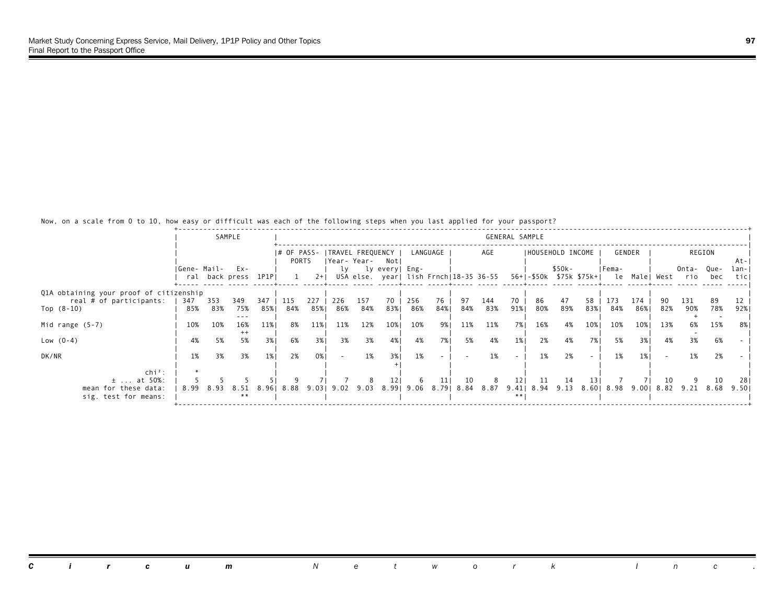|                                         |             |      | SAMPLE              |       |             |       |                                    |           |                 |            |          |      |                                        | GENERAL SAMPLE  |                    |        |                   |                    |        |     |                                            |        |       |
|-----------------------------------------|-------------|------|---------------------|-------|-------------|-------|------------------------------------|-----------|-----------------|------------|----------|------|----------------------------------------|-----------------|--------------------|--------|-------------------|--------------------|--------|-----|--------------------------------------------|--------|-------|
|                                         |             |      |                     |       | I# OF PASS- |       |                                    |           |                 |            | LANGUAGE |      | AGE                                    |                 |                    |        | IHOUSEHOLD INCOME |                    | GENDER |     |                                            | REGION |       |
|                                         |             |      |                     |       | PORTS       |       | TRAVEL FREQUENCY  <br> Year- Year- |           | Notl            |            |          |      |                                        |                 |                    |        |                   |                    |        |     |                                            |        | -At-I |
|                                         | Gene- Mail- |      | Ex-                 |       |             |       | lv                                 |           | ly every  Eng-  |            |          |      |                                        |                 |                    | \$50k- |                   | IFema-             |        |     | Onta-                                      | Que-   | lan-I |
|                                         |             |      | ral back press 1P1P |       |             | $2+1$ |                                    |           |                 |            |          |      | USA else. year  lish Frnch 18-35 36-55 |                 |                    |        |                   |                    |        |     | 56+ -\$50k \$75k \$75k+  le Male  West rio | bec    | ticl  |
|                                         |             |      |                     |       |             |       |                                    |           |                 |            |          |      |                                        |                 |                    |        |                   |                    |        |     |                                            |        |       |
| Q1A obtaining your proof of citizenship |             |      |                     |       |             |       |                                    |           |                 |            |          |      |                                        |                 |                    |        |                   |                    |        |     |                                            |        |       |
| real # of participants:                 | 347         | 353  | 349                 | 347   | 115         | 227   | 226                                | 157       | 70              | 256        | 76       | 97   | 144                                    | 70              | 86                 | 47     | 58                | 173                | 174    |     | 131                                        | 89     |       |
| Top $(8-10)$                            | 85%         | 83%  | 75%<br>---          | 85%   | 84%         | 85%   | 86%                                | 84%       | 83%             | 86%        | 84%      | 84%  | 83%                                    | 91%             | 80%                | 89%    | 83%               | 84%                | 86%    | 82% | 90%                                        | 78%    | 92%   |
| Mid range $(5-7)$                       | 10%         | 10%  | 16%                 | 11%   | 8%          | 11%   | 11%                                | 12%       | 10%             | 10%        | 9%       | 11%  | 11%                                    | 7%1             | 16%                | 4%     | 10%               | 10%                | 10%    | 13% | 6%                                         | 15%    | 8%    |
|                                         |             |      | $^{++}$             |       |             |       |                                    |           |                 |            |          |      |                                        |                 |                    |        |                   |                    |        |     |                                            |        |       |
| Low $(0-4)$                             | 4%          | 5%   | 5%                  | 3%    | 6%          | 3%    | 3%                                 | 3%        | 4%              | 4%         | 7%       | 5%   | 4%                                     | $1\%$           | 2%                 | 4%     | 7% I              | 5%                 | 3%1    | 4%  | 3%                                         | 6%     |       |
|                                         |             |      |                     |       |             |       |                                    |           |                 |            |          |      |                                        |                 |                    |        |                   |                    |        |     |                                            |        |       |
| DK/NR                                   | 1%          | 3%   | 3%                  | 1%    | 2%          | 0%    |                                    | 1%        | 3%1             | 1%         |          |      | 1%                                     | $\sim$          | 1%                 | 2%     |                   | 1%                 | 1%1    |     | 1%                                         | 2%     |       |
| $\ch{i}^2$ :                            |             |      |                     |       |             |       |                                    |           |                 |            |          |      |                                        |                 |                    |        |                   |                    |        |     |                                            |        |       |
| $\pm$ at 50%:                           |             |      |                     |       |             |       |                                    |           | 12 <sub>1</sub> | -6         | 11       | 10   | 8                                      | 12 <sub>1</sub> | 11                 | -14    | 13 I              |                    |        | 10  |                                            | 10     | -281  |
| mean for these data:                    | 8.99        | 8.93 | 8.51                | 8.961 | 8.88        | 9.031 |                                    | 9.02 9.03 |                 | 8.99  9.06 | 8.791    | 8.84 | 8.87                                   |                 | $9.41$   8.94 9.13 |        |                   | 8.60   8.98   9.00 |        |     | 8.82 9.21 8.68                             |        | 9.501 |
| sig. test for means:                    |             |      | **                  |       |             |       |                                    |           |                 |            |          |      |                                        | $**$            |                    |        |                   |                    |        |     |                                            |        |       |
|                                         |             |      |                     |       |             |       |                                    |           |                 |            |          |      |                                        |                 |                    |        |                   |                    |        |     |                                            |        |       |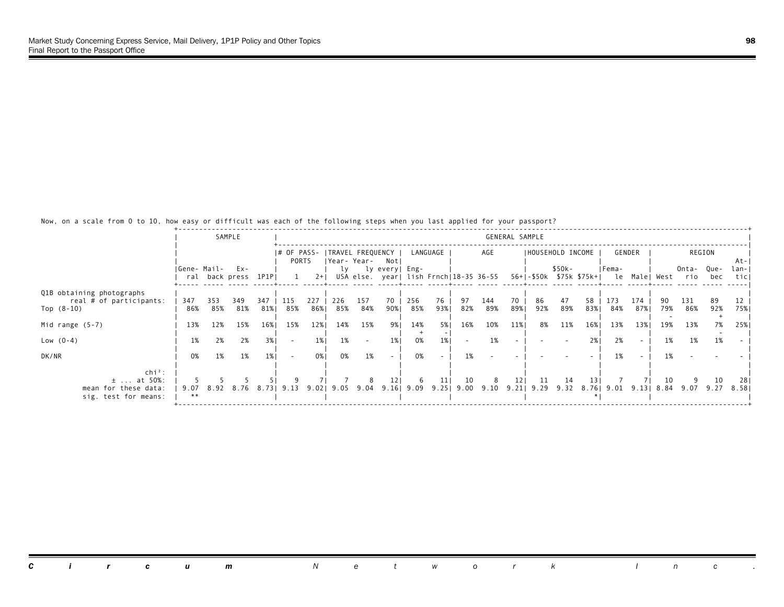|                                                                            |             |            | SAMPLE                     |            |                          |             |            |                                    |                 |                     |            |           |                                         | GENERAL SAMPLE |                   |           |           |                                                  |            |     |              |             |               |
|----------------------------------------------------------------------------|-------------|------------|----------------------------|------------|--------------------------|-------------|------------|------------------------------------|-----------------|---------------------|------------|-----------|-----------------------------------------|----------------|-------------------|-----------|-----------|--------------------------------------------------|------------|-----|--------------|-------------|---------------|
|                                                                            |             |            |                            |            | I# OF PASS-<br>PORTS     |             |            | TRAVEL FREQUENCY  <br> Year- Year- | Notl            |                     | LANGUAGE   |           | AGE                                     |                | IHOUSEHOLD INCOME |           |           |                                                  | GENDER     |     |              | REGION      | At-I          |
|                                                                            | Gene- Mail- |            | Ex-<br>ral back press 1P1P |            |                          | $2+1$       | lv         |                                    | ly every  Eng-  |                     |            |           | USA else. year  lish Frnch 18-35 36-55  |                |                   | \$50k-    |           | IFema-<br>56+ -\$50k \$75k \$75k+  le Male  West |            |     | Onta-<br>rio | Que-<br>bec | lan-I<br>ticl |
| Q1B obtaining photographs<br>real # of participants:<br>Top $(8-10)$       | 347<br>86%  | 353<br>85% | 349<br>81%                 | 347<br>81% | 115<br>85%               | 227<br>86%1 | 226<br>85% | 157<br>84%                         | 70<br>90%1      | 256<br>85%          | 76<br>93%1 | 97<br>82% | 144<br>89%                              | 70<br>89%1     | 86<br>92%         | 47<br>89% | 58<br>83% | 173<br>84%                                       | 174<br>87% | 79% | 131<br>86%   | 89<br>92%   | 75%           |
| Mid range $(5-7)$                                                          | 13%         | 12%        | 15%                        | 16%        | 15%                      | 12%         | 14%        | 15%                                | 9% 1            | 14%                 | 5%         | 16%       | 10%                                     | 11%            | 8%                | 11%       | 16%       | 13%                                              | 13%        | 19% | 13%          | 7%          | 25%           |
| Low $(0-4)$                                                                | 1%          | 2%         | 2%                         | 3%         | $\overline{\phantom{a}}$ | $1\%$       | 1%         | $\sim$                             | $1\%$           | 0%                  | 1%         |           | 1%                                      |                |                   |           | 2%1       | 2%                                               | $\sim$     | 1%  | 1%           | 1%          |               |
| DK/NR                                                                      | 0%          | 1%         | 1%                         | 1%         | $\overline{\phantom{a}}$ | 0%          | 0%         | 1%                                 | $\sim$          | 0%                  |            | 1%        |                                         |                |                   |           |           | 1%                                               |            | 1%  |              |             |               |
| $chi^2$ :<br>$\pm$ at 50%:<br>mean for these data:<br>sig. test for means: | 9.07<br>**  | 8.92       | 8.76                       | 8.731      | 9.13                     | 9.02        |            | 9.05 9.04                          | 12 <sub>1</sub> | -6<br>$9.16$   9.09 | 11<br>9.25 | 10        | 8<br>$9.00$ $9.10$ $9.21$ $9.29$ $9.32$ | 121            | -11               | 14        | 13 I      | 8.76   9.01   9.13                               |            | 10  | 8.84 9.07    | 10<br>9.27  | 281<br>8.581  |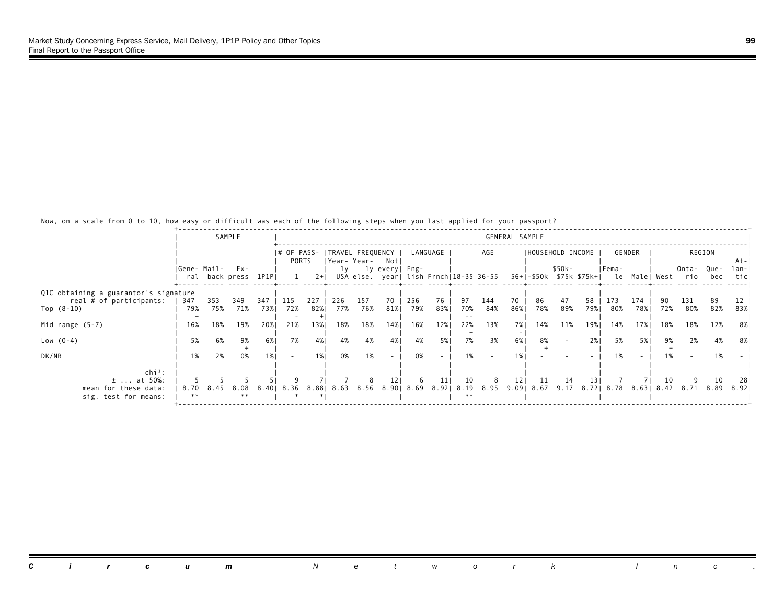|                                       |             |      | SAMPLE              |      |                          |       |     |                  |                     |     |          |                                        |     | GENERAL SAMPLE |                   |        |      |                                       |        |     |                |        |       |
|---------------------------------------|-------------|------|---------------------|------|--------------------------|-------|-----|------------------|---------------------|-----|----------|----------------------------------------|-----|----------------|-------------------|--------|------|---------------------------------------|--------|-----|----------------|--------|-------|
|                                       |             |      |                     |      | I# OF PASS-              |       |     | TRAVEL FREQUENCY |                     |     | LANGUAGE |                                        | AGE |                | IHOUSEHOLD INCOME |        |      |                                       | GENDER |     |                | REGION |       |
|                                       |             |      |                     |      | PORTS                    |       |     | Year- Year-      | Notl                |     |          |                                        |     |                |                   |        |      |                                       |        |     |                |        | -At-I |
|                                       | Gene- Mail- |      | Ex-                 |      |                          |       | lv  |                  | ly every  Eng-      |     |          |                                        |     |                |                   | \$50k- |      | IFema-                                |        |     | Onta-          | Que-   | lan-I |
|                                       |             |      | ral back press 1P1P |      |                          | $2+1$ |     |                  |                     |     |          | USA else. year  lish Frnch 18-35 36-55 |     |                |                   |        |      | 56+ -\$50k \$75k \$75k+  le Male West |        |     | rio            | bec    | ticl  |
| Q1C obtaining a guarantor's signature |             |      |                     |      |                          |       |     |                  |                     |     |          |                                        |     |                |                   |        |      |                                       |        |     |                |        |       |
| real # of participants:               | 347         | 353  | 349                 | 347  | 115                      | 227   | 226 | 157              | 70                  | 256 | 76       | 97                                     | 144 | 70             | 86                | 47     | 58   | 173                                   | 174    |     | 131            | -89    |       |
| Top $(8-10)$                          | 79%         | 75%  | 71%                 | 73%  | 72%                      | 82%   | 77% | 76%              | 81%                 | 79% | 83%      | 70%                                    | 84% | 86%1           | 78%               | 89%    | 79%। | 80%                                   | 78%    | 72% | 80%            | 82%    | 83%   |
|                                       |             |      |                     |      |                          |       |     |                  |                     |     |          |                                        |     |                |                   |        |      |                                       |        |     |                |        |       |
| Mid range $(5-7)$                     | 16%         | 18%  | 19%                 | 20%1 | 21%                      | 13%   | 18% | 18%              | 14%                 | 16% | 12%      | 22%                                    | 13% | 7%1            | 14%               | 11%    | 19%  | 14%                                   | 17%    | 18% | 18%            | 12%    | 8%    |
| Low $(0-4)$                           | 5%          | 6%   | 9%                  | 6%   | 7%                       | 4%    | 4%  | 4%               | 4%                  | 4%  | 5%       | 7%                                     | 3%  | 6%             | 8%                |        | 2%1  | 5%                                    | 5%     | 9%  | 2%             | 4%     | 8%    |
|                                       |             |      |                     |      |                          |       |     |                  |                     |     |          |                                        |     |                |                   |        |      |                                       |        |     |                |        |       |
| DK/NR                                 | 1%          | 2%   | 0%                  | 1%   | $\overline{\phantom{a}}$ | 1%    | 0%  | 1%               | $\sim$              | 0%  |          | 1%                                     |     | 1%             |                   |        |      | 1%                                    | $\sim$ | 1%  |                | 1%     |       |
|                                       |             |      |                     |      |                          |       |     |                  |                     |     |          |                                        |     |                |                   |        |      |                                       |        |     |                |        |       |
| $\ch{i}^2$ :                          |             |      |                     |      |                          |       |     |                  |                     |     |          |                                        |     |                |                   |        |      |                                       |        |     |                |        |       |
| $±$ at 50%:                           |             |      |                     |      |                          |       |     |                  | 12 <sub>1</sub>     | -6  | 11       | 10                                     | 8   | 121            | 11                | -14    | 13 I |                                       |        | 10  |                | 10     | 281   |
| mean for these data:                  | 8.70<br>**  | 8.45 | 8.08<br>**          |      | 8.40  8.36               | 8.881 |     |                  | 8.63 8.56 8.90 8.69 |     | 8.92     | 8.19<br>**                             |     |                | 8.95 9.09 8.67    | 9.17   |      | 8.72   8.78 8.63                      |        |     | 8.42 8.71 8.89 |        | 8.921 |
| sig. test for means:                  |             |      |                     |      |                          |       |     |                  |                     |     |          |                                        |     |                |                   |        |      |                                       |        |     |                |        |       |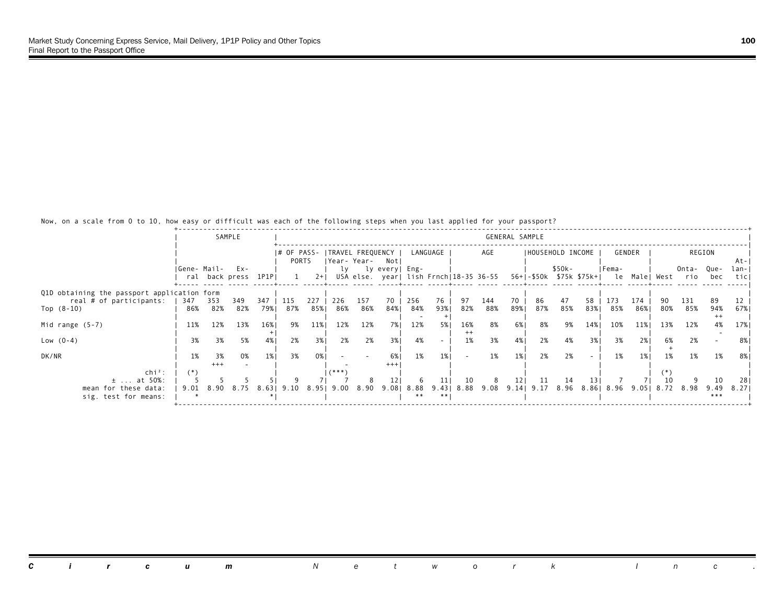|                                             |             |           | SAMPLE              |       |             |       |          |                  |                                        |                    |          |               |                     | GENERAL SAMPLE |     |                   |      |                     |        |     |                                            |             |       |
|---------------------------------------------|-------------|-----------|---------------------|-------|-------------|-------|----------|------------------|----------------------------------------|--------------------|----------|---------------|---------------------|----------------|-----|-------------------|------|---------------------|--------|-----|--------------------------------------------|-------------|-------|
|                                             |             |           |                     |       |             |       |          |                  |                                        |                    |          |               |                     |                |     |                   |      |                     |        |     |                                            |             |       |
|                                             |             |           |                     |       | I# OF PASS- |       |          | TRAVEL FREQUENCY |                                        |                    | LANGUAGE |               | AGE                 |                |     | IHOUSEHOLD INCOME |      |                     | GENDER |     |                                            | REGION      |       |
|                                             |             |           |                     |       | PORTS       |       |          | Year- Year-      | Notl                                   |                    |          |               |                     |                |     |                   |      |                     |        |     |                                            |             | -At-I |
|                                             | Gene- Mail- |           | Ex-                 |       |             |       | lv       |                  | ly every  Eng-                         |                    |          |               |                     |                |     | \$50k-            |      | IFema-              |        |     | Onta-                                      | Que-        | lan-I |
|                                             |             |           | ral back press 1P1P |       |             | $2+1$ |          |                  | USA else. year  lish Frnch 18-35 36-55 |                    |          |               |                     |                |     |                   |      |                     |        |     | 56+ -\$50k \$75k \$75k+  le Male  West rio | bec         | ticl  |
| Q1D obtaining the passport application form |             |           |                     |       |             |       |          |                  |                                        |                    |          |               |                     |                |     |                   |      |                     |        |     |                                            |             |       |
| real # of participants:                     | 347         | 353       | 349                 | 347   | 115         | 227   | 226      | 157              | 70                                     | 256                | 76       | 97            | 144                 | 70             | 86  | 47                | 58   | 173                 | 174    |     | 131                                        | 89          |       |
| Top $(8-10)$                                | 86%         | 82%       | 82%                 | 79%।  | 87%         | 85%   | 86%      | 86%              | 84%                                    | 84%                | 93%1     | 82%           | 88%                 | 89%1           | 87% | 85%               | 83%  | 85%                 | 86%    | 80% | 85%                                        | 94%         | 67%   |
|                                             |             |           |                     |       |             |       |          |                  |                                        |                    |          |               |                     |                |     |                   |      |                     |        |     |                                            | $^{++}$     |       |
| Mid range $(5-7)$                           | 11%         | 12%       | 13%                 | 16%   | 9%          | 11%   | 12%      | 12%              | 7% l                                   | 12%                | 5%       | 16%           | 8%                  | 6%             | 8%  | 9%                | 14%  | 10%                 | 11%    | 13% | 12%                                        | 4%          | 17%   |
|                                             | 3%          | 3%        |                     | 4%    | 2%          | 3%    | 2%       |                  | 3%1                                    | 4%                 |          | $^{++}$<br>1% | 3%                  |                |     | 4%                | 3%1  | 3%                  | 2%1    | 6%  | 2%                                         |             |       |
| Low $(0-4)$                                 |             |           | 5%                  |       |             |       |          | 2%               |                                        |                    |          |               |                     | 4%             | 2%  |                   |      |                     |        |     |                                            |             | 8%    |
| DK/NR                                       | 1%          | 3%        | 0%                  | 1%    | 3%          | 0%    |          |                  | <b>6%</b>                              | 1%                 | 1%       |               | 1%                  | 1%             | 2%  | 2%                |      | 1%                  | 1%     | 1%  | 1%                                         | 1%          | 8%    |
|                                             |             | $+++$     |                     |       |             |       |          |                  | $***$                                  |                    |          |               |                     |                |     |                   |      |                     |        |     |                                            |             |       |
| $\ch{i}^2$ :                                | $(*)$       |           |                     |       |             |       | $(***")$ |                  |                                        |                    |          |               |                     |                |     |                   |      |                     |        |     |                                            |             |       |
| $\pm$ at 50%:                               |             |           |                     |       |             |       |          |                  |                                        |                    | 11       | 10            | 8                   | 121            | -11 | 14                | 13 I |                     |        |     |                                            | 10          | 281   |
| mean for these data:                        |             | 9.01 8.90 | 8.75                | 8.631 | 9.10        | 8.951 | 9.00     | 8.90             |                                        | 9.08  8.88<br>$**$ | 9.43     |               | 8.88 9.08 9.14 9.17 |                |     |                   |      | 8.96 8.86 8.96 9.05 |        |     | 8.72 8.98                                  | 9.49<br>*** | 8.271 |
| sig. test for means:                        |             |           |                     |       |             |       |          |                  |                                        |                    |          |               |                     |                |     |                   |      |                     |        |     |                                            |             |       |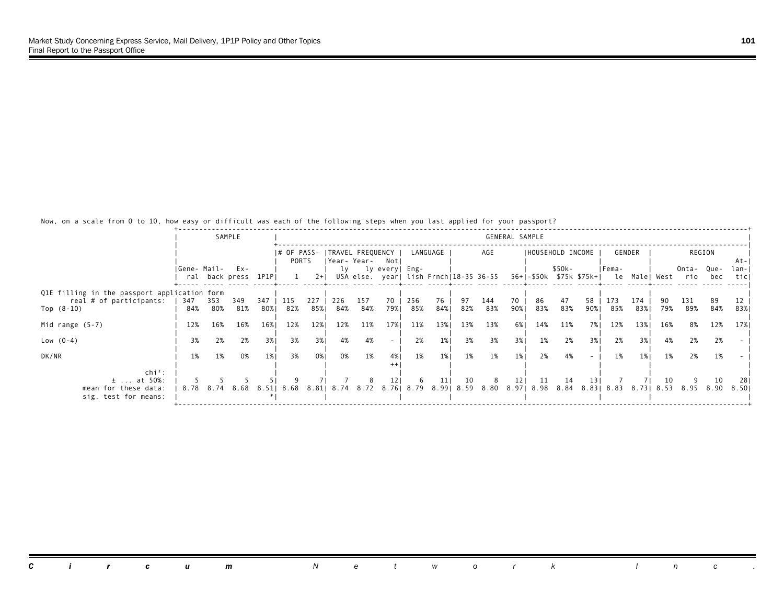|                                                                         |             |          | SAMPLE                         |          |                      |           |          |          |                                                              |           |                |          |          | GENERAL SAMPLE  |                           |          |      |          |          |          |                                                          |          |               |
|-------------------------------------------------------------------------|-------------|----------|--------------------------------|----------|----------------------|-----------|----------|----------|--------------------------------------------------------------|-----------|----------------|----------|----------|-----------------|---------------------------|----------|------|----------|----------|----------|----------------------------------------------------------|----------|---------------|
|                                                                         |             |          |                                |          | I# OF PASS-<br>PORTS |           |          |          | ITRAVEL FREQUENCY I<br> Year-Year- Notl                      |           | LANGUAGE       |          | AGE      |                 | IHOUSEHOLD INCOME         |          |      |          | GENDER   |          |                                                          | REGION   | -At-I         |
|                                                                         | Gene- Mail- |          | $Ex -$<br>ral back press 1P1PI |          |                      | $2+1$     |          |          | ly ly every   Eng-<br>USA else. year  lish Frnch 18-35 36-55 |           |                |          |          |                 |                           | \$50k-   |      | IFema-   |          |          | Onta- Que-<br>56+ -\$50k \$75k \$75k+  le Male  West rio | bec      | lan-I<br>ticl |
| Q1E filling in the passport application form<br>real # of participants: | 347         | 353      | 349                            | 347      | 115                  | 227       | 226      | 157      | 70                                                           | 256       | 76             | 97       | 144      | 70              | 86                        | 47       | 58   | 173      | 174      |          | 131                                                      | 89       |               |
| Top $(8-10)$                                                            | 84%         | 80%      | 81%                            | 80%      | 82%                  | 85%       | 84%      | 84%      | 79%।                                                         | 85%       | 84%            | 82%      | 83%      | 90%             | 83%                       | 83%      | 90%। | 85%      | 83%      | 79%      | 89%                                                      | 84%      | 83%           |
| Mid range $(5-7)$                                                       | 12%         | 16%      | 16%                            | 16%      | 12%                  | 12%       | 12%      | 11%      | 17%                                                          | 11%<br>2% | 13%            | 13%      | 13%      | 6% l            | 14%                       | 11%      | 7% I | 12%      | 13%      | 16%      | 8%                                                       | 12%      | 17%           |
| Low $(0-4)$<br>DK/NR                                                    | 3%<br>1%    | 2%<br>1% | 2%<br>0%                       | 3%<br>1% | 3%<br>3%             | 3%<br>0%1 | 4%<br>0% | 4%<br>1% | $\sim$<br>4%                                                 | 1%        | $1\%$<br>$1\%$ | 3%<br>1% | 3%<br>1% | 3%<br>1%        | 1%<br>2%                  | 2%<br>4% | 3% I | 2%<br>1% | 3%<br>1% | 4%<br>1% | 2%<br>2%                                                 | 2%<br>1% |               |
| $chi^2$ :                                                               |             |          |                                |          |                      |           |          |          |                                                              |           |                |          |          |                 |                           |          |      |          |          |          |                                                          |          |               |
| $\pm$ at 50%:<br>mean for these data:<br>sig. test for means:           |             |          | 8.78 8.74 8.68                 |          | 8.51  8.68           | 8.811     |          |          | 12 <sub>1</sub><br>8.74 8.72 8.76 8.79 8.99 8.59             | -6        | 11             | 10       | 8        | 12 <sub>1</sub> | 11<br>8.80 8.97 8.98 8.84 | 14       | 13 I |          |          | 10       | 8.83   8.83   8.73   8.53   8.95   8.90                  | 10       | -281<br>8.501 |
|                                                                         |             |          |                                |          |                      |           |          |          |                                                              |           |                |          |          |                 |                           |          |      |          |          |          |                                                          |          |               |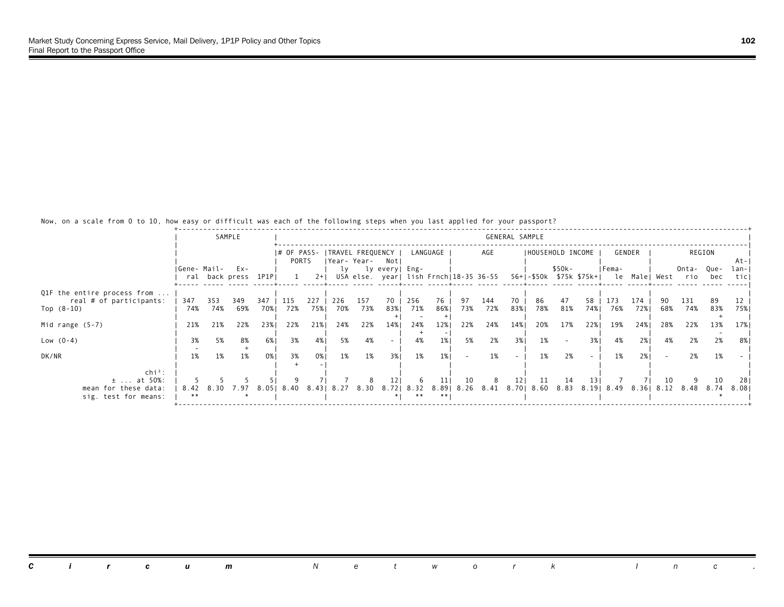|                             |             |           | SAMPLE                        |       |             |       |     |                  |                                                          |     |          |     |                               | GENERAL SAMPLE  |                   |        |      |                                                      |        |     |                |        |               |
|-----------------------------|-------------|-----------|-------------------------------|-------|-------------|-------|-----|------------------|----------------------------------------------------------|-----|----------|-----|-------------------------------|-----------------|-------------------|--------|------|------------------------------------------------------|--------|-----|----------------|--------|---------------|
|                             |             |           |                               |       |             |       |     |                  |                                                          |     |          |     |                               |                 |                   |        |      |                                                      |        |     |                |        |               |
|                             |             |           |                               |       | I# OF PASS- |       |     | TRAVEL FREQUENCY |                                                          |     | LANGUAGE |     | AGE                           |                 | IHOUSEHOLD INCOME |        |      |                                                      | GENDER |     |                | REGION |               |
|                             |             |           |                               |       | PORTS       |       |     | Year-Year- Notl  |                                                          |     |          |     |                               |                 |                   |        |      |                                                      |        |     |                |        | At-I          |
|                             | Gene- Mail- |           | $Ex -$<br>ral back press 1P1P |       |             | $2+1$ | lv  |                  | ly every  Eng-<br>USA else. year  lish Frnch 18-35 36-55 |     |          |     |                               |                 |                   | \$50k- |      | IFema-<br>56+ -\$50k \$75k \$75k+  le Male  West rio |        |     | Onta- Que-     | bec    | lan-I<br>ticl |
|                             |             |           |                               |       |             |       |     |                  |                                                          |     |          |     |                               |                 |                   |        |      |                                                      |        |     |                |        |               |
| Q1F the entire process from |             |           |                               |       |             |       |     |                  |                                                          |     |          |     |                               |                 |                   |        |      |                                                      |        |     |                |        |               |
| real # of participants:     | 347         | 353       | 349                           | 347   | 115         | 227   | 226 | 157              | 70                                                       | 256 | 76       | 97  | 144                           | 70              | 86                | 47     | 58   | 173                                                  | 174    |     | 131            | -89    |               |
| Top $(8-10)$                | 74%         | 74%       | 69%                           | 70%   | 72%         | 75%   | 70% | 73%              | 83%                                                      | 71% | 86%1     | 73% | 72%                           | 83%             | 78%               | 81%    | 74%  | 76%                                                  | 72%1   | 68% | 74%            | 83%    | 75%           |
| Mid range $(5-7)$           | 21%         | 21%       | 22%                           | 23%1  | 22%         | 21%   | 24% | 22%              | 14%                                                      | 24% | 12%      | 22% | 24%                           | 14%             | 20%               | 17%    | 22%  | 19%                                                  | 24%    | 28% | 22%            | 13%    | 17%           |
|                             |             |           |                               |       |             |       |     |                  |                                                          |     |          |     |                               |                 |                   |        |      |                                                      |        |     |                |        |               |
| Low $(0-4)$                 | 3%          | 5%        | 8%                            | 6%    | 3%          | 4%    | 5%  | 4%               | $\sim$                                                   | 4%  | 1%       | 5%  | 2%                            | 3%              | 1%                |        | 3%   | 4%                                                   | 2%1    | 4%  | 2%             | 2%     | 8%            |
|                             |             |           |                               |       |             |       |     |                  |                                                          |     |          |     |                               |                 |                   |        |      |                                                      |        |     |                |        |               |
| DK/NR                       | 1%          | 1%        | 1%                            | 0%    | 3%          | 0%1   | 1%  | 1%               | 3%1                                                      | 1%  | 1%       |     | 1%                            | $\sim$          | 1%                | 2%     |      | 1%                                                   | 2%1    |     | 2%             | 1%     |               |
| $\ch{i}^2$ :                |             |           |                               |       |             |       |     |                  |                                                          |     |          |     |                               |                 |                   |        |      |                                                      |        |     |                |        |               |
| $±$ at 50%:                 |             |           |                               |       |             |       |     |                  | 12 <sub>1</sub>                                          | -6  | 11       | 10  | 8                             | 12 <sub>1</sub> | 11                | 14     | 13 I |                                                      |        | 10  |                | 10     | -281          |
| mean for these data:        |             | 8.42 8.30 | 7.97                          | 8.051 | 8.40        | 8.431 |     | 8.27 8.30        | 8.72  8.32                                               |     |          |     | 8.89 8.26 8.41 8.70 8.60 8.83 |                 |                   |        |      | 8.19  8.49                                           | 8.361  |     | 8.12 8.48 8.74 |        | 8.081         |
| sig. test for means:        | **          |           |                               |       |             |       |     |                  |                                                          |     |          |     |                               |                 |                   |        |      |                                                      |        |     |                |        |               |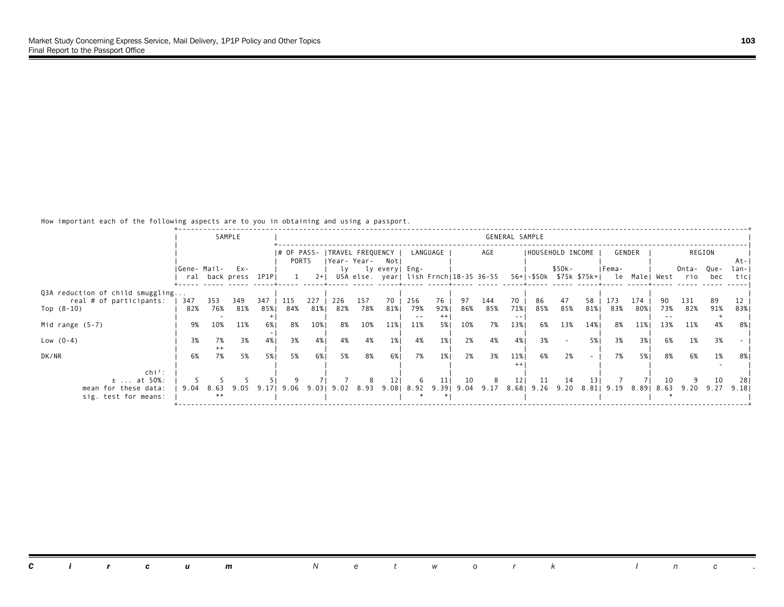How important each of the following aspects are to you in obtaining and using a passport.

|                                  |             |      | SAMPLE              |       |                      |       |     |                 |                            |      |          |     |                                        | GENERAL SAMPLE |                   |        |      |            |            |     |                                            |        |       |
|----------------------------------|-------------|------|---------------------|-------|----------------------|-------|-----|-----------------|----------------------------|------|----------|-----|----------------------------------------|----------------|-------------------|--------|------|------------|------------|-----|--------------------------------------------|--------|-------|
|                                  |             |      |                     |       |                      |       |     |                 |                            |      |          |     | AGE                                    |                |                   |        |      |            |            |     |                                            |        |       |
|                                  |             |      |                     |       | I# OF PASS-<br>PORTS |       |     | Year- Year-     | TRAVEL FREQUENCY  <br>Notl |      | LANGUAGE |     |                                        |                | IHOUSEHOLD INCOME |        |      |            | GENDER     |     |                                            | REGION | -At-I |
|                                  | Gene- Mail- |      | $Ex -$              |       |                      |       | lv  |                 | ly every  Eng-             |      |          |     |                                        |                |                   | \$50k- |      | IFema-     |            |     | Onta-                                      | Que-   | lan-I |
|                                  |             |      | ral back press 1P1P |       |                      | $2+1$ |     |                 |                            |      |          |     | USA else. year  lish Frnch 18-35 36-55 |                |                   |        |      |            |            |     | 56+ -\$50k \$75k \$75k+  le Male  West rio | bec    | ticl  |
|                                  |             |      |                     |       |                      |       |     |                 |                            |      |          |     |                                        |                |                   |        |      |            |            |     |                                            |        |       |
| Q3A reduction of child smuggling |             |      |                     |       |                      |       |     |                 |                            |      |          |     |                                        |                |                   |        |      |            |            |     |                                            |        |       |
| real # of participants:          | 347         | 353  | 349                 | 347   | 115                  | 227   | 226 | 157             | 70                         | 256  | 76       | 97  | 144                                    | 70             | 86                | 47     | 58   | 173        | 174        |     | 131                                        | 89     |       |
| Top $(8-10)$                     | 82%         | 76%  | 81%                 | 85%   | 84%                  | 81%   | 82% | 78%             | 81%                        | 79%  | 92%      | 86% | 85%                                    | 71%            | 85%               | 85%    | 81%  | 83%        | 80%        | 73% | 82%                                        | 91%    | 83%   |
|                                  |             |      |                     |       |                      |       |     |                 |                            | $ -$ |          |     |                                        |                |                   |        |      |            |            |     |                                            |        |       |
| Mid range $(5-7)$                | 9%          | 10%  | 11%                 | 6%1   | 8%                   | 10%   | 8%  | 10%             | 11%                        | 11%  | 5%       | 10% | 7%                                     | 13%            | 6%                | 13%    | 14%  | 8%         | 11%        | 13% | 11%                                        | 4%     | -8%   |
| Low $(0-4)$                      | 3%          | 7%   | 3%                  | 4%    | 3%                   | 4%    | 4%  | 4%              | 1%                         | 4%   | $1\%$    | 2%  | 4%                                     | 4%             | 3%                |        | 5%   | 3%         | 3%         | 6%  | 1%                                         | 3%     |       |
|                                  |             |      |                     |       |                      |       |     |                 |                            |      |          |     |                                        |                |                   |        |      |            |            |     |                                            |        |       |
| DK/NR                            | 6%          | 7%   | 5%                  | 5%    | 5%                   | 6%    | 5%  | 8%              | 6% 1                       | 7%   | $1\%$    | 2%  | 3%                                     | 11%            | 6%                | 2%     |      | 7%         | 5%         | 8%  | 6%                                         | 1%     | 8%    |
|                                  |             |      |                     |       |                      |       |     |                 |                            |      |          |     |                                        |                |                   |        |      |            |            |     |                                            |        |       |
| $\ch{i}^2$ :                     |             |      |                     |       |                      |       |     |                 |                            |      |          |     |                                        |                |                   |        |      |            |            |     |                                            |        |       |
| $\pm$ at 50%:                    |             |      |                     |       |                      |       |     |                 | 12 <sub>1</sub>            | -6   | 11       | 10  | 8                                      | 121            | 11                | 14     | 13 I |            |            | 10  |                                            | 10     | -281  |
| mean for these data:             | 9.04        | 8.63 | 9.05                | 9.171 | 9.06                 |       |     | 9.03  9.02 8.93 |                            |      |          |     | $9.08$   8.92 $9.39$   9.04 $9.17$     |                | 8.68 9.26 9.20    |        |      | 8.81  9.19 | 8.89  8.63 |     | 9.20 9.27                                  |        | 9.181 |
| sig. test for means:             |             | **   |                     |       |                      |       |     |                 |                            |      |          |     |                                        |                |                   |        |      |            |            |     |                                            |        |       |
|                                  |             |      |                     |       |                      |       |     |                 |                            |      |          |     |                                        |                |                   |        |      |            |            |     |                                            |        |       |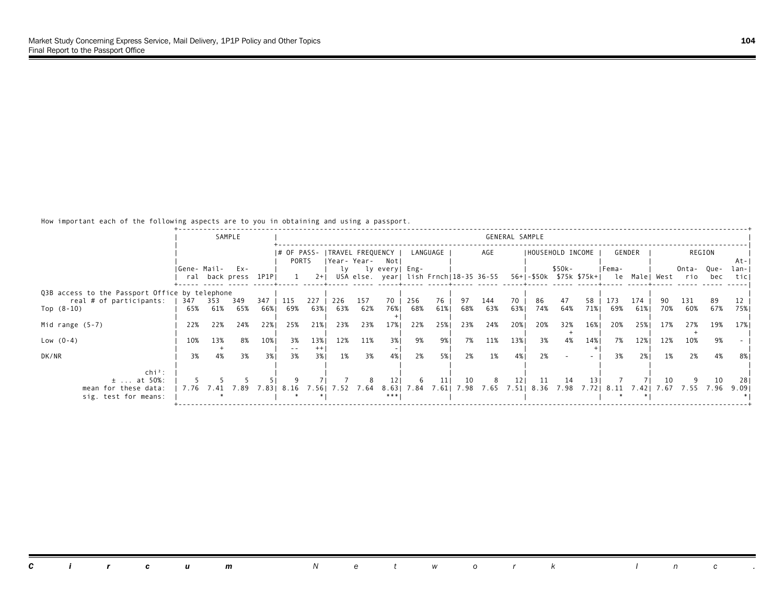How important each of the following aspects are to you in obtaining and using a passport.

|                                                                           |             |     | SAMPLE               |       |             |                |     |           |                   |            |          |     |                                        | GENERAL SAMPLE |                   |        |     |            |        |      |                                            |        |       |
|---------------------------------------------------------------------------|-------------|-----|----------------------|-------|-------------|----------------|-----|-----------|-------------------|------------|----------|-----|----------------------------------------|----------------|-------------------|--------|-----|------------|--------|------|--------------------------------------------|--------|-------|
|                                                                           |             |     |                      |       |             |                |     |           |                   |            |          |     |                                        |                |                   |        |     |            |        |      |                                            |        |       |
|                                                                           |             |     |                      |       | I# OF PASS- |                |     |           | ITRAVEL FREQUENCY |            | LANGUAGE |     | AGE                                    |                | IHOUSEHOLD INCOME |        |     |            | GENDER |      |                                            | REGION |       |
|                                                                           |             |     |                      |       | PORTS       |                |     |           | Year-Year- Notl   |            |          |     |                                        |                |                   |        |     |            |        |      |                                            |        | -At-I |
|                                                                           | Gene- Mail- |     | $Ex -$               |       |             |                | lv  |           | ly every  Eng-    |            |          |     |                                        |                |                   | \$50k- |     | IFema-     |        |      | Onta- Que-                                 |        | lan-I |
|                                                                           |             |     | ral back press 1P1PI |       |             | $2+1$          |     |           |                   |            |          |     | USA else. year  lish Frnch 18-35 36-55 |                |                   |        |     |            |        |      | 56+ -\$50k \$75k \$75k+  le Male  West rio | bec    | ticl  |
|                                                                           |             |     |                      |       |             |                |     |           |                   |            |          |     |                                        |                |                   |        |     |            |        |      |                                            |        |       |
| Q3B access to the Passport Office by telephone<br>real # of participants: | 347         | 353 | 349                  | 347   | 115         | 227            | 226 | 157       | 70                | 256        | 76       | 97  | 144                                    | 70             | 86                | 47     | 58  | 173        | 174    |      | 131                                        | 89     |       |
| Top $(8-10)$                                                              | 65%         | 61% | 65%                  | 66%   | 69%         | 63%            | 63% | 62%       | 76%               | 68%        | 61%      | 68% | 63%                                    | 63%1           | 74%               | 64%    | 71% | 69%        | 61%    | 70%  | 60%                                        | 67%    | 75%   |
|                                                                           |             |     |                      |       |             |                |     |           |                   |            |          |     |                                        |                |                   |        |     |            |        |      |                                            |        |       |
| Mid range $(5-7)$                                                         | 22%         | 22% | 24%                  | 22%1  | 25%         | 21%            | 23% | 23%       | 17%               | 22%        | 25%      | 23% | 24%                                    | 20%            | 20%               | 32%    | 16% | 20%        | 25%    | 17%  | 27%                                        | 19%    | 17%   |
|                                                                           |             |     |                      |       |             |                |     |           |                   |            |          |     |                                        |                |                   |        |     |            |        |      |                                            |        |       |
| Low $(0-4)$                                                               | 10%         | 13% | 8%                   | 10%   | 3%          | 13%            | 12% | 11%       | 3%                | 9%         | 9%       | 7%  | 11%                                    | 13%            | 3%                | 4%     | 14% | 7%         | 12%    | 12%  | 10%                                        | 9%     |       |
| DK/NR                                                                     | 3%          | 4%  | 3%                   | 3%1   | $- -$<br>3% | $^{++}$<br>3%1 | 1%  | 3%        | 4%                | 2%         | 5%       | 2%  | 1%                                     | 4%             | 2%                |        |     | 3%         | 2%1    | 1%   | 2%                                         | 4%     |       |
|                                                                           |             |     |                      |       |             |                |     |           |                   |            |          |     |                                        |                |                   |        |     |            |        |      |                                            |        | 8%    |
| $chi^2$ :                                                                 |             |     |                      |       |             |                |     |           |                   |            |          |     |                                        |                |                   |        |     |            |        |      |                                            |        |       |
| $\pm$ at 50%:                                                             |             |     |                      |       |             |                |     |           | 121               | -6         | 11       | 10  | 8                                      | 121            | 11                | 14     | 131 |            |        | 10   |                                            | 10     | -281  |
| mean for these data:                                                      | 7.76        |     | 7.89                 | 7.831 | 8.16        | 7.561          |     | 7.52 7.64 |                   | 8.63  7.84 | 7.611    |     | 7.98 7.65 7.51 8.36                    |                |                   | 7.98   |     | 7.72  8.11 | 7.421  | 7.67 | 7.55                                       | 7.96   | 9.091 |
| sig. test for means:                                                      |             |     |                      |       |             |                |     |           | ***               |            |          |     |                                        |                |                   |        |     |            |        |      |                                            |        |       |
|                                                                           |             |     |                      |       |             |                |     |           |                   |            |          |     |                                        |                |                   |        |     |            |        |      |                                            |        |       |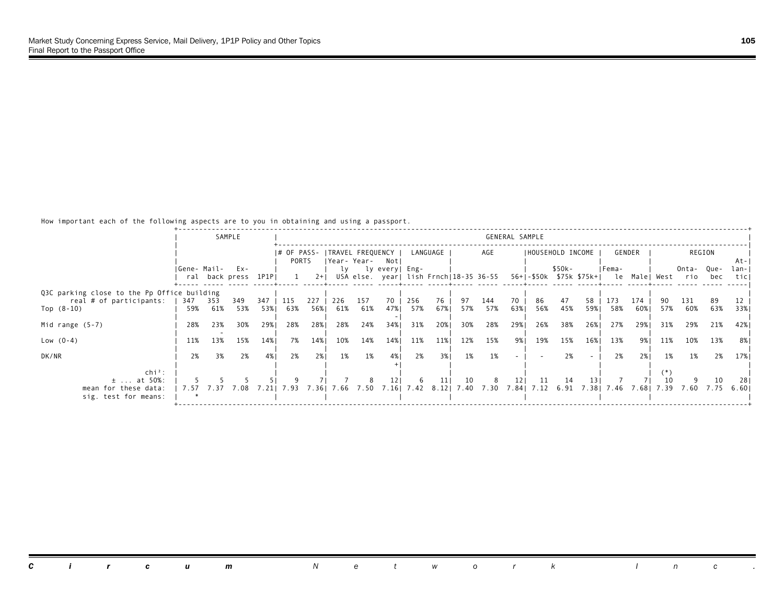|                                                    |              |            | SAMPLE                      |            |                      |            |            |            |                                                              |            |            |           |            | GENERAL SAMPLE |                   |           |      |                                         |            |            |                                                          |            |               |
|----------------------------------------------------|--------------|------------|-----------------------------|------------|----------------------|------------|------------|------------|--------------------------------------------------------------|------------|------------|-----------|------------|----------------|-------------------|-----------|------|-----------------------------------------|------------|------------|----------------------------------------------------------|------------|---------------|
|                                                    |              |            |                             |            | I# OF PASS-<br>PORTS |            |            |            | ITRAVEL FREQUENCY I<br> Year-Year- Notl                      |            | LANGUAGE   |           | AGE        |                | IHOUSEHOLD INCOME |           |      |                                         | GENDER     |            |                                                          | REGION     | At-I          |
|                                                    | IGene- Mail- |            | Ex-<br>ral back press 1P1PI |            |                      | $2+1$      |            |            | ly ly every   Eng-<br>USA else. year  lish Frnch 18-35 36-55 |            |            |           |            |                |                   | \$50k-    |      | IFema-                                  |            |            | Onta- Que-<br>56+ -\$50k \$75k \$75k+  le Male  West rio | bec        | lan-I<br>ticl |
| Q3C parking close to the Pp Office building        |              |            |                             |            |                      |            |            |            |                                                              |            |            |           |            |                |                   |           |      |                                         |            |            |                                                          |            |               |
| real # of participants:<br>Top $(8-10)$            | 347<br>59%   | 353<br>61% | 349<br>53%                  | 347<br>53% | 115<br>63%           | 227<br>56% | 226<br>61% | 157<br>61% | 70<br>47%                                                    | 256<br>57% | 76<br>67%  | 97<br>57% | 144<br>57% | 70<br>63%1     | 86<br>56%         | 47<br>45% | 58   | 173<br>59% 58%                          | 174<br>60% | 57%        | 131<br>60%                                               | 89<br>63%  | 33%1          |
| Mid range $(5-7)$                                  | 28%          | 23%        | 30%                         | 29%1       | 28%                  | 28%        | 28%        | 24%        | 34%1                                                         | 31%        | 20%        | 30%       | 28%        | 29%            | 26%               | 38%       | 26%  | 27%                                     | 29%        | 31%        | 29%                                                      | 21%        | 42% 1         |
| Low $(0-4)$                                        | 11%          | 13%        | 15%                         | 14%        | 7%                   | 14%        | 10%        | 14%        | 14%                                                          | 11%        | 11%        | 12%       | 15%        | 9%।            | 19%               | 15%       | 16%  | 13%                                     | 9%।        | 11%        | 10%                                                      | 13%        | -8% I         |
| DK/NR                                              | 2%           | 3%         | 2%                          | 4%         | 2%                   | 2%1        | 1%         | 1%         | 4%                                                           | 2%         | 3%         | 1%        | 1%         |                |                   | 2%        |      | 2%                                      | 2%1        | 1%         | 1%                                                       | 2%         | 17%           |
| $chi^2$ :<br>$\pm$ at 50%:<br>mean for these data: | 7.57         | 7.37       | 7.08                        | 7.211      | 7.93                 | 7.361      |            | 7.66 7.50  | 12 <sub>1</sub><br>7.16                                      | -6<br>7.42 | 11<br>8.12 | 10        | 8          | 121            | 11                | 14        | 13 I | 7.40 7.30 7.84 7.12 6.91 7.38 7.46 7.68 |            | 10<br>7.39 | 7.60                                                     | 10<br>7.75 | 281<br>6.601  |
| sig. test for means:                               |              |            |                             |            |                      |            |            |            |                                                              |            |            |           |            |                |                   |           |      |                                         |            |            |                                                          |            |               |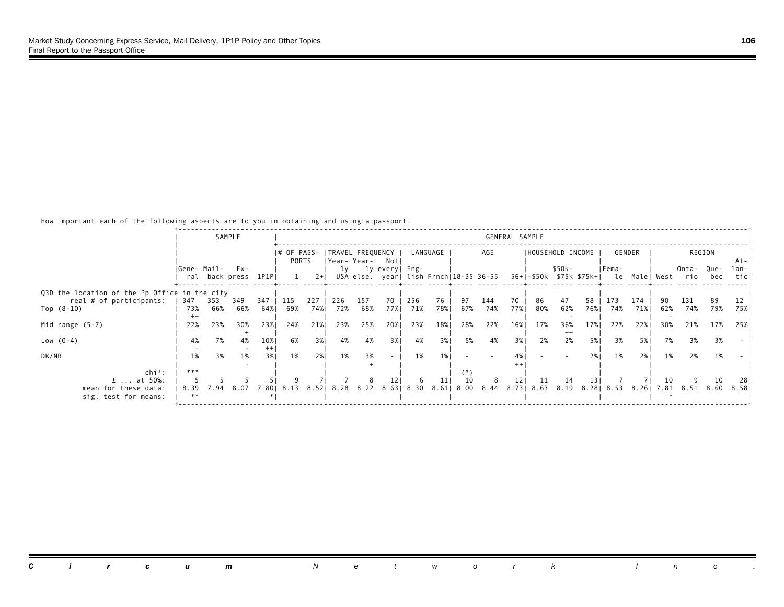|                                               |             |      | SAMPLE              |      |             |       |                     |           |                          |                  |          |      |                                        | GENERAL SAMPLE  |     |                   |      |             |        |     |                                            |        |       |
|-----------------------------------------------|-------------|------|---------------------|------|-------------|-------|---------------------|-----------|--------------------------|------------------|----------|------|----------------------------------------|-----------------|-----|-------------------|------|-------------|--------|-----|--------------------------------------------|--------|-------|
|                                               |             |      |                     |      | I# OF PASS- |       | ITRAVEL FREQUENCY I |           |                          |                  | LANGUAGE |      | AGE                                    |                 |     | IHOUSEHOLD INCOME |      |             | GENDER |     |                                            | REGION |       |
|                                               |             |      |                     |      | PORTS       |       | Year-Year- Notl     |           |                          |                  |          |      |                                        |                 |     |                   |      |             |        |     |                                            |        | -At-I |
|                                               | Gene- Mail- |      | $Ex -$              |      |             |       |                     |           | ly ly every   Eng-       |                  |          |      |                                        |                 |     | \$50k-            |      | IFema-      |        |     | Onta- Que-                                 |        | lan-I |
|                                               |             |      | ral back press 1P1P |      |             | $2+1$ |                     |           |                          |                  |          |      | USA else. year  lish Frnch 18-35 36-55 |                 |     |                   |      |             |        |     | 56+ -\$50k \$75k \$75k+  le Male  West rio | bec    | ticl  |
| Q3D the location of the Pp Office in the city |             |      |                     |      |             |       |                     |           |                          |                  |          |      |                                        |                 |     |                   |      |             |        |     |                                            |        |       |
| real # of participants:                       | 347         | 353  | 349                 | 347  | 115         | 227   | 226                 | 157       | 70                       | 256              | 76       | 97   | 144                                    | 70              | 86  | 47                | 58   | 173         | 174    |     | 131                                        | 89     |       |
| Top $(8-10)$                                  | 73%         | 66%  | 66%                 | 64%। | 69%         | 74%   | 72%                 | 68%       | 77%                      | 71%              | 78%      | 67%  | 74%                                    | 77%             | 80% | 62%               | 76%1 | 74%         | 71%    | 62% | 74%                                        | 79%    | 75%   |
|                                               |             |      |                     |      |             |       |                     |           |                          |                  |          |      |                                        |                 |     |                   |      |             |        |     |                                            |        |       |
| Mid range $(5-7)$                             | 22%         | 23%  | 30%                 | 23%1 | 24%         | 21%   | 23%                 | 25%       | 20%                      | 23%              | 18%      | 28%  | 22%                                    | 16%             | 17% | 36%<br>$^{++}$    | 17%  | 22%         | 22%    | 30% | 21%                                        | 17%    | 25%   |
| Low $(0-4)$                                   | 4%          | 7%   | 4%                  | 10%  | 6%          | 3%    | 4%                  | 4%        | 3%1                      | 4%               | 3%       | 5%   | 4%                                     | 3%              | 2%  | 2%                | 5%   | 3%          | 5%     | 7%  | 3%                                         | 3%     |       |
|                                               |             |      |                     | $++$ |             |       |                     |           |                          |                  |          |      |                                        |                 |     |                   |      |             |        |     |                                            |        |       |
| DK/NR                                         | 1%          | 3%   | 1%                  | 3%1  | 1%          | 2%1   | 1%                  | 3%        | $\overline{\phantom{a}}$ | 1%               | 1%       |      |                                        |                 |     |                   | 2%1  | 1%          | 2%1    | 1%  | 2%                                         | 1%     |       |
|                                               | ***         |      |                     |      |             |       |                     |           |                          |                  |          |      |                                        |                 |     |                   |      |             |        |     |                                            |        |       |
| $\ch{i}^2$ :<br>$\pm$ at 50%:                 |             |      |                     |      |             |       |                     |           | 121                      | 6                | 11       | 10   | 8                                      | 12 <sub>1</sub> | 11  | -14               | 13 I |             |        | 10  |                                            | 10     | -281  |
| mean for these data:                          | 8.39        | 7.94 | 8.07                | .801 | 8.13        | 8.52  |                     | 8.28 8.22 |                          | 8.63   8.30 8.61 |          | 8.00 | 8.44 8.73 8.63 8.19                    |                 |     |                   |      | 8.28   8.53 | 8.261  |     | 7.81 8.51 8.60                             |        | 8.581 |
| sig. test for means:                          | **          |      |                     |      |             |       |                     |           |                          |                  |          |      |                                        |                 |     |                   |      |             |        |     |                                            |        |       |
|                                               |             |      |                     |      |             |       |                     |           |                          |                  |          |      |                                        |                 |     |                   |      |             |        |     |                                            |        |       |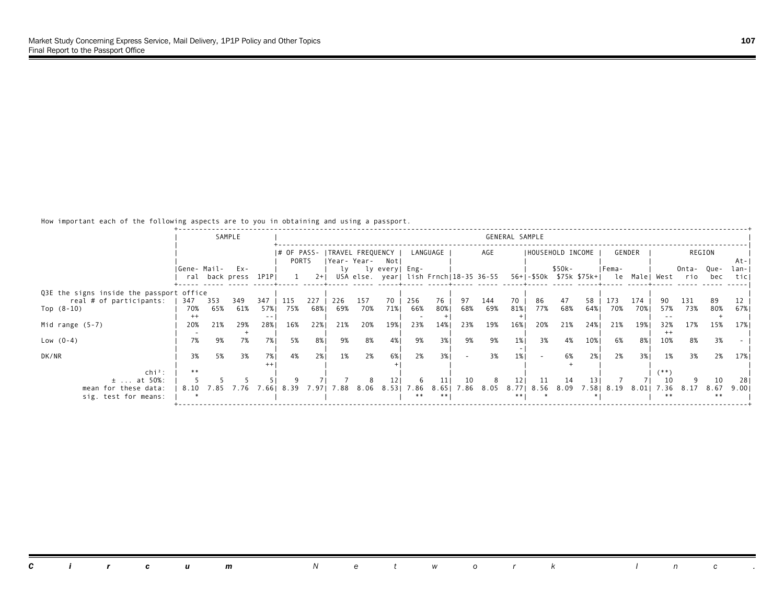|                                          |             |      | SAMPLE              |      |             |       |                  |     |                |              |          |        |                                        | GENERAL SAMPLE |     |                   |      |                                       |        |                |       |              |       |
|------------------------------------------|-------------|------|---------------------|------|-------------|-------|------------------|-----|----------------|--------------|----------|--------|----------------------------------------|----------------|-----|-------------------|------|---------------------------------------|--------|----------------|-------|--------------|-------|
|                                          |             |      |                     |      | I# OF PASS- |       | TRAVEL FREQUENCY |     |                |              | LANGUAGE |        | AGE                                    |                |     | IHOUSEHOLD INCOME |      |                                       | GENDER |                |       | REGION       |       |
|                                          |             |      |                     |      | PORTS       |       | Year- Year-      |     | Notl           |              |          |        |                                        |                |     |                   |      |                                       |        |                |       |              | -At-I |
|                                          | Gene- Mail- |      | Ex-                 |      |             |       | lv               |     | ly every  Eng- |              |          |        |                                        |                |     | \$50k-            |      | IFema-                                |        |                | Onta- | Que-         | lan-I |
|                                          |             |      | ral back press 1P1P |      |             | $2+1$ |                  |     |                |              |          |        | USA else. year  lish Frnch 18-35 36-55 |                |     |                   |      | 56+ -\$50k \$75k \$75k+  le Male West |        |                | rio   | bec          | ticl  |
| Q3E the signs inside the passport office |             |      |                     |      |             |       |                  |     |                |              |          |        |                                        |                |     |                   |      |                                       |        |                |       |              |       |
| real # of participants:                  | 347         | 353  | 349                 | 347  | 115         | 227   | 226              | 157 | 70             | 256          | 76       | 97     | 144                                    | 70             | 86  | 47                | 58   | 173                                   | 174    |                | 131   | 89           |       |
| Top $(8-10)$                             | 70%         | 65%  | 61%                 | 57%  | 75%         | 68%   | 69%              | 70% | 71%            | 66%          | 80%      | 68%    | 69%                                    | 81%            | 77% | 68%               | 64%  | 70%                                   | 70%    | 57%            | 73%   | 80%          | 67%   |
|                                          | $^{++}$     |      |                     |      |             |       |                  |     |                |              |          |        |                                        |                |     |                   |      |                                       |        |                |       |              |       |
| Mid range $(5-7)$                        | 20%         | 21%  | 29%                 | 28%1 | 16%         | 22%   | 21%              | 20% | 19%            | 23%          | 14%      | 23%    | 19%                                    | 16%            | 20% | 21%               | 24%1 | 21%                                   | 19%    | 32%            | 17%   | 15%          | 17%   |
| Low $(0-4)$                              | 7%          | 9%   | 7%                  | 7%   | 5%          | 8%    | 9%               | 8%  | 4%             | 9%           | 3%       | 9%     | 9%                                     | $1\%$          | 3%  | 4%                | 10%  | 6%                                    | 8% I   | $^{++}$<br>10% | 8%    | 3%           |       |
|                                          |             |      |                     |      |             |       |                  |     |                |              |          |        |                                        |                |     |                   |      |                                       |        |                |       |              |       |
| DK/NR                                    | 3%          | 5%   | 3%                  | 7%1  | 4%          | 2%1   | 1%               | 2%  | 6% 1           | 2%           | 3%       | $\sim$ | 3%                                     | 1%             |     | 6%                | 2%1  | 2%                                    | 3%1    | 1%             | 3%    | 2%           | 17%   |
|                                          |             |      |                     |      |             |       |                  |     |                |              |          |        |                                        |                |     |                   |      |                                       |        |                |       |              |       |
| $\ch{i}^2$ :                             | **          |      |                     |      |             |       |                  |     |                |              |          |        |                                        |                |     |                   |      |                                       |        |                |       |              |       |
| $\pm$ at 50%:                            |             |      |                     |      |             |       |                  |     | 121            | 6            | 11       | 10     | 8                                      | 121            | -11 | 14                | 13 I |                                       |        |                |       | 10           | 281   |
| mean for these data:                     | 8.10        | 7.85 | 7.76                | .661 | 8.39        | 7.97  | 7.88             |     | $8.06$ $8.53$  | 7.86<br>$**$ | 8.651    | 7.86   | 8.05                                   | **             |     | 8.77 8.56 8.09    |      | 7.58 8.19                             | 8.011  | 7.36<br>$**$   | 8.17  | 8.67<br>$**$ | 9.001 |
| sig. test for means:                     |             |      |                     |      |             |       |                  |     |                |              |          |        |                                        |                |     |                   |      |                                       |        |                |       |              |       |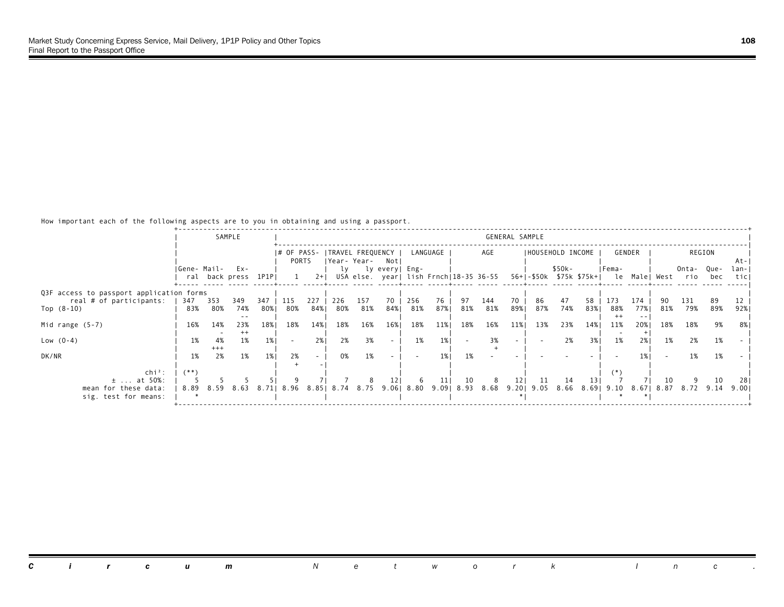|                                          |             |             | SAMPLE              |       |             |       |                |     |                                        |            |          |            |     | GENERAL SAMPLE  |                     |        |                   |                                            |        |      |           |        |       |
|------------------------------------------|-------------|-------------|---------------------|-------|-------------|-------|----------------|-----|----------------------------------------|------------|----------|------------|-----|-----------------|---------------------|--------|-------------------|--------------------------------------------|--------|------|-----------|--------|-------|
|                                          |             |             |                     |       | I# OF PASS- |       |                |     | TRAVEL FREQUENCY                       |            | LANGUAGE |            | AGE |                 |                     |        | IHOUSEHOLD INCOME |                                            | GENDER |      |           | REGION |       |
|                                          |             |             |                     |       | PORTS       |       | Year- Year-    |     | Notl                                   |            |          |            |     |                 |                     |        |                   |                                            |        |      |           |        | -At-I |
|                                          | Gene- Mail- |             | Ex-                 |       |             |       | lv             |     | ly every  Eng-                         |            |          |            |     |                 |                     | \$50k- |                   | IFema-                                     |        |      | Onta-     | Que-   | lan-I |
|                                          |             |             | ral back press 1P1P |       |             | $2+1$ |                |     | USA else. year  lish Frnch 18-35 36-55 |            |          |            |     |                 |                     |        |                   | 56+ -\$50k \$75k \$75k+  le Male  West rio |        |      |           | bec    | ticl  |
|                                          |             |             |                     |       |             |       |                |     |                                        |            |          |            |     |                 |                     |        |                   |                                            |        |      |           |        |       |
| Q3F access to passport application forms |             |             |                     |       |             |       |                |     |                                        |            |          |            |     |                 |                     |        |                   |                                            |        |      |           |        |       |
| real # of participants:                  | 347         | 353         | 349                 | 347   | 115         | 227   | 226            | 157 | 70                                     | 256        | 76       | 97         | 144 | 70              | 86                  | 47     | 58                | 173                                        | 174    |      | 131       | 89     |       |
| Top $(8-10)$                             | 83%         | 80%         | 74%                 | 80%   | 80%         | 84%   | 80%            | 81% | 84%                                    | 81%        | 87%      | 81%        | 81% | 89%1            | 87%                 | 74%    | 83%               | 88%                                        | 77%1   | 81%  | 79%       | 89%    | 92%   |
|                                          |             |             |                     |       |             |       |                |     |                                        |            |          |            |     |                 |                     |        |                   | $^{++}$                                    | $- -$  |      |           |        |       |
| Mid range $(5-7)$                        | 16%         | 14%         | 23%                 | 18%   | 18%         | 14%   | 18%            | 16% | 16%                                    | 18%        | 11%      | 18%        | 16% | 11%             | 13%                 | 23%    | 14%               | 11%                                        | 20%    | 18%  | 18%       | 9%     | -8%   |
|                                          |             |             | $^{++}$             |       |             |       |                | 3%  |                                        | 1%         | 1%       |            | 3%  |                 |                     |        |                   |                                            |        |      |           |        |       |
| Low $(0-4)$                              | 1%          | 4%<br>$+++$ | 1%                  | $1\%$ | $\sim$      | 2%    | 2%             |     | $\sim$                                 |            |          |            |     |                 |                     | 2%     | 3%1               | 1%                                         | 2%1    | 1%   | 2%        | 1%     |       |
| DK/NR                                    | 1%          | 2%          | 1%                  | 1%    | 2%          |       | 0%             | 1%  |                                        |            | 1%       | 1%         |     |                 |                     |        |                   |                                            |        |      | 1%        | 1%     |       |
|                                          |             |             |                     |       |             |       |                |     |                                        |            |          |            |     |                 |                     |        |                   |                                            |        |      |           |        |       |
| chi <sup>2</sup> :                       | $(**)$      |             |                     |       |             |       |                |     |                                        |            |          |            |     |                 |                     |        |                   |                                            |        |      |           |        |       |
| $\pm$ at 50%:                            |             |             |                     |       |             |       |                |     | 121                                    | -6         | 11       | 10         | 8   | 12 <sub>1</sub> | -11                 | 14     | 131               |                                            |        | 10   |           | 10     | -281  |
| mean for these data:                     | 8.89        | 8.59        | 8.63                |       | 8.71  8.96  |       | 8.85 8.74 8.75 |     |                                        | 9.06  8.80 |          | 9.09  8.93 |     |                 | 8.68 9.20 9.05 8.66 |        |                   | 8.69  9.10                                 | 8.671  | 8.87 | 8.72 9.14 |        | 9.001 |
| sig. test for means:                     |             |             |                     |       |             |       |                |     |                                        |            |          |            |     |                 |                     |        |                   |                                            |        |      |           |        |       |
|                                          |             |             |                     |       |             |       |                |     |                                        |            |          |            |     |                 |                     |        |                   |                                            |        |      |           |        |       |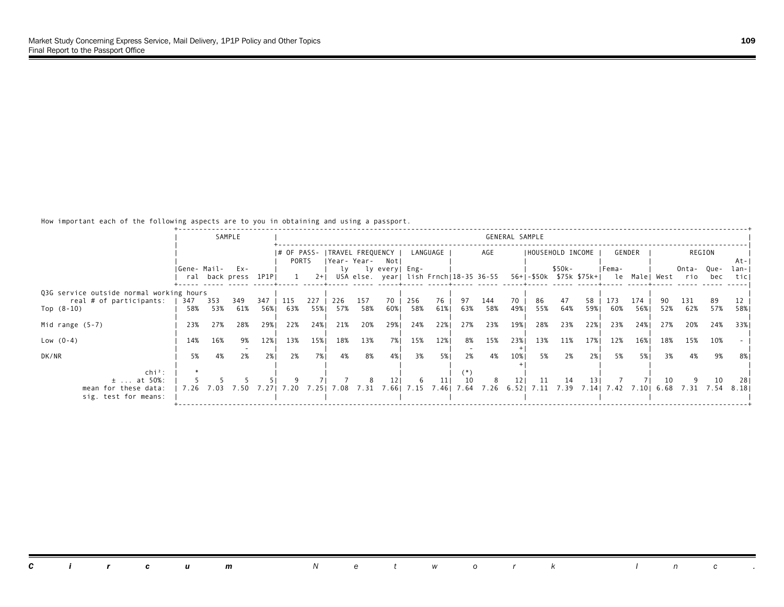|                                                       |             |            | SAMPLE                     |             |                      |             |            |                                     |                          |            |             |            |                                        | GENERAL SAMPLE |                      |            |              |                                                  |            |            |              |             |               |
|-------------------------------------------------------|-------------|------------|----------------------------|-------------|----------------------|-------------|------------|-------------------------------------|--------------------------|------------|-------------|------------|----------------------------------------|----------------|----------------------|------------|--------------|--------------------------------------------------|------------|------------|--------------|-------------|---------------|
|                                                       |             |            |                            |             | I# OF PASS-<br>PORTS |             |            | ITRAVEL FREQUENCY  <br> Year- Year- | Notl                     |            | LANGUAGE    |            | AGE                                    |                | IHOUSEHOLD INCOME    |            |              |                                                  | GENDER     |            |              | REGION      | -At-I         |
|                                                       | Gene- Mail- |            | Ex-<br>ral back press 1P1P |             |                      | $2+1$       | lv         |                                     | ly every  Eng-           |            |             |            | USA else. year  lish Frnch 18-35 36-55 |                |                      | \$50k-     |              | IFema-<br>56+ -\$50k \$75k \$75k+  le Male  West |            |            | Onta-<br>rio | Que-<br>bec | lan-I<br>ticl |
| Q3G service outside normal working hours              |             |            |                            |             |                      |             |            |                                     |                          |            |             |            |                                        |                |                      |            |              |                                                  |            |            |              |             |               |
| real # of participants:<br>Top $(8-10)$               | 347<br>58%  | 353<br>53% | 349<br>61%                 | 347<br>56%1 | 115<br>63%           | 227<br>55%1 | 226<br>57% | 157<br>58%                          | 70<br>60%                | 256<br>58% | 76<br>61%   | 97<br>63%  | 144<br>58%                             | 70<br>49%      | 86<br>55%            | 47<br>64%  | 58<br>59%1   | 173<br>60%                                       | 174<br>56% | 52%        | 131<br>62%   | 89<br>57%   | 58%           |
| Mid range $(5-7)$                                     | 23%         | 27%        | 28%                        | 29%1        | 22%                  | 24%         | 21%        | 20%                                 | 29%                      | 24%        | 22%         | 27%        | 23%                                    | 19%            | 28%                  | 23%        | 22%          | 23%                                              | 24%        | 27%        | 20%          | 24%         | 33%1          |
| Low $(0-4)$                                           | 14%         | 16%        | 9%                         | 12%         | 13%                  | 15%         | 18%        | 13%                                 | 7%                       | 15%        | 12%         | 8%         | 15%                                    | 23%            | 13%                  | 11%        | 17%          | 12%                                              | 16%        | 18%        | 15%          | 10%         |               |
| DK/NR                                                 | 5%          | 4%         | 2%                         | 2%1         | 2%                   | 7% l        | 4%         | 8%                                  | 4%                       | 3%         | 5% I        | 2%         | 4%                                     | 10%            | 5%                   | 2%         | 2%1          | 5%                                               | 5% 1       | 3%         | 4%           | 9%          | 8%            |
| $\ch{i}^2$ :<br>$\pm$ at 50%:<br>mean for these data: | 7.26        | 7.03       | 7.50                       | 7.271       | 7.20                 | 7.251       | 7.08       | 7.31                                | 12 <sub>1</sub><br>7.661 | -6<br>7.15 | 11<br>7.461 | 10<br>7.64 | 8                                      | 121            | 11<br>7.26 6.52 7.11 | 14<br>7.39 | 13 I<br>7.14 |                                                  | 7.42 7.10  | 10<br>6.68 | 7.31         | 10<br>7.54  | -281<br>8.181 |
| sig. test for means:                                  |             |            |                            |             |                      |             |            |                                     |                          |            |             |            |                                        |                |                      |            |              |                                                  |            |            |              |             |               |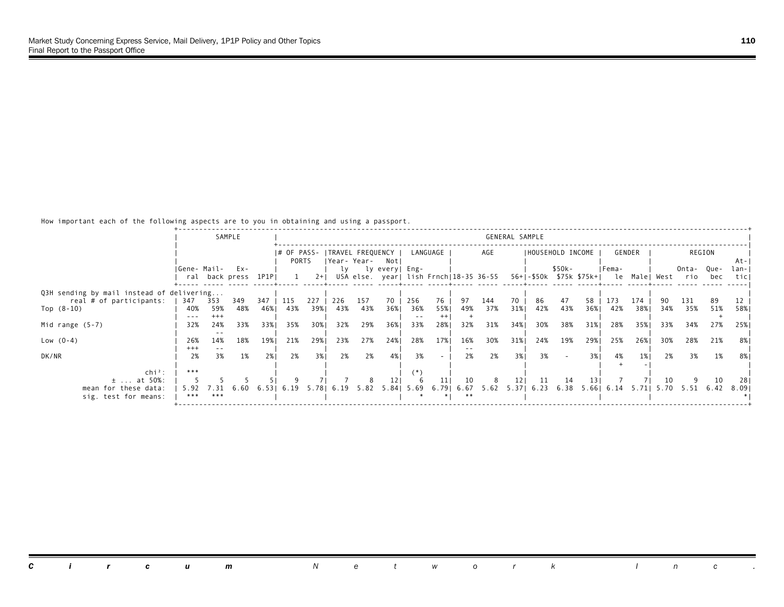|                                           |             |       | SAMPLE              |       |             |       |      |                  |                 |                 |          |      |                                        | GENERAL SAMPLE |     |                     |               |                                        |        |      |           |        |       |
|-------------------------------------------|-------------|-------|---------------------|-------|-------------|-------|------|------------------|-----------------|-----------------|----------|------|----------------------------------------|----------------|-----|---------------------|---------------|----------------------------------------|--------|------|-----------|--------|-------|
|                                           |             |       |                     |       |             |       |      |                  |                 |                 |          |      |                                        |                |     |                     |               |                                        |        |      |           |        |       |
|                                           |             |       |                     |       | I# OF PASS- |       |      | TRAVEL FREQUENCY |                 |                 | LANGUAGE |      | AGE                                    |                |     | IHOUSEHOLD INCOME   |               |                                        | GENDER |      |           | REGION |       |
|                                           |             |       |                     |       | PORTS       |       |      |                  | Year-Year- Notl |                 |          |      |                                        |                |     |                     |               |                                        |        |      |           |        | At-I  |
|                                           | Gene- Mail- |       | Ex-                 |       |             |       | lv   |                  | ly every  Eng-  |                 |          |      |                                        |                |     | \$50k-              |               | IFema-                                 |        |      | Onta-     | Que-   | lan-I |
|                                           |             |       | ral back press 1P1P |       |             | $2+1$ |      |                  |                 |                 |          |      | USA else. year  lish Frnch 18-35 36-55 |                |     |                     |               | 56+ -\$50k \$75k \$75k+  le Male  West |        |      | rio       | bec    | ticl  |
| Q3H sending by mail instead of delivering |             |       |                     |       |             |       |      |                  |                 |                 |          |      |                                        |                |     |                     |               |                                        |        |      |           |        |       |
| real # of participants:                   | 347         | 353   | 349                 | 347   | 115         | 227   | 226  | 157              | 70              | 256             | 76       | 97   | 144                                    | 70             | 86  | 47                  | 58            | 173                                    | 174    |      | 131       | 89     |       |
| Top $(8-10)$                              | 40%         | 59%   | 48%                 | 46%   | 43%         | 39%1  | 43%  | 43%              | 36%1            | 36%             | 55%      | 49%  | 37%                                    | 31%            | 42% | 43%                 | 36%1          | 42%                                    | 38%    | 34%  | 35%       | 51%    | 58%   |
|                                           | $- - -$     | $+++$ |                     |       |             |       |      |                  |                 | $- -$           |          |      |                                        |                |     |                     |               |                                        |        |      |           |        |       |
| Mid range $(5-7)$                         | 32%         | 24%   | 33%                 | 33%1  | 35%         | 30%   | 32%  | 29%              | 36%             | 33%             | 28%      | 32%  | 31%                                    | 34%            | 30% | 38%                 | 31%           | 28%                                    | 35%    | 33%  | 34%       | 27%    | 25%   |
|                                           |             |       |                     |       |             |       |      |                  |                 |                 |          |      |                                        |                |     |                     |               |                                        |        |      |           |        |       |
| Low $(0-4)$                               | 26%         | 14%   | 18%                 | 19%   | 21%         | 29%   | 23%  | 27%              | 24%             | 28%             | 17%      | 16%  | 30%                                    | 31%            | 24% | 19%                 | 29%           | 25%                                    | 26%    | 30%  | 28%       | 21%    | 8%    |
|                                           | $^{+++}$    |       |                     |       |             |       |      |                  |                 |                 |          |      |                                        |                |     |                     |               |                                        |        |      |           |        |       |
| DK/NR                                     | 2%          | 3%    | 1%                  | 2%1   | 2%          | 3%1   | 2%   | 2%               | 4%              | 3%              |          | 2%   | 2%                                     | 3%             | 3%  |                     | 3%            | 4%                                     | 1%     | 2%   | 3%        | 1%     | 8%    |
|                                           |             |       |                     |       |             |       |      |                  |                 |                 |          |      |                                        |                |     |                     |               |                                        |        |      |           |        |       |
| $\ch{i}^2$ :                              | ***         |       |                     |       |             |       |      |                  |                 | (*)             |          |      |                                        |                |     |                     |               |                                        |        |      |           |        |       |
| $\pm$ at 50%:                             |             |       |                     |       |             |       |      |                  | 121             |                 | 11       | 10   | 8                                      | 121            | -11 | 14                  | <sup>13</sup> |                                        |        | 10   |           | 10     | -281  |
| mean for these data:                      | 5.92        | 7.31  | 6.60                | 6.531 | 6.19        | 5.781 | 6.19 | 5.82             |                 | $5.84$   $5.69$ | 6.791    | 6.67 |                                        |                |     | 5.62 5.37 6.23 6.38 |               | $5.66$   $6.14$                        | 5.711  | 5.70 | 5.51 6.42 |        | 8.091 |
| sig. test for means:                      | ***         | ***   |                     |       |             |       |      |                  |                 |                 |          | **   |                                        |                |     |                     |               |                                        |        |      |           |        |       |
|                                           |             |       |                     |       |             |       |      |                  |                 |                 |          |      |                                        |                |     |                     |               |                                        |        |      |           |        |       |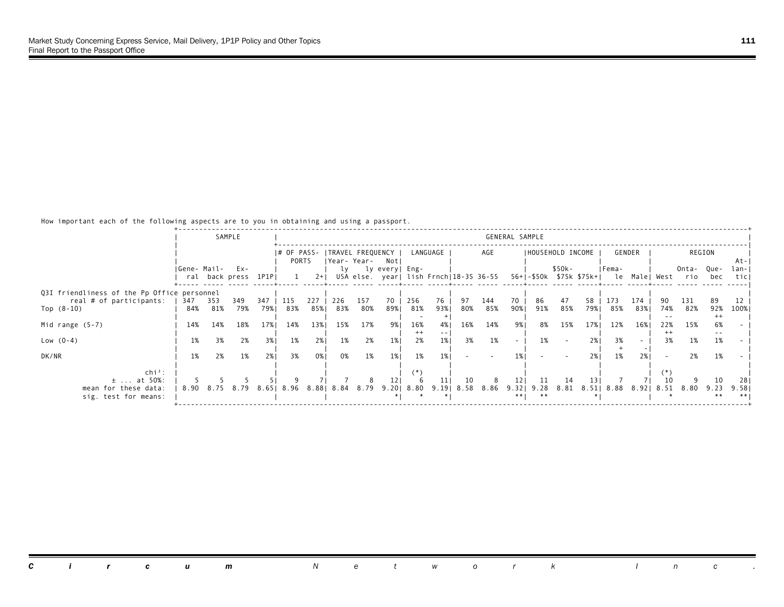|                                             |             |      | SAMPLE              |       |             |       |     |                   |                                        |         |          |      |      | GENERAL SAMPLE |                          |        |      |            |        |         |                                            |              |            |
|---------------------------------------------|-------------|------|---------------------|-------|-------------|-------|-----|-------------------|----------------------------------------|---------|----------|------|------|----------------|--------------------------|--------|------|------------|--------|---------|--------------------------------------------|--------------|------------|
|                                             |             |      |                     |       | I# OF PASS- |       |     | ITRAVEL FREQUENCY |                                        |         | LANGUAGE |      | AGE  |                | IHOUSEHOLD INCOME        |        |      |            | GENDER |         |                                            | REGION       |            |
|                                             |             |      |                     |       | PORTS       |       |     | Year- Year-       | Notl                                   |         |          |      |      |                |                          |        |      |            |        |         |                                            |              | At-I       |
|                                             | Gene- Mail- |      | Ex-                 |       |             |       | lv  |                   | ly every  Eng-                         |         |          |      |      |                |                          | \$50k- |      | IFema-     |        |         | Onta-                                      | Que-         | lan-I      |
|                                             |             |      | ral back press 1P1P |       |             | $2+1$ |     |                   | USA else. year  lish Frnch 18-35 36-55 |         |          |      |      |                |                          |        |      |            |        |         | 56+ -\$50k \$75k \$75k+  le Male  West rio | bec          | ticl       |
| Q3I friendliness of the Pp Office personnel |             |      |                     |       |             |       |     |                   |                                        |         |          |      |      |                |                          |        |      |            |        |         |                                            |              |            |
| real # of participants:                     | 347         | 353  | 349                 | 347   | 115         | 227   | 226 | 157               | 70                                     | 256     | 76       | 97   | 144  | 70             | 86                       | 47     | 58   | 173        | 174    |         | 131                                        | 89           |            |
| Top $(8-10)$                                | 84%         | 81%  | 79%                 | 79%।  | 83%         | 85%   | 83% | 80%               | 89%।                                   | 81%     | 93%1     | 80%  | 85%  | 90%            | 91%                      | 85%    | 79%। | 85%        | 83%    | 74%     | 82%                                        | 92%          | 100%       |
|                                             |             |      |                     |       |             |       |     |                   |                                        |         |          |      |      |                |                          |        |      |            |        |         |                                            | $^{++}$      |            |
| Mid range $(5-7)$                           | 14%         | 14%  | 18%                 | 17%   | 14%         | 13%   | 15% | 17%               | 9%1                                    | 16%     | 4%       | 16%  | 14%  | 9% 1           | 8%                       | 15%    | 17%  | 12%        | 16%    | 22%     | 15%                                        | 6%           |            |
|                                             |             |      |                     |       |             |       |     |                   |                                        | $^{++}$ |          |      |      |                |                          |        |      |            |        | $^{++}$ |                                            |              |            |
| Low $(0-4)$                                 | 1%          | 3%   | 2%                  | 3%    | 1%          | 2%    | 1%  | 2%                | 1%                                     | 2%      | 1%       | 3%   | 1%   | $\sim$         | 1%                       |        | 2%1  | 3%         | $\sim$ | 3%      | 1%                                         | 1%           |            |
| DK/NR                                       | 1%          | 2%   | 1%                  | 2%1   | 3%          | 0%    | 0%  | 1%                | 1%                                     | 1%      | 1%       |      |      |                |                          |        | 2%1  | 1%         | 2%1    |         | 2%                                         | 1%           |            |
|                                             |             |      |                     |       |             |       |     |                   |                                        |         |          |      |      |                |                          |        |      |            |        |         |                                            |              |            |
| $\ch{i}^2$ :                                |             |      |                     |       |             |       |     |                   |                                        | :*)     |          |      |      |                |                          |        |      |            |        |         |                                            |              |            |
| $\pm$ at 50%:                               |             |      |                     |       |             |       |     |                   |                                        |         | 11       | 10   | 8    | 121            | -11                      | 14     | 13 I |            |        |         |                                            | 10           | 281        |
| mean for these data:                        | 8.90        | 8.75 | 8.79                | 8.651 | 8.96        | 8.881 |     | 8.84 8.79         | 9.20                                   | 8.80    | 9.191    | 8.58 | 8.86 | $* * 1$        | $9.32$   $9.28$<br>$***$ | 8.81   |      | 8.51  8.88 | 8.921  | 8.51    | 8.80                                       | 9.23<br>$**$ | 9.58<br>** |
| sig. test for means:                        |             |      |                     |       |             |       |     |                   |                                        |         |          |      |      |                |                          |        |      |            |        |         |                                            |              |            |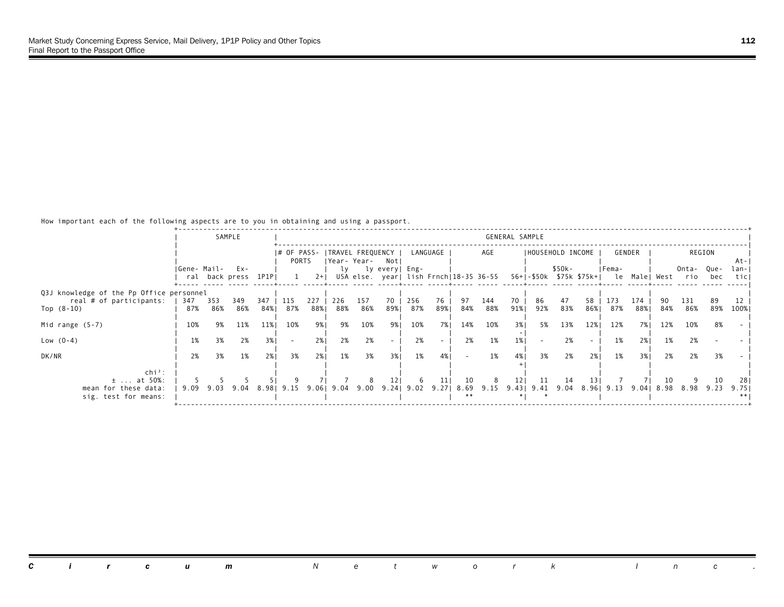|                                          |             |      | SAMPLE              |       |             |       |           |                  |                                        |                        |          |            |      | GENERAL SAMPLE |                   |        |      |            |        |     |                                            |        |       |
|------------------------------------------|-------------|------|---------------------|-------|-------------|-------|-----------|------------------|----------------------------------------|------------------------|----------|------------|------|----------------|-------------------|--------|------|------------|--------|-----|--------------------------------------------|--------|-------|
|                                          |             |      |                     |       |             |       |           |                  |                                        |                        |          |            |      |                |                   |        |      |            |        |     |                                            |        |       |
|                                          |             |      |                     |       | I# OF PASS- |       |           | TRAVEL FREQUENCY |                                        |                        | LANGUAGE |            | AGE  |                | IHOUSEHOLD INCOME |        |      |            | GENDER |     |                                            | REGION |       |
|                                          |             |      |                     |       | PORTS       |       |           | Year- Year-      | Notl                                   |                        |          |            |      |                |                   |        |      |            |        |     |                                            |        | At-I  |
|                                          | Gene- Mail- |      | Ex-                 |       |             |       | lv        |                  | ly every  Eng-                         |                        |          |            |      |                |                   | \$50k- |      | IFema-     |        |     | Onta-                                      | Que-   | lan-I |
|                                          |             |      | ral back press 1P1P |       |             | $2+1$ |           |                  | USA else. year  lish Frnch 18-35 36-55 |                        |          |            |      |                |                   |        |      |            |        |     | 56+ -\$50k \$75k \$75k+  le Male  West rio | bec    | ticl  |
| Q3J knowledge of the Pp Office personnel |             |      |                     |       |             |       |           |                  |                                        |                        |          |            |      |                |                   |        |      |            |        |     |                                            |        |       |
| real # of participants:                  | 347         | 353  | 349                 | 347   | 115         | 227   | 226       | 157              | 70                                     | 256                    | 76       | 97         | 144  | 70             | 86                | 47     | 58   | 173        | 174    |     | 131                                        | 89     |       |
| Top $(8-10)$                             | 87%         | 86%  | 86%                 | 84%   | 87%         | 88%1  | 88%       | 86%              | 89%।                                   | 87%                    | 89%      | 84%        | 88%  | 91%            | 92%               | 83%    | 86%। | 87%        | 88%    | 84% | 86%                                        | 89%    | 100%  |
|                                          |             |      |                     |       |             |       |           |                  |                                        |                        |          |            |      |                |                   |        |      |            |        |     |                                            |        |       |
| Mid range $(5-7)$                        | 10%         | 9%   | 11%                 | 11%   | 10%         | 9%1   | 9%        | 10%              | 9%।                                    | 10%                    | 7% I     | 14%        | 10%  | 3%1            | 5%                | 13%    | 12%  | 12%        | 7% 1   | 12% | 10%                                        | 8%     |       |
| Low $(0-4)$                              | 1%          | 3%   | 2%                  | 3%    | $\sim$      | 2%    | 2%        | 2%               | $\sim$                                 | 2%                     |          | 2%         | 1%   | 1%             |                   | 2%     |      | 1%         | 2%     | 1%  | 2%                                         |        |       |
|                                          |             |      |                     |       |             |       |           |                  |                                        |                        |          |            |      |                |                   |        |      |            |        |     |                                            |        |       |
| DK/NR                                    | 2%          | 3%   | 1%                  | 2%1   | 3%          | 2%1   | 1%        | 3%               | 3%1                                    | 1%                     | 4%       |            | 1%   | 4%             | 3%                | 2%     | 2%1  | 1%         | 3%1    | 2%  | 2%                                         | 3%     |       |
|                                          |             |      |                     |       |             |       |           |                  |                                        |                        |          |            |      |                |                   |        |      |            |        |     |                                            |        |       |
| $\ch{i}^2$ :                             |             |      |                     |       |             |       |           |                  |                                        |                        |          |            |      |                |                   |        |      |            |        |     |                                            |        |       |
| $\pm$ at 50%:                            |             |      |                     |       |             |       |           |                  | 12 <sub>1</sub>                        | -6                     | 11       | 10         | 8    | 121            | -11               | 14     | 13 I |            |        | 10  |                                            | 10     | -281  |
| mean for these data:                     | 9.09        | 9.03 | 9.04                | 8.981 | 9.15        |       | 9.0619.04 | 9.00             |                                        | $9.24$   $9.02$ $9.27$ |          | 8.69<br>** | 9.15 |                | 9.43   9.41 9.04  |        |      | 8.96  9.13 | 9.041  |     | 8.98 8.98 9.23                             |        | 9.751 |
| sig. test for means:                     |             |      |                     |       |             |       |           |                  |                                        |                        |          |            |      |                |                   |        |      |            |        |     |                                            |        |       |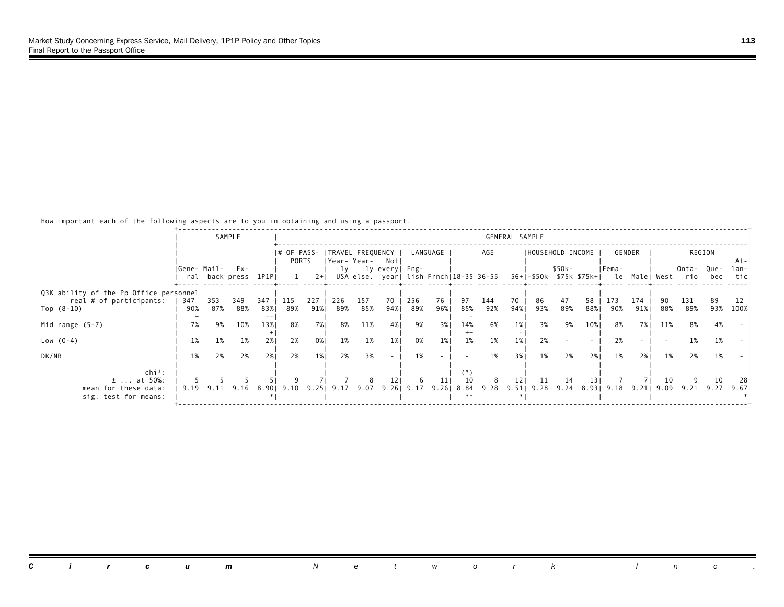|                                        |             |      | SAMPLE              |       |             |       |     |                  |                                        |                 |          |               |     | GENERAL SAMPLE  |                     |        |      |                  |        |      |                                            |        |       |
|----------------------------------------|-------------|------|---------------------|-------|-------------|-------|-----|------------------|----------------------------------------|-----------------|----------|---------------|-----|-----------------|---------------------|--------|------|------------------|--------|------|--------------------------------------------|--------|-------|
|                                        |             |      |                     |       | I# OF PASS- |       |     | TRAVEL FREQUENCY |                                        |                 | LANGUAGE |               | AGE |                 | IHOUSEHOLD INCOME   |        |      |                  | GENDER |      |                                            | REGION |       |
|                                        |             |      |                     |       | PORTS       |       |     | Year-Year- Not   |                                        |                 |          |               |     |                 |                     |        |      |                  |        |      |                                            |        | -At-I |
|                                        | Gene- Mail- |      | Ex-                 |       |             |       | lv  |                  | ly every  Eng-                         |                 |          |               |     |                 |                     | \$50k- |      | IFema-           |        |      | Onta-                                      | Que-   | lan-I |
|                                        |             |      | ral back press 1P1P |       |             | $2+1$ |     |                  | USA else. year  lish Frnch 18-35 36-55 |                 |          |               |     |                 |                     |        |      |                  |        |      | 56+ -\$50k \$75k \$75k+  le Male  West rio | bec    | ticl  |
|                                        |             |      |                     |       |             |       |     |                  |                                        |                 |          |               |     |                 |                     |        |      |                  |        |      |                                            |        |       |
| Q3K ability of the Pp Office personnel |             |      |                     |       |             |       |     |                  |                                        |                 |          |               |     |                 |                     |        |      |                  |        |      |                                            |        |       |
| real # of participants:                | 347         | 353  | 349                 | 347   | 115         | 227   | 226 | 157              | 70                                     | 256             | 76       | 97            | 144 | 70              | 86                  | 47     | 58   | 173              | 174    |      | 131                                        | 89     |       |
| Top $(8-10)$                           | 90%         | 87%  | 88%                 | 83%   | 89%         | 91%   | 89% | 85%              | 94%1                                   | 89%             | 96%1     | 85%           | 92% | 94%             | 93%                 | 89%    | 88%  | 90%              | 91%    | 88%  | 89%                                        | 93%    | 100%  |
| Mid range $(5-7)$                      | 7%          | 9%   | 10%                 | 13%   | 8%          | 7% I  | 8%  | 11%              | 4% 1                                   | 9%              | 3%       | 14%           | 6%  | 1%1             | 3%                  | 9%     | 10%  | 8%               | 7%1    | 11%  | 8%                                         | 4%     |       |
| Low $(0-4)$                            | 1%          | 1%   | 1%                  | 2%    | 2%          | 0%    | 1%  | 1%               | $1\%$                                  | 0%              | $1\%$    | $^{++}$<br>1% | 1%  | 1%              | 2%                  |        |      | 2%               |        |      | 1%                                         | 1%     |       |
|                                        |             |      |                     |       |             |       |     |                  |                                        |                 |          |               |     |                 |                     |        |      |                  |        |      |                                            |        |       |
| DK/NR                                  | 1%          | 2%   | 2%                  | 2%1   | 2%          | $1\%$ | 2%  | 3%               | $\overline{\phantom{a}}$               | 1%              |          |               | 1%  | 3%1             | 1%                  | 2%     | 2%1  | 1%               | 2%1    | 1%   | 2%                                         | 1%     |       |
| $chi^2$ :                              |             |      |                     |       |             |       |     |                  |                                        |                 |          |               |     |                 |                     |        |      |                  |        |      |                                            |        |       |
| $\pm$ at 50%:                          |             |      |                     |       |             |       |     |                  | 12 <sub>1</sub>                        | -6              | 11       | 10            | 8   | 12 <sub>1</sub> | 11                  | 14     | 13 I |                  |        | 10   |                                            | 10     | -281  |
| mean for these data:                   | 9.19        | 9.11 | 9.16                | 8.901 | 9.10        | 9.25  |     | 9.17 9.07        |                                        | $9.26$   $9.17$ | 9.26     | 8.84          |     |                 | 9.28 9.51 9.28 9.24 |        |      | 8.93   9.18 9.21 |        | 9.09 | 9.21 9.27                                  |        | 9.671 |
| sig. test for means:                   |             |      |                     |       |             |       |     |                  |                                        |                 |          | **            |     |                 |                     |        |      |                  |        |      |                                            |        |       |
|                                        |             |      |                     |       |             |       |     |                  |                                        |                 |          |               |     |                 |                     |        |      |                  |        |      |                                            |        |       |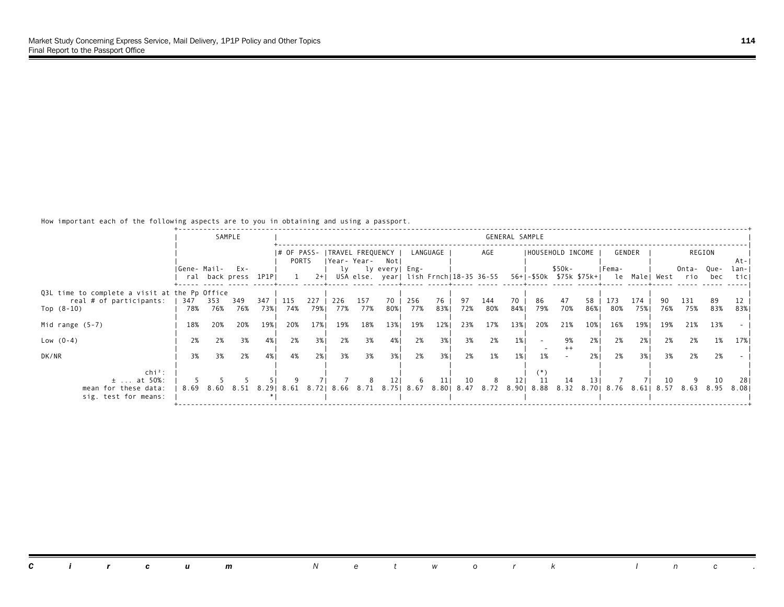|                                                                          |              |          | SAMPLE                         |          |                      |           |          |          |                                                              |          |           |          |                                                         | GENERAL SAMPLE  |     |                   |             |          |            |          |                                                          |          |               |
|--------------------------------------------------------------------------|--------------|----------|--------------------------------|----------|----------------------|-----------|----------|----------|--------------------------------------------------------------|----------|-----------|----------|---------------------------------------------------------|-----------------|-----|-------------------|-------------|----------|------------|----------|----------------------------------------------------------|----------|---------------|
|                                                                          |              |          |                                |          | I# OF PASS-<br>PORTS |           |          |          | ITRAVEL FREQUENCY  <br> Year-Year- Notl                      |          | LANGUAGE  |          | AGE                                                     |                 |     | IHOUSEHOLD INCOME |             | GENDER   |            |          |                                                          | REGION   | At-I          |
|                                                                          | IGene- Mail- |          | $Ex -$<br>ral back press 1P1PI |          |                      | $2+1$     |          |          | ly ly every   Eng-<br>USA else. year  lish Frnch 18-35 36-55 |          |           |          |                                                         |                 |     | \$50k-            |             | IFema-   |            |          | Onta- Que-<br>56+ -\$50k \$75k \$75k+  le Male  West rio | bec      | lan-I<br>ticl |
| Q3L time to complete a visit at the Pp Office<br>real # of participants: | 347          | 353      | 349                            | 347      | 115                  | 227       | 226      | 157      | 70                                                           | 256      | 76        | 97       | 144                                                     | 70              | 86  | 47                | 58          | 173      | 174        |          | 131                                                      | 89       |               |
| Top $(8-10)$                                                             | 78%          | 76%      | 76%                            | 73%      | 74%                  | 79%       | 77%      | 77%      | 80%                                                          | 77%      | 83%       | 72%      | 80%                                                     | 84%             | 79% | 70%               | 86%         | 80%      | 75%        | 76%      | 75%                                                      | 83%      | 83%           |
| Mid range $(5-7)$                                                        | 18%          | 20%      | 20%                            | 19%      | 20%                  | 17%       | 19%      | 18%      | 13%                                                          | 19%      | 12%       | 23%      | 17%                                                     | 13%             | 20% | 21%               | 10%         | 16%      | 19%        | 19%      | 21%                                                      | 13%      |               |
| Low $(0-4)$<br>DK/NR                                                     | 2%<br>3%     | 2%<br>3% | 3%<br>2%                       | 4%<br>4% | 2%<br>4%             | 3%<br>2%1 | 2%<br>3% | 3%<br>3% | 4%<br>3%1                                                    | 2%<br>2% | 3%<br>3%1 | 3%<br>2% | 2%<br>1%                                                | $1\%$<br>1%     | 1%  | 9%<br>$++$        | 2% I<br>2%1 | 2%<br>2% | 2%1<br>3%1 | 2%<br>3% | 2%<br>2%                                                 | 1%<br>2% | 17%           |
| $chi^2$ :                                                                |              |          |                                |          |                      |           |          |          |                                                              |          |           |          |                                                         |                 |     |                   |             |          |            |          |                                                          |          |               |
| $\pm$ at 50%:<br>mean for these data:<br>sig. test for means:            | 8.69         |          | 8.60 8.51                      | 8.291    | 8.61                 | 8.721     |          |          | 12 <sub>1</sub><br>8.66 8.71 8.75 8.67                       | -6       | 11        | 10       | 8<br>8.80   8.47 8.72 8.90   8.88 8.32 8.70   8.76 8.61 | 12 <sub>1</sub> | -11 | 14                | 131         |          |            | 10       | 8.57 8.63 8.95                                           | 10       | 281<br>8.081  |
|                                                                          |              |          |                                |          |                      |           |          |          |                                                              |          |           |          |                                                         |                 |     |                   |             |          |            |          |                                                          |          |               |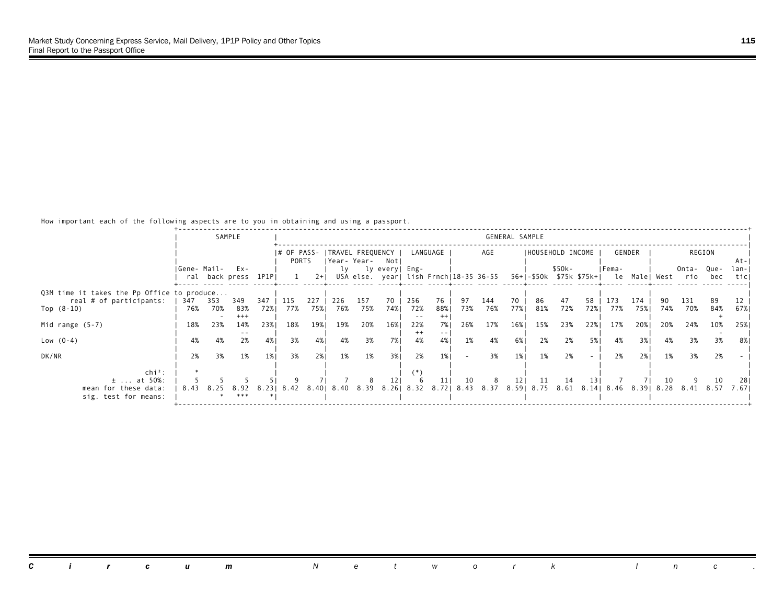|                                            |             |            | SAMPLE              |             |             |            |            |                |                                       |                |           |           |                                        | GENERAL SAMPLE  |                   |           |           |            |            |     |                                                                       |            |               |
|--------------------------------------------|-------------|------------|---------------------|-------------|-------------|------------|------------|----------------|---------------------------------------|----------------|-----------|-----------|----------------------------------------|-----------------|-------------------|-----------|-----------|------------|------------|-----|-----------------------------------------------------------------------|------------|---------------|
|                                            |             |            |                     |             | I# OF PASS- |            |            |                | ITRAVEL FREQUENCY                     |                | LANGUAGE  |           | AGE                                    |                 | IHOUSEHOLD INCOME |           |           |            | GENDER     |     |                                                                       | REGION     |               |
|                                            |             |            | $Ex -$              |             | PORTS       |            |            |                | Year-Year- Notl<br>ly ly every   Eng- |                |           |           |                                        |                 |                   | \$50k-    |           | IFema-     |            |     |                                                                       |            | At-I          |
|                                            | Gene- Mail- |            | ral back press 1P1P |             |             | $2+1$      |            |                |                                       |                |           |           | USA else. year  lish Frnch 18-35 36-55 |                 |                   |           |           |            |            |     | Onta- Que-<br>56+ -\$50k \$75k \$75k+  le Male  West rio              | bec        | lan-I<br>ticl |
| Q3M time it takes the Pp Office to produce |             |            |                     |             |             |            |            |                |                                       |                |           |           |                                        |                 |                   |           |           |            |            |     |                                                                       |            |               |
| real # of participants:<br>Top $(8-10)$    | 347<br>76%  | 353<br>70% | 349<br>83%          | 347<br>72%1 | 115<br>77%  | 227<br>75% | 226<br>76% | 157<br>75%     | 70<br>74%                             | 256<br>72%     | 76<br>88% | 97<br>73% | 144<br>76%                             | 70<br>77%       | 86<br>81%         | 47<br>72% | 58<br>72% | 173<br>77% | 174<br>75% | 74% | 131<br>70%                                                            | -89<br>84% | 67%           |
|                                            | 18%         |            | $+++$               |             |             |            |            |                |                                       | $- -$          | 7% I      |           |                                        |                 |                   |           |           |            |            |     |                                                                       |            |               |
| Mid range $(5-7)$                          |             | 23%        | 14%                 | 23%1        | 18%         | 19%        | 19%        | 20%            | 16%                                   | 22%<br>$^{++}$ |           | 26%       | 17%                                    | 16%             | 15%               | 23%       | 22%       | 17%        | 20%        | 20% | 24%                                                                   | 10%        | 25%           |
| Low $(0-4)$                                | 4%          | 4%         | 2%                  | 4%          | 3%          | 4%         | 4%         | 3%             | 7%1                                   | 4%             | 4%        | 1%        | 4%                                     | 6%              | 2%                | 2%        | 5%        | 4%         | 3%         | 4%  | 3%                                                                    | 3%         | 8%            |
| DK/NR                                      | 2%          | 3%         | 1%                  | 1%          | 3%          | 2%1        | 1%         | 1%             | 3%1                                   | 2%             | $1\%$     | $\sim$    | 3%                                     | 1%              | 1%                | 2%        |           | 2%         | 2%1        | 1%  | 3%                                                                    | 2%         |               |
| $\ch{i}^2$ :                               |             |            |                     |             |             |            |            |                |                                       | :*)            |           |           |                                        |                 |                   |           |           |            |            |     |                                                                       |            |               |
| $\pm$ at 50%:<br>mean for these data:      | 8.43        | 8.25       | 8.92                | 8.231       | 8.42        |            |            | 8.40 8.40 8.39 | 121                                   | 6              | 11        | 10        | 8                                      | 12 <sub>1</sub> | 11                | 14        | 13 I      |            |            | 10  | 8.26 8.32 8.72 8.43 8.37 8.59 8.75 8.61 8.14 8.46 8.39 8.28 8.41 8.57 | 10         | 281<br>7.671  |
| sig. test for means:                       |             |            | ***                 |             |             |            |            |                |                                       |                |           |           |                                        |                 |                   |           |           |            |            |     |                                                                       |            |               |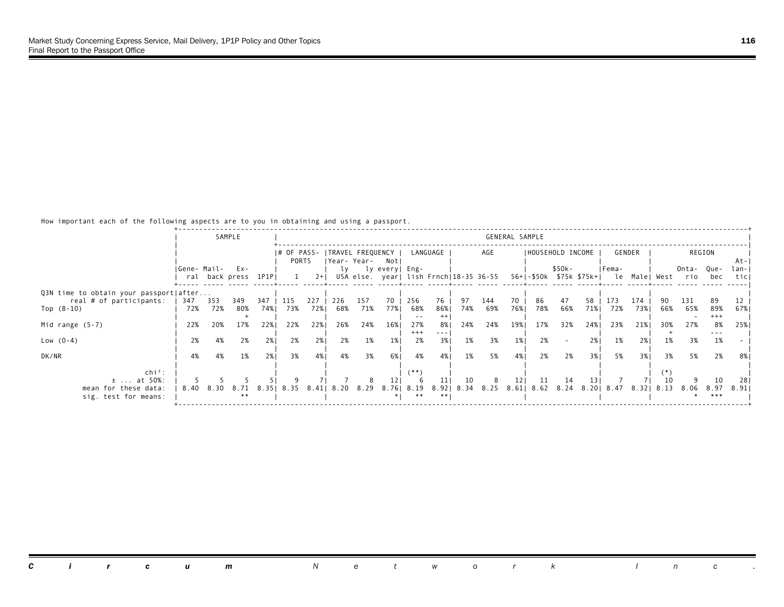|                                        |             |      | SAMPLE              |       |             |       |                   |      |                |                 |               |      |                                        | GENERAL SAMPLE  |                     |        |     |                                        |        |      |       |          |       |
|----------------------------------------|-------------|------|---------------------|-------|-------------|-------|-------------------|------|----------------|-----------------|---------------|------|----------------------------------------|-----------------|---------------------|--------|-----|----------------------------------------|--------|------|-------|----------|-------|
|                                        |             |      |                     |       |             |       |                   |      |                |                 |               |      |                                        |                 |                     |        |     |                                        |        |      |       |          |       |
|                                        |             |      |                     |       | I# OF PASS- |       | ITRAVEL FREQUENCY |      |                |                 | LANGUAGE      |      | AGE                                    |                 | IHOUSEHOLD INCOME   |        |     |                                        | GENDER |      |       | REGION   |       |
|                                        |             |      |                     |       | PORTS       |       | Year- Year-       |      | Notl           |                 |               |      |                                        |                 |                     |        |     |                                        |        |      |       |          | At-I  |
|                                        | Gene- Mail- |      | Ex-                 |       |             |       | lv                |      | ly every  Eng- |                 |               |      |                                        |                 |                     | \$50k- |     | IFema-                                 |        |      | Onta- | Que-     | lan-I |
|                                        |             |      | ral back press 1P1P |       |             | $2+1$ |                   |      |                |                 |               |      | USA else. year  lish Frnch 18-35 36-55 |                 |                     |        |     | 56+ -\$50k \$75k \$75k+  le Male  West |        |      | rio   | bec      | ticl  |
| Q3N time to obtain your passport after |             |      |                     |       |             |       |                   |      |                |                 |               |      |                                        |                 |                     |        |     |                                        |        |      |       |          |       |
| real # of participants:                | 347         | 353  | 349                 | 347   | 115         | 227   | 226               | 157  | 70             | 256             | 76            | 97   | 144                                    | 70              | 86                  | 47     | 58  | 173                                    | 174    |      | 131   | 89       |       |
| Top $(8-10)$                           | 72%         | 72%  | 80%                 | 74%   | 73%         | 72%1  | 68%               | 71%  | 77%            | 68%             | 86%           | 74%  | 69%                                    | 76%1            | 78%                 | 66%    | 71% | 72%                                    | 73%1   | 66%  | 65%   | 89%      | 67% 1 |
|                                        |             |      |                     |       |             |       |                   |      |                | $ -$            |               |      |                                        |                 |                     |        |     |                                        |        |      |       | $^{+++}$ |       |
| Mid range $(5-7)$                      | 22%         | 20%  | 17%                 | 22%1  | 22%         | 22%   | 26%               | 24%  | 16%            | 27%<br>$^{+++}$ | 8%<br>$- - -$ | 24%  | 24%                                    | 19%             | 17%                 | 32%    | 24% | 23%                                    | 21%    | 30%  | 27%   | 8%       | 25%   |
| Low $(0-4)$                            | 2%          | 4%   | 2%                  | 2%    | 2%          | 2%    | 2%                | 1%   | 1%             | 2%              | 3%            | 1%   | 3%                                     | $1\%$           | 2%                  |        | 2%1 | 1%                                     | 2%     | 1%   | 3%    | 1%       |       |
|                                        |             |      |                     |       |             |       |                   |      |                |                 |               |      |                                        |                 |                     |        |     |                                        |        |      |       |          |       |
| DK/NR                                  | 4%          | 4%   | 1%                  | 2%1   | 3%          | 4%    | 4%                | 3%   | 6% 1           | 4%              | 4%            | 1%   | 5%                                     | 4%              | 2%                  | 2%     | 3%1 | 5%                                     | 3%1    | 3%   | 5%    | 2%       | 8%    |
|                                        |             |      |                     |       |             |       |                   |      |                |                 |               |      |                                        |                 |                     |        |     |                                        |        |      |       |          |       |
| $\ch{i}^2$ :<br>$\pm$ at 50%:          |             |      |                     |       |             |       |                   |      |                | (**)            | 11            | 10   | 8                                      | 12 <sub>1</sub> | -11                 | 14     | 131 |                                        |        |      |       | 10       | 281   |
| mean for these data:                   | 8.40        | 8.30 | 8.71                | 8.351 | 8.35        | 8.411 | 8.20              | 8.29 |                | 8.76  8.19      | 8.921         | 8.34 |                                        |                 | 8.25 8.61 8.62 8.24 |        |     | 8.20   8.47                            | 8.321  | 8.13 | 8.06  | 8.97     | 8.911 |
| sig. test for means:                   |             |      | **                  |       |             |       |                   |      |                |                 |               |      |                                        |                 |                     |        |     |                                        |        |      |       | ***      |       |
|                                        |             |      |                     |       |             |       |                   |      |                |                 |               |      |                                        |                 |                     |        |     |                                        |        |      |       |          |       |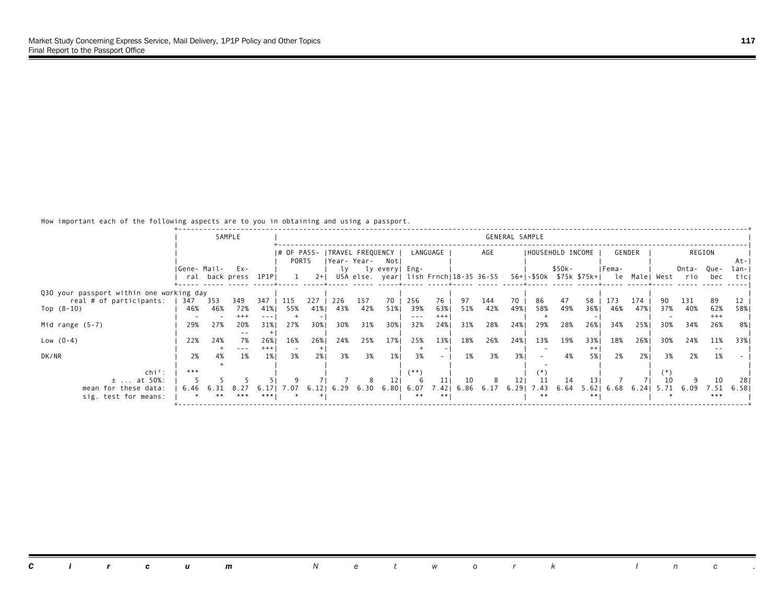|                                          |             |     | SAMPLE              |        |                      |       |                                  |      |                                        |         |          |      |      | GENERAL SAMPLE |                   |        |                                        |               |        |      |       |               |                |
|------------------------------------------|-------------|-----|---------------------|--------|----------------------|-------|----------------------------------|------|----------------------------------------|---------|----------|------|------|----------------|-------------------|--------|----------------------------------------|---------------|--------|------|-------|---------------|----------------|
|                                          |             |     |                     |        |                      |       |                                  |      |                                        |         |          |      |      |                |                   |        |                                        |               |        |      |       |               |                |
|                                          |             |     |                     |        | I# OF PASS-<br>PORTS |       | TRAVEL FREQUENCY<br> Year- Year- |      | Notl                                   |         | LANGUAGE |      | AGE  |                | IHOUSEHOLD INCOME |        |                                        |               | GENDER |      |       | REGION        |                |
|                                          | Gene- Mail- |     | Ex-                 |        |                      |       | lv                               |      | ly every  Eng-                         |         |          |      |      |                |                   | \$50k- |                                        | IFema-        |        |      | Onta- | Que-          | -At-I<br>lan-I |
|                                          |             |     | ral back press 1P1P |        |                      | $2+1$ |                                  |      | USA else. year  lish Frnch 18-35 36-55 |         |          |      |      |                |                   |        | 56+ -\$50k \$75k \$75k+  le Male  West |               |        |      | rio   | bec           | ticl           |
|                                          |             |     |                     |        |                      |       |                                  |      |                                        |         |          |      |      |                |                   |        |                                        |               |        |      |       |               |                |
| Q30 your passport within one working day |             |     |                     |        |                      |       |                                  |      |                                        |         |          |      |      |                |                   |        |                                        |               |        |      |       |               |                |
| real # of participants:                  | 347         | 353 | 349                 | 347    | 115                  | 227   | 226                              | 157  | 70                                     | 256     | 76       | 97   | 144  | 70             | 86                | 47     | 58                                     | 173           | 174    |      | 131   | 89            |                |
| Top $(8-10)$                             | 46%         | 46% | 72%                 | 41%    | 55%                  | 41%   | 43%                              | 42%  | 51%                                    | 39%     | 63%      | 51%  | 42%  | 49%            | 58%               | 49%    | 36%1                                   | 46%           | 47%    | 37%  | 40%   | 62%           | 58%            |
|                                          |             |     | $^{+++}$            |        |                      |       |                                  |      |                                        | $- - -$ | $^{+++}$ |      |      |                |                   |        |                                        |               |        |      |       | $+++$         |                |
| Mid range $(5-7)$                        | 29%         | 27% | 20%                 | 31%    | 27%                  | 30%   | 30%                              | 31%  | 30%                                    | 32%     | 24%      | 31%  | 28%  | 24%            | 29%               | 28%    | 26%                                    | 34%           | 25%    | 30%  | 34%   | 26%           | 8%             |
|                                          |             |     |                     |        |                      |       |                                  |      |                                        |         |          |      |      |                |                   |        |                                        |               |        |      |       |               |                |
| Low $(0-4)$                              | 22%         | 24% | 7%                  | 26%    | 16%                  | 26%   | 24%                              | 25%  | 17%                                    | 25%     | 13%      | 18%  | 26%  | 24%            | 13%               | 19%    | 33%                                    | 18%           | 26%    | 30%  | 24%   | 11%           | 33%            |
| DK/NR                                    |             |     | $- - -$             | $+++1$ |                      | 2%1   |                                  | 3%   | 1%                                     | 3%      |          | 1%   | 3%   | 3%1            |                   |        | $^{++}$                                | 2%            | 2%1    | 3%   |       | $\sim$ $\sim$ |                |
|                                          | 2%          | 4%  | 1%                  | 1%     | 3%                   |       | 3%                               |      |                                        |         |          |      |      |                |                   | 4%     | 5%                                     |               |        |      | 2%    | 1%            |                |
| $\ch{i}^2$ :                             | ***         |     |                     |        |                      |       |                                  |      |                                        | (**)    |          |      |      |                |                   |        |                                        |               |        |      |       |               |                |
| $\pm$ at 50%:                            |             |     |                     |        |                      |       |                                  |      |                                        |         | 11       | 10   | 8    | 121            | 11                | 14     | 13                                     |               |        |      |       | 10            | 281            |
| mean for these data:                     | 6.46        |     | 8. 27               | 6.171  | 7.07                 | 6.12  | 6.29                             | 6.30 | 6.801                                  | 6.07    | 7.421    | 6.86 | 6.17 | 6.291          | 7.43              | 6.64   |                                        | $5.62$   6.68 | 6.241  | 5.71 | 6.09  | 7.51          | 6.581          |
| sig. test for means:                     |             |     | ***                 | ***    |                      |       |                                  |      |                                        | **      | $**$     |      |      |                | **                |        | $* * 1$                                |               |        |      |       | ***           |                |
|                                          |             |     |                     |        |                      |       |                                  |      |                                        |         |          |      |      |                |                   |        |                                        |               |        |      |       |               |                |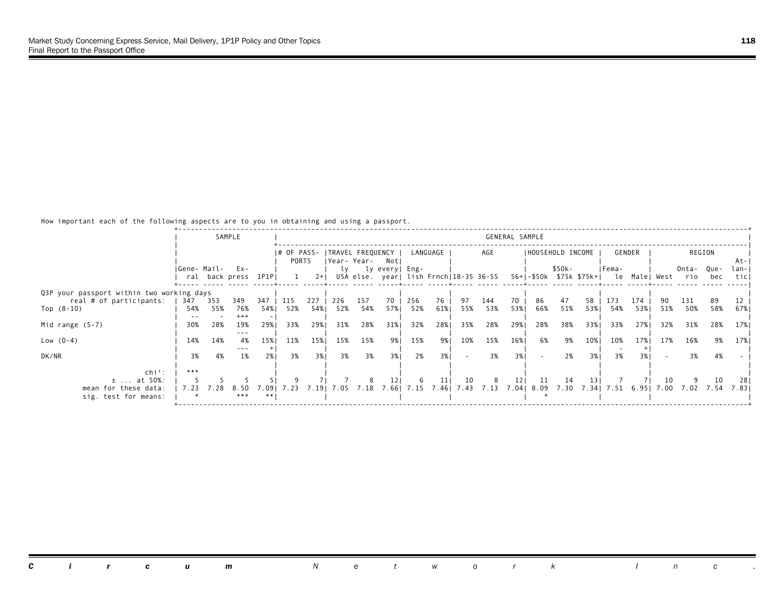|                                           |             |      | SAMPLE               |               |             |       |      |                  |                 |      |          |        |                                        | GENERAL SAMPLE |                   |        |       |                                        |        |      |       |        |       |
|-------------------------------------------|-------------|------|----------------------|---------------|-------------|-------|------|------------------|-----------------|------|----------|--------|----------------------------------------|----------------|-------------------|--------|-------|----------------------------------------|--------|------|-------|--------|-------|
|                                           |             |      |                      |               |             |       |      |                  |                 |      |          |        |                                        |                |                   |        |       |                                        |        |      |       |        |       |
|                                           |             |      |                      |               | I# OF PASS- |       |      | TRAVEL FREQUENCY |                 |      | LANGUAGE |        | AGE                                    |                | IHOUSEHOLD INCOME |        |       |                                        | GENDER |      |       | REGION |       |
|                                           |             |      |                      |               | PORTS       |       |      | Year- Year-      | Notl            |      |          |        |                                        |                |                   |        |       |                                        |        |      |       |        | -At-I |
|                                           | Gene- Mail- |      | Ex-                  |               |             |       | lv   |                  | ly every  Eng-  |      |          |        |                                        |                |                   | \$50k- |       | IFema-                                 |        |      | Onta- | Que-   | lan-I |
|                                           |             |      | ral back press 1P1PI |               |             | $2+1$ |      |                  |                 |      |          |        | USA else. year  lish Frnch 18-35 36-55 |                |                   |        |       | 56+ -\$50k \$75k \$75k+  le Male  West |        |      | rio   | bec    | ticl  |
| Q3P your passport within two working days |             |      |                      |               |             |       |      |                  |                 |      |          |        |                                        |                |                   |        |       |                                        |        |      |       |        |       |
| real # of participants:                   | 347         | 353  | 349                  | 347           | 115         | 227   | 226  | 157              | 70              | 256  | 76       | 97     | 144                                    | 70             | 86                | 47     | 58    | 173                                    | 174    |      | 131   | 89     |       |
| Top $(8-10)$                              | 54%         | 55%  | 76%                  | 54%           | 52%         | 54%   | 52%  | 54%              | 57%             | 52%  | 61%      | 55%    | 53%                                    | 53%1           | 66%               | 51%    |       | 53% 54%                                | 53%    | 51%  | 50%   | 58%    | 67%   |
|                                           |             |      | $+++$                |               |             |       |      |                  |                 |      |          |        |                                        |                |                   |        |       |                                        |        |      |       |        |       |
| Mid range $(5-7)$                         | 30%         | 28%  | 19%                  | 29%1          | 33%         | 29%   | 31%  | 28%              | 31%             | 32%  | 28%      | 35%    | 28%                                    | 29%            | 28%               | 38%    | 33%1  | 33%                                    | 27%    | 32%  | 31%   | 28%    | 17%   |
|                                           |             |      | $- - -$              |               |             |       |      |                  |                 |      |          |        |                                        |                |                   |        |       |                                        |        |      |       |        |       |
| Low $(0-4)$                               | 14%         | 14%  | 4%<br>$- - -$        | 15%           | 11%         | 15%   | 15%  | 15%              | 9%।             | 15%  | 9%       | 10%    | 15%                                    | 16%            | 6%                | 9%     | 10%   | 10%                                    | 17%    | 17%  | 16%   | 9%     | 17%   |
| DK/NR                                     | 3%          | 4%   | 1%                   | 2%1           | 3%          | 3%1   | 3%   | 3%               | 3%1             | 2%   | 3%1      | $\sim$ | 3%                                     | 3%1            |                   | 2%     | 3% 1  | 3%                                     | 3%1    |      | 3%    | 4%     |       |
|                                           |             |      |                      |               |             |       |      |                  |                 |      |          |        |                                        |                |                   |        |       |                                        |        |      |       |        |       |
| $\ch{i}^2$ :                              | ***         |      |                      |               |             |       |      |                  |                 |      |          |        |                                        |                |                   |        |       |                                        |        |      |       |        |       |
| $\pm$ at 50%:                             |             |      |                      |               |             |       |      |                  | 12 <sub>1</sub> | -6   | 11       | 10     | 8                                      | 121            | -11               | 14     | 13 I  |                                        |        | 10   |       | 10     | -281  |
| mean for these data:                      | 7.23        | 7.28 | 8.50                 | .091<br>$**1$ | 7.23        | 7.191 | 7.05 | 7.18             | 7.661           | 7.15 | 7.461    | 7.43   |                                        |                | 7.13 7.04 8.09    | 7.30   | 7.341 | 7.51                                   | 6.951  | 7.00 | 7.02  | 7.54   | 7.831 |
| sig. test for means:                      |             |      | ***                  |               |             |       |      |                  |                 |      |          |        |                                        |                |                   |        |       |                                        |        |      |       |        |       |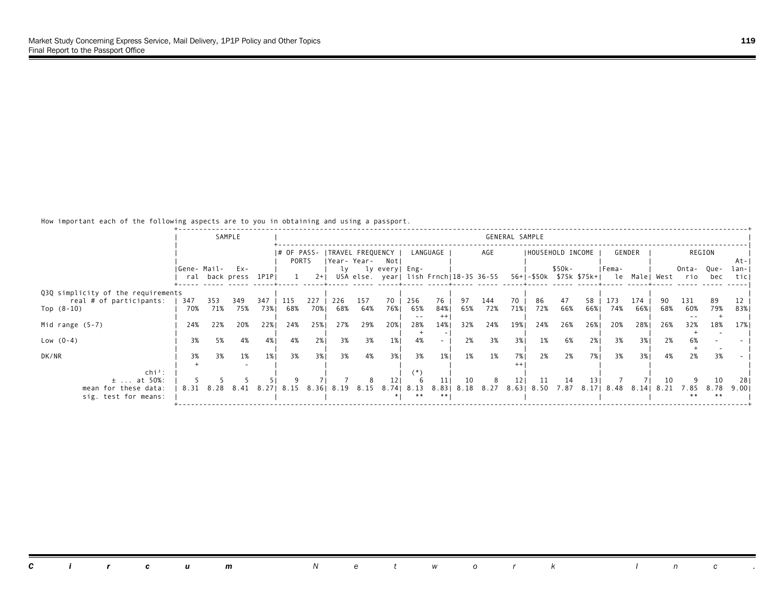|                                    |             |           | SAMPLE              |       |             |       |                   |           |                |            |          |      |                                        | GENERAL SAMPLE  |                   |        |      |                                        |        |      |       |        |       |
|------------------------------------|-------------|-----------|---------------------|-------|-------------|-------|-------------------|-----------|----------------|------------|----------|------|----------------------------------------|-----------------|-------------------|--------|------|----------------------------------------|--------|------|-------|--------|-------|
|                                    |             |           |                     |       | I# OF PASS- |       | ITRAVEL FREQUENCY |           |                |            | LANGUAGE |      | AGE                                    |                 | IHOUSEHOLD INCOME |        |      |                                        | GENDER |      |       | REGION |       |
|                                    |             |           |                     |       | PORTS       |       | Year- Year-       |           | Notl           |            |          |      |                                        |                 |                   |        |      |                                        |        |      |       |        | At-I  |
|                                    | Gene- Mail- |           | Ex-                 |       |             |       | lv                |           | ly every  Eng- |            |          |      |                                        |                 |                   | \$50k- |      | IFema-                                 |        |      | Onta- | Que-   | lan-I |
|                                    |             |           | ral back press 1P1P |       |             | $2+1$ |                   |           |                |            |          |      | USA else. year  lish Frnch 18-35 36-55 |                 |                   |        |      | 56+ -\$50k \$75k \$75k+  le Male  West |        |      | rio   | bec    | ticl  |
|                                    |             |           |                     |       |             |       |                   |           |                |            |          |      |                                        |                 |                   |        |      |                                        |        |      |       |        |       |
| Q3Q simplicity of the requirements |             |           |                     |       |             |       |                   |           |                |            |          |      |                                        |                 |                   |        |      |                                        |        |      |       |        |       |
| real # of participants:            | 347         | 353       | 349                 | 347   | 115         | 227   | 226               | 157       | 70             | 256        | 76       | 97   | 144                                    | 70              | 86                | 47     | 58   | 173                                    | 174    |      | 131   | 89     |       |
| Top $(8-10)$                       | 70%         | 71%       | 75%                 | 73%   | 68%         | 70%   | 68%               | 64%       | 76%1           | 65%        | 84%      | 65%  | 72%                                    | 71%             | 72%               | 66%    | 66%  | 74%                                    | 66%    | 68%  | 60%   | 79%    | 83%   |
|                                    |             |           |                     |       |             |       |                   |           |                | $ -$       |          |      |                                        |                 |                   |        |      |                                        |        |      |       |        |       |
| Mid range $(5-7)$                  | 24%         | 22%       | 20%                 | 22%1  | 24%         | 25%   | 27%               | 29%       | 20%            | 28%        | 14%      | 32%  | 24%                                    | 19%             | 24%               | 26%    | 26%  | 20%                                    | 28%    | 26%  | 32%   | 18%    | 17%   |
| Low $(0-4)$                        | 3%          | 5%        | 4%                  | 4%    | 4%          | 2%    | 3%                | 3%        | 1%             | 4%         |          | 2%   | 3%                                     | 3%              | 1%                | 6%     | 2%1  | 3%                                     | 3% l   | 2%   |       |        |       |
|                                    |             |           |                     |       |             |       |                   |           |                |            |          |      |                                        |                 |                   |        |      |                                        |        |      | 6%    |        |       |
| DK/NR                              | 3%          | 3%        | 1%                  | 1%    | 3%          | 3%1   | 3%                | 4%        | 3%1            | 3%         | $1\%$    | 1%   | 1%                                     | 7%1             | 2%                | 2%     | 7% I | 3%                                     | 3%1    | 4%   | 2%    | 3%     |       |
|                                    |             |           |                     |       |             |       |                   |           |                |            |          |      |                                        |                 |                   |        |      |                                        |        |      |       |        |       |
| $chi^2$ :                          |             |           |                     |       |             |       |                   |           |                | :*)        |          |      |                                        |                 |                   |        |      |                                        |        |      |       |        |       |
| $\pm$ at 50%:                      |             |           |                     |       |             |       |                   |           |                |            | 11       | 10   | 8                                      | 12 <sub>1</sub> | 11                | -14    | 13 I |                                        |        | 10   |       | 10     | 28    |
| mean for these data:               |             | 8.31 8.28 | 8.41                | 8.271 | 8.15        | 8.361 |                   | 8.19 8.15 |                | 8.741 8.13 | 8.83     | 8.18 | 8.27                                   |                 | 8.63   8.50       | 7.87   |      | 8.17  8.48                             | 8.141  | 8.21 | 7.85  | 8.78   | 9.001 |
| sig. test for means:               |             |           |                     |       |             |       |                   |           |                |            |          |      |                                        |                 |                   |        |      |                                        |        |      | * *   | $**$   |       |
|                                    |             |           |                     |       |             |       |                   |           |                |            |          |      |                                        |                 |                   |        |      |                                        |        |      |       |        |       |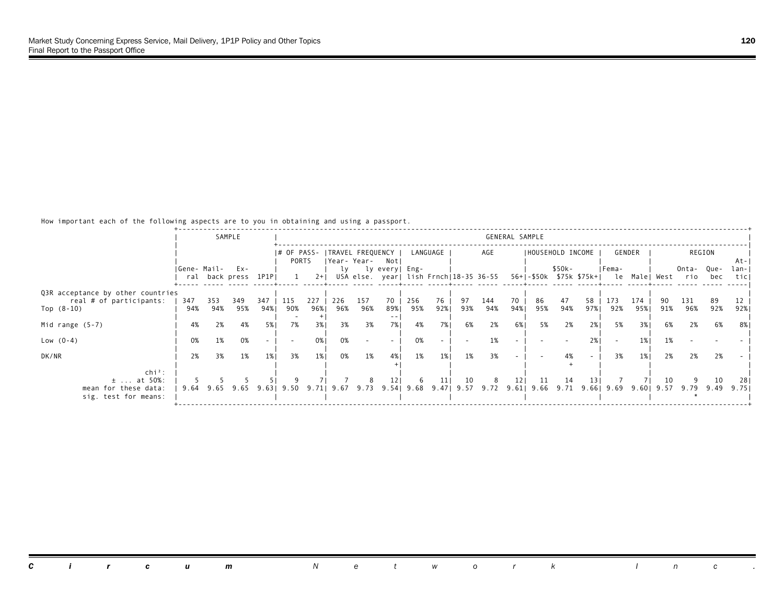|                                                                              |             |            | SAMPLE                        |             |             |             |            |                  |                 |            |           |           |                                        | GENERAL SAMPLE |                   |           |      |                                                                  |            |            |                                                     |                 |                        |
|------------------------------------------------------------------------------|-------------|------------|-------------------------------|-------------|-------------|-------------|------------|------------------|-----------------|------------|-----------|-----------|----------------------------------------|----------------|-------------------|-----------|------|------------------------------------------------------------------|------------|------------|-----------------------------------------------------|-----------------|------------------------|
|                                                                              |             |            |                               |             | I# OF PASS- |             |            | TRAVEL FREQUENCY |                 |            | LANGUAGE  |           | AGE                                    |                | IHOUSEHOLD INCOME |           |      |                                                                  | GENDER     |            |                                                     | REGION          |                        |
|                                                                              | Gene- Mail- |            | $Ex -$<br>ral back press 1P1P |             | PORTS       | $2+1$       | lv         | Year-Year- Notl  | ly every  Eng-  |            |           |           | USA else. year  lish Frnch 18-35 36-55 |                |                   | \$50k-    |      | IFema-                                                           |            |            | Onta-<br>56+ -\$50k \$75k \$75k+  le Male  West rio | Que-<br>bec     | -At-I<br>lan-I<br>ticl |
|                                                                              |             |            |                               |             |             |             |            |                  |                 |            |           |           |                                        |                |                   |           |      |                                                                  |            |            |                                                     |                 |                        |
| Q3R acceptance by other countries<br>real # of participants:<br>Top $(8-10)$ | 347<br>94%  | 353<br>94% | 349<br>95%                    | 347<br>94%। | 115<br>90%  | 227<br>96%। | 226<br>96% | 157<br>96%       | 70<br>89%।      | 256<br>95% | 76<br>92% | 97<br>93% | 144<br>94%                             | 70<br>94%      | 86<br>95%         | 47<br>94% | 58   | 173<br>97%  92%                                                  | 174<br>95% | 91%        | 131<br>96%                                          | 89<br>92%       | 92%                    |
| Mid range $(5-7)$                                                            | 4%          | 2%         | 4%                            | 5%1         | 7%          | 3%          | 3%         | 3%               | 7%1             | 4%         | 7%        | 6%        | 2%                                     | 6 <sup>%</sup> | 5%                | 2%        | 2%1  | 5%                                                               | 3%1        | 6%         | 2%                                                  | 6%              | 8%                     |
| Low $(0-4)$                                                                  | 0%          | 1%         | 0%                            |             |             | 0%          | 0%         |                  |                 | 0%         |           |           |                                        |                |                   |           | 2%   |                                                                  | 1%1        | 1%         |                                                     |                 |                        |
| DK/NR                                                                        | 2%          | 3%         | 1%                            | 1%          | 3%          | 1%          | 0%         | 1%               | 4%              | 1%         | $1\%$     | 1%        | 3%                                     |                |                   | 4%        |      | 3%                                                               | $1\%$      | 2%         | 2%                                                  | 2%              |                        |
| $\ch{i}^2$ :<br>$\pm$ at 50%:<br>mean for these data:                        | 9.64        |            | 9.65 9.65                     | 9.631       | 9.50 9.71   |             |            |                  | 12 <sub>1</sub> | -6         | 11        | 10        | 8                                      | 121            | 11                | 14        | 13 I | 9.67 9.73 9.54 9.68 9.47 9.57 9.72 9.61 9.66 9.71 9.66 9.69 9.60 |            | 10<br>9.57 |                                                     | 10<br>9.79 9.49 | -281<br>9.751          |
| sig. test for means:                                                         |             |            |                               |             |             |             |            |                  |                 |            |           |           |                                        |                |                   |           |      |                                                                  |            |            |                                                     |                 |                        |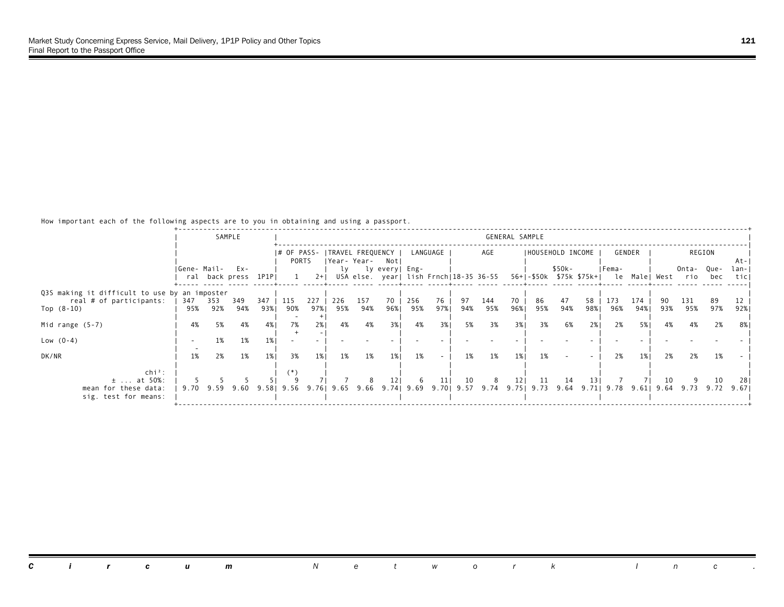|                                                                          |             |           | SAMPLE              |       |             |       |     |                  |                    |     |          |     |                                        | GENERAL SAMPLE  |                   |        |     |                                                                                                 |        |     |                      |        |       |
|--------------------------------------------------------------------------|-------------|-----------|---------------------|-------|-------------|-------|-----|------------------|--------------------|-----|----------|-----|----------------------------------------|-----------------|-------------------|--------|-----|-------------------------------------------------------------------------------------------------|--------|-----|----------------------|--------|-------|
|                                                                          |             |           |                     |       |             |       |     |                  |                    |     |          |     |                                        |                 |                   |        |     |                                                                                                 |        |     |                      |        |       |
|                                                                          |             |           |                     |       | I# OF PASS- |       |     | TRAVEL FREQUENCY |                    |     | LANGUAGE |     | AGE                                    |                 | IHOUSEHOLD INCOME |        |     |                                                                                                 | GENDER |     |                      | REGION |       |
|                                                                          |             |           |                     |       | PORTS       |       |     | Year-Year- Notl  |                    |     |          |     |                                        |                 |                   |        |     |                                                                                                 |        |     |                      |        | At-I  |
|                                                                          | Gene- Mail- |           | $Ex -$              |       |             |       |     |                  | ly ly every   Eng- |     |          |     |                                        |                 |                   | \$50k- |     | IFema-                                                                                          |        |     | Onta- Que-           |        | lan-I |
|                                                                          |             |           | ral back press 1P1P |       |             | $2+1$ |     |                  |                    |     |          |     | USA else. year  lish Frnch 18-35 36-55 |                 |                   |        |     | 56+ -\$50k \$75k \$75k+  le Male  West rio                                                      |        |     |                      | bec    | ticl  |
|                                                                          |             |           |                     |       |             |       |     |                  |                    |     |          |     |                                        |                 |                   |        |     |                                                                                                 |        |     |                      |        |       |
| Q3S making it difficult to use by an imposter<br>real # of participants: | 347         | 353       | 349                 | 347   | 115         | 227   | 226 | 157              | 70                 | 256 | 76       | 97  | 144                                    | 70              | 86                | 47     | 58  | 173                                                                                             | 174    |     | 131                  | 89     |       |
| Top $(8-10)$                                                             | 95%         | 92%       | 94%                 | 93%।  | 90%         | 97%।  | 95% | 94%              | 96%।               | 95% | 97%      | 94% | 95%                                    | 96%1            | 95%               | 94%    |     | 98% 96%                                                                                         | 94%    | 93% | 95%                  | 97%    | 92%   |
|                                                                          |             |           |                     |       |             |       |     |                  |                    |     |          |     |                                        |                 |                   |        |     |                                                                                                 |        |     |                      |        |       |
| Mid range $(5-7)$                                                        | 4%          | 5%        | 4%                  | 4%    | 7%          | 2%    | 4%  | 4%               | 3%1                | 4%  | 3%       | 5%  | 3%                                     | 3%1             | 3%                | 6%     | 2%1 | 2%                                                                                              | 5% 1   | 4%  | 4%                   | 2%     | 8%    |
|                                                                          |             |           |                     |       |             |       |     |                  |                    |     |          |     |                                        |                 |                   |        |     |                                                                                                 |        |     |                      |        |       |
| Low $(0-4)$                                                              |             | 1%        | 1%                  | $1\%$ |             |       |     |                  |                    |     |          |     |                                        |                 |                   |        |     |                                                                                                 |        |     |                      |        |       |
| DK/NR                                                                    | 1%          | 2%        | 1%                  | 1%    | 3%          | $1\%$ | 1%  | 1%               | 1%                 | 1%  |          | 1%  | 1%                                     | $1\%$           | 1%                |        |     | 2%                                                                                              | 1%     | 2%  | 2%                   | 1%     |       |
|                                                                          |             |           |                     |       |             |       |     |                  |                    |     |          |     |                                        |                 |                   |        |     |                                                                                                 |        |     |                      |        |       |
| $\ch{i}^2$ :                                                             |             |           |                     |       |             |       |     |                  |                    |     |          |     |                                        |                 |                   |        |     |                                                                                                 |        |     |                      |        |       |
| $\pm$ at 50%:                                                            |             |           |                     |       |             |       |     |                  | 12 <sub>1</sub>    | -6  | 11       | 10  | 8                                      | 12 <sub>1</sub> | 11                | -14    | 131 |                                                                                                 |        | 10  |                      | 10     | 281   |
| mean for these data:                                                     |             | 9.70 9.59 | 9.60                | 9.581 | 9.56        |       |     |                  |                    |     |          |     |                                        |                 |                   |        |     | 9.76   9.65   9.66   9.74   9.69   9.70   9.57   9.74   9.75   9.73   9.64   9.71   9.78   9.61 |        |     | 9.64 9.73 9.72 9.671 |        |       |
| sig. test for means:                                                     |             |           |                     |       |             |       |     |                  |                    |     |          |     |                                        |                 |                   |        |     |                                                                                                 |        |     |                      |        |       |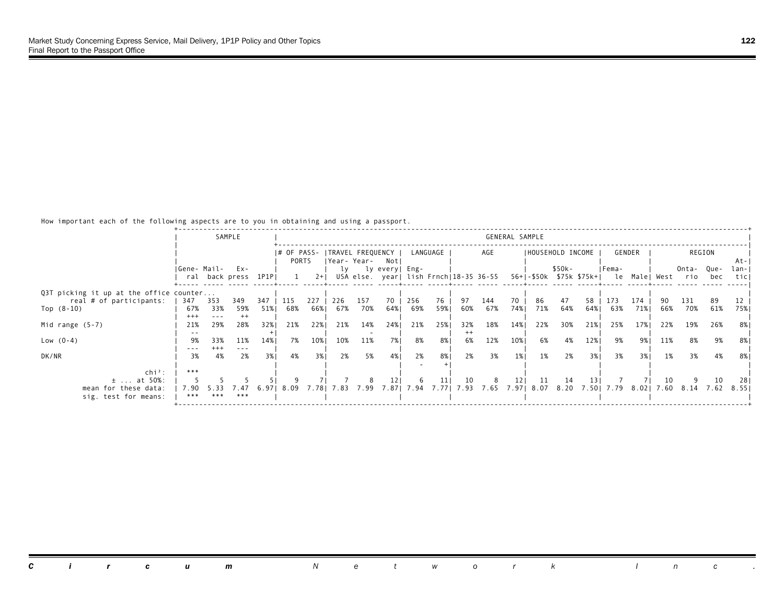|                                         |                 |         | SAMPLE              |       |             |       |     |                  |                 |             |          |         |                                        | GENERAL SAMPLE |     |                   |     |                                         |        |     |                                           |        |       |
|-----------------------------------------|-----------------|---------|---------------------|-------|-------------|-------|-----|------------------|-----------------|-------------|----------|---------|----------------------------------------|----------------|-----|-------------------|-----|-----------------------------------------|--------|-----|-------------------------------------------|--------|-------|
|                                         |                 |         |                     |       | I# OF PASS- |       |     | TRAVEL FREQUENCY |                 |             | LANGUAGE |         | AGE                                    |                |     | IHOUSEHOLD INCOME |     |                                         | GENDER |     |                                           | REGION |       |
|                                         |                 |         |                     |       | PORTS       |       |     | Year-Year- Notl  |                 |             |          |         |                                        |                |     |                   |     |                                         |        |     |                                           |        | At-I  |
|                                         | IGene- Mail-    |         | $Ex -$              |       |             |       | lv  |                  | ly every  Eng-  |             |          |         |                                        |                |     | \$50k-            |     | IFema-                                  |        |     | Onta- Que-                                |        | lan-I |
|                                         |                 |         | ral back press 1P1P |       |             | $2+1$ |     |                  |                 |             |          |         | USA else. year  lish Frnch 18-35 36-55 |                |     |                   |     |                                         |        |     | 56+ -\$50k \$75k \$75k+  le Male West rio | bec    | ticl  |
|                                         |                 |         |                     |       |             |       |     |                  |                 |             |          |         |                                        |                |     |                   |     |                                         |        |     |                                           |        |       |
| Q3T picking it up at the office counter |                 |         |                     |       |             |       |     |                  |                 |             |          |         |                                        |                |     |                   |     |                                         |        |     |                                           |        |       |
| real # of participants:                 | 347             | 353     | 349                 | 347   | 115         | 227   | 226 | 157              | 70              | 256         | 76       | 97      | 144                                    | 70             | 86  | 47                | 58  | 173                                     | 174    |     | 131                                       | -89    |       |
| Top $(8-10)$                            | 67%             | 33%     | 59%                 | 51%   | 68%         | 66%।  | 67% | 70%              | 64%             | 69%         | 59%      | 60%     | 67%                                    | 74%            | 71% | 64%               | 64% | 63%                                     | 71%    | 66% | 70%                                       | 61%    | 75%   |
|                                         | $^{+++}$<br>21% | 29%     | $^{++}$<br>28%      | 32%1  | 21%         | 22%   | 21% | 14%              | 24%             | 21%         | 25%      | 32%     | 18%                                    | 14%            | 22% | 30%               | 21% | 25%                                     | 17%    | 22% | 19%                                       | 26%    | 8% I  |
| Mid range $(5-7)$                       |                 |         |                     |       |             |       |     |                  |                 |             |          | $^{++}$ |                                        |                |     |                   |     |                                         |        |     |                                           |        |       |
| Low $(0-4)$                             | 9%              | 33%     | 11%                 | 14%   | 7%          | 10%   | 10% | 11%              | 7%              | 8%          | 8%       | 6%      | 12%                                    | 10%            | 6%  | 4%                | 12% | 9%                                      | 9%।    | 11% | 8%                                        | 9%     | 8%    |
|                                         |                 | $+++$   | $\frac{1}{2}$       |       |             |       |     |                  |                 |             |          |         |                                        |                |     |                   |     |                                         |        |     |                                           |        |       |
| DK/NR                                   | 3%              | 4%      | 2%                  | 3%1   | 4%          | 3%1   | 2%  | 5%               | 4% 1            | 2%          | 8%       | 2%      | 3%                                     | $1\%$          | 1%  | 2%                | 3%1 | 3%                                      | 3%1    | 1%  | 3%                                        | 4%     | 8%    |
|                                         |                 |         |                     |       |             |       |     |                  |                 |             |          |         |                                        |                |     |                   |     |                                         |        |     |                                           |        |       |
| $\ch{i}^2$ :                            | ***             |         |                     |       |             |       |     |                  |                 |             |          |         |                                        |                |     |                   |     |                                         |        |     |                                           |        |       |
| $\pm$ at 50%:                           |                 |         |                     |       |             |       |     |                  | 12 <sub>1</sub> | -6          | 11       | 10      | 8                                      | 121            | 11  | 14                | 131 |                                         |        | 10  |                                           | 10     | -281  |
| mean for these data:                    | 7.90            | 5.33    | .47                 | 6.971 | 8.09        | 7.781 |     | 7.83 7.99        |                 | 7.87   7.94 | 7.771    |         |                                        |                |     |                   |     | 7.93 7.65 7.97 8.07 8.20 7.50 7.79 8.02 |        |     | 7.60 8.14                                 | 7.62   | 8.551 |
| sig. test for means:                    |                 | *** *** | ***                 |       |             |       |     |                  |                 |             |          |         |                                        |                |     |                   |     |                                         |        |     |                                           |        |       |
|                                         |                 |         |                     |       |             |       |     |                  |                 |             |          |         |                                        |                |     |                   |     |                                         |        |     |                                           |        |       |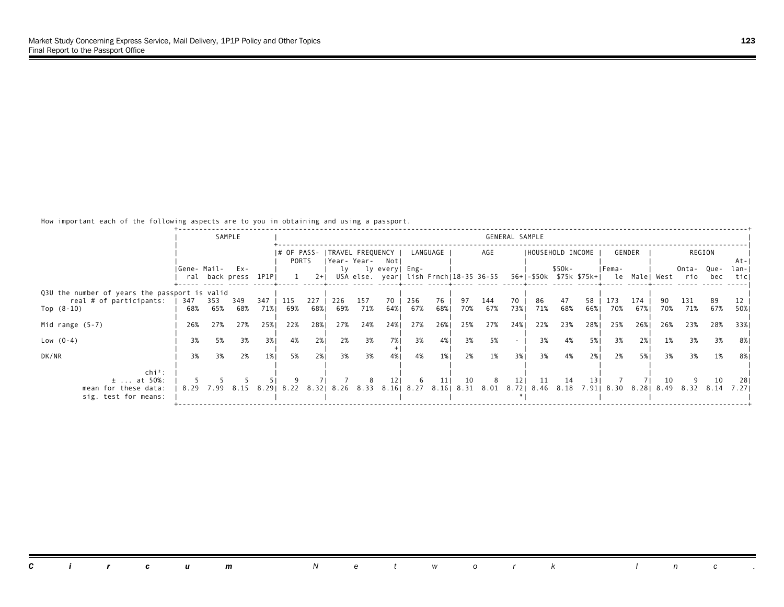|                                               |              |           | SAMPLE               |      |             |       |     |     |                     |     |          |     |     | GENERAL SAMPLE  |     |        |                   |        |        |     |                                                                                   |        |              |
|-----------------------------------------------|--------------|-----------|----------------------|------|-------------|-------|-----|-----|---------------------|-----|----------|-----|-----|-----------------|-----|--------|-------------------|--------|--------|-----|-----------------------------------------------------------------------------------|--------|--------------|
|                                               |              |           |                      |      |             |       |     |     |                     |     |          |     |     |                 |     |        |                   |        |        |     |                                                                                   |        |              |
|                                               |              |           |                      |      | I# OF PASS- |       |     |     | TRAVEL FREQUENCY    |     | LANGUAGE |     | AGE |                 |     |        | IHOUSEHOLD INCOME |        | GENDER |     |                                                                                   | REGION |              |
|                                               |              |           |                      |      | PORTS       |       |     |     | Year-Year- Notl     |     |          |     |     |                 |     |        |                   |        |        |     |                                                                                   |        | At-I         |
|                                               | IGene- Mail- |           | $Ex -$               |      |             |       |     |     | ly ly every   Eng-  |     |          |     |     |                 |     | \$50k- |                   | IFema- |        |     | Onta- Que-                                                                        |        | lan-I        |
|                                               |              |           | ral back press 1P1PI |      |             | $2+1$ |     |     |                     |     |          |     |     |                 |     |        |                   |        |        |     | USA else. year  lish Frnch 18-35 36-55 56+ -\$50k \$75k \$75k+  le Male  West rio | bec    | ticl         |
| Q3U the number of years the passport is valid |              |           |                      |      |             |       |     |     |                     |     |          |     |     |                 |     |        |                   |        |        |     |                                                                                   |        |              |
| real # of participants:                       | 347          | 353       | 349                  | 347  | 115         | 227   | 226 | 157 | 70                  | 256 | 76       | 97  | 144 | 70              | 86  | 47     | 58                | 173    | 174    |     | 131                                                                               | 89     |              |
| Top $(8-10)$                                  | 68%          | 65%       | 68%                  | 71%  | 69%         | 68%   | 69% | 71% | 64%                 | 67% | 68%      | 70% | 67% | 73%             | 71% | 68%    | 66%               | 70%    | 67%    | 70% | 71%                                                                               | 67%    | 50%          |
|                                               |              |           |                      |      |             |       |     |     |                     |     |          |     |     |                 |     |        |                   |        |        |     |                                                                                   |        |              |
| Mid range $(5-7)$                             | 26%          | 27%       | 27%                  | 25%1 | 22%         | 28%   | 27% | 24% | 24%                 | 27% | 26%      | 25% | 27% | 24%             | 22% | 23%    | 28%               | 25%    | 26%    | 26% | 23%                                                                               | 28%    | 33%1         |
| Low $(0-4)$                                   | 3%           | 5%        | 3%                   | 3%   | 4%          | 2%    | 2%  | 3%  | 7%                  | 3%  | 4%       | 3%  | 5%  | $\sim$          | 3%  | 4%     | 5%                | 3%     | 2%1    | 1%  | 3%                                                                                | 3%     | -8% I        |
|                                               |              |           |                      |      |             |       |     |     |                     |     |          |     |     |                 |     |        |                   |        |        |     |                                                                                   |        |              |
| DK/NR                                         | 3%           | 3%        | 2%                   | 1%   | 5%          | 2%1   | 3%  | 3%  | 4% 1                | 4%  | $1\%$    | 2%  | 1%  | 3%1             | 3%  | 4%     | 2%1               | 2%     | 5%     | 3%  | 3%                                                                                | 1%     | 8%           |
|                                               |              |           |                      |      |             |       |     |     |                     |     |          |     |     |                 |     |        |                   |        |        |     |                                                                                   |        |              |
| $chi^2$ :<br>$\pm$ at 50%:                    |              |           |                      |      |             |       |     |     | 12 <sub>1</sub>     | -6  | 11       | 10  | 8   | 12 <sub>1</sub> | 11  | 14     | 131               |        |        | 10  |                                                                                   | 10     |              |
| mean for these data:                          |              | 8.29 7.99 | 8.15                 |      | 8.2918.22   | 8.321 |     |     | 8.26 8.33 8.16 8.27 |     |          |     |     |                 |     |        |                   |        |        |     | 8.16 8.31 8.01 8.72 8.46 8.18 7.91 8.30 8.28 8.49 8.32 8.14                       |        | 281<br>7.271 |
| sig. test for means:                          |              |           |                      |      |             |       |     |     |                     |     |          |     |     |                 |     |        |                   |        |        |     |                                                                                   |        |              |
|                                               |              |           |                      |      |             |       |     |     |                     |     |          |     |     |                 |     |        |                   |        |        |     |                                                                                   |        |              |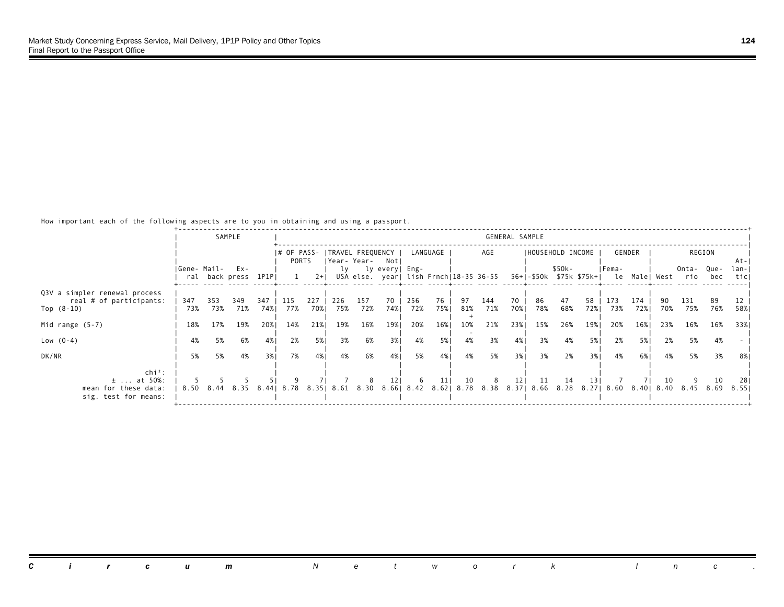|                                                                            |             |            | SAMPLE                         |            |                      |             |            |                                         |                    |            |           |           |                                                                                 | GENERAL SAMPLE  |                   |           |           |            |             |     |                                                          |            |               |
|----------------------------------------------------------------------------|-------------|------------|--------------------------------|------------|----------------------|-------------|------------|-----------------------------------------|--------------------|------------|-----------|-----------|---------------------------------------------------------------------------------|-----------------|-------------------|-----------|-----------|------------|-------------|-----|----------------------------------------------------------|------------|---------------|
|                                                                            |             |            |                                |            | I# OF PASS-<br>PORTS |             |            | ITRAVEL FREQUENCY  <br> Year-Year- Notl |                    |            | LANGUAGE  |           | AGE                                                                             |                 | IHOUSEHOLD INCOME |           |           |            | GENDER      |     |                                                          | REGION     | At-I          |
|                                                                            | Gene- Mail- |            | $Ex -$<br>ral back press 1P1PI |            |                      | $2+1$       |            |                                         | ly ly every   Eng- |            |           |           | USA else. year  lish Frnch 18-35 36-55                                          |                 |                   | \$50k-    |           | IFema-     |             |     | Onta- Que-<br>56+ -\$50k \$75k \$75k+  le Male  West rio | bec        | lan-I<br>ticl |
| Q3V a simpler renewal process<br>real # of participants:<br>Top $(8-10)$   | 347<br>73%  | 353<br>73% | 349<br>71%                     | 347<br>74% | 115<br>77%           | 227<br>70%1 | 226<br>75% | 157<br>72%                              | 70<br>74%          | 256<br>72% | 76<br>75% | 97<br>81% | 144<br>71%                                                                      | 70<br>70%       | 86<br>78%         | 47<br>68% | 58<br>72% | 173<br>73% | 174<br>72%1 | 70% | 131<br>75%                                               | -89<br>76% | 58%           |
| Mid range $(5-7)$                                                          | 18%         | 17%        | 19%                            | 20%1       | 14%                  | 21%         | 19%        | 16%                                     | 19%                | 20%        | 16%       | 10%       | 21%                                                                             | 23%             | 15%               | 26%       | 19%       | 20%        | 16%         | 23% | 16%                                                      | 16%        | 33%1          |
| Low $(0-4)$                                                                | 4%          | 5%         | 6%                             | 4%         | 2%                   | 5%          | 3%         | 6%                                      | 3%                 | 4%         | 5%        | 4%        | 3%                                                                              | 4%              | 3%                | 4%        | 5%        | 2%         | 5% 1        | 2%  | 5%                                                       | 4%         |               |
| DK/NR                                                                      | 5%          | 5%         | 4%                             | 3%1        | 7%                   | 4%          | 4%         | 6%                                      | 4%                 | 5%         | 4%        | 4%        | 5%                                                                              | 3%              | 3%                | 2%        | 3%1       | 4%         | 6%          | 4%  | 5%                                                       | 3%         | 8%            |
| $chi^2$ :<br>$\pm$ at 50%:<br>mean for these data:<br>sig. test for means: |             |            | 8.50 8.44 8.35                 |            | 8.4418.78            |             |            |                                         | 12 <sub>1</sub>    | -6         | 11        | 10        | 8<br>8.35   8.61   8.30   8.66   8.42   8.62   8.78   8.38   8.37   8.66   8.28 | 12 <sub>1</sub> | 11                | 14        | 13 I      |            |             | 10  | 8.27 8.60 8.40 8.40 8.45 8.69                            | 10         | 281<br>8.551  |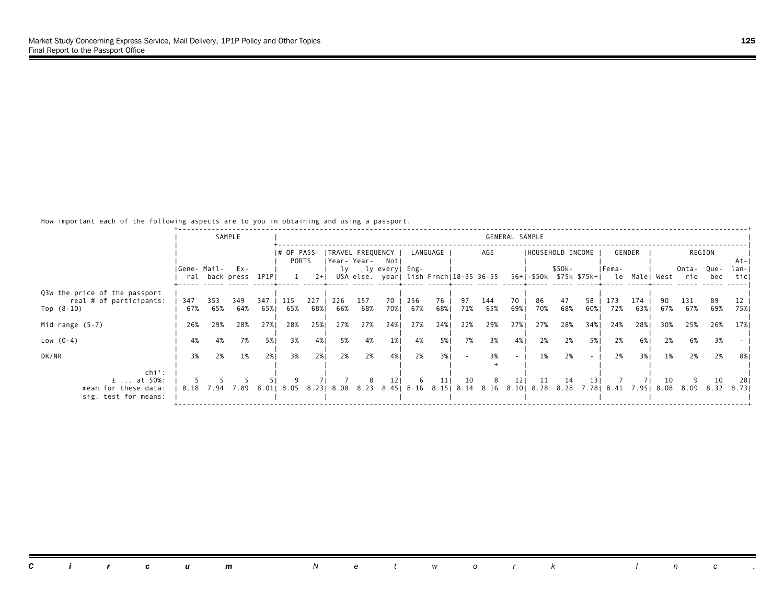|                                                                            |             |            | SAMPLE                      |             |                      |            |            |                                         |                 |                                        |           |            |            | GENERAL SAMPLE |                           |           |           |                                                 |            |     |              |             |               |
|----------------------------------------------------------------------------|-------------|------------|-----------------------------|-------------|----------------------|------------|------------|-----------------------------------------|-----------------|----------------------------------------|-----------|------------|------------|----------------|---------------------------|-----------|-----------|-------------------------------------------------|------------|-----|--------------|-------------|---------------|
|                                                                            |             |            |                             |             | I# OF PASS-<br>PORTS |            |            | ITRAVEL FREQUENCY  <br> Year-Year- Notl |                 |                                        | LANGUAGE  |            | AGE        |                | IHOUSEHOLD INCOME         |           |           |                                                 | GENDER     |     |              | REGION      | At-I          |
|                                                                            | Gene- Mail- |            | Ex-<br>ral back press 1P1PI |             |                      | $2+1$      | lv         |                                         | ly every  Eng-  | USA else. year  lish Frnch 18-35 36-55 |           |            |            |                |                           | \$50k-    |           | IFema-<br>56+ -\$50k \$75k \$75k+  le Male West |            |     | Onta-<br>rio | Que-<br>bec | lan-I<br>ticl |
| Q3W the price of the passport<br>real # of participants:<br>Top $(8-10)$   | 347<br>67%  | 353<br>65% | 349<br>64%                  | 347<br>65%। | 115<br>65%           | 227<br>68% | 226<br>66% | 157<br>68%                              | 70<br>70%1      | 256<br>67%                             | 76<br>68% | 97<br>71%  | 144<br>65% | 70<br>69%1     | 86<br>70%                 | 47<br>68% | 58<br>60% | 173<br>72%                                      | 174<br>63% | 67% | 131<br>67%   | 89<br>69%   | 75%           |
| Mid range $(5-7)$                                                          | 26%         | 29%        | 28%                         | 27%1        | 28%                  | 25%        | 27%        | 27%                                     | 24%             | 27%                                    | 24%       | 22%        | 29%        | 27%            | 27%                       | 28%       | 34%       | 24%                                             | 28%        | 30% | 25%          | 26%         | 17% I         |
| Low $(0-4)$                                                                | 4%          | 4%         | 7%                          | 5%          | 3%                   | 4%         | 5%         | 4%                                      | $1\%$           | 4%                                     | 5%        | 7%         | 3%         | 4%             | 2%                        | 2%        | 5%        | 2%                                              | 6% I       | 2%  | 6%           | 3%          |               |
| DK/NR                                                                      | 3%          | 2%         | 1%                          | 2%1         | 3%                   | 2%1        | 2%         | 2%                                      | 4%              | 2%                                     | 3%1       |            | 3%         | $\sim$         | 1%                        | 2%        |           | 2%                                              | 3%1        | 1%  | 2%           | 2%          | 8%            |
| $chi^2$ :<br>$\pm$ at 50%:<br>mean for these data:<br>sig. test for means: |             | 8.18 7.94  | 7.89                        |             | 8.01  8.05           | 8.23       |            | 8.08 8.23                               | 12 <sub>1</sub> | -6<br>8.45   8.16 8.15                 | 11        | 10<br>8.14 | 8          | 121            | 11<br>8.16 8.10 8.28 8.28 | 14        | 131       | 7.78 8.41 7.95                                  |            | 10  | 8.08 8.09    | 10<br>8.32  | 281<br>8.731  |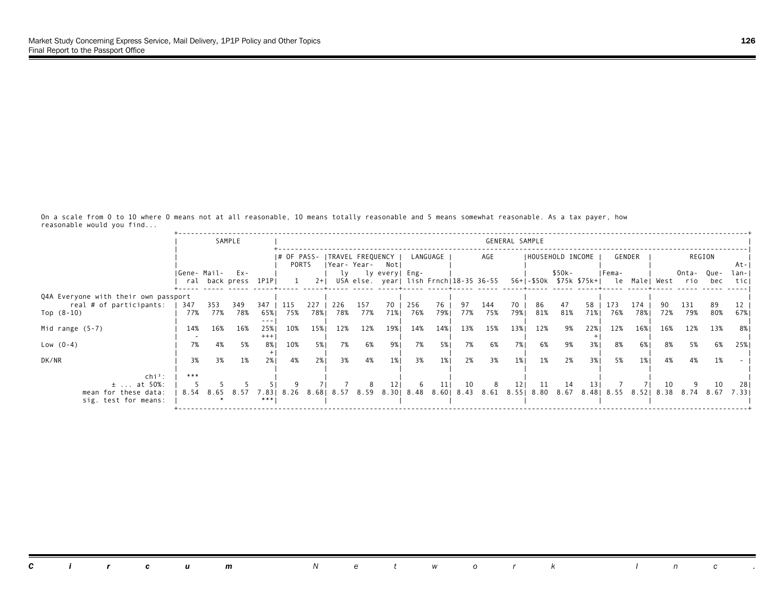|                                                               |                  |            | SAMPLE              |                        |            |             |            |              |                                                          |            |                           |           |                      | GENERAL SAMPLE  |                   |             |                         |            |               |            |                   |            |              |
|---------------------------------------------------------------|------------------|------------|---------------------|------------------------|------------|-------------|------------|--------------|----------------------------------------------------------|------------|---------------------------|-----------|----------------------|-----------------|-------------------|-------------|-------------------------|------------|---------------|------------|-------------------|------------|--------------|
|                                                               |                  |            |                     |                        | PORTS      |             |            | IYear- Year- | # OF PASS-  TRAVEL FREQUENCY  <br>Notl                   |            | LANGUAGE                  |           | AGE                  |                 | IHOUSEHOLD INCOME |             |                         |            | GENDER        |            |                   | REGION     | At-          |
|                                                               | IGene- Mail- Ex- |            | ral back press 1P1P |                        |            | $2+1$       | lv         |              | ly every  Eng-<br>USA else. year  lish Frnch 18-35 36-55 |            |                           |           |                      |                 |                   | \$50k-      | 56+ -\$50k \$75k \$75k+ | IFema-     | le Male  West |            | Onta- Que-<br>rio | bec        | lan-<br>ticl |
| Q4A Everyone with their own passport                          |                  |            |                     |                        |            |             |            |              |                                                          |            |                           |           |                      |                 |                   |             |                         |            |               |            |                   |            |              |
| real # of participants:<br>Top $(8-10)$                       | 347<br>77%       | 353<br>77% | 349<br>78%          | 347<br>65%             | 115<br>75% | 227<br>78%1 | 226<br>78% | 157<br>77%   | 70<br>71%                                                | 256<br>76% | 76<br>79%1                | 97<br>77% | 144<br>75%           | 70<br>79%1      | 86<br>81%         | 47<br>81%   | 58<br>71%               | 173<br>76% | 174<br>78%    | 72%        | 131<br>79%        | 89<br>80%  | 67%          |
| Mid range $(5-7)$                                             | 14%              | 16%        | 16%                 | ---<br>25%<br>$^{+++}$ | 10%        | 15%         | 12%        | 12%          | 19%                                                      | 14%        | 14%                       | 13%       | 15%                  | 13%             | 12%               | 9%          | 22%                     | 12%        | 16%           | 16%        | 12%               | 13%        | 8% I         |
| Low $(0-4)$                                                   | 7%               | 4%         | 5%                  | 8%                     | 10%        | 5%          | 7%         | 6%           | 9%                                                       | 7%         | 5%                        | 7%        | 6%                   | 7%              | 6%                | 9%          | 3%                      | 8%         | 6%            | 8%         | 5%                | 6%         | 25%          |
| DK/NR                                                         | 3%               | 3%         | 1%                  | 2%1                    | 4%         | 2%1         | 3%         | 4%           | 1%                                                       | 3%         | 1%                        | 2%        | 3%                   | 1%              | 1%                | 2%          | 3%1                     | 5%         | 1%            | 4%         | 4%                | 1%         |              |
| $\ch{i}^2$ :                                                  | ***              |            |                     |                        |            |             |            |              |                                                          |            |                           |           |                      |                 |                   |             |                         |            |               |            |                   |            |              |
| $\pm$ at 50%:<br>mean for these data:<br>sig. test for means: | 8.54             | 8.65       | 8.57                | 7.831<br>***           | 8.26       |             | 8.68 8.57  | 8.59         | 121                                                      | -6         | 11<br>8.30 8.48 8.60 8.43 | 10        | -8<br>8.61 8.55 8.80 | 12 <sub>1</sub> | 11                | -14<br>8.67 | 13 I                    | 8.48 8.55  | 8.52          | 10<br>8.38 | 8.74              | 10<br>8.67 | 281<br>7.331 |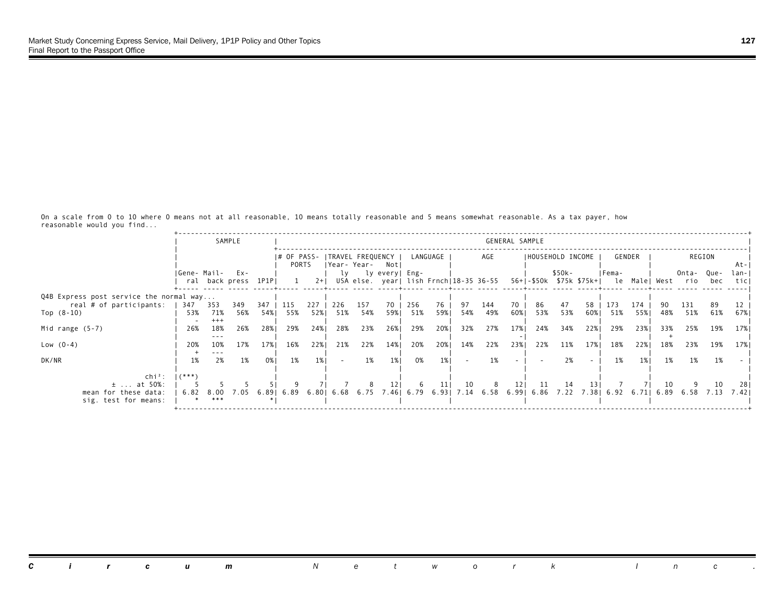|                                              |                  |               | SAMPLE                     |            |                        |            |            |                                   |                 |            |            |                                        |            | GENERAL SAMPLE  |                   |           |                         |                    |            |           |                           |             |              |
|----------------------------------------------|------------------|---------------|----------------------------|------------|------------------------|------------|------------|-----------------------------------|-----------------|------------|------------|----------------------------------------|------------|-----------------|-------------------|-----------|-------------------------|--------------------|------------|-----------|---------------------------|-------------|--------------|
|                                              |                  |               |                            |            | $ #$ OF PASS-<br>PORTS |            |            | ITRAVEL FREQUENCY<br> Year- Year- | Notl            |            | LANGUAGE   |                                        | AGE        |                 | IHOUSEHOLD INCOME |           |                         |                    | GENDER     |           |                           | REGION      | At-          |
|                                              | IGene- Mail-     |               | Ex-<br>ral back press 1P1P |            | 1                      | $2+1$      |            |                                   | ly lyevery Eng- |            |            | USA else. year  lish Frnch 18-35 36-55 |            |                 |                   | $$50k-$   | 56+ -\$50k \$75k \$75k+ | IFema-             |            |           | Onta-<br>le Male West rio | Que-<br>bec | lan-<br>ticl |
| Q4B Express post service the normal way      |                  |               |                            |            |                        |            |            |                                   |                 |            |            |                                        |            |                 |                   |           |                         |                    |            |           |                           |             |              |
| real # of participants:<br>Top $(8-10)$      | 347<br>53%       | 353<br>71%    | 349<br>56%                 | 347<br>54% | 115<br>55%             | 227<br>52% | 226<br>51% | 157<br>54%                        | 70<br>59%1      | 256<br>51% | 76<br>59%। | 97<br>54%                              | 144<br>49% | 70<br>60%       | 86<br>53%         | 47<br>53% | 58<br>60%               | 173<br>51%         | 174<br>55% | 90<br>48% | 131<br>51%                | 89<br>61%   | 67%।         |
| Mid range $(5-7)$                            | 26%              | $+++$<br>18%  | 26%                        | 28%        | 29%                    | 24%        | 28%        | 23%                               | 26%             | 29%        | 20%1       | 32%                                    | 27%        | 17%             | 24%               | 34%       | 22%                     | 29%                | 23%        | 33%       | 25%                       | 19%         | 17% I        |
| Low $(0-4)$                                  | 20%              | ---<br>10%    | 17%                        | 17%        | 16%                    | 22%        | 21%        | 22%                               | 14%             | 20%        | 20%        | 14%                                    | 22%        | 23%             | 22%               | 11%       | 17%                     | 18%                | 22%        | 18%       | 23%                       | 19%         | 17%          |
| DK/NR                                        | 1%               | $- - -$<br>2% | 1%                         | 0%1        | 1%                     | 1%         | $\sim$     | 1%                                | $1\%$           | 0%         | 1%         | ۰                                      | 1%         |                 |                   | 2%        |                         | 1%                 | 1%         | 1%        | 1%                        | 1%          |              |
| $\ch{i}^2$ :<br>$\pm$ at 50%:                | $1$ $(* * * * )$ |               |                            |            |                        |            |            | 8                                 | 121             | -6         | 11         | 10                                     | 8          | 12 <sub>1</sub> | -11               | -14       | 131                     |                    |            | 10        |                           | 10          | 28           |
| mean for these data:<br>sig. test for means: | 6.82             | 8.00<br>***   | 7.05                       | 6.891      | 6.89                   | 6.801      | 6.68       |                                   | 6.75 7.46 6.79  |            |            | 6.93   7.14 6.58 6.99   6.86           |            |                 |                   | 7.22      |                         | 7.38   6.92   6.71 |            | 6.89      | 6.58                      | 7.13        | 7.421        |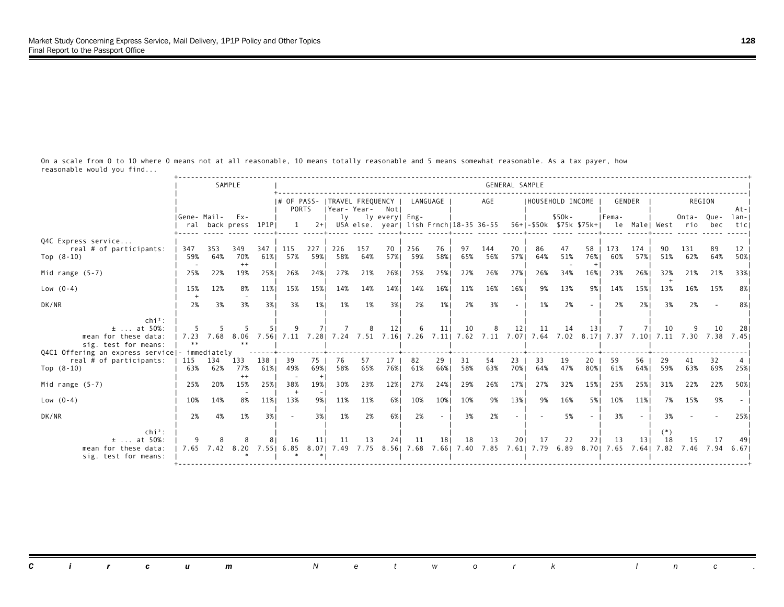|                                                                                                                            |              |                     | SAMPLE                |            |                             |               |                                       |            |                |                           |                 |           |                                               | GENERAL SAMPLE           |                                                                                       |           |                    |                             |            |             |                 |           |               |
|----------------------------------------------------------------------------------------------------------------------------|--------------|---------------------|-----------------------|------------|-----------------------------|---------------|---------------------------------------|------------|----------------|---------------------------|-----------------|-----------|-----------------------------------------------|--------------------------|---------------------------------------------------------------------------------------|-----------|--------------------|-----------------------------|------------|-------------|-----------------|-----------|---------------|
|                                                                                                                            |              |                     |                       |            | I# OF PASS-<br><b>PORTS</b> |               | TRAVEL FREQUENCY  <br> Year-Year- Not |            |                | LANGUAGE                  |                 |           | AGE                                           |                          | IHOUSEHOLD INCOME                                                                     |           |                    | GENDER                      |            |             | REGION          |           | $At - 1$      |
|                                                                                                                            | IGene- Mail- | ral back press 1P1P | $Ex -$                |            |                             |               | lv                                    |            | ly every  Eng- |                           |                 |           | $2+$ USA else. yearl lish Frnch $18-35$ 36-55 |                          | 56+1-\$50k \$75k \$75k+1 le Malel West rio                                            | $$50k-$   |                    | IFema-                      |            |             | Onta- Oue-      | bec       | lan-<br>ticl  |
| Q4C Express service<br>real # of participants:<br>Top $(8-10)$                                                             | 347<br>59%   | 353<br>64%          | 349<br>70%<br>$^{++}$ | 347<br>61% | 115<br>57%                  | 227<br>59%    | 226<br>58%                            | 157<br>64% | 70<br>57%      | 256<br>59%                | 76<br>58%       | 97<br>65% | 144<br>56%                                    | 70<br>57%                | 86<br>64%                                                                             | 47<br>51% | 58 I<br>76%<br>$+$ | 173<br>60%                  | 174<br>57% | 90.<br>51%  | 131<br>62%      | 89<br>64% | 12<br>50%     |
| Mid range $(5-7)$                                                                                                          | 25%          | 22%                 | 19%                   | 25%1       | 26%                         | 24%           | 27%                                   | 21%        | 26%1           | 25%                       | 25%             | 22%       | 26%                                           | 27%                      | 26%                                                                                   | 34%       | 16%                | 23%                         | 26%        | 32%         | 21%             | 21%       | 33%           |
| Low $(0-4)$                                                                                                                | 15%          | 12%                 | 8%                    | 11%        | 15%                         | 15%           | 14%                                   | 14%        | 14%            | 14%                       | 16%             | 11%       | 16%                                           | 16%                      | 9%                                                                                    | 13%       | 9%                 | 14%                         | 15%        | 13%         | 16%             | 15%       | 8%            |
| DK/NR                                                                                                                      | 2%           | 3%                  | 3%                    | 3%1        | 3%                          | 1%            | 1%                                    | 1%         | 3%1            | 2%                        | 1%              | 2%        | 3%                                            | $\overline{\phantom{a}}$ | 1%                                                                                    | 2%        |                    | 2%                          | 2%1        | 3%          | 2%              |           | 8%            |
| $chi^2$ :<br>$±$ at 50%:<br>mean for these data:<br>sig. test for means:<br>Q4C1 Offering an express service - immediately | 7.23         | - 768               | 8.06                  | 7.561      | 7.11                        |               | 7.28 7.24                             |            | 12             |                           | 11              | 10        | 8                                             | 121                      | 11<br>7.51 7.16 7.26 7.11 7.62 7.11 7.07 7.64 7.02 8.17 7.37 7.10 7.11 7.30 7.38 7.45 | 14        | 13 I               |                             |            |             |                 |           |               |
| real # of participants:<br>Top $(8-10)$                                                                                    | 115<br>63%   | 134<br>62%          | 133<br>77%            | 138<br>61% | 39<br>49%                   | 75<br>69%     | 76<br>58%                             | 57<br>65%  | 17<br>76%1     | 82<br>61%                 | 29<br>66%       | 31<br>58% | 54<br>63%                                     | 23<br>70%                | 33<br>64%                                                                             | 19<br>47% | 20<br>80%          | 59<br>61%                   | 56<br>64%  | 59%         | 41<br>63%       | 32<br>69% | 25%           |
| Mid range $(5-7)$                                                                                                          | 25%          | 20%                 | $^{++}$<br>15%        | 25%        | 38%                         | $^{+}$<br>19% | 30%                                   | 23%        | 12%            | 27%                       | 24%             | 29%       | 26%                                           | 17%                      | 27%                                                                                   | 32%       | 15%                | 25%                         | 25%        | 31%         | 22%             | 22%       | 50%           |
| $Low (0-4)$                                                                                                                | 10%          | 14%                 | 8%                    | 11%        | 13%                         | 9%            | 11%                                   | 11%        | 6% l           | 10%                       | 10%             | 10%       | 9%                                            | 13%                      | 9%                                                                                    | 16%       | 5%                 | 10%                         | 11%        | 7%          | 15%             | 9%        |               |
| DK/NR                                                                                                                      | 2%           | 4%                  | 1%                    | 3%         | $\overline{\phantom{a}}$    | 3%            | 1%                                    | 2%         | 6%             | 2%                        | $\sim$          | 3%        | 2%                                            |                          |                                                                                       | 5%        |                    | 3%                          |            | 3%          |                 |           | 25%           |
| $\mathsf{chi}^2$ :<br>$\pm$ at 50%:<br>mean for these data:<br>sig. test for means:                                        |              | 7.65 7.42           | 8.20                  |            | 16<br>7.55   6.85           | 8.07          | 11<br>7.49                            | 13<br>7.75 | 24             | 11<br>8.56 7.68 7.66 7.40 | 18 <sup>1</sup> | 18        | 13                                            | 201                      | 17<br>7.85 7.61 7.79 6.89                                                             | 22        | 221                | 13<br>8.701 7.65 7.641 7.82 | 131        | $(*)$<br>18 | 15<br>7.46 7.94 | 17        | -491<br>6.671 |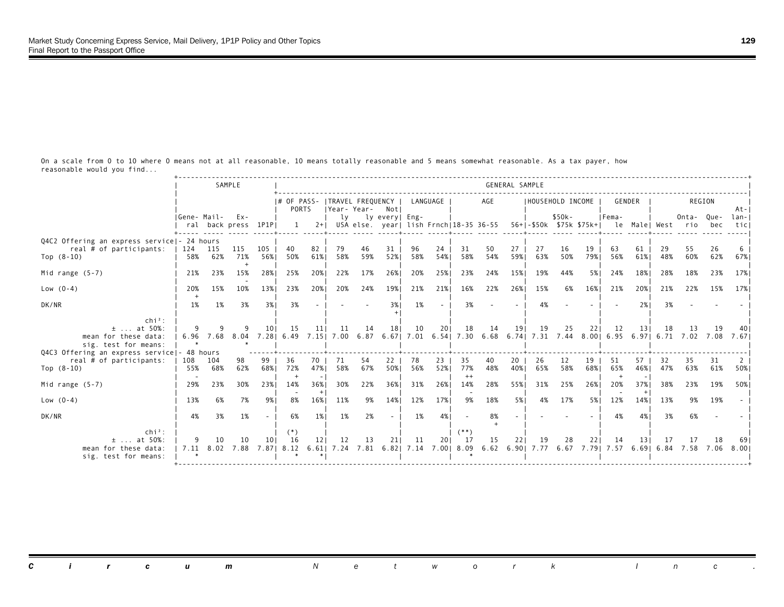|                                                                                         |             |            | SAMPLE                        |                   |                                                 |               |                |           |                |                                    |           |                      |                                                                             | GENERAL SAMPLE           |                   |           |            |                                                                     |           |             |                 |           |                   |
|-----------------------------------------------------------------------------------------|-------------|------------|-------------------------------|-------------------|-------------------------------------------------|---------------|----------------|-----------|----------------|------------------------------------|-----------|----------------------|-----------------------------------------------------------------------------|--------------------------|-------------------|-----------|------------|---------------------------------------------------------------------|-----------|-------------|-----------------|-----------|-------------------|
|                                                                                         |             |            |                               |                   | # OF PASS-   TRAVEL FREQUENCY  <br><b>PORTS</b> |               | Year-Year- Not |           |                | LANGUAGE                           |           |                      | AGE                                                                         |                          | IHOUSEHOLD INCOME |           |            | GENDER                                                              |           |             | REGION          |           | $At - I$          |
|                                                                                         | Gene- Mail- |            | $Ex -$<br>ral back press 1P1P |                   |                                                 | $2+1$         | lv             |           | ly every  Eng- |                                    |           |                      | USA else. year  lish Frnch 18-35 36-55                                      |                          |                   | $$50k-$   |            | IFema-<br>56+1-\$50k \$75k \$75k+1 le Malel West rio                |           |             | Onta-Que-       | bec       | $lan - 1$<br>ticl |
| Q4C2 Offering an express service  - 24 hours<br>real # of participants:<br>Top $(8-10)$ | 124<br>58%  | 115<br>62% | 115<br>71%                    | 105<br>56%        | 40<br>50%                                       | 82<br>61%     | 79<br>58%      | 46<br>59% | 31<br>52%      | 96<br>58%                          | 24<br>54% | 31<br>58%            | 50<br>54%                                                                   | 27<br>59%                | 27<br>63%         | 16<br>50% | 19<br>79%  | 63<br>56%                                                           | 61<br>61% | 29<br>48%   | -55<br>60%      | 26<br>62% | 67%               |
| Mid range $(5-7)$                                                                       | 21%         | 23%        | 15%                           | 28%               | 25%                                             | 20%           | 22%            | 17%       | 26%1           | 20%                                | 25%       | 23%                  | 24%                                                                         | 15%                      | 19%               | 44%       | 5% I       | 24%                                                                 | 18%       | 28%         | 18%             | 23%       | 17%               |
| Low $(0-4)$                                                                             | 20%         | 15%        | 10%                           | 13%               | 23%                                             | 20%           | 20%            | 24%       | 19%            | 21%                                | 21%       | 16%                  | 22%                                                                         | 26%                      | 15%               | 6%        | 16%        | 21%                                                                 | 20%       | 21%         | 22%             | 15%       | 17%               |
| DK/NR                                                                                   | 1%          | 1%         | 3%                            | 3%                | 3%                                              |               |                |           | 3%             | 1%                                 |           | 3%                   |                                                                             | $\overline{\phantom{a}}$ | 4%                |           |            |                                                                     | 2%        | 3%          |                 |           |                   |
| $chi^2$ :<br>$±$ at 50%:<br>mean for these data:<br>sig. test for means:                | 9<br>6.96   |            | 7.68 8.04                     | 101<br>7.28 6.49  | 15                                              | 11            | 11             | 14        | 18             | 10                                 | 201       | 18                   | 14<br>7.15 7.00 6.87 6.67 7.01 6.54 7.30 6.68 6.74 7.31 7.44 8.00 6.95 6.97 | 191                      | 19                | 25        | 221        | 12                                                                  | 131       | -18<br>6.71 | 13<br>7.02 7.08 | 19        | 7.671             |
| Q4C3 Offering an express service - 48 hours<br>real # of participants:<br>Top $(8-10)$  | 108<br>55%  | 104<br>68% | 98<br>62%                     | 99<br>68%         | 36<br>72%                                       | 70<br>47%     | 71<br>58%      | 54<br>67% | 22<br>50%      | 78<br>56%                          | 23<br>52% | 35<br>77%<br>$^{++}$ | 40<br>48%                                                                   | 20<br>40%                | 26<br>65%         | 12<br>58% | 19<br>68%1 | 51<br>65%                                                           | 57<br>46% | 32<br>47%   | 35<br>63%       | 31<br>61% | 50%               |
| Mid range $(5-7)$                                                                       | 29%         | 23%        | 30%                           | 23%               | 14%                                             | 36%<br>$^{+}$ | 30%            | 22%       | 36%1           | 31%                                | 26%       | 14%                  | 28%                                                                         | 55%                      | 31%               | 25%       | 26%        | 20%                                                                 | 37%       | 38%         | 23%             | 19%       | 50%               |
| $Low (0-4)$                                                                             | 13%         | 6%         | 7%                            | 9%1               | 8%                                              | 16%           | 11%            | 9%        | 14%            | 12%                                | 17%       | 9%                   | 18%                                                                         | 5%1                      | 4%                | 17%       | 5%         | 12%                                                                 | 14%       | 13%         | 9%              | 19%       |                   |
| DK/NR                                                                                   | 4%          | 3%         | 1%                            | $\sim$            | 6%                                              | 1%            | 1%             | 2%        | $\sim$         | 1%                                 | 4%        |                      | 8%                                                                          |                          |                   |           |            | 4%                                                                  | 4%        | 3%          | 6%              |           |                   |
| $chi^2$ :<br>$±$ at 50%:<br>mean for these data:<br>sig. test for means:                | 9           | 10         | 10<br>7.11 8.02 7.88          | 101<br>7.871 8.12 | (*)<br>16                                       | 12<br>6.611   | 12<br>7.24     | 13        | 211            | 11<br>7.81 6.82   7.14 7.00   8.09 | 201       | $(**)$<br>17         | 15                                                                          | 221                      | 19                | 28        | 221        | -14<br>6.62 6.90   7.77 6.67 7.79   7.57 6.69   6.84 7.58 7.06 8.00 | 131       | -17         | 17              | 18        |                   |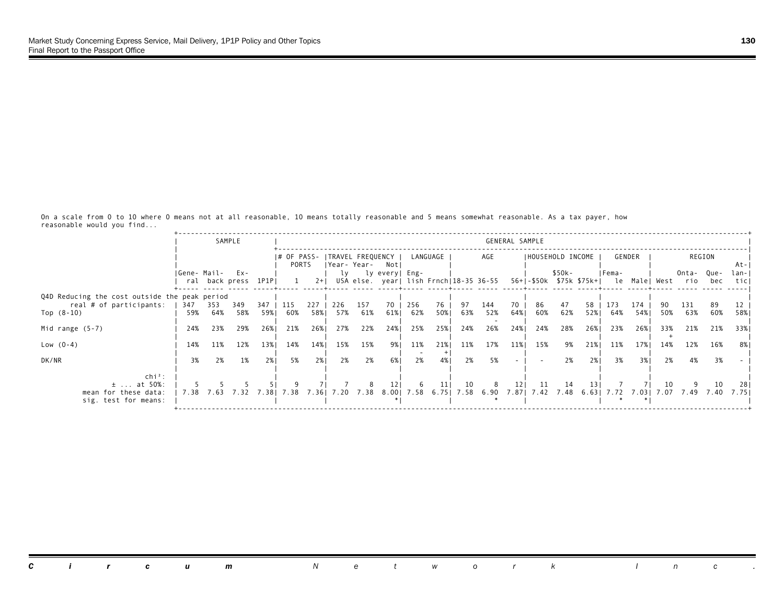|                                                                            |              |            | SAMPLE                     |            |                        |            |            |                                   |                |            |                 |                                        |                       | GENERAL SAMPLE |                   |             |                         |            |            |            |                           |             |              |
|----------------------------------------------------------------------------|--------------|------------|----------------------------|------------|------------------------|------------|------------|-----------------------------------|----------------|------------|-----------------|----------------------------------------|-----------------------|----------------|-------------------|-------------|-------------------------|------------|------------|------------|---------------------------|-------------|--------------|
|                                                                            |              |            |                            |            | $ #$ OF PASS-<br>PORTS |            |            | ITRAVEL FREQUENCY<br> Year- Year- | Notl           |            | LANGUAGE        |                                        | AGE                   |                | IHOUSEHOLD INCOME |             |                         |            | GENDER     |            |                           | REGION      | At-          |
|                                                                            | IGene- Mail- |            | Ex-<br>ral back press 1P1P |            | 1                      | $2+1$      | lv         |                                   | ly every  Eng- |            |                 | USA else. year  lish Frnch 18-35 36-55 |                       |                |                   | $$50k-$     | 56+ -\$50k \$75k \$75k+ | IFema-     |            |            | Onta-<br>le Male West rio | Que-<br>bec | lan-<br>ticl |
| Q4D Reducing the cost outside the peak period                              |              |            |                            |            |                        |            |            |                                   |                |            |                 |                                        |                       |                |                   |             |                         |            |            |            |                           |             |              |
| real # of participants:<br>Top $(8-10)$                                    | 347<br>59%   | 353<br>64% | 349<br>58%                 | 347<br>59% | 115<br>60%             | 227<br>58% | 226<br>57% | 157<br>61%                        | 70<br>61%      | 256<br>62% | 76<br>50%       | 97<br>63%                              | 144<br>52%            | 70<br>64%      | 86<br>60%         | 47<br>62%   | 58<br>52%1              | 173<br>64% | 174<br>54% | 90<br>50%  | 131<br>63%                | 89<br>60%   | 58%          |
| Mid range $(5-7)$                                                          | 24%          | 23%        | 29%                        | 26%1       | 21%                    | 26%        | 27%        | 22%                               | 24%            | 25%        | 25%1            | 24%                                    | 26%                   | 24%            | 24%               | 28%         | 26%                     | 23%        | 26%        | 33%        | 21%                       | 21%         | 33% 1        |
| Low $(0-4)$                                                                | 14%          | 11%        | 12%                        | 13%        | 14%                    | 14%        | 15%        | 15%                               | 9%।            | 11%        | 21%             | 11%                                    | 17%                   | 11%            | 15%               | 9%          | 21%                     | 11%        | 17%        | 14%        | 12%                       | 16%         | 8%           |
| DK/NR                                                                      | 3%           | 2%         | 1%                         | 2%1        | 5%                     | 2%1        | 2%         | 2%                                | 6% 1           | 2%         | 4%              | 2%                                     | 5%                    |                |                   | 2%          | 2%1                     | 3%         | 3%1        | 2%         | 4%                        | 3%          |              |
| $chi^2$ :<br>$\pm$ at 50%:<br>mean for these data:<br>sig. test for means: | 7.38         | 7.63       | 7.32                       | 7.381      | 7.38                   | 7.361      | 7.20       | 8<br>7.38                         | 121<br>8.001   | -6         | 11<br>7.58 6.75 | 10<br>7.58                             | 8<br>6.90 7.87   7.42 | 121            | -11               | -14<br>7.48 | 131<br>6.631            | 7.72       | 7.031      | 10<br>7.07 | 7.49                      | 10<br>7.40  | 28<br>7.751  |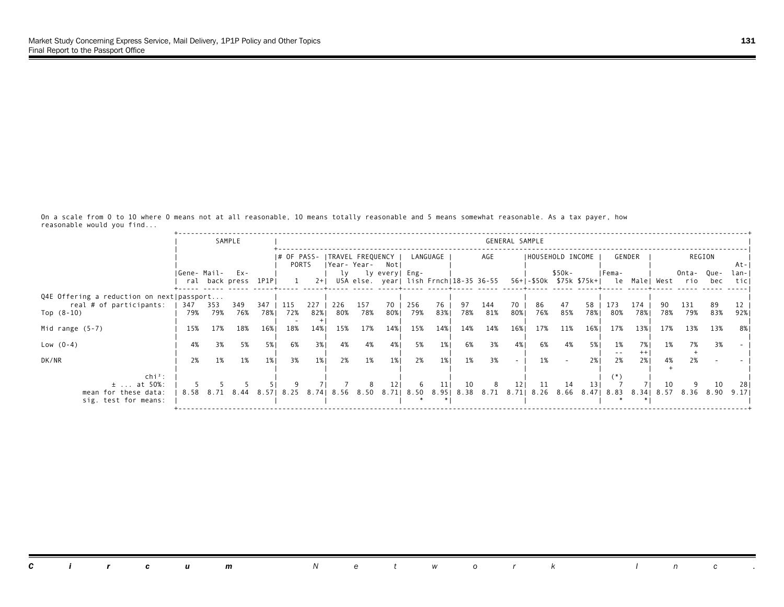|                                              |                  |            | SAMPLE              |            |            |            |            |                |                                                          |            |                     |           |            | GENERAL SAMPLE  |                   |           |                 |                                                  |                 |      |                   |           |              |
|----------------------------------------------|------------------|------------|---------------------|------------|------------|------------|------------|----------------|----------------------------------------------------------|------------|---------------------|-----------|------------|-----------------|-------------------|-----------|-----------------|--------------------------------------------------|-----------------|------|-------------------|-----------|--------------|
|                                              |                  |            |                     |            | PORTS      |            |            | IYear- Year-   | # OF PASS-  TRAVEL FREQUENCY  <br>Notl                   |            | LANGUAGE            |           | AGE        |                 | IHOUSEHOLD INCOME |           |                 |                                                  | GENDER          |      |                   | REGION    | At-          |
|                                              | IGene- Mail- Ex- |            | ral back press 1P1P |            |            | $2+1$      | lv         |                | ly every  Eng-<br>USA else. year  lish Frnch 18-35 36-55 |            |                     |           |            |                 |                   | \$50k-    |                 | IFema-<br>56+ -\$50k \$75k \$75k+  le Male  West |                 |      | Onta- Que-<br>rio | bec       | lan-<br>ticl |
| Q4E Offering a reduction on next   passport  |                  |            |                     |            |            |            |            |                |                                                          |            |                     |           |            |                 |                   |           |                 |                                                  |                 |      |                   |           |              |
| real # of participants:<br>Top $(8-10)$      | 347<br>79%       | 353<br>79% | 349<br>76%          | 347<br>78% | 115<br>72% | 227<br>82% | 226<br>80% | 157<br>78%     | 70<br>80%                                                | 256<br>79% | 76<br>83%           | 97<br>78% | 144<br>81% | 70<br>80%       | 86<br>76%         | 47<br>85% | 58<br>78%       | 173<br>80%                                       | 174<br>78%      | 78%  | 131<br>79%        | 89<br>83% | 92%          |
| Mid range $(5-7)$                            | 15%              | 17%        | 18%                 | 16%        | 18%        | 14%        | 15%        | 17%            | 14%                                                      | 15%        | 14%                 | 14%       | 14%        | 16%             | 17%               | 11%       | 16%             | 17%                                              | 13%             | 17%  | 13%               | 13%       | 8% I         |
| Low $(0-4)$                                  | 4%               | 3%         | 5%                  | 5%         | 6%         | 3%         | 4%         | 4%             | 4%                                                       | 5%         | $1\%$               | 6%        | 3%         | 4%              | 6%                | 4%        | 5%              | 1%                                               | 7% I<br>$^{++}$ | 1%   | 7%                | 3%        |              |
| DK/NR                                        | 2%               | 1%         | 1%                  | 1%         | 3%         | 1%         | 2%         | 1%             | 1%                                                       | 2%         | 1%                  | 1%        | 3%         | $\sim$          | 1%                |           | 2%1             | 2%                                               | 2%              | 4%   | 2%                |           |              |
| $\ch{i}^2$ :<br>$\pm$ at 50%:                |                  |            |                     |            |            |            |            |                | 121                                                      | -6         | 11                  | 10        | 8          | 12 <sub>1</sub> | 11                | 14        | 13 <sup>1</sup> |                                                  |                 | 10   |                   | 10        | 281          |
| mean for these data:<br>sig. test for means: | 8.58             | 8.71       | 8.44                | 8.571      | 8.25       |            |            | 8.74 8.56 8.50 |                                                          |            | 8.71 8.50 8.95 8.38 |           |            |                 | 8.71 8.71 8.26    | 8.66      |                 | 8.47   8.83                                      | 8.341           | 8.57 | 8.36              | 8.90      | 9.171        |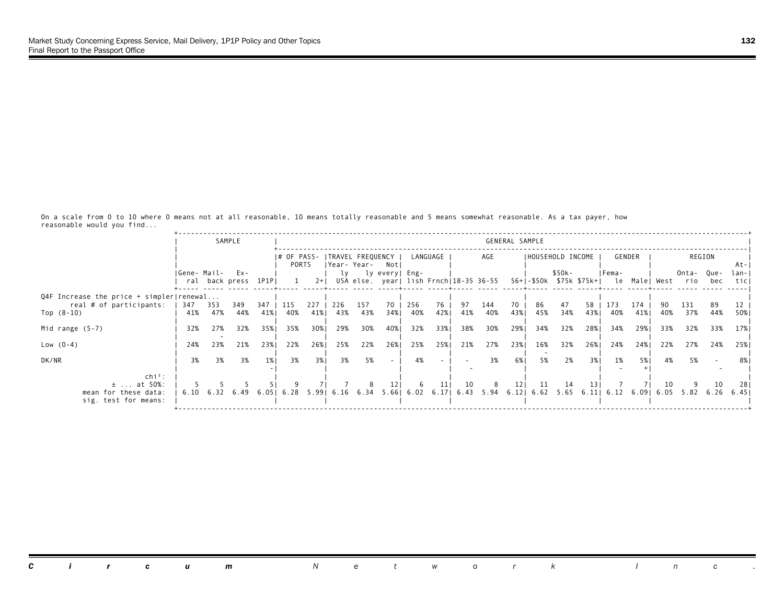|                                                                            |              |            | SAMPLE                     |            |                        |            |            |                                       |                    |            |           |                                        |            | GENERAL SAMPLE |                   |             |                         |                 |            |            |                           |             |              |
|----------------------------------------------------------------------------|--------------|------------|----------------------------|------------|------------------------|------------|------------|---------------------------------------|--------------------|------------|-----------|----------------------------------------|------------|----------------|-------------------|-------------|-------------------------|-----------------|------------|------------|---------------------------|-------------|--------------|
|                                                                            |              |            |                            |            | $ #$ OF PASS-<br>PORTS |            |            | ITRAVEL FREQUENCY<br> Year-Year- Notl |                    |            | LANGUAGE  |                                        | AGE        |                | IHOUSEHOLD INCOME |             |                         |                 | GENDER     |            |                           | REGION      | At-          |
|                                                                            | IGene- Mail- |            | Ex-<br>ral back press 1P1P |            | $\mathbf{1}$           | $2+1$      |            |                                       | ly ly every   Eng- |            |           | USA else. year  lish Frnch 18-35 36-55 |            |                |                   | \$50k-      | 56+ -\$50k \$75k \$75k+ | IFema-          |            |            | Onta-<br>le Male West rio | Que-<br>bec | lan-<br>ticl |
| Q4F Increase the price $+$ simpler   renewal                               |              |            |                            |            |                        |            |            |                                       |                    |            |           |                                        |            |                |                   |             |                         |                 |            |            |                           |             |              |
| real # of participants:<br>Top $(8-10)$                                    | 347<br>41%   | 353<br>47% | 349<br>44%                 | 347<br>41% | 115<br>40%             | 227<br>41% | 226<br>43% | 157<br>43%                            | 70<br>34%          | 256<br>40% | 76<br>42% | 97<br>41%                              | 144<br>40% | 70<br>43%      | 86<br>45%         | 47<br>34%   | 58<br>43%               | 173<br>40%      | 174<br>41% | 90<br>40%  | 131<br>37%                | 89<br>44%   | 50%          |
| Mid range $(5-7)$                                                          | 32%          | 27%        | 32%                        | 35%1       | 35%                    | 30%        | 29%        | 30%                                   | 40%                | 32%        | 33%1      | 38%                                    | 30%        | 29%1           | 34%               | 32%         | 28%                     | 34%             | 29%        | 33%        | 32%                       | 33%         | 17% I        |
| Low $(0-4)$                                                                | 24%          | 23%        | 21%                        | 23%        | 22%                    | 26%        | 25%        | 22%                                   | 26%                | 25%        | 25%       | 21%                                    | 27%        | 23%            | 16%               | 32%         | 26%                     | 24%             | 24%        | 22%        | 27%                       | 24%         | 25%          |
| DK/NR                                                                      | 3%           | 3%         | 3%                         | 1%         | 3%                     | 3%1        | 3%         | 5%                                    | $\sim$             | 4%         |           |                                        | 3%         | 6% 1           | 5%                | 2%          | 3%                      | 1%              | 5% 1       | 4%         | 5%                        |             | 8%           |
| $chi^2$ :<br>$\pm$ at 50%:<br>mean for these data:<br>sig. test for means: | 6.10         | 6.32       | 6.49                       | 6.051      | 6.28                   | 5.991      |            | 8<br>6.16 6.34                        | 121                | -6         | 11        | 10<br>$5.66$   $6.02$ $6.17$   $6.43$  | 8<br>5.94  | 121<br>6.121   | -11<br>6.62       | -14<br>5.65 | 13 I                    | $6.11$   $6.12$ | 6.091      | 10<br>6.05 | 5.82                      | 10<br>6.26  | 28<br>6.451  |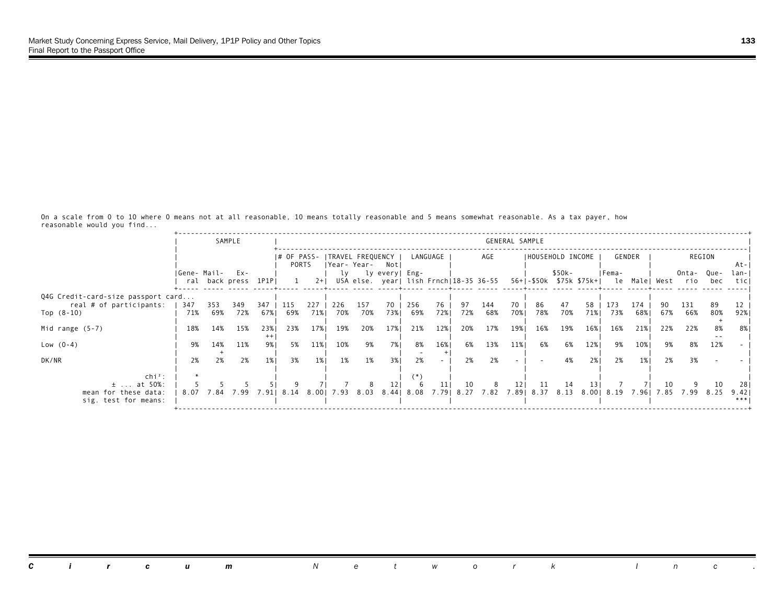|                                                               |              |           | SAMPLE              |           |                              |           |           |              |                |          |                 |          |           | GENERAL SAMPLE |                                                                |          |            |          |               |          |          |        |      |
|---------------------------------------------------------------|--------------|-----------|---------------------|-----------|------------------------------|-----------|-----------|--------------|----------------|----------|-----------------|----------|-----------|----------------|----------------------------------------------------------------|----------|------------|----------|---------------|----------|----------|--------|------|
|                                                               |              |           |                     |           | # OF PASS-  TRAVEL FREQUENCY |           |           |              |                |          | LANGUAGE        |          | AGE       |                | IHOUSEHOLD INCOME                                              |          |            |          | GENDER        |          |          | REGION |      |
|                                                               |              |           |                     |           | PORTS                        |           |           | IYear- Year- | Notl           |          |                 |          |           |                |                                                                |          |            |          |               |          |          |        | At-  |
|                                                               | IGene- Mail- |           | $Ex -$              |           |                              |           | lv        |              | ly every  Eng- |          |                 |          |           |                |                                                                | \$50k-   |            | IFema-   |               |          | Onta-    | Que-   | lan- |
|                                                               |              |           | ral back press 1P1P |           |                              | $2+1$     |           |              |                |          |                 |          |           |                | USA else. year  lish Frnch 18-35 36-55 56+ -\$50k \$75k \$75k+ |          |            |          | le Male  West |          | rio      | bec    | ticl |
|                                                               |              |           |                     |           |                              |           |           |              |                |          |                 |          |           |                |                                                                |          |            |          |               |          |          |        |      |
| Q4G Credit-card-size passport card<br>real # of participants: | 347          | 353       | 349                 | 347       | 115                          | 227       | 226       | 157          | 70             | 256      | 76              | 97       | 144       | 70             | 86                                                             | 47       | 58         | 173      | 174           |          | 131      | 89     |      |
| Top $(8-10)$                                                  | 71%          | 69%       | 72%                 | 67%।      | 69%                          | 71%       | 70%       | 70%          | 73%1           | 69%      | 72%             | 72%      | 68%       | 70%            | 78%                                                            | 70%      | 71%        | 73%      | 68%           | 67%      | 66%      | 80%    | 92%  |
|                                                               |              |           |                     |           |                              |           |           |              |                |          |                 |          |           |                |                                                                |          |            |          |               |          |          |        |      |
| Mid range $(5-7)$                                             | 18%          | 14%       | 15%                 | 23%       | 23%                          | 17%       | 19%       | 20%          | 17%            | 21%      | 12%             | 20%      | 17%       | 19%            | 16%                                                            | 19%      | 16%        | 16%      | 21%           | 22%      | 22%      | 8%     |      |
|                                                               |              |           |                     |           |                              |           |           |              |                |          |                 |          |           |                |                                                                |          |            |          |               |          |          |        |      |
|                                                               |              |           |                     |           |                              |           |           |              |                |          |                 |          |           |                |                                                                |          |            |          |               |          |          |        |      |
|                                                               |              |           |                     |           |                              |           |           |              |                |          |                 |          |           |                |                                                                |          |            |          |               |          |          |        |      |
|                                                               |              |           |                     |           |                              |           |           |              |                |          |                 |          |           |                |                                                                |          |            |          |               |          |          |        |      |
|                                                               |              |           |                     |           |                              |           |           |              |                | (*)      |                 |          |           |                |                                                                |          |            |          |               |          |          |        |      |
| $\pm$ at 50%:                                                 |              |           |                     |           |                              |           |           |              |                | 6        | 11 <sub>l</sub> | 10       | 8         | 121            | 11                                                             | 14       | 13         |          |               | 10       |          | 10     | 281  |
| mean for these data:                                          | 8.07         | 7.84      | 7.99                |           | 7.91 8.14                    | 8.001     | 7.93      | 8.03         | 8.441          | 8.08     | 7.791           | 8.27     | 7.82 7.89 |                | 8.37                                                           | 8.13     | 8.001      | 8.19     | 7.961         | 7.85     | 7.99     | 8.25   | 9.42 |
| sig. test for means:                                          |              |           |                     |           |                              |           |           |              |                |          |                 |          |           |                |                                                                |          |            |          |               |          |          |        | ***  |
| Low $(0-4)$<br>DK/NR<br>$\ch{i}^2$ :                          | 9%<br>2%     | 14%<br>2% | 11%<br>2%           | 9%।<br>1% | 5%<br>3%                     | 11%<br>1% | 10%<br>1% | 9%<br>1%     | 7%<br>3%1      | 8%<br>2% | 16%             | 6%<br>2% | 13%<br>2% | 11%            | 6%                                                             | 6%<br>4% | 12%<br>2%1 | 9%<br>2% | 10%<br>1%     | 9%<br>2% | 8%<br>3% | 12%    |      |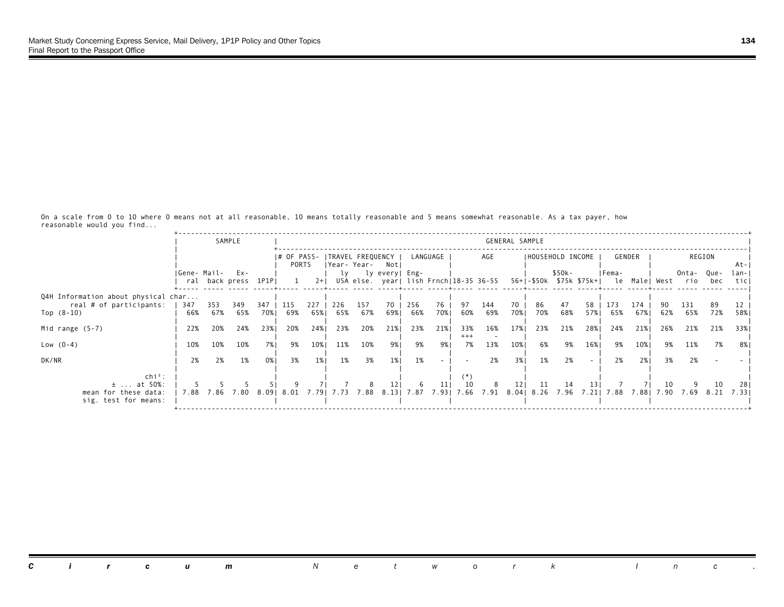|                                                                            |              |            | SAMPLE                     |            |                        |            |            |                                   |                         |            |             |                                        |            | GENERAL SAMPLE |                   |             |                         |            |            |            |                           |             |              |
|----------------------------------------------------------------------------|--------------|------------|----------------------------|------------|------------------------|------------|------------|-----------------------------------|-------------------------|------------|-------------|----------------------------------------|------------|----------------|-------------------|-------------|-------------------------|------------|------------|------------|---------------------------|-------------|--------------|
|                                                                            |              |            |                            |            | $ #$ OF PASS-<br>PORTS |            |            | ITRAVEL FREQUENCY<br> Year- Year- | Notl                    |            | LANGUAGE    |                                        | AGE        |                | IHOUSEHOLD INCOME |             |                         |            | GENDER     |            |                           | REGION      | At-          |
|                                                                            | IGene- Mail- |            | Ex-<br>ral back press 1P1P |            | 1                      | $2+1$      |            |                                   | ly ly every   Eng-      |            |             | USA else. year  lish Frnch 18-35 36-55 |            |                |                   | \$50k-      | 56+ -\$50k \$75k \$75k+ | IFema-     |            |            | Onta-<br>le Male West rio | Que-<br>bec | lan-<br>ticl |
| Q4H Information about physical char                                        |              |            |                            |            |                        |            |            |                                   |                         |            |             |                                        |            |                |                   |             |                         |            |            |            |                           |             |              |
| real # of participants:<br>Top $(8-10)$                                    | 347<br>66%   | 353<br>67% | 349<br>65%                 | 347<br>70% | 115<br>69%             | 227<br>65% | 226<br>65% | 157<br>67%                        | 70<br>69%               | 256<br>66% | 76<br>70%   | 97<br>60%                              | 144<br>69% | 70<br>70%      | 86<br>70%         | 47<br>68%   | 58<br>57%               | 173<br>65% | 174<br>67% | 90<br>62%  | 131<br>65%                | 89<br>72%   | 58%          |
| Mid range $(5-7)$                                                          | 22%          | 20%        | 24%                        | 23%1       | 20%                    | 24%        | 23%        | 20%                               | 21%                     | 23%        | 21%         | 33%<br>$+++$                           | 16%        | 17%            | 23%               | 21%         | 28%                     | 24%        | 21%        | 26%        | 21%                       | 21%         | 33% 1        |
| Low $(0-4)$                                                                | 10%          | 10%        | 10%                        | 7%1        | 9%                     | 10%        | 11%        | 10%                               | 9%।                     | 9%         | 9%।         | 7%                                     | 13%        | 10%            | 6%                | 9%          | 16%                     | 9%         | 10%        | 9%         | 11%                       | 7%          | 8%           |
| DK/NR                                                                      | 2%           | 2%         | 1%                         | 0%1        | 3%                     | $1\%$      | 1%         | 3%                                | 1%                      | 1%         |             |                                        | 2%         | 3%1            | 1%                | 2%          |                         | 2%         | 2%1        | 3%         | 2%                        |             |              |
| $chi^2$ :<br>$\pm$ at 50%:<br>mean for these data:<br>sig. test for means: | 7.88         | 7.86       | 7.80                       | 8.091      | 8.O1                   | 7.791      | 7.73       | 8<br>7.88                         | 12 <sub>1</sub><br>8.13 | 6<br>7.87  | 11<br>7.931 | 10<br>7.66                             | 8<br>7.91  | 121            | -11<br>8.04  8.26 | -14<br>7.96 | 131<br>7.211            | 7.88       | 7.881      | 10<br>7.90 | 7.69                      | 10<br>8.21  | 28<br>7.331  |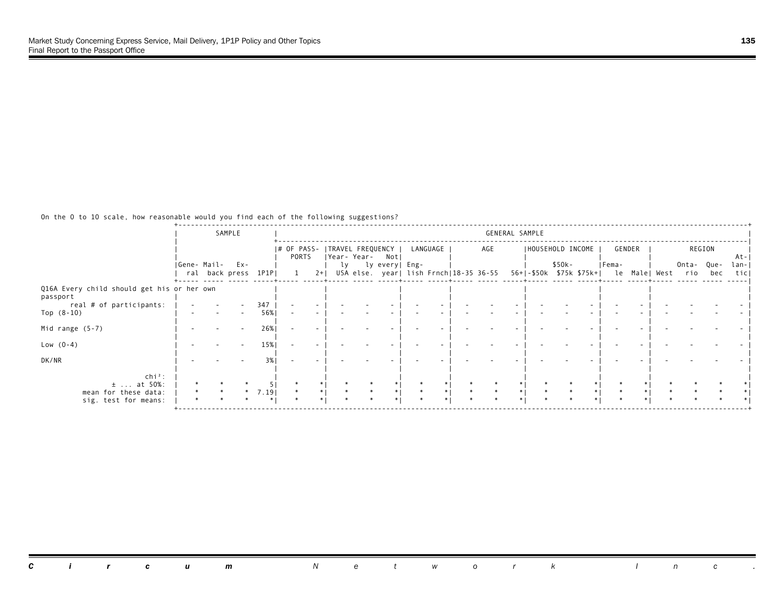|                                                                                                   |             | SAMPLE                      |              |                                          |       |    |             |                        |                  |                                        | GENERAL SAMPLE |  |                             |                                                                 |  |           |               |                           |
|---------------------------------------------------------------------------------------------------|-------------|-----------------------------|--------------|------------------------------------------|-------|----|-------------|------------------------|------------------|----------------------------------------|----------------|--|-----------------------------|-----------------------------------------------------------------|--|-----------|---------------|---------------------------|
|                                                                                                   | Gene- Mail- | Ex-<br>ral back press 1P1PI |              | # OF PASS-   TRAVEL FREQUENCY  <br>PORTS | $2+1$ | ly | Year- Year- | Notl<br>ly every  Eng- | LANGUAGE         | USA else. year  lish Frnch 18-35 36-55 | AGE            |  | IHOUSEHOLD INCOME<br>\$50k- | GENDER<br>  Fema-<br>56+ -\$50k \$75k \$75k+  le Male  West rio |  | Onta-Que- | REGION<br>bec | $At -$<br>$lan -$<br>ticl |
|                                                                                                   |             |                             |              |                                          |       |    |             |                        |                  |                                        |                |  |                             |                                                                 |  |           |               |                           |
| Q16A Every child should get his or her own<br>passport<br>real # of participants:<br>Top $(8-10)$ |             |                             | 347<br>56%   |                                          |       |    |             |                        |                  |                                        |                |  |                             |                                                                 |  |           |               |                           |
| Mid range (5-7)                                                                                   |             |                             | 26%          |                                          |       |    |             |                        |                  |                                        |                |  |                             |                                                                 |  |           |               |                           |
| Low $(0-4)$                                                                                       |             |                             | 15%          |                                          |       |    |             |                        |                  |                                        |                |  |                             |                                                                 |  |           |               |                           |
| DK/NR                                                                                             |             |                             | 3%           |                                          |       |    |             |                        |                  |                                        |                |  |                             |                                                                 |  |           |               |                           |
| $\ch{i}^2$ :<br>$±$ at 50%:<br>mean for these data:<br>sig. test for means:                       |             |                             | 7.19<br>$*1$ |                                          |       |    |             |                        | $\ast$<br>$\ast$ |                                        |                |  |                             |                                                                 |  |           |               |                           |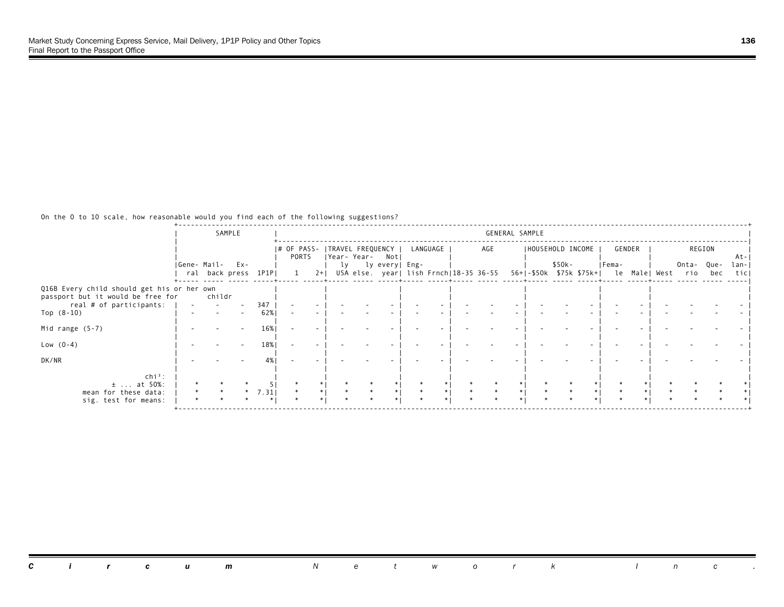|                                                                                 | SAMPLE                              |        |              |                                          |       |  |                 |                                        |     | GENERAL SAMPLE |                   |        |                                                     |  |           |        |                   |
|---------------------------------------------------------------------------------|-------------------------------------|--------|--------------|------------------------------------------|-------|--|-----------------|----------------------------------------|-----|----------------|-------------------|--------|-----------------------------------------------------|--|-----------|--------|-------------------|
|                                                                                 |                                     |        |              | # OF PASS-   TRAVEL FREQUENCY  <br>PORTS |       |  | Year-Year- Not  | LANGUAGE                               |     | AGE            | IHOUSEHOLD INCOME |        | GENDER                                              |  |           | REGION | $At -$            |
|                                                                                 | Gene- Mail-<br>ral back press 1P1PI | $Ex -$ |              |                                          | $2+1$ |  | ly lyevery Eng- | USA else. year  lish Frnch 18-35 36-55 |     |                |                   | \$50k- | Fema-<br>56+ -\$50k \$75k \$75k+  le Male  West rio |  | Onta-Que- | bec    | $lan - 1$<br>ticl |
| Q16B Every child should get his or her own<br>passport but it would be free for | childr                              |        |              |                                          |       |  |                 |                                        |     |                |                   |        |                                                     |  |           |        |                   |
| real # of participants:<br>Top $(8-10)$                                         |                                     |        | 347<br>62%   |                                          |       |  |                 |                                        |     |                |                   |        |                                                     |  |           |        |                   |
| Mid range $(5-7)$                                                               |                                     |        | 16%          |                                          |       |  |                 |                                        |     |                |                   |        |                                                     |  |           |        |                   |
| Low $(0-4)$                                                                     |                                     |        | 18%          |                                          |       |  |                 |                                        |     |                |                   |        |                                                     |  |           |        |                   |
| DK/NR                                                                           |                                     |        | 4%           |                                          |       |  |                 |                                        |     |                |                   |        |                                                     |  |           |        |                   |
| $\ch{i}^2$ :<br>$±$ at 50%:                                                     |                                     |        |              |                                          |       |  |                 | $\ast$                                 | $*$ |                |                   |        |                                                     |  |           |        |                   |
| mean for these data:<br>sig. test for means:                                    |                                     |        | 7.31<br>$*1$ |                                          |       |  |                 | $\ast$                                 |     |                |                   |        |                                                     |  |           |        |                   |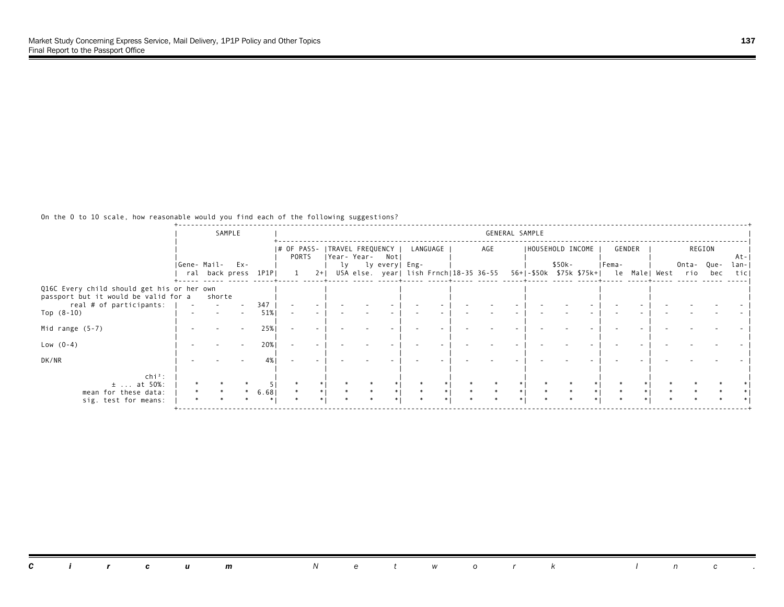|                                                                                    | SAMPLE               |        |              |                                          |       |  |                 |                                        |     | GENERAL SAMPLE |                   |        |                                            |  |           |        |                     |
|------------------------------------------------------------------------------------|----------------------|--------|--------------|------------------------------------------|-------|--|-----------------|----------------------------------------|-----|----------------|-------------------|--------|--------------------------------------------|--|-----------|--------|---------------------|
|                                                                                    | Gene- Mail-          | $Ex -$ |              | # OF PASS-   TRAVEL FREQUENCY  <br>PORTS |       |  | Year-Year- Not  | LANGUAGE                               |     | AGE            | IHOUSEHOLD INCOME | \$50k- | GENDER<br> Fema-                           |  | Onta-Que- | REGION | $At -$<br>$lan - 1$ |
|                                                                                    | ral back press 1P1PI |        |              |                                          | $2+1$ |  | ly lyevery Eng- | USA else. year  lish Frnch 18-35 36-55 |     |                |                   |        | 56+ -\$50k \$75k \$75k+  le Male  West rio |  |           | bec    | ticl                |
| Q16C Every child should get his or her own<br>passport but it would be valid for a | shorte               |        |              |                                          |       |  |                 |                                        |     |                |                   |        |                                            |  |           |        |                     |
| real # of participants:<br>Top $(8-10)$                                            |                      |        | 347<br>51%   |                                          |       |  |                 |                                        |     |                |                   |        |                                            |  |           |        |                     |
| Mid range $(5-7)$                                                                  |                      |        | 25%          |                                          |       |  |                 |                                        |     |                |                   |        |                                            |  |           |        |                     |
| Low $(0-4)$                                                                        |                      |        | 20%          |                                          |       |  |                 |                                        |     |                |                   |        |                                            |  |           |        |                     |
| DK/NR                                                                              |                      |        | 4%           |                                          |       |  |                 |                                        |     |                |                   |        |                                            |  |           |        |                     |
| $\ch{i}^2$ :<br>$±$ at 50%:                                                        |                      |        |              |                                          |       |  |                 |                                        |     |                |                   |        |                                            |  |           |        |                     |
| mean for these data:<br>sig. test for means:                                       |                      |        | 6.68<br>$*1$ |                                          |       |  |                 | $\ast$<br>$\ast$                       | $*$ |                |                   |        |                                            |  |           |        |                     |